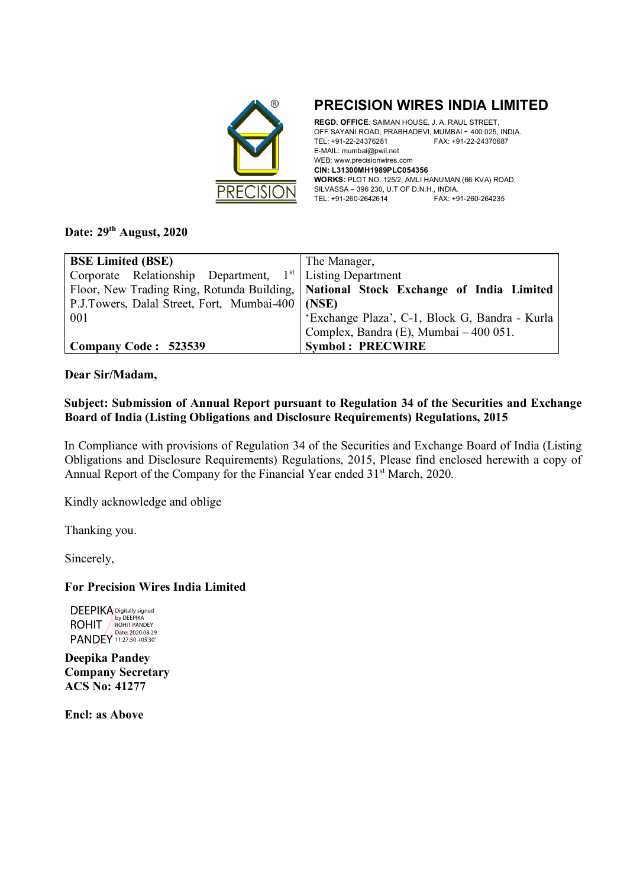

**PRECISION WIRES INDIA LIMITED** 

**REGD. OFFICE***:* SAIMAN HOUSE, J. A. RAUL STREET, OFF SAYANI ROAD, PRABHADEVI, MUMBAI - 400 025, INDIA. TEL: +91-22-24376281 FAX: +91-22-24370687 E-MAIL: mumbai@pwil.net WEB: www.precisionwires.com **CIN: L31300MH1989PLC054356 WORKS:** PLOT NO. 125/2, AMLI HANUMAN (66 KVA) ROAD, SILVASSA – 396 230, U.T OF D.N.H., INDIA. TEL: +91-260-2642614 FAX: +91-260-264235

# **Date: 29th August, 2020**

| <b>BSE Limited (BSE)</b>                                    | The Manager,                                                                          |
|-------------------------------------------------------------|---------------------------------------------------------------------------------------|
| Corporate Relationship Department, $1st$ Listing Department |                                                                                       |
|                                                             | Floor, New Trading Ring, Rotunda Building,   National Stock Exchange of India Limited |
| P.J.Towers, Dalal Street, Fort, Mumbai-400   (NSE)          |                                                                                       |
| 001                                                         | 'Exchange Plaza', C-1, Block G, Bandra - Kurla                                        |
|                                                             | Complex, Bandra (E), Mumbai - 400 051.                                                |
| Company Code: 523539                                        | <b>Symbol: PRECWIRE</b>                                                               |

**Dear Sir/Madam,** 

# **Subject: Submission of Annual Report pursuant to Regulation 34 of the Securities and Exchange Board of India (Listing Obligations and Disclosure Requirements) Regulations, 2015**

In Compliance with provisions of Regulation 34 of the Securities and Exchange Board of India (Listing Obligations and Disclosure Requirements) Regulations, 2015, Please find enclosed herewith a copy of Annual Report of the Company for the Financial Year ended 31<sup>st</sup> March, 2020.

Kindly acknowledge and oblige

Thanking you.

Sincerely,

# **For Precision Wires India Limited**

DEEPIKA ROHIT PANDEY 11:27:50 +05'30' Digitally signed<br>by DEEPIKA<br>ROHIT PANDEY

**Deepika Pandey Company Secretary ACS No: 41277** 

**Encl: as Above**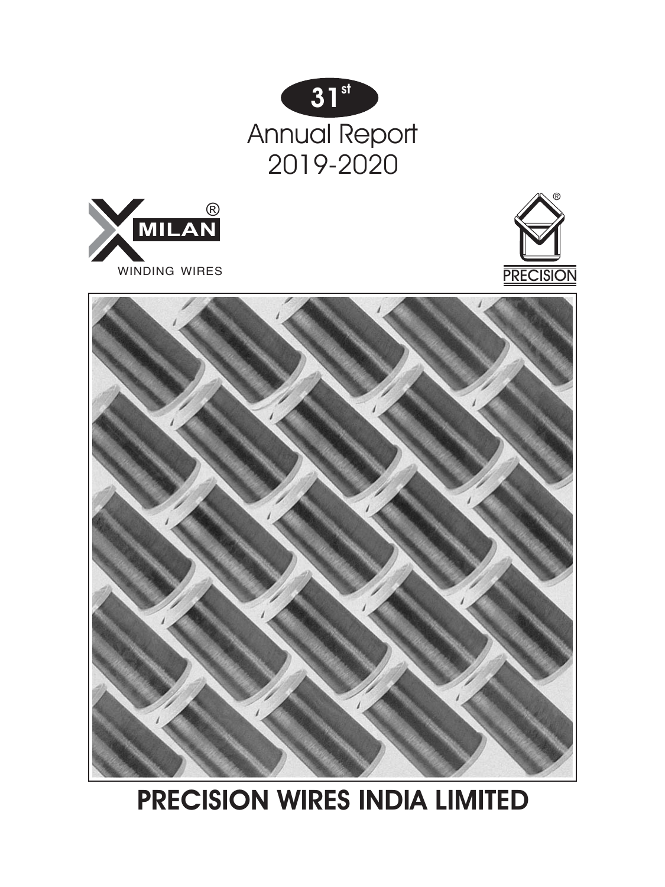







# **PRECISION WIRES INDIA LIMITED**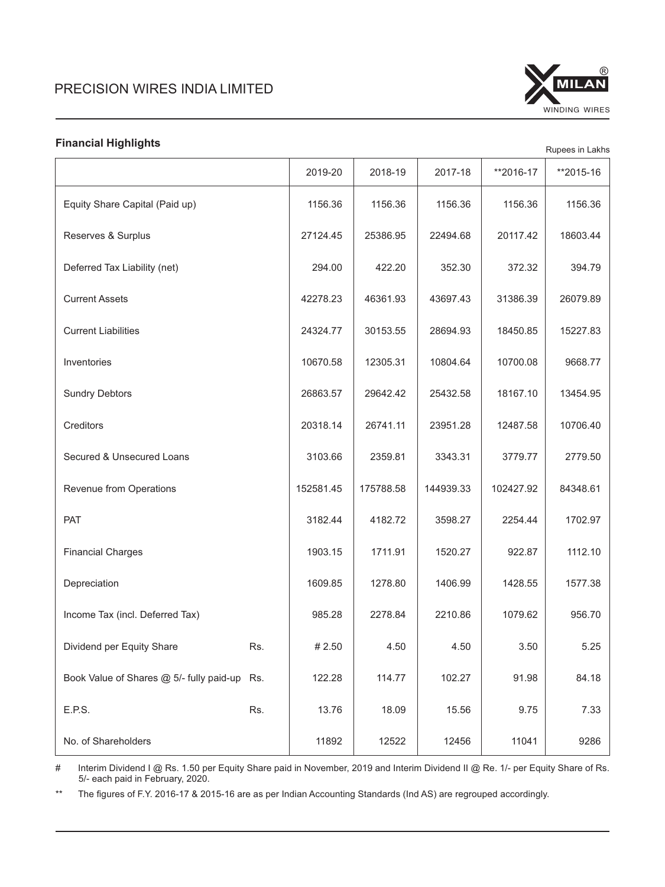

# **Financial Highlights** Rupees in Lakhs

|                                              |     | 2019-20   | 2018-19   | 2017-18   | **2016-17 | **2015-16 |
|----------------------------------------------|-----|-----------|-----------|-----------|-----------|-----------|
| Equity Share Capital (Paid up)               |     | 1156.36   | 1156.36   | 1156.36   | 1156.36   | 1156.36   |
| Reserves & Surplus                           |     | 27124.45  | 25386.95  | 22494.68  | 20117.42  | 18603.44  |
| Deferred Tax Liability (net)                 |     | 294.00    | 422.20    | 352.30    | 372.32    | 394.79    |
| <b>Current Assets</b>                        |     | 42278.23  | 46361.93  | 43697.43  | 31386.39  | 26079.89  |
| <b>Current Liabilities</b>                   |     | 24324.77  | 30153.55  | 28694.93  | 18450.85  | 15227.83  |
| Inventories                                  |     | 10670.58  | 12305.31  | 10804.64  | 10700.08  | 9668.77   |
| <b>Sundry Debtors</b>                        |     | 26863.57  | 29642.42  | 25432.58  | 18167.10  | 13454.95  |
| Creditors                                    |     | 20318.14  | 26741.11  | 23951.28  | 12487.58  | 10706.40  |
| Secured & Unsecured Loans                    |     | 3103.66   | 2359.81   | 3343.31   | 3779.77   | 2779.50   |
| Revenue from Operations                      |     | 152581.45 | 175788.58 | 144939.33 | 102427.92 | 84348.61  |
| <b>PAT</b>                                   |     | 3182.44   | 4182.72   | 3598.27   | 2254.44   | 1702.97   |
| <b>Financial Charges</b>                     |     | 1903.15   | 1711.91   | 1520.27   | 922.87    | 1112.10   |
| Depreciation                                 |     | 1609.85   | 1278.80   | 1406.99   | 1428.55   | 1577.38   |
| Income Tax (incl. Deferred Tax)              |     | 985.28    | 2278.84   | 2210.86   | 1079.62   | 956.70    |
| Dividend per Equity Share                    | Rs. | # 2.50    | 4.50      | 4.50      | 3.50      | 5.25      |
| Book Value of Shares @ 5/- fully paid-up Rs. |     | 122.28    | 114.77    | 102.27    | 91.98     | 84.18     |
| E.P.S.                                       | Rs. | 13.76     | 18.09     | 15.56     | 9.75      | 7.33      |
| No. of Shareholders                          |     | 11892     | 12522     | 12456     | 11041     | 9286      |

# Interim Dividend I @ Rs. 1.50 per Equity Share paid in November, 2019 and Interim Dividend II @ Re. 1/- per Equity Share of Rs. 5/- each paid in February, 2020.

The figures of F.Y. 2016-17 & 2015-16 are as per Indian Accounting Standards (Ind AS) are regrouped accordingly.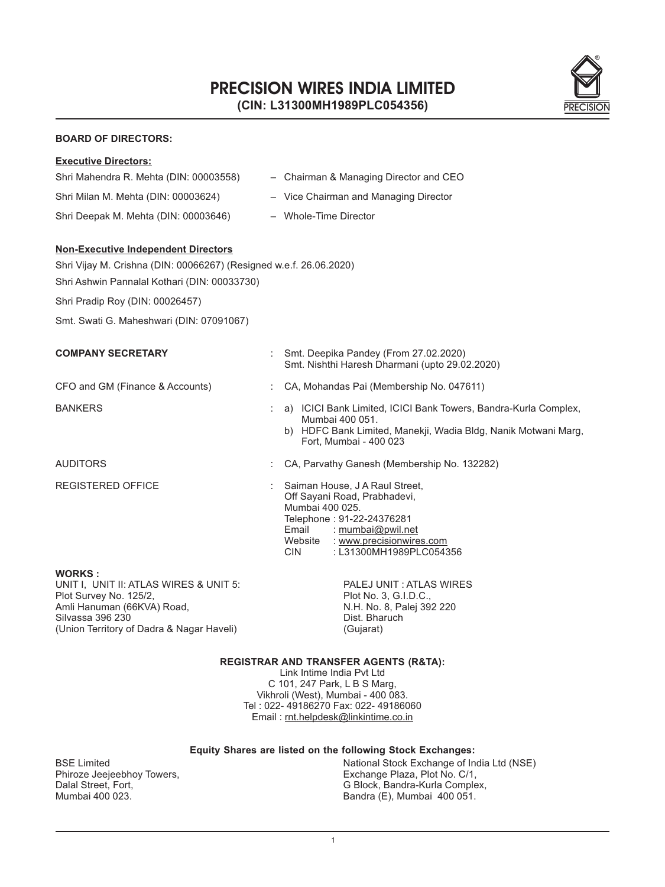

#### **BOARD OF DIRECTORS:**

#### **Executive Directors:**

| Shri Mahendra R. Mehta (DIN: 00003558)                             | - Chairman & Managing Director and CEO                                                                                                                                                                                 |
|--------------------------------------------------------------------|------------------------------------------------------------------------------------------------------------------------------------------------------------------------------------------------------------------------|
| Shri Milan M. Mehta (DIN: 00003624)                                | - Vice Chairman and Managing Director                                                                                                                                                                                  |
| Shri Deepak M. Mehta (DIN: 00003646)                               | - Whole-Time Director                                                                                                                                                                                                  |
| <b>Non-Executive Independent Directors</b>                         |                                                                                                                                                                                                                        |
| Shri Vijay M. Crishna (DIN: 00066267) (Resigned w.e.f. 26.06.2020) |                                                                                                                                                                                                                        |
| Shri Ashwin Pannalal Kothari (DIN: 00033730)                       |                                                                                                                                                                                                                        |
| Shri Pradip Roy (DIN: 00026457)                                    |                                                                                                                                                                                                                        |
| Smt. Swati G. Maheshwari (DIN: 07091067)                           |                                                                                                                                                                                                                        |
| <b>COMPANY SECRETARY</b>                                           | Smt. Deepika Pandey (From 27.02.2020)<br>Smt. Nishthi Haresh Dharmani (upto 29.02.2020)                                                                                                                                |
| CFO and GM (Finance & Accounts)                                    | CA, Mohandas Pai (Membership No. 047611)                                                                                                                                                                               |
| <b>BANKERS</b>                                                     | a) ICICI Bank Limited, ICICI Bank Towers, Bandra-Kurla Complex,<br>Mumbai 400 051.<br>b) HDFC Bank Limited, Manekji, Wadia Bldg, Nanik Motwani Marg,<br>Fort, Mumbai - 400 023                                         |
| <b>AUDITORS</b>                                                    | CA, Parvathy Ganesh (Membership No. 132282)                                                                                                                                                                            |
| <b>REGISTERED OFFICE</b>                                           | Saiman House, J A Raul Street,<br>Off Sayani Road, Prabhadevi,<br>Mumbai 400 025.<br>Telephone: 91-22-24376281<br>Email : mumbai@pwil.net<br>Website : www.precisionwires.com<br><b>CIN</b><br>: L31300MH1989PLC054356 |
| <b>WORKS:</b><br>UNIT I, UNIT II: ATLAS WIRES & UNIT 5:            | PALEJ UNIT : ATLAS WIRES                                                                                                                                                                                               |

Plot Survey No. 125/2, Plot No. 3, G.I.D.C., Amli Hanuman (66KVA) Road, N.H. No. 8, Palej 392 220 Silvassa 396 230<br>(Union Territory of Dadra & Nagar Haveli) (Gujarat) (Gujarat) (Union Territory of Dadra & Nagar Haveli)

#### **REGISTRAR AND TRANSFER AGENTS (R&TA):**

Link Intime India Pvt Ltd C 101, 247 Park, L B S Marg, Vikhroli (West), Mumbai - 400 083. Tel : 022- 49186270 Fax: 022- 49186060 Email: mt.helpdesk@linkintime.co.in

#### **Equity Shares are listed on the following Stock Exchanges:**

Phiroze Jeejeebhoy Towers, and the state of the Exchange Plaza, Plot No. C/1, Dalal Street, Fort, and The Street Assembly Completed at the Block, Bandra-Kurla Completed at the Street Assembly Completed at the Street Assemb Dalal Street, Fort, Entertainment of the United Street, Bandra-Kurla Complex, Mumbai 400 051.<br>Mumbai 400 023. Bandra (E), Mumbai 400 051. BSE Limited **National Stock Exchange of India Ltd (NSE)** National Stock Exchange of India Ltd (NSE)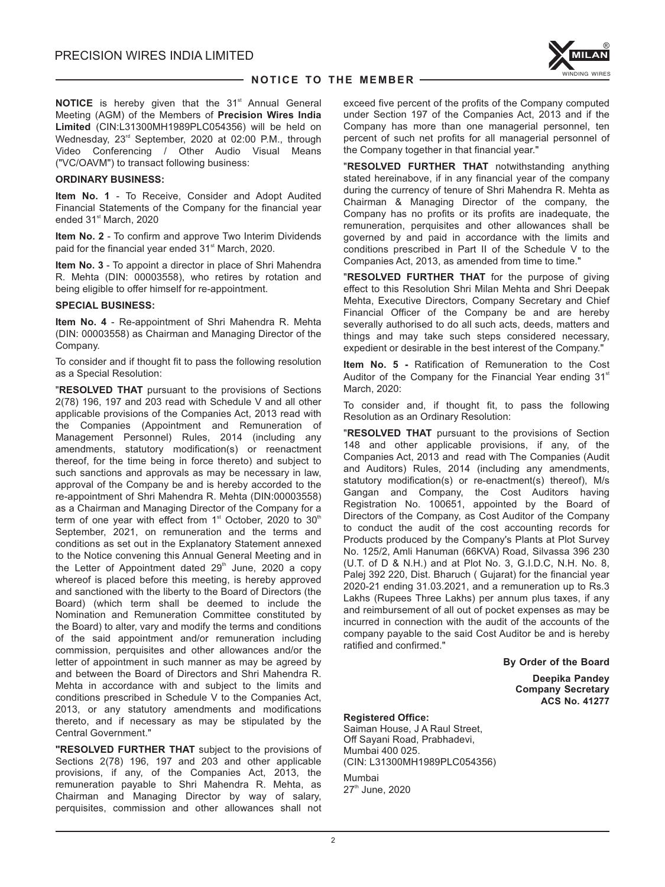#### $\longrightarrow$  NOTICE TO THE MEMBER  $\rightarrow$

**NOTICE** is hereby given that the 31<sup>st</sup> Annual General Meeting (AGM) of the Members of **Precision Wires India Limited** (CIN:L31300MH1989PLC054356) will be held on Wednesday, 23<sup>rd</sup> September, 2020 at 02:00 P.M., through Video Conferencing / Other Audio Visual Means ("VC/OAVM") to transact following business:

#### **ORDINARY BUSINESS:**

**Item No. 1** - To Receive, Consider and Adopt Audited Financial Statements of the Company for the financial year ended 31<sup>st</sup> March, 2020

**Item No. 2** - To confirm and approve Two Interim Dividends paid for the financial year ended 31<sup>st</sup> March, 2020.

**Item No. 3** - To appoint a director in place of Shri Mahendra R. Mehta (DIN: 00003558), who retires by rotation and being eligible to offer himself for re-appointment.

#### **SPECIAL BUSINESS:**

**Item No. 4** - Re-appointment of Shri Mahendra R. Mehta (DIN: 00003558) as Chairman and Managing Director of the Company.

To consider and if thought fit to pass the following resolution as a Special Resolution:

"RESOLVED THAT pursuant to the provisions of Sections 2(78) 196, 197 and 203 read with Schedule V and all other applicable provisions of the Companies Act, 2013 read with the Companies (Appointment and Remuneration of Management Personnel) Rules, 2014 (including any amendments, statutory modification(s) or reenactment thereof, for the time being in force thereto) and subject to such sanctions and approvals as may be necessary in law, approval of the Company be and is hereby accorded to the re-appointment of Shri Mahendra R. Mehta (DIN:00003558) as a Chairman and Managing Director of the Company for a term of one year with effect from 1st October, 2020 to 30<sup>th</sup> September, 2021, on remuneration and the terms and conditions as set out in the Explanatory Statement annexed to the Notice convening this Annual General Meeting and in the Letter of Appointment dated  $29<sup>th</sup>$  June, 2020 a copy whereof is placed before this meeting, is hereby approved and sanctioned with the liberty to the Board of Directors (the Board) (which term shall be deemed to include the Nomination and Remuneration Committee constituted by the Board) to alter, vary and modify the terms and conditions of the said appointment and/or remuneration including commission, perquisites and other allowances and/or the letter of appointment in such manner as may be agreed by and between the Board of Directors and Shri Mahendra R. Mehta in accordance with and subject to the limits and conditions prescribed in Schedule V to the Companies Act, 2013, or any statutory amendments and modifications thereto, and if necessary as may be stipulated by the Central Government."

**"RESOLVED FURTHER THAT** subject to the provisions of Sections 2(78) 196, 197 and 203 and other applicable provisions, if any, of the Companies Act, 2013, the remuneration payable to Shri Mahendra R. Mehta, as Chairman and Managing Director by way of salary, perquisites, commission and other allowances shall not exceed five percent of the profits of the Company computed under Section 197 of the Companies Act, 2013 and if the Company has more than one managerial personnel, ten percent of such net profits for all managerial personnel of the Company together in that financial year."

"RESOLVED FURTHER THAT notwithstanding anything stated hereinabove, if in any financial year of the company during the currency of tenure of Shri Mahendra R. Mehta as Chairman & Managing Director of the company, the Company has no profits or its profits are inadequate, the remuneration, perquisites and other allowances shall be governed by and paid in accordance with the limits and conditions prescribed in Part II of the Schedule V to the Companies Act, 2013, as amended from time to time."

**RESOLVED FURTHER THAT** for the purpose of giving effect to this Resolution Shri Milan Mehta and Shri Deepak Mehta, Executive Directors, Company Secretary and Chief Financial Officer of the Company be and are hereby severally authorised to do all such acts, deeds, matters and things and may take such steps considered necessary, expedient or desirable in the best interest of the Company.'

**Item No. 5 - Ratification of Remuneration to the Cost** Auditor of the Company for the Financial Year ending 31<sup>st</sup> March, 2020:

To consider and, if thought fit, to pass the following Resolution as an Ordinary Resolution:

**RESOLVED THAT** pursuant to the provisions of Section 148 and other applicable provisions, if any, of the Companies Act, 2013 and read with The Companies (Audit and Auditors) Rules, 2014 (including any amendments, statutory modification(s) or re-enactment(s) thereof), M/s Gangan and Company, the Cost Auditors having Registration No. 100651, appointed by the Board of Directors of the Company, as Cost Auditor of the Company to conduct the audit of the cost accounting records for Products produced by the Company's Plants at Plot Survey No. 125/2, Amli Hanuman (66KVA) Road, Silvassa 396 230 (U.T. of D & N.H.) and at Plot No. 3, G.I.D.C, N.H. No. 8, Palej 392 220, Dist. Bharuch ( Gujarat) for the financial year 2020-21 ending 31.03.2021, and a remuneration up to Rs.3 Lakhs (Rupees Three Lakhs) per annum plus taxes, if any and reimbursement of all out of pocket expenses as may be incurred in connection with the audit of the accounts of the company payable to the said Cost Auditor be and is hereby ratified and confirmed."

#### **By Order of the Board**

**Deepika Pandey Company Secretary ACS No. 41277**

#### **Registered Office:**

Saiman House, J A Raul Street, Off Sayani Road, Prabhadevi, Mumbai 400 025. (CIN: L31300MH1989PLC054356) Mumbai 27<sup>th</sup> June, 2020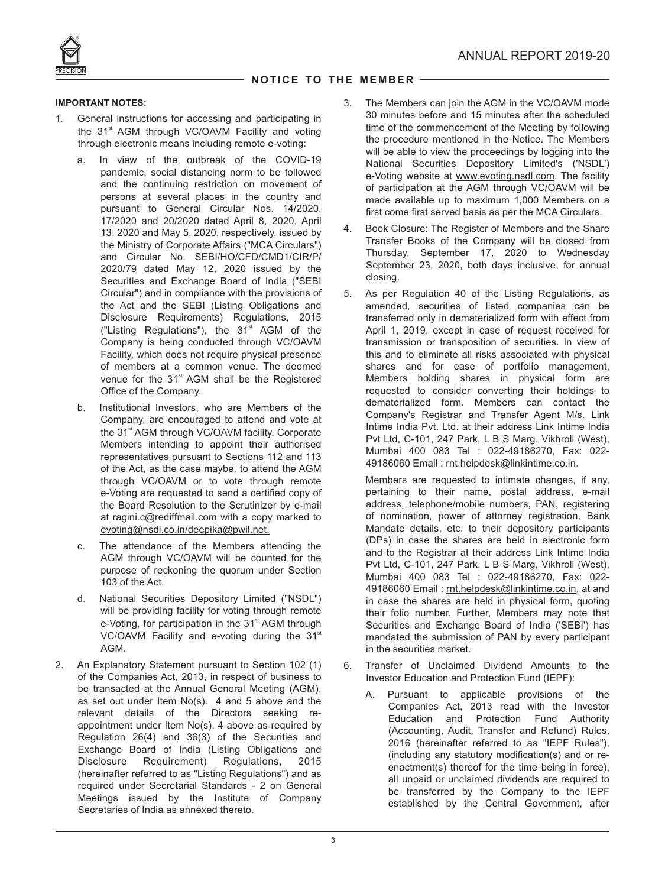

#### **IMPORTANT NOTES:**

- 1. General instructions for accessing and participating in the 31<sup>st</sup> AGM through VC/OAVM Facility and voting through electronic means including remote e-voting:
	- a. In view of the outbreak of the COVID-19 pandemic, social distancing norm to be followed and the continuing restriction on movement of persons at several places in the country and pursuant to General Circular Nos. 14/2020, 17/2020 and 20/2020 dated April 8, 2020, April 13, 2020 and May 5, 2020, respectively, issued by the Ministry of Corporate Affairs ("MCA Circulars") and Circular No. SEBI/HO/CFD/CMD1/CIR/P/ 2020/79 dated May 12, 2020 issued by the Securities and Exchange Board of India ("SEBI Circular") and in compliance with the provisions of the Act and the SEBI (Listing Obligations and Disclosure Requirements) Regulations, 2015 ("Listing Regulations"), the 31<sup>st</sup> AGM of the Company is being conducted through VC/OAVM Facility, which does not require physical presence of members at a common venue. The deemed venue for the 31<sup>st</sup> AGM shall be the Registered Office of the Company.
	- b. Institutional Investors, who are Members of the Company, are encouraged to attend and vote at the 31<sup>st</sup> AGM through VC/OAVM facility. Corporate Members intending to appoint their authorised representatives pursuant to Sections 112 and 113 of the Act, as the case maybe, to attend the AGM through VC/OAVM or to vote through remote e-Voting are requested to send a certified copy of the Board Resolution to the Scrutinizer by e-mail at <u>ragini.c@rediffmail.com</u> with a copy marked to evoting@nsdl.co.in/deepika@pwil.net.
	- c. The attendance of the Members attending the AGM through VC/OAVM will be counted for the purpose of reckoning the quorum under Section 103 of the Act.
	- d. National Securities Depository Limited ("NSDL") will be providing facility for voting through remote e-Voting, for participation in the 31<sup>st</sup> AGM through VC/OAVM Facility and e-voting during the 31<sup>st</sup> AGM.
- 2. An Explanatory Statement pursuant to Section 102 (1) of the Companies Act, 2013, in respect of business to be transacted at the Annual General Meeting (AGM), as set out under Item No(s). 4 and 5 above and the relevant details of the Directors seeking reappointment under Item No(s). 4 above as required by Regulation 26(4) and 36(3) of the Securities and Exchange Board of India (Listing Obligations and Disclosure Requirement) Regulations, 2015 (hereinafter referred to as "Listing Regulations") and as required under Secretarial Standards - 2 on General Meetings issued by the Institute of Company Secretaries of India as annexed thereto.
- 3. The Members can join the AGM in the VC/OAVM mode 30 minutes before and 15 minutes after the scheduled time of the commencement of the Meeting by following the procedure mentioned in the Notice. The Members will be able to view the proceedings by logging into the National Securities Depository Limited's ('NSDL') e-Voting website at www.evoting.nsdl.com. The facility of participation at the AGM through VC/OAVM will be made available up to maximum 1,000 Members on a first come first served basis as per the MCA Circulars.
- 4. Book Closure: The Register of Members and the Share Transfer Books of the Company will be closed from Thursday, September 17, 2020 to Wednesday September 23, 2020, both days inclusive, for annual closing.
- 5. As per Regulation 40 of the Listing Regulations, as amended, securities of listed companies can be transferred only in dematerialized form with effect from April 1, 2019, except in case of request received for transmission or transposition of securities. In view of this and to eliminate all risks associated with physical shares and for ease of portfolio management, Members holding shares in physical form are requested to consider converting their holdings to dematerialized form. Members can contact the Company's Registrar and Transfer Agent M/s. Link Intime India Pvt. Ltd. at their address Link Intime India Pvt Ltd, C-101, 247 Park, L B S Marg, Vikhroli (West), Mumbai 400 083 Tel : 022-49186270, Fax: 022- 49186060 Email : <u>rnt.helpdesk@linkintime.co.in</u>.

Members are requested to intimate changes, if any, pertaining to their name, postal address, e-mail address, telephone/mobile numbers, PAN, registering of nomination, power of attorney registration, Bank Mandate details, etc. to their depository participants (DPs) in case the shares are held in electronic form and to the Registrar at their address Link Intime India Pvt Ltd, C-101, 247 Park, L B S Marg, Vikhroli (West), Mumbai 400 083 Tel : 022-49186270, Fax: 022- 49186060 Email : <u>rnt.helpdesk@linkintime.co.in</u>, at and in case the shares are held in physical form, quoting their folio number. Further, Members may note that Securities and Exchange Board of India ('SEBI') has mandated the submission of PAN by every participant in the securities market.

- 6. Transfer of Unclaimed Dividend Amounts to the Investor Education and Protection Fund (IEPF):
	- A. Pursuant to applicable provisions of the Companies Act, 2013 read with the Investor Education and Protection Fund Authority (Accounting, Audit, Transfer and Refund) Rules, 2016 (hereinafter referred to as "IEPF Rules"), (including any statutory modification(s) and or reenactment(s) thereof for the time being in force), all unpaid or unclaimed dividends are required to be transferred by the Company to the IEPF established by the Central Government, after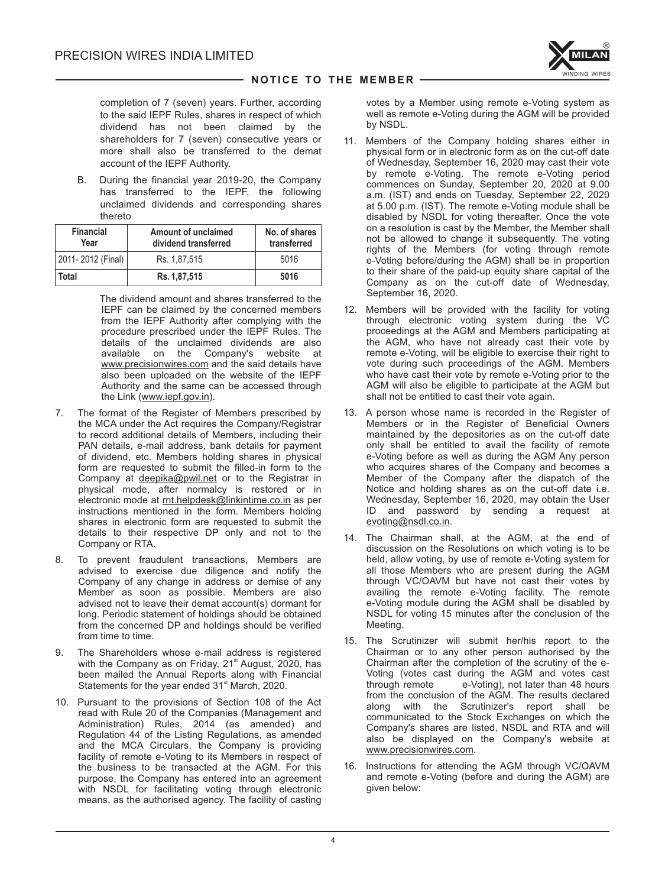completion of 7 (seven) years. Further, according to the said IEPF Rules, shares in respect of which dividend has not been claimed by the shareholders for 7 (seven) consecutive years or more shall also be transferred to the demat account of the IEPF Authority.

B. During the financial year 2019-20, the Company has transferred to the IEPF, the following unclaimed dividends and corresponding shares thereto

| Financial<br>Year | Amount of unclaimed<br>dividend transferred | No. of shares<br>transferred |
|-------------------|---------------------------------------------|------------------------------|
| 2011-2012 (Final) | Rs. 1.87.515                                | 5016                         |
| Total             | Rs. 1,87,515                                | 5016                         |

The dividend amount and shares transferred to the IEPF can be claimed by the concerned members from the IEPF Authority after complying with the procedure prescribed under the IEPF Rules. The details of the unclaimed dividends are also available on the Company's website at www.precisionwires.com and the said details have also been uploaded on the website of the IEPF Authority and the same can be accessed through the Link (www.iepf.gov.in).

- 7. The format of the Register of Members prescribed by the MCA under the Act requires the Company/Registrar to record additional details of Members, including their PAN details, e-mail address, bank details for payment of dividend, etc. Members holding shares in physical form are requested to submit the filled-in form to the Company at deepika@pwil.net or to the Registrar in physical mode, after normalcy is restored or in electronic mode at mt.helpdesk@linkintime.co.in as per instructions mentioned in the form. Members holding shares in electronic form are requested to submit the details to their respective DP only and not to the Company or RTA.
- 8. To prevent fraudulent transactions, Members are advised to exercise due diligence and notify the Company of any change in address or demise of any Member as soon as possible. Members are also advised not to leave their demat account(s) dormant for long. Periodic statement of holdings should be obtained from the concerned DP and holdings should be verified from time to time.
- 9. The Shareholders whose e-mail address is registered with the Company as on Friday, 21<sup>st</sup> August, 2020, has been mailed the Annual Reports along with Financial Statements for the year ended 31<sup>st</sup> March, 2020.
- 10. Pursuant to the provisions of Section 108 of the Act read with Rule 20 of the Companies (Management and Administration) Rules, 2014 (as amended) and Regulation 44 of the Listing Regulations, as amended and the MCA Circulars, the Company is providing facility of remote e-Voting to its Members in respect of the business to be transacted at the AGM. For this purpose, the Company has entered into an agreement with NSDL for facilitating voting through electronic means, as the authorised agency. The facility of casting

votes by a Member using remote e-Voting system as well as remote e-Voting during the AGM will be provided by NSDL.

- 11. Members of the Company holding shares either in physical form or in electronic form as on the cut-off date of Wednesday, September 16, 2020 may cast their vote by remote e-Voting. The remote e-Voting period commences on Sunday, September 20, 2020 at 9.00 a.m. (IST) and ends on Tuesday, September 22, 2020 at 5.00 p.m. (IST). The remote e-Voting module shall be disabled by NSDL for voting thereafter. Once the vote on a resolution is cast by the Member, the Member shall not be allowed to change it subsequently. The voting rights of the Members (for voting through remote e-Voting before/during the AGM) shall be in proportion to their share of the paid-up equity share capital of the Company as on the cut-off date of Wednesday, September 16, 2020.
- 12. Members will be provided with the facility for voting through electronic voting system during the VC proceedings at the AGM and Members participating at the AGM, who have not already cast their vote by remote e-Voting, will be eligible to exercise their right to vote during such proceedings of the AGM. Members who have cast their vote by remote e-Voting prior to the AGM will also be eligible to participate at the AGM but shall not be entitled to cast their vote again.
- 13. A person whose name is recorded in the Register of Members or in the Register of Beneficial Owners maintained by the depositories as on the cut-off date only shall be entitled to avail the facility of remote e-Voting before as well as during the AGM Any person who acquires shares of the Company and becomes a Member of the Company after the dispatch of the Notice and holding shares as on the cut-off date i.e. Wednesday, September 16, 2020, may obtain the User ID and password by sending a request at evoting@nsdl.co.in.
- 14. The Chairman shall, at the AGM, at the end of discussion on the Resolutions on which voting is to be held, allow voting, by use of remote e-Voting system for all those Members who are present during the AGM through VC/OAVM but have not cast their votes by availing the remote e-Voting facility. The remote e-Voting module during the AGM shall be disabled by NSDL for voting 15 minutes after the conclusion of the Meeting.
- 15. The Scrutinizer will submit her/his report to the Chairman or to any other person authorised by the Chairman after the completion of the scrutiny of the e-Voting (votes cast during the AGM and votes cast through remote e-Voting), not later than 48 hours e-Voting), not later than 48 hours from the conclusion of the AGM. The results declared along with the Scrutinizer's report shall be communicated to the Stock Exchanges on which the Company's shares are listed, NSDL and RTA and will also be displayed on the Company's website at . www.precisionwires.com
- 16. Instructions for attending the AGM through VC/OAVM and remote e-Voting (before and during the AGM) are given below:

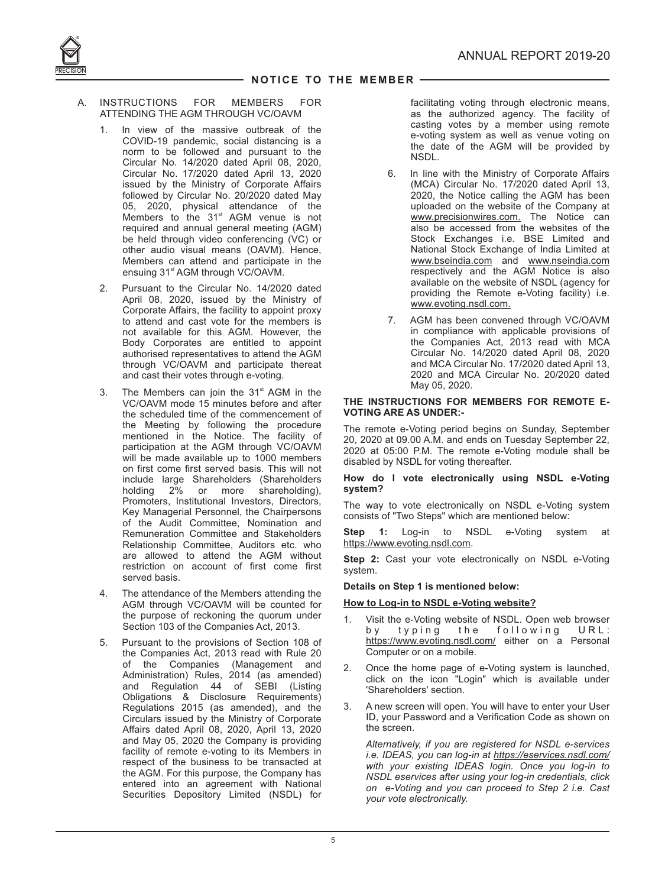

- INSTRUCTIONS FOR MEMBERS FOR ATTENDING THE AGM THROUGH VC/OAVM
	- In view of the massive outbreak of the COVID-19 pandemic, social distancing is a norm to be followed and pursuant to the Circular No. 14/2020 dated April 08, 2020, Circular No. 17/2020 dated April 13, 2020 issued by the Ministry of Corporate Affairs followed by Circular No. 20/2020 dated May 05, 2020, physical attendance of the Members to the 31<sup>st</sup> AGM venue is not required and annual general meeting (AGM) be held through video conferencing (VC) or other audio visual means (OAVM). Hence, Members can attend and participate in the ensuing 31<sup>st</sup> AGM through VC/OAVM.
	- 2. Pursuant to the Circular No. 14/2020 dated April 08, 2020, issued by the Ministry of Corporate Affairs, the facility to appoint proxy to attend and cast vote for the members is not available for this AGM. However, the Body Corporates are entitled to appoint authorised representatives to attend the AGM through VC/OAVM and participate thereat and cast their votes through e-voting.
	- 3. The Members can join the  $31<sup>st</sup>$  AGM in the VC/OAVM mode 15 minutes before and after the scheduled time of the commencement of the Meeting by following the procedure mentioned in the Notice. The facility of participation at the AGM through VC/OAVM will be made available up to 1000 members on first come first served basis. This will not include large Shareholders (Shareholders holding 2% or more shareholding), or more shareholding), Promoters, Institutional Investors, Directors, Key Managerial Personnel, the Chairpersons of the Audit Committee, Nomination and Remuneration Committee and Stakeholders Relationship Committee, Auditors etc. who are allowed to attend the AGM without restriction on account of first come first served basis.
	- 4. The attendance of the Members attending the AGM through VC/OAVM will be counted for the purpose of reckoning the quorum under Section 103 of the Companies Act, 2013.
	- 5. Pursuant to the provisions of Section 108 of the Companies Act, 2013 read with Rule 20 of the Companies (Management and Administration) Rules, 2014 (as amended) and Regulation 44 of SEBI (Listing Obligations & Disclosure Requirements) Regulations 2015 (as amended), and the Circulars issued by the Ministry of Corporate Affairs dated April 08, 2020, April 13, 2020 and May 05, 2020 the Company is providing facility of remote e-voting to its Members in respect of the business to be transacted at the AGM. For this purpose, the Company has entered into an agreement with National Securities Depository Limited (NSDL) for

facilitating voting through electronic means, as the authorized agency. The facility of casting votes by a member using remote e-voting system as well as venue voting on the date of the AGM will be provided by NSDL.

- 6. In line with the Ministry of Corporate Affairs (MCA) Circular No. 17/2020 dated April 13, 2020, the Notice calling the AGM has been uploaded on the website of the Company at www.precisionwires.com. The Notice can also be accessed from the websites of the Stock Exchanges i.e. BSE Limited and National Stock Exchange of India Limited at and respectively and the AGM Notice is also available on the website of NSDL (agency for providing the Remote e-Voting facility) i.e. www.bseindia.com and www.nseindia.com www.evoting.nsdl.com.
- 7. AGM has been convened through VC/OAVM in compliance with applicable provisions of the Companies Act, 2013 read with MCA Circular No. 14/2020 dated April 08, 2020 and MCA Circular No. 17/2020 dated April 13, 2020 and MCA Circular No. 20/2020 dated May 05, 2020.

#### **THE INSTRUCTIONS FOR MEMBERS FOR REMOTE E-VOTING ARE AS UNDER:-**

The remote e-Voting period begins on Sunday, September 20, 2020 at 09.00 A.M. and ends on Tuesday September 22, 2020 at 05:00 P.M. The remote e-Voting module shall be disabled by NSDL for voting thereafter.

#### **How do I vote electronically using NSDL e-Voting system?**

The way to vote electronically on NSDL e-Voting system consists of "Two Steps" which are mentioned below:

1: Log-in to NSDL e-Voting system at https://www.evoting.nsdl.com. **Step 1:**

Step 2: Cast your vote electronically on NSDL e-Voting system.

#### **Details on Step 1 is mentioned below:**

#### **How to Log-in to NSDL e-Voting website?**

- 1. Visit the e-Voting website of NSDL. Open web browser<br>by typing the following URL: by typing the following https://www.evoting.nsdl.com/ either on a Personal Computer or on a mobile.
- 2. Once the home page of e-Voting system is launched, click on the icon "Login" which is available under 'Shareholders' section.
- 3. A new screen will open. You will have to enter your User ID, your Password and a Verification Code as shown on the screen.

*Alternatively, if you are registered for NSDL e-services i.e. IDEAS, you can log-in at https://eservices.nsdl.com/with your existing IDEAS login. Once you log-in to NSDL eservices after using your log-in credentials, click on e-Voting and you can proceed to Step 2 i.e. Cast your vote electronically.*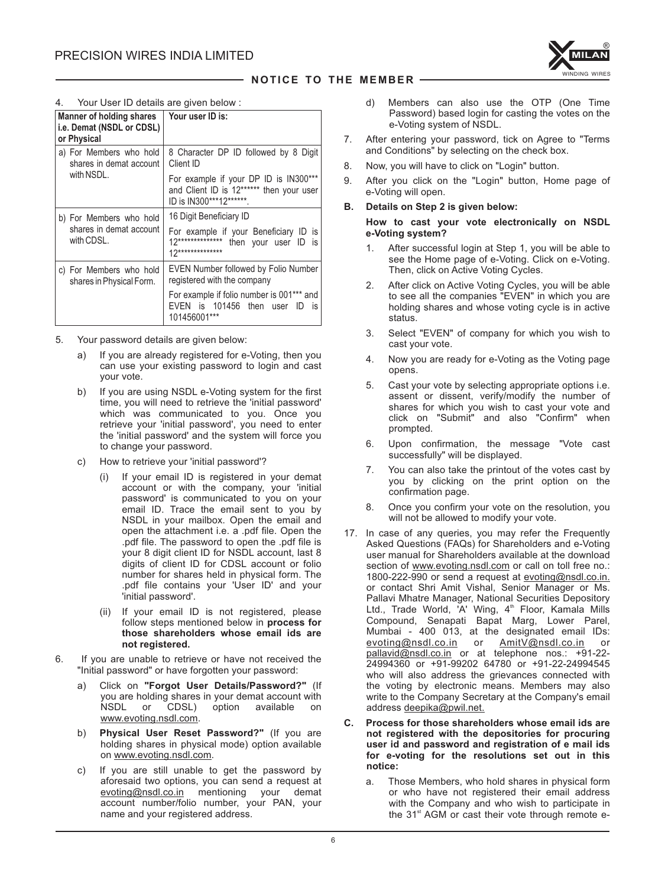

#### **NOTICE TO THE MEMBER**

4. Your User ID details are given below :

| Manner of holding shares<br>i.e. Demat (NSDL or CDSL)<br>or Physical | Your user ID is:                                                                                             |
|----------------------------------------------------------------------|--------------------------------------------------------------------------------------------------------------|
| a) For Members who hold<br>shares in demat account                   | 8 Character DP ID followed by 8 Digit<br>Client ID                                                           |
| with NSDL.                                                           | For example if your DP ID is IN300***<br>and Client ID is 12****** then your user<br>ID is IN300***12******. |
| b) For Members who hold                                              | 16 Digit Beneficiary ID                                                                                      |
| shares in demat account<br>with CDSL.                                | For example if your Beneficiary ID is<br>12************** then your user ID is<br>12**************           |
| c) For Members who hold<br>shares in Physical Form.                  | <b>EVEN Number followed by Folio Number</b><br>registered with the company                                   |
|                                                                      | For example if folio number is 001*** and<br>EVEN is 101456 then user ID is<br>101456001***                  |

- 5. Your password details are given below:
	- a) If you are already registered for e-Voting, then you can use your existing password to login and cast your vote.
	- b) If you are using NSDL e-Voting system for the first time, you will need to retrieve the 'initial password' which was communicated to you. Once you retrieve your 'initial password', you need to enter the 'initial password' and the system will force you to change your password.
	- c) How to retrieve your 'initial password'?
		- (i) If your email ID is registered in your demat account or with the company, your 'initial password' is communicated to you on your email ID. Trace the email sent to you by NSDL in your mailbox. Open the email and open the attachment i.e. a .pdf file. Open the .pdf file. The password to open the .pdf file is your 8 digit client ID for NSDL account, last 8 digits of client ID for CDSL account or folio number for shares held in physical form. The .pdf file contains your 'User ID' and your 'initial password'.
		- (ii) If your email ID is not registered, please follow steps mentioned below in **process for those shareholders whose email ids are not registered.**
- 6. If you are unable to retrieve or have not received the "Initial password" or have forgotten your password:
	- a) Click on "**Forgot User Details/Password?"** (If you are holding shares in your demat account with<br>NSDL or CDSL) option available on available on . www.evoting.nsdl.com
	- b) Physical User Reset Password?" (If you are holding shares in physical mode) option available on www.evoting.nsdl.com.
	- c) If you are still unable to get the password by aforesaid two options, you can send a request at evoting@nsdl.co.in mentioning your demat account number/folio number, your PAN, your name and your registered address.
- d) Members can also use the OTP (One Time Password) based login for casting the votes on the e-Voting system of NSDL.
- 7. After entering your password, tick on Agree to "Terms and Conditions" by selecting on the check box.
- 8. Now, you will have to click on "Login" button.
- 9. After you click on the "Login" button, Home page of e-Voting will open.
- **B. Details on Step 2 is given below:**

#### **How to cast your vote electronically on NSDL e-Voting system?**

- After successful login at Step 1, you will be able to see the Home page of e-Voting. Click on e-Voting. Then, click on Active Voting Cycles.
- 2. After click on Active Voting Cycles, you will be able to see all the companies "EVEN" in which you are holding shares and whose voting cycle is in active status.
- 3. Select "EVEN" of company for which you wish to cast your vote.
- 4. Now you are ready for e-Voting as the Voting page opens.
- 5. Cast your vote by selecting appropriate options i.e. assent or dissent, verify/modify the number of shares for which you wish to cast your vote and click on "Submit" and also "Confirm" when prompted.
- 6. Upon confirmation, the message "Vote cast successfully" will be displayed.
- 7. You can also take the printout of the votes cast by you by clicking on the print option on the confirmation page.
- 8. Once you confirm your vote on the resolution, you will not be allowed to modify your vote.
- 17. In case of any queries, you may refer the Frequently Asked Questions (FAQs) for Shareholders and e-Voting user manual for Shareholders available at the download section of www.evoting.nsdl.com or call on toll free no.: 1800-222-990 or send a request at evoting@nsdl.co.in. or contact Shri Amit Vishal, Senior Manager or Ms. Pallavi Mhatre Manager, National Securities Depository Ltd., Trade World, 'A' Wing, 4<sup>m</sup> Floor, Kamala Mills Compound, Senapati Bapat Marg, Lower Parel, Mumbai - 400 013, at the designated email IDs: AmitV@nsdl.co.in or p<u>allavid@nsdl.co.in</u> or at telephone nos.: +91-22-24994360 or +91-99202 64780 or +91-22-24994545 who will also address the grievances connected with the voting by electronic means. Members may also write to the Company Secretary at the Company's email address deepika@pwil.net. evoting@nsdl.co.in or th
- **C. Process for those shareholders whose email ids are not registered with the depositories for procuring user id and password and registration of e mail ids for e-voting for the resolutions set out in this notice:**
	- a. Those Members, who hold shares in physical form or who have not registered their email address with the Company and who wish to participate in the 31<sup>st</sup> AGM or cast their vote through remote e-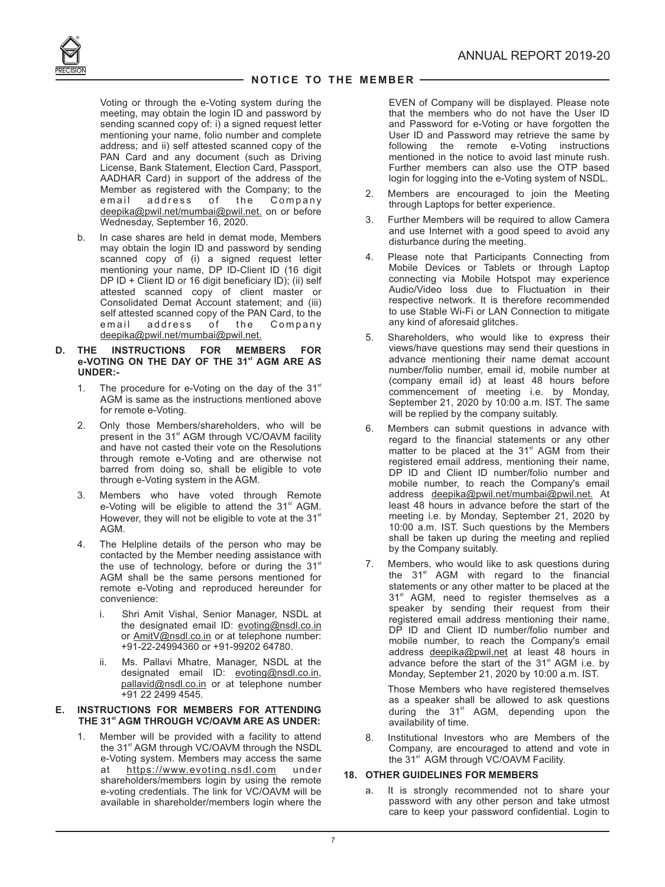

Voting or through the e-Voting system during the meeting, may obtain the login ID and password by sending scanned copy of: i) a signed request letter mentioning your name, folio number and complete address; and ii) self attested scanned copy of the PAN Card and any document (such as Driving License, Bank Statement, Election Card, Passport, AADHAR Card) in support of the address of the Member as registered with the Company; to the address of the deepika@pwil.net/mumbai@pwil.net. on or before Wednesday, September 16, 2020.

b. In case shares are held in demat mode, Members may obtain the login ID and password by sending scanned copy of (i) a signed request letter mentioning your name, DP ID-Client ID (16 digit DP ID + Client ID or 16 digit beneficiary ID); (ii) self attested scanned copy of client master or Consolidated Demat Account statement; and (iii) self attested scanned copy of the PAN Card, to the email address of the Company deepika@pwil.net/mumbai@pwil.net.

#### **D. THE INSTRUCTIONS FOR MEMBERS FOR** e-VOTING ON THE DAY OF THE 31<sup>st</sup> AGM ARE AS **UNDER:-**

- 1. The procedure for e-Voting on the day of the 31<sup>st</sup> AGM is same as the instructions mentioned above for remote e-Voting.
- 2. Only those Members/shareholders, who will be present in the 31<sup>st</sup> AGM through VC/OAVM facility and have not casted their vote on the Resolutions through remote e-Voting and are otherwise not barred from doing so, shall be eligible to vote through e-Voting system in the AGM.
- 3. Members who have voted through Remote e-Voting will be eligible to attend the 31<sup>st</sup> AGM. However, they will not be eligible to vote at the  $31<sup>st</sup>$ AGM.
- 4. The Helpline details of the person who may be contacted by the Member needing assistance with the use of technology, before or during the  $31<sup>st</sup>$ AGM shall be the same persons mentioned for remote e-Voting and reproduced hereunder for convenience:
	- i. Shri Amit Vishal, Senior Manager, NSDL at the designated email ID: evoting@nsdl.co.in or **AmitV@nsdl.co.in** or at telephone number: +91-22-24994360 or +91-99202 64780.
	- ii. Ms. Pallavi Mhatre, Manager, NSDL at the designated email ID: **evoting@nsdl.co.in**, pallavid@nsdl.co.in or at telephone number +91 22 2499 4545.

#### **E. INSTRUCTIONS FOR MEMBERS FOR ATTENDING** THE 31<sup>st</sup> AGM THROUGH VC/OAVM ARE AS UNDER:

1. Member will be provided with a facility to attend the 31<sup>st</sup> AGM through VC/OAVM through the NSDL e-Voting system. Members may access the same at <u>https://www.evoting.nsdl.com</u> under shareholders/members login by using the remote e-voting credentials. The link for VC/OAVM will be available in shareholder/members login where the

EVEN of Company will be displayed. Please note that the members who do not have the User ID and Password for e-Voting or have forgotten the User ID and Password may retrieve the same by following the remote e-Voting instructions mentioned in the notice to avoid last minute rush. Further members can also use the OTP based login for logging into the e-Voting system of NSDL.

- 2. Members are encouraged to join the Meeting through Laptops for better experience.
- 3. Further Members will be required to allow Camera and use Internet with a good speed to avoid any disturbance during the meeting.
- 4. Please note that Participants Connecting from Mobile Devices or Tablets or through Laptop connecting via Mobile Hotspot may experience Audio/Video loss due to Fluctuation in their respective network. It is therefore recommended to use Stable Wi-Fi or LAN Connection to mitigate any kind of aforesaid glitches.
- 5. Shareholders, who would like to express their views/have questions may send their questions in advance mentioning their name demat account number/folio number, email id, mobile number at (company email id) at least 48 hours before commencement of meeting i.e. by Monday, September 21, 2020 by 10:00 a.m. IST. The same will be replied by the company suitably.
- 6. Members can submit questions in advance with regard to the financial statements or any other matter to be placed at the 31<sup>st</sup> AGM from their registered email address, mentioning their name, DP ID and Client ID number/folio number and mobile number, to reach the Company's email address deepika@pwil.net/mumbai@pwil.net. At least 48 hours in advance before the start of the meeting i.e. by Monday, September 21, 2020 by 10:00 a.m. IST. Such questions by the Members shall be taken up during the meeting and replied by the Company suitably.
- 7. Members, who would like to ask questions during the  $31<sup>st</sup>$  AGM with regard to the financial statements or any other matter to be placed at the 31<sup>st</sup> AGM, need to register themselves as a speaker by sending their request from their registered email address mentioning their name, DP ID and Client ID number/folio number and mobile number, to reach the Company's email address <u>deepika@pwil.net</u> at least 48 hours in advance before the start of the 31<sup>st</sup> AGM i.e. by Monday, September 21, 2020 by 10:00 a.m. IST.

Those Members who have registered themselves as a speaker shall be allowed to ask questions during the 31<sup>st</sup> AGM, depending upon the availability of time.

8. Institutional Investors who are Members of the Company, are encouraged to attend and vote in the 31<sup>st</sup> AGM through VC/OAVM Facility.

#### **18. OTHER GUIDELINES FOR MEMBERS**

a. It is strongly recommended not to share your password with any other person and take utmost care to keep your password confidential. Login to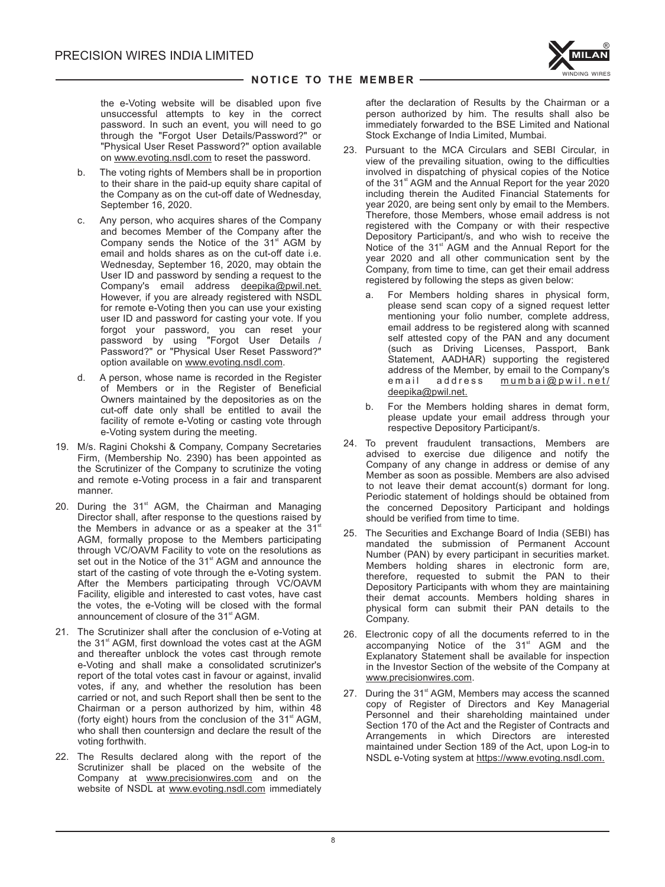

the e-Voting website will be disabled upon five unsuccessful attempts to key in the correct password. In such an event, you will need to go through the "Forgot User Details/Password?" or "Physical User Reset Password?" option available on www.evoting.nsdl.com to reset the password.

- b. The voting rights of Members shall be in proportion to their share in the paid-up equity share capital of the Company as on the cut-off date of Wednesday, September 16, 2020.
- c. Any person, who acquires shares of the Company and becomes Member of the Company after the Company sends the Notice of the  $31<sup>st</sup>$  AGM by email and holds shares as on the cut-off date i.e. Wednesday, September 16, 2020, may obtain the User ID and password by sending a request to the Company's email address deepika@pwil.net. However, if you are already registered with NSDL for remote e-Voting then you can use your existing user ID and password for casting your vote. If you forgot your password, you can reset your password by using "Forgot User Details / Password?" or "Physical User Reset Password?" option available on www.evoting.nsdl.com.
- d. A person, whose name is recorded in the Register of Members or in the Register of Beneficial Owners maintained by the depositories as on the cut-off date only shall be entitled to avail the facility of remote e-Voting or casting vote through e-Voting system during the meeting.
- 19. M/s. Ragini Chokshi & Company, Company Secretaries Firm, (Membership No. 2390) has been appointed as the Scrutinizer of the Company to scrutinize the voting and remote e-Voting process in a fair and transparent manner.
- 20. During the  $31<sup>st</sup>$  AGM, the Chairman and Managing Director shall, after response to the questions raised by the Members in advance or as a speaker at the 31<sup>st</sup> AGM, formally propose to the Members participating through VC/OAVM Facility to vote on the resolutions as set out in the Notice of the 31<sup>st</sup> AGM and announce the start of the casting of vote through the e-Voting system. After the Members participating through VC/OAVM Facility, eligible and interested to cast votes, have cast the votes, the e-Voting will be closed with the formal announcement of closure of the 31<sup>st</sup> AGM.
- 21. The Scrutinizer shall after the conclusion of e-Voting at the 31<sup>st</sup> AGM, first download the votes cast at the AGM and thereafter unblock the votes cast through remote e-Voting and shall make a consolidated scrutinizer's report of the total votes cast in favour or against, invalid votes, if any, and whether the resolution has been carried or not, and such Report shall then be sent to the Chairman or a person authorized by him, within 48 (forty eight) hours from the conclusion of the 31<sup>st</sup> AGM, who shall then countersign and declare the result of the voting forthwith.
- 22. The Results declared along with the report of the Scrutinizer shall be placed on the website of the Company at www.precisionwires.com and on the website of NSDL at www.evoting.nsdl.com immediately

after the declaration of Results by the Chairman or a person authorized by him. The results shall also be immediately forwarded to the BSE Limited and National Stock Exchange of India Limited, Mumbai.

- 23. Pursuant to the MCA Circulars and SEBI Circular, in view of the prevailing situation, owing to the difficulties involved in dispatching of physical copies of the Notice of the 31<sup>st</sup> AGM and the Annual Report for the year 2020 including therein the Audited Financial Statements for year 2020, are being sent only by email to the Members. Therefore, those Members, whose email address is not registered with the Company or with their respective Depository Participant/s, and who wish to receive the Notice of the 31<sup>st</sup> AGM and the Annual Report for the year 2020 and all other communication sent by the Company, from time to time, can get their email address registered by following the steps as given below:
	- For Members holding shares in physical form, please send scan copy of a signed request letter mentioning your folio number, complete address, email address to be registered along with scanned self attested copy of the PAN and any document (such as Driving Licenses, Passport, Bank Statement, AADHAR) supporting the registered address of the Member, by email to the Company's email address mumbai@pwil.net/ deepika@pwil.net.
	- b. For the Members holding shares in demat form, please update your email address through your respective Depository Participant/s.
- 24. To prevent fraudulent transactions, Members are advised to exercise due diligence and notify the Company of any change in address or demise of any Member as soon as possible. Members are also advised to not leave their demat account(s) dormant for long. Periodic statement of holdings should be obtained from the concerned Depository Participant and holdings should be verified from time to time.
- 25. The Securities and Exchange Board of India (SEBI) has mandated the submission of Permanent Account Number (PAN) by every participant in securities market. Members holding shares in electronic form are, therefore, requested to submit the PAN to their Depository Participants with whom they are maintaining their demat accounts. Members holding shares in physical form can submit their PAN details to the Company.
- 26. Electronic copy of all the documents referred to in the accompanying Notice of the 31<sup>st</sup> AGM and the Explanatory Statement shall be available for inspection in the Investor Section of the website of the Company at www.precisionwires.com.
- 27. During the 31<sup>st</sup> AGM, Members may access the scanned copy of Register of Directors and Key Managerial Personnel and their shareholding maintained under Section 170 of the Act and the Register of Contracts and Arrangements in which Directors are interested maintained under Section 189 of the Act, upon Log-in to NSDL e-Voting system at https://www.evoting.nsdl.com.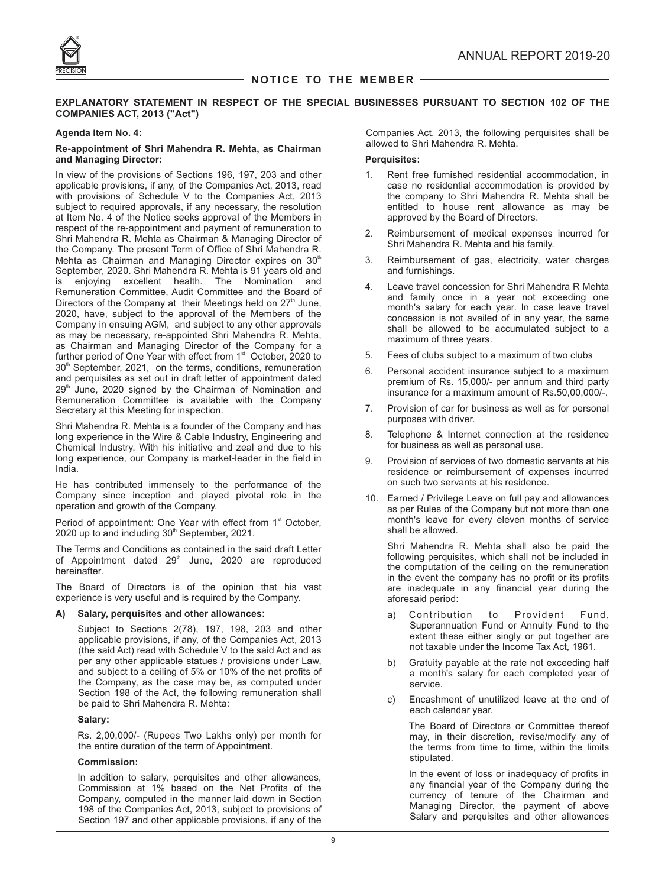

#### **EXPLANATORY STATEMENT IN RESPECT OF THE SPECIAL BUSINESSES PURSUANT TO SECTION 102 OF THE COMPANIES ACT, 2013 ("Act")**

#### **Agenda Item No. 4:**

#### **Re-appointment of Shri Mahendra R. Mehta, as Chairman and Managing Director:**

In view of the provisions of Sections 196, 197, 203 and other applicable provisions, if any, of the Companies Act, 2013, read with provisions of Schedule V to the Companies Act, 2013 subject to required approvals, if any necessary, the resolution at Item No. 4 of the Notice seeks approval of the Members in respect of the re-appointment and payment of remuneration to Shri Mahendra R. Mehta as Chairman & Managing Director of the Company. The present Term of Office of Shri Mahendra R. Mehta as Chairman and Managing Director expires on  $30<sup>th</sup>$ September, 2020. Shri Mahendra R. Mehta is 91 years old and enjoying excellent health. The Nomination and Remuneration Committee, Audit Committee and the Board of Directors of the Company at their Meetings held on  $27<sup>th</sup>$  June, 2020, have, subject to the approval of the Members of the Company in ensuing AGM, and subject to any other approvals as may be necessary, re-appointed Shri Mahendra R. Mehta, as Chairman and Managing Director of the Company for a further period of One Year with effect from 1<sup>st</sup> October, 2020 to 30<sup>th</sup> September, 2021, on the terms, conditions, remuneration and perquisites as set out in draft letter of appointment dated 29<sup>th</sup> June, 2020 signed by the Chairman of Nomination and Remuneration Committee is available with the Company Secretary at this Meeting for inspection.

Shri Mahendra R. Mehta is a founder of the Company and has long experience in the Wire & Cable Industry, Engineering and Chemical Industry. With his initiative and zeal and due to his long experience, our Company is market-leader in the field in India.

He has contributed immensely to the performance of the Company since inception and played pivotal role in the operation and growth of the Company.

Period of appointment: One Year with effect from 1<sup>st</sup> October, 2020 up to and including 30<sup>th</sup> September, 2021.

The Terms and Conditions as contained in the said draft Letter of Appointment dated 29<sup>th</sup> June, 2020 are reproduced hereinafter.

The Board of Directors is of the opinion that his vast experience is very useful and is required by the Company.

#### **A) Salary, perquisites and other allowances:**

Subject to Sections 2(78), 197, 198, 203 and other applicable provisions, if any, of the Companies Act, 2013 (the said Act) read with Schedule V to the said Act and as per any other applicable statues / provisions under Law, and subject to a ceiling of 5% or 10% of the net profits of the Company, as the case may be, as computed under Section 198 of the Act, the following remuneration shall be paid to Shri Mahendra R. Mehta:

#### **Salary:**

Rs. 2,00,000/- (Rupees Two Lakhs only) per month for the entire duration of the term of Appointment.

#### **Commission:**

In addition to salary, perquisites and other allowances, Commission at 1% based on the Net Profits of the Company, computed in the manner laid down in Section 198 of the Companies Act, 2013, subject to provisions of Section 197 and other applicable provisions, if any of the

Companies Act, 2013, the following perquisites shall be allowed to Shri Mahendra R. Mehta.

#### **Perquisites:**

- 1. Rent free furnished residential accommodation, in case no residential accommodation is provided by the company to Shri Mahendra R. Mehta shall be entitled to house rent allowance as may be approved by the Board of Directors.
- 2. Reimbursement of medical expenses incurred for Shri Mahendra R. Mehta and his family.
- 3. Reimbursement of gas, electricity, water charges and furnishings.
- 4. Leave travel concession for Shri Mahendra R Mehta and family once in a year not exceeding one month's salary for each year. In case leave travel concession is not availed of in any year, the same shall be allowed to be accumulated subject to a maximum of three years.
- 5. Fees of clubs subject to a maximum of two clubs
- 6. Personal accident insurance subject to a maximum premium of Rs. 15,000/- per annum and third party insurance for a maximum amount of Rs.50,00,000/-.
- 7. Provision of car for business as well as for personal purposes with driver.
- 8. Telephone & Internet connection at the residence for business as well as personal use.
- 9. Provision of services of two domestic servants at his residence or reimbursement of expenses incurred on such two servants at his residence.
- 10. Earned / Privilege Leave on full pay and allowances as per Rules of the Company but not more than one month's leave for every eleven months of service shall be allowed.

Shri Mahendra R. Mehta shall also be paid the following perquisites, which shall not be included in the computation of the ceiling on the remuneration in the event the company has no profit or its profits are inadequate in any financial year during the aforesaid period:

- a) Contribution to Provident Fund, Superannuation Fund or Annuity Fund to the extent these either singly or put together are not taxable under the Income Tax Act, 1961.
- b) Gratuity payable at the rate not exceeding half a month's salary for each completed year of service.
- c) Encashment of unutilized leave at the end of each calendar year.

The Board of Directors or Committee thereof may, in their discretion, revise/modify any of the terms from time to time, within the limits stipulated.

In the event of loss or inadequacy of profits in any financial year of the Company during the currency of tenure of the Chairman and Managing Director, the payment of above Salary and perquisites and other allowances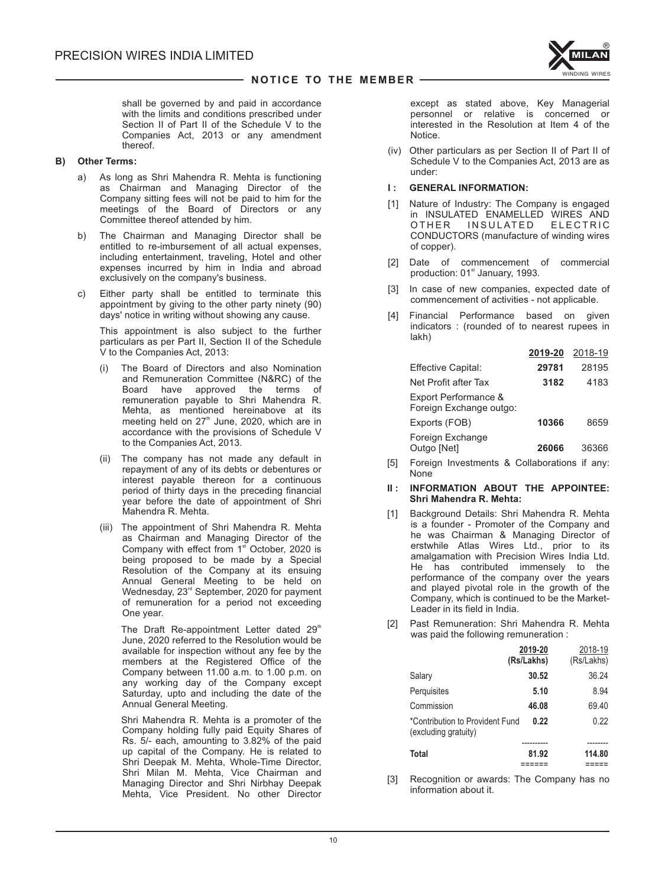

shall be governed by and paid in accordance with the limits and conditions prescribed under Section II of Part II of the Schedule V to the Companies Act, 2013 or any amendment thereof.

#### **B) Other Terms:**

- a) As long as Shri Mahendra R. Mehta is functioning as Chairman and Managing Director of the Company sitting fees will not be paid to him for the meetings of the Board of Directors or any Committee thereof attended by him.
- b) The Chairman and Managing Director shall be entitled to re-imbursement of all actual expenses, including entertainment, traveling, Hotel and other expenses incurred by him in India and abroad exclusively on the company's business.
- c) Either party shall be entitled to terminate this appointment by giving to the other party ninety (90) days' notice in writing without showing any cause.

This appointment is also subject to the further particulars as per Part II, Section II of the Schedule V to the Companies Act, 2013:

- (i) The Board of Directors and also Nomination and Remuneration Committee (N&RC) of the Board have approved the terms of remuneration payable to Shri Mahendra R. Mehta, as mentioned hereinabove at its meeting held on 27<sup>th</sup> June, 2020, which are in accordance with the provisions of Schedule V to the Companies Act, 2013.
- (ii) The company has not made any default in repayment of any of its debts or debentures or interest payable thereon for a continuous period of thirty days in the preceding financial year before the date of appointment of Shri Mahendra R. Mehta.
- (iii) The appointment of Shri Mahendra R. Mehta as Chairman and Managing Director of the Company with effect from 1<sup>st</sup> October, 2020 is being proposed to be made by a Special Resolution of the Company at its ensuing Annual General Meeting to be held on Wednesday, 23<sup>rd</sup> September, 2020 for payment of remuneration for a period not exceeding One year.

The Draft Re-appointment Letter dated  $29<sup>th</sup>$ June, 2020 referred to the Resolution would be available for inspection without any fee by the members at the Registered Office of the Company between 11.00 a.m. to 1.00 p.m. on any working day of the Company except Saturday, upto and including the date of the Annual General Meeting.

Shri Mahendra R. Mehta is a promoter of the Company holding fully paid Equity Shares of Rs. 5/- each, amounting to 3.82% of the paid up capital of the Company. He is related to Shri Deepak M. Mehta, Whole-Time Director, Shri Milan M. Mehta, Vice Chairman and Managing Director and Shri Nirbhay Deepak Mehta, Vice President. No other Director except as stated above, Key Managerial personnel or relative is concerned or interested in the Resolution at Item 4 of the Notice.

(iv) Other particulars as per Section II of Part II of Schedule V to the Companies Act, 2013 are as under:

#### **I : GENERAL INFORMATION:**

- [1] Nature of Industry: The Company is engaged in INSULATED ENAMELLED WIRES AND OTHER INSULATED ELECTRIC CONDUCTORS (manufacture of winding wires of copper).
- [2] Date of commencement of commercial production: 01<sup>st</sup> January, 1993.
- [3] In case of new companies, expected date of commencement of activities - not applicable.
- Financial Performance based on given indicators : (rounded of to nearest rupees in lakh)

|                                                 | 2019-20 | 2018-19 |
|-------------------------------------------------|---------|---------|
| <b>Effective Capital:</b>                       | 29781   | 28195   |
| Net Profit after Tax                            | 3182    | 4183    |
| Export Performance &<br>Foreign Exchange outgo: |         |         |
| Exports (FOB)                                   | 10366   | 8659    |
| Foreign Exchange<br>Outgo [Net]                 | 26066   | 36366   |

- [5] Foreign Investments & Collaborations if any: None
- **II : INFORMATION ABOUT THE APPOINTEE: Shri Mahendra R. Mehta:**
- [1] Background Details: Shri Mahendra R. Mehta is a founder - Promoter of the Company and he was Chairman & Managing Director of erstwhile Atlas Wires Ltd., prior to its amalgamation with Precision Wires India Ltd. He has contributed immensely to the performance of the company over the years and played pivotal role in the growth of the Company, which is continued to be the Market-Leader in its field in India.
- [2] Past Remuneration: Shri Mahendra R. Mehta was paid the following remuneration :

|                                                         | 2019-20<br>(Rs/Lakhs) | 2018-19<br>(Rs/Lakhs) |
|---------------------------------------------------------|-----------------------|-----------------------|
| Salary                                                  | 30.52                 | 36.24                 |
| Perquisites                                             | 5.10                  | 8.94                  |
| Commission                                              | 46.08                 | 69.40                 |
| *Contribution to Provident Fund<br>(excluding gratuity) | 0.22                  | 0.22                  |
|                                                         | ---------             | -------               |
| Total                                                   | 81.92                 | 114.80                |
|                                                         |                       |                       |

[3] Recognition or awards: The Company has no information about it.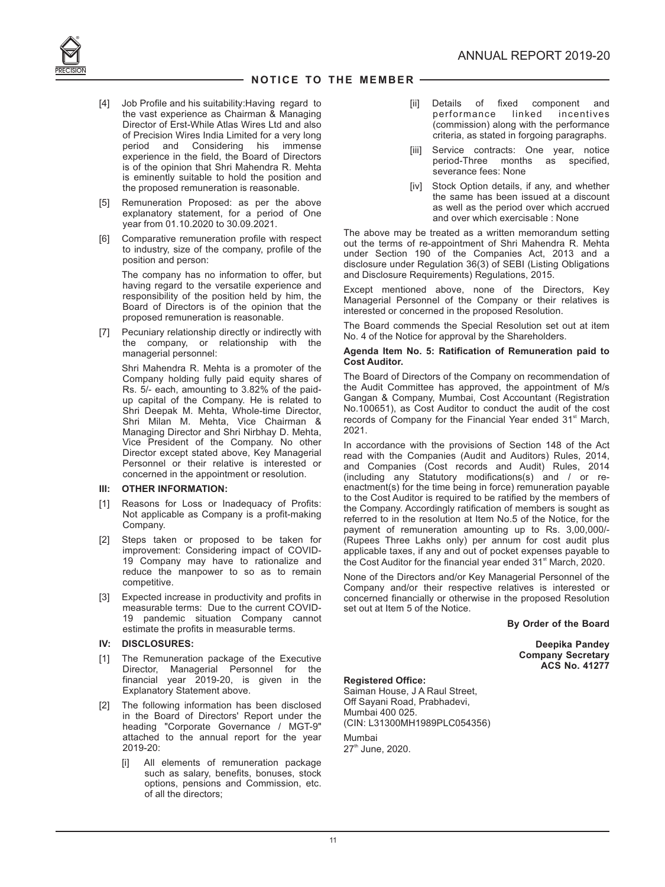

- [4] Job Profile and his suitability:Having regard to the vast experience as Chairman & Managing Director of Erst-While Atlas Wires Ltd and also of Precision Wires India Limited for a very long period and Considering his immense experience in the field, the Board of Directors is of the opinion that Shri Mahendra R. Mehta is eminently suitable to hold the position and the proposed remuneration is reasonable.
- [5] Remuneration Proposed: as per the above explanatory statement, for a period of One year from 01.10.2020 to 30.09.2021.
- [6] Comparative remuneration profile with respect to industry, size of the company, profile of the position and person:

The company has no information to offer, but having regard to the versatile experience and responsibility of the position held by him, the Board of Directors is of the opinion that the proposed remuneration is reasonable.

[7] Pecuniary relationship directly or indirectly with the company, or relationship with the managerial personnel:

> Shri Mahendra R. Mehta is a promoter of the Company holding fully paid equity shares of Rs. 5/- each, amounting to 3.82% of the paidup capital of the Company. He is related to Shri Deepak M. Mehta, Whole-time Director, Shri Milan M. Mehta, Vice Chairman & Managing Director and Shri Nirbhay D. Mehta, Vice President of the Company. No other Director except stated above, Key Managerial Personnel or their relative is interested or concerned in the appointment or resolution.

#### **III: OTHER INFORMATION:**

- [1] Reasons for Loss or Inadequacy of Profits: Not applicable as Company is a profit-making Company.
- [2] Steps taken or proposed to be taken for improvement: Considering impact of COVID-19 Company may have to rationalize and reduce the manpower to so as to remain competitive.
- [3] Expected increase in productivity and profits in measurable terms: Due to the current COVID-19 pandemic situation Company cannot estimate the profits in measurable terms.

#### **IV: DISCLOSURES:**

- [1] The Remuneration package of the Executive Director, Managerial Personnel for the financial year 2019-20, is given in the Explanatory Statement above.
- [2] The following information has been disclosed in the Board of Directors' Report under the heading "Corporate Governance / MGT-9" attached to the annual report for the year 2019-20:
	- [i] All elements of remuneration package such as salary, benefits, bonuses, stock options, pensions and Commission, etc. of all the directors;
- [ii] Details of fixed component and incentives (commission) along with the performance criteria, as stated in forgoing paragraphs.
- [iii] Service contracts: One year, notice period-Three months as specified, severance fees: None
- [iv] Stock Option details, if any, and whether the same has been issued at a discount as well as the period over which accrued and over which exercisable : None

The above may be treated as a written memorandum setting out the terms of re-appointment of Shri Mahendra R. Mehta under Section 190 of the Companies Act, 2013 and a disclosure under Regulation 36(3) of SEBI (Listing Obligations and Disclosure Requirements) Regulations, 2015.

Except mentioned above, none of the Directors, Key Managerial Personnel of the Company or their relatives is interested or concerned in the proposed Resolution.

The Board commends the Special Resolution set out at item No. 4 of the Notice for approval by the Shareholders.

#### **Agenda Item No. 5: Ratification of Remuneration paid to Cost Auditor.**

The Board of Directors of the Company on recommendation of the Audit Committee has approved, the appointment of M/s Gangan & Company, Mumbai, Cost Accountant (Registration No.100651), as Cost Auditor to conduct the audit of the cost records of Company for the Financial Year ended 31<sup>st</sup> March, 2021.

In accordance with the provisions of Section 148 of the Act read with the Companies (Audit and Auditors) Rules, 2014, and Companies (Cost records and Audit) Rules, 2014 (including any Statutory modifications(s) and / or reenactment(s) for the time being in force) remuneration payable to the Cost Auditor is required to be ratified by the members of the Company. Accordingly ratification of members is sought as referred to in the resolution at Item No.5 of the Notice, for the payment of remuneration amounting up to Rs. 3,00,000/- (Rupees Three Lakhs only) per annum for cost audit plus applicable taxes, if any and out of pocket expenses payable to the Cost Auditor for the financial year ended 31<sup>st</sup> March, 2020.

None of the Directors and/or Key Managerial Personnel of the Company and/or their respective relatives is interested or concerned financially or otherwise in the proposed Resolution set out at Item 5 of the Notice.

#### **By Order of the Board**

**Deepika Pandey Company Secretary ACS No. 41277**

#### **Registered Office:**

Saiman House, J A Raul Street, Off Sayani Road, Prabhadevi, Mumbai 400 025. (CIN: L31300MH1989PLC054356) Mumbai  $27<sup>th</sup>$  June, 2020.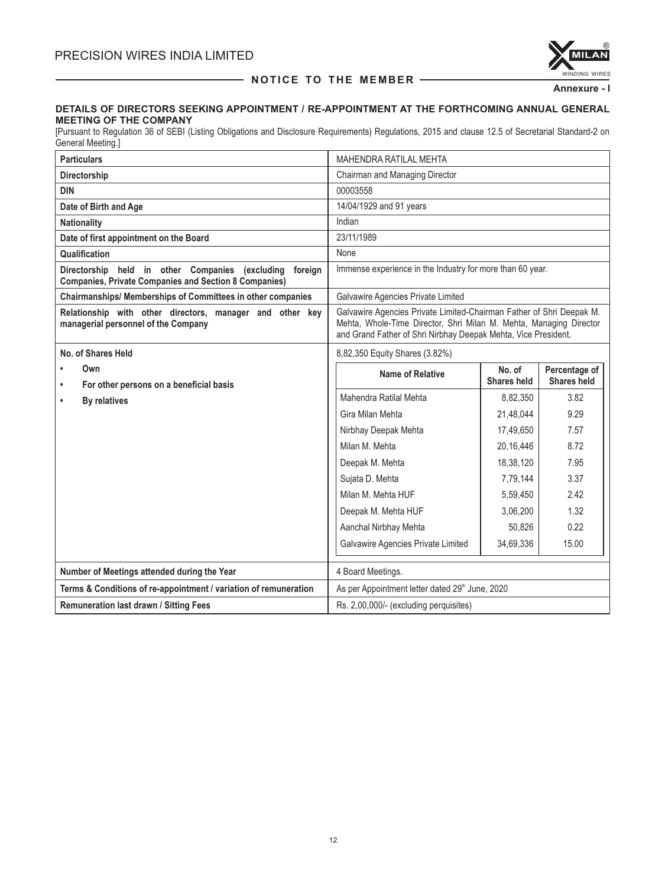

#### NOTICE TO THE MEMBER -

#### **DETAILS OF DIRECTORS SEEKING APPOINTMENT / RE-APPOINTMENT AT THE FORTHCOMING ANNUAL GENERAL MEETING OF THE COMPANY**

[Pursuant to Regulation 36 of SEBI (Listing Obligations and Disclosure Requirements) Regulations, 2015 and clause 12.5 of Secretarial Standard-2 on General Meeting.]

| <b>Particulars</b>                                                                                                         | MAHENDRA RATILAL MEHTA                                                                                                                                                                                       |                       |                              |
|----------------------------------------------------------------------------------------------------------------------------|--------------------------------------------------------------------------------------------------------------------------------------------------------------------------------------------------------------|-----------------------|------------------------------|
| <b>Directorship</b>                                                                                                        | Chairman and Managing Director                                                                                                                                                                               |                       |                              |
| <b>DIN</b>                                                                                                                 | 00003558                                                                                                                                                                                                     |                       |                              |
| Date of Birth and Age                                                                                                      | 14/04/1929 and 91 years                                                                                                                                                                                      |                       |                              |
| <b>Nationality</b>                                                                                                         | Indian                                                                                                                                                                                                       |                       |                              |
| Date of first appointment on the Board                                                                                     | 23/11/1989                                                                                                                                                                                                   |                       |                              |
| Qualification                                                                                                              | None                                                                                                                                                                                                         |                       |                              |
| Directorship held in other Companies (excluding<br>foreian<br><b>Companies, Private Companies and Section 8 Companies)</b> | Immense experience in the Industry for more than 60 year.                                                                                                                                                    |                       |                              |
| Chairmanships/ Memberships of Committees in other companies                                                                | Galvawire Agencies Private Limited                                                                                                                                                                           |                       |                              |
| Relationship with other directors, manager and other key<br>managerial personnel of the Company                            | Galvawire Agencies Private Limited-Chairman Father of Shri Deepak M.<br>Mehta, Whole-Time Director, Shri Milan M. Mehta, Managing Director<br>and Grand Father of Shri Nirbhay Deepak Mehta, Vice President. |                       |                              |
| No. of Shares Held<br>8,82,350 Equity Shares (3.82%)                                                                       |                                                                                                                                                                                                              |                       |                              |
| Own<br>$\bullet$<br>For other persons on a beneficial basis<br>$\bullet$                                                   | Name of Relative                                                                                                                                                                                             | No. of<br>Shares held | Percentage of<br>Shares held |
| By relatives                                                                                                               | Mahendra Ratilal Mehta                                                                                                                                                                                       | 8.82.350              | 3.82                         |
|                                                                                                                            | Gira Milan Mehta                                                                                                                                                                                             | 21,48,044             | 9.29                         |
|                                                                                                                            | Nirbhay Deepak Mehta                                                                                                                                                                                         | 17,49,650             | 7.57                         |
|                                                                                                                            | Milan M. Mehta                                                                                                                                                                                               | 20,16,446             | 8.72                         |
|                                                                                                                            | Deepak M. Mehta                                                                                                                                                                                              | 18.38.120             | 7.95                         |
|                                                                                                                            | Sujata D. Mehta                                                                                                                                                                                              | 7,79,144              | 3.37                         |
|                                                                                                                            |                                                                                                                                                                                                              |                       |                              |
|                                                                                                                            | Milan M. Mehta HUF                                                                                                                                                                                           | 5.59.450              | 2.42                         |
|                                                                                                                            | Deepak M. Mehta HUF                                                                                                                                                                                          | 3.06.200              | 1.32                         |
|                                                                                                                            | Aanchal Nirbhay Mehta                                                                                                                                                                                        | 50,826                | 0.22                         |
|                                                                                                                            | Galvawire Agencies Private Limited                                                                                                                                                                           | 34,69,336             | 15.00                        |
| Number of Meetings attended during the Year                                                                                | 4 Board Meetings.                                                                                                                                                                                            |                       |                              |
| Terms & Conditions of re-appointment / variation of remuneration                                                           | As per Appointment letter dated 29 <sup>th</sup> June, 2020                                                                                                                                                  |                       |                              |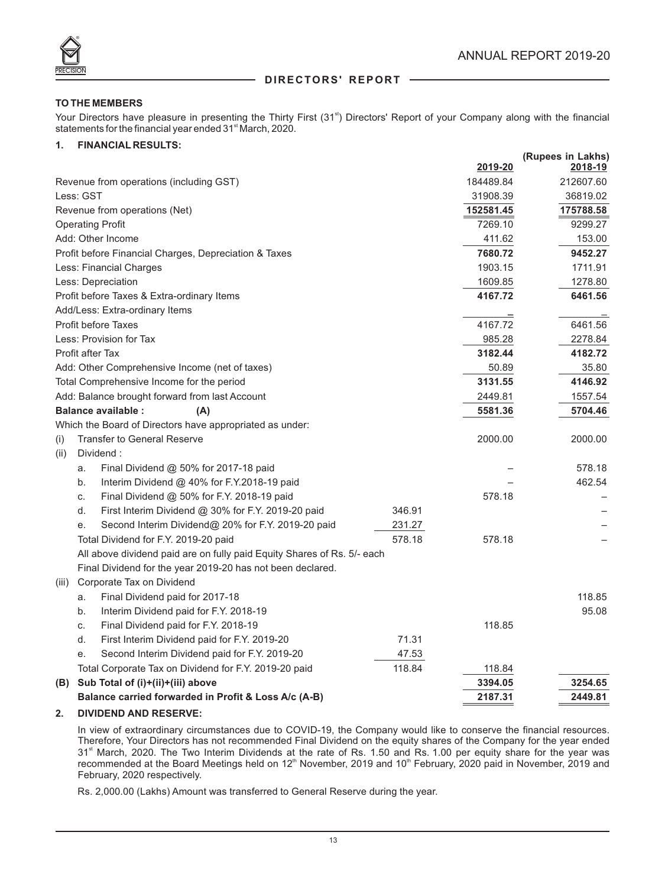

#### **TO THE MEMBERS**

Your Directors have pleasure in presenting the Thirty First (31<sup>\*)</sup>) Directors' Report of your Company along with the financial statements for the financial year ended 31<sup>st</sup> March, 2020.

**1. FINANCIAL RESULTS:**

|       |           |                                                                         |        | 2019-20   | (Rupees in Lakhs)<br>2018-19 |
|-------|-----------|-------------------------------------------------------------------------|--------|-----------|------------------------------|
|       |           | Revenue from operations (including GST)                                 |        | 184489.84 | 212607.60                    |
|       | Less: GST |                                                                         |        | 31908.39  | 36819.02                     |
|       |           | Revenue from operations (Net)                                           |        | 152581.45 | 175788.58                    |
|       |           | <b>Operating Profit</b>                                                 |        | 7269.10   | 9299.27                      |
|       |           | Add: Other Income                                                       |        | 411.62    | 153.00                       |
|       |           | Profit before Financial Charges, Depreciation & Taxes                   |        | 7680.72   | 9452.27                      |
|       |           | Less: Financial Charges                                                 |        | 1903.15   | 1711.91                      |
|       |           | Less: Depreciation                                                      |        | 1609.85   | 1278.80                      |
|       |           | Profit before Taxes & Extra-ordinary Items                              |        | 4167.72   | 6461.56                      |
|       |           | Add/Less: Extra-ordinary Items                                          |        |           |                              |
|       |           | <b>Profit before Taxes</b>                                              |        | 4167.72   | 6461.56                      |
|       |           | Less: Provision for Tax                                                 |        | 985.28    | 2278.84                      |
|       |           | <b>Profit after Tax</b>                                                 |        | 3182.44   | 4182.72                      |
|       |           | Add: Other Comprehensive Income (net of taxes)                          |        | 50.89     | 35.80                        |
|       |           | Total Comprehensive Income for the period                               |        | 3131.55   | 4146.92                      |
|       |           | Add: Balance brought forward from last Account                          |        | 2449.81   | 1557.54                      |
|       |           | <b>Balance available:</b><br>(A)                                        |        | 5581.36   | 5704.46                      |
|       |           | Which the Board of Directors have appropriated as under:                |        |           |                              |
| (i)   |           | <b>Transfer to General Reserve</b>                                      |        | 2000.00   | 2000.00                      |
| (ii)  |           | Dividend:                                                               |        |           |                              |
|       | a.        | Final Dividend $@$ 50% for 2017-18 paid                                 |        |           | 578.18                       |
|       | b.        | Interim Dividend $@$ 40% for F.Y.2018-19 paid                           |        |           | 462.54                       |
|       | c.        | Final Dividend @ 50% for F.Y. 2018-19 paid                              |        | 578.18    |                              |
|       | d.        | First Interim Dividend @ 30% for F.Y. 2019-20 paid                      | 346.91 |           |                              |
|       | е.        | Second Interim Dividend@ 20% for F.Y. 2019-20 paid                      | 231.27 |           |                              |
|       |           | Total Dividend for F.Y. 2019-20 paid                                    | 578.18 | 578.18    |                              |
|       |           | All above dividend paid are on fully paid Equity Shares of Rs. 5/- each |        |           |                              |
|       |           | Final Dividend for the year 2019-20 has not been declared.              |        |           |                              |
| (iii) |           | Corporate Tax on Dividend                                               |        |           |                              |
|       | a.        | Final Dividend paid for 2017-18                                         |        |           | 118.85                       |
|       | b.        | Interim Dividend paid for F.Y. 2018-19                                  |        |           | 95.08                        |
|       | C.        | Final Dividend paid for F.Y. 2018-19                                    |        | 118.85    |                              |
|       | d.        | First Interim Dividend paid for F.Y. 2019-20                            | 71.31  |           |                              |
|       | е.        | Second Interim Dividend paid for F.Y. 2019-20                           | 47.53  |           |                              |
|       |           | Total Corporate Tax on Dividend for F.Y. 2019-20 paid                   | 118.84 | 118.84    |                              |
|       |           | (B) Sub Total of (i)+(ii)+(iii) above                                   |        | 3394.05   | 3254.65                      |
|       |           | Balance carried forwarded in Profit & Loss A/c (A-B)                    |        | 2187.31   | 2449.81                      |
|       |           |                                                                         |        |           |                              |

#### **2. DIVIDEND AND RESERVE:**

In view of extraordinary circumstances due to COVID-19, the Company would like to conserve the financial resources. Therefore, Your Directors has not recommended Final Dividend on the equity shares of the Company for the year ended 31<sup>st</sup> March, 2020. The Two Interim Dividends at the rate of Rs. 1.50 and Rs. 1.00 per equity share for the year was recommended at the Board Meetings held on 12<sup>th</sup> November, 2019 and 10<sup>th</sup> February, 2020 paid in November, 2019 and February, 2020 respectively.

Rs. 2,000.00 (Lakhs) Amount was transferred to General Reserve during the year.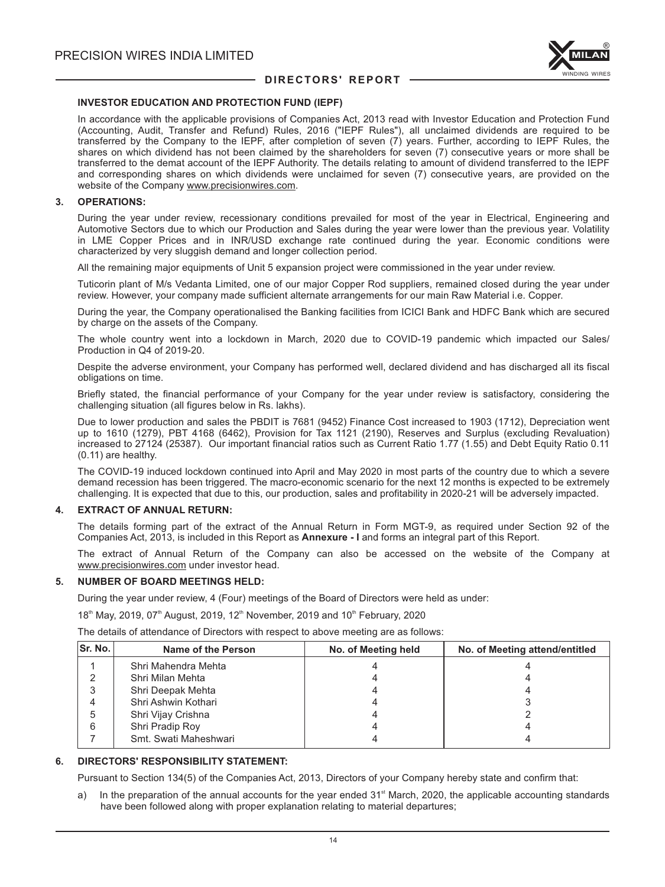

#### **INVESTOR EDUCATION AND PROTECTION FUND (IEPF)**

In accordance with the applicable provisions of Companies Act, 2013 read with Investor Education and Protection Fund (Accounting, Audit, Transfer and Refund) Rules, 2016 ("IEPF Rules"), all unclaimed dividends are required to be transferred by the Company to the IEPF, after completion of seven (7) years. Further, according to IEPF Rules, the shares on which dividend has not been claimed by the shareholders for seven (7) consecutive years or more shall be transferred to the demat account of the IEPF Authority. The details relating to amount of dividend transferred to the IEPF and corresponding shares on which dividends were unclaimed for seven (7) consecutive years, are provided on the website of the Company www.precisionwires.com.

#### **3. OPERATIONS:**

During the year under review, recessionary conditions prevailed for most of the year in Electrical, Engineering and Automotive Sectors due to which our Production and Sales during the year were lower than the previous year. Volatility in LME Copper Prices and in INR/USD exchange rate continued during the year. Economic conditions were characterized by very sluggish demand and longer collection period.

All the remaining major equipments of Unit 5 expansion project were commissioned in the year under review.

Tuticorin plant of M/s Vedanta Limited, one of our major Copper Rod suppliers, remained closed during the year under review. However, your company made sufficient alternate arrangements for our main Raw Material i.e. Copper.

During the year, the Company operationalised the Banking facilities from ICICI Bank and HDFC Bank which are secured by charge on the assets of the Company.

The whole country went into a lockdown in March, 2020 due to COVID-19 pandemic which impacted our Sales/ Production in Q4 of 2019-20.

Despite the adverse environment, your Company has performed well, declared dividend and has discharged all its fiscal obligations on time.

Briefly stated, the financial performance of your Company for the year under review is satisfactory, considering the challenging situation (all figures below in Rs. lakhs).

Due to lower production and sales the PBDIT is 7681 (9452) Finance Cost increased to 1903 (1712), Depreciation went up to 1610 (1279), PBT 4168 (6462), Provision for Tax 1121 (2190), Reserves and Surplus (excluding Revaluation) increased to 27124 (25387). Our important financial ratios such as Current Ratio 1.77 (1.55) and Debt Equity Ratio 0.11 (0.11) are healthy.

The COVID-19 induced lockdown continued into April and May 2020 in most parts of the country due to which a severe demand recession has been triggered. The macro-economic scenario for the next 12 months is expected to be extremely challenging. It is expected that due to this, our production, sales and profitability in 2020-21 will be adversely impacted.

#### **4. EXTRACT OF ANNUAL RETURN:**

Companies Act, 2013, is included in this Report as **Annexure - I** and forms an integral part of this Report. The details forming part of the extract of the Annual Return in Form MGT-9, as required under Section 92 of the

The extract of Annual Return of the Company can also be accessed on the website of the Company at www.precisionwires.com under investor head.

#### **5. NUMBER OF BOARD MEETINGS HELD:**

During the year under review, 4 (Four) meetings of the Board of Directors were held as under:

18<sup>th</sup> May, 2019, 07<sup>th</sup> August, 2019, 12<sup>th</sup> November, 2019 and 10<sup>th</sup> February, 2020

The details of attendance of Directors with respect to above meeting are as follows:

| <b>Sr. No.</b> | Name of the Person    | No. of Meeting held | No. of Meeting attend/entitled |
|----------------|-----------------------|---------------------|--------------------------------|
|                | Shri Mahendra Mehta   |                     |                                |
|                | Shri Milan Mehta      |                     |                                |
| 3              | Shri Deepak Mehta     |                     |                                |
|                | Shri Ashwin Kothari   |                     |                                |
| 5              | Shri Vijay Crishna    |                     |                                |
| 6              | Shri Pradip Roy       |                     |                                |
|                | Smt. Swati Maheshwari |                     |                                |

#### **6. DIRECTORS' RESPONSIBILITY STATEMENT:**

Pursuant to Section 134(5) of the Companies Act, 2013, Directors of your Company hereby state and confirm that:

a) In the preparation of the annual accounts for the year ended  $31<sup>st</sup>$  March, 2020, the applicable accounting standards have been followed along with proper explanation relating to material departures;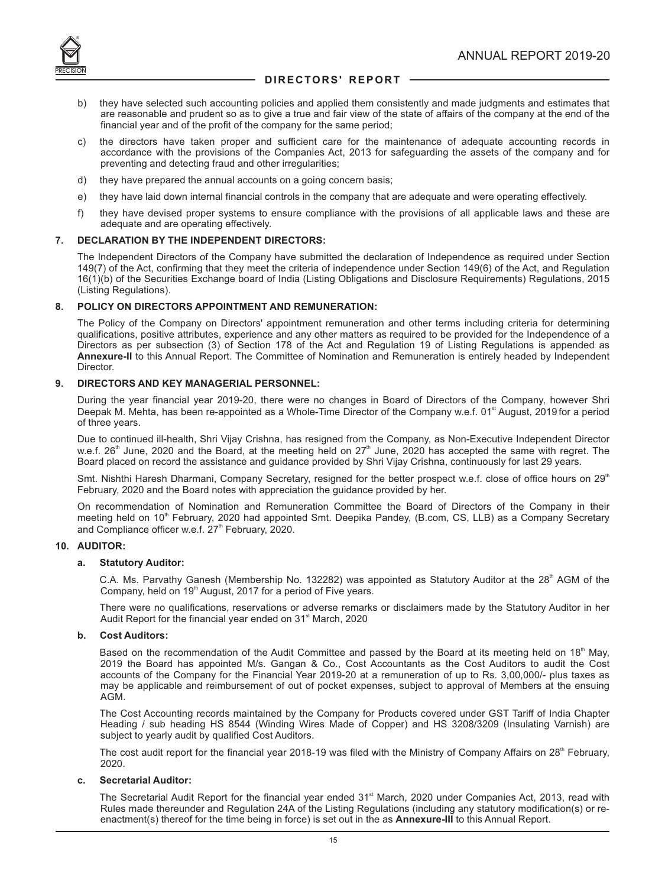

- b) they have selected such accounting policies and applied them consistently and made judgments and estimates that are reasonable and prudent so as to give a true and fair view of the state of affairs of the company at the end of the financial year and of the profit of the company for the same period;
- c) the directors have taken proper and sufficient care for the maintenance of adequate accounting records in accordance with the provisions of the Companies Act, 2013 for safeguarding the assets of the company and for preventing and detecting fraud and other irregularities;
- d) they have prepared the annual accounts on a going concern basis;
- e) they have laid down internal financial controls in the company that are adequate and were operating effectively.
- f) they have devised proper systems to ensure compliance with the provisions of all applicable laws and these are adequate and are operating effectively.

#### **7. DECLARATION BY THE INDEPENDENT DIRECTORS:**

The Independent Directors of the Company have submitted the declaration of Independence as required under Section 149(7) of the Act, confirming that they meet the criteria of independence under Section 149(6) of the Act, and Regulation 16(1)(b) of the Securities Exchange board of India (Listing Obligations and Disclosure Requirements) Regulations, 2015 (Listing Regulations).

#### **8. POLICY ON DIRECTORS APPOINTMENT AND REMUNERATION:**

The Policy of the Company on Directors' appointment remuneration and other terms including criteria for determining qualifications, positive attributes, experience and any other matters as required to be provided for the Independence of a Directors as per subsection (3) of Section 178 of the Act and Regulation 19 of Listing Regulations is appended as Annexure-II to this Annual Report. The Committee of Nomination and Remuneration is entirely headed by Independent Director.

#### **9. DIRECTORS AND KEY MANAGERIAL PERSONNEL:**

During the year financial year 2019-20, there were no changes in Board of Directors of the Company, however Shri Deepak M. Mehta, has been re-appointed as a Whole-Time Director of the Company w.e.f. 01<sup>st</sup> August, 2019 for a period of three years.

Due to continued ill-health, Shri Vijay Crishna, has resigned from the Company, as Non-Executive Independent Director w.e.f. 26<sup>th</sup> June, 2020 and the Board, at the meeting held on 27<sup>th</sup> June, 2020 has accepted the same with regret. The Board placed on record the assistance and guidance provided by Shri Vijay Crishna, continuously for last 29 years.

Smt. Nishthi Haresh Dharmani, Company Secretary, resigned for the better prospect w.e.f. close of office hours on 29<sup>th</sup> February, 2020 and the Board notes with appreciation the guidance provided by her.

On recommendation of Nomination and Remuneration Committee the Board of Directors of the Company in their meeting held on 10<sup>th</sup> February, 2020 had appointed Smt. Deepika Pandey, (B.com, CS, LLB) as a Company Secretary and Compliance officer w.e.f. 27<sup>th</sup> February, 2020.

#### **10. AUDITOR:**

#### **a. Statutory Auditor:**

C.A. Ms. Parvathy Ganesh (Membership No. 132282) was appointed as Statutory Auditor at the 28<sup>th</sup> AGM of the Company, held on 19<sup>th</sup> August, 2017 for a period of Five years.

There were no qualifications, reservations or adverse remarks or disclaimers made by the Statutory Auditor in her Audit Report for the financial year ended on 31<sup>st</sup> March, 2020

#### **b. Cost Auditors:**

Based on the recommendation of the Audit Committee and passed by the Board at its meeting held on 18<sup>th</sup> May, 2019 the Board has appointed M/s. Gangan & Co., Cost Accountants as the Cost Auditors to audit the Cost accounts of the Company for the Financial Year 2019-20 at a remuneration of up to Rs. 3,00,000/- plus taxes as may be applicable and reimbursement of out of pocket expenses, subject to approval of Members at the ensuing AGM.

The Cost Accounting records maintained by the Company for Products covered under GST Tariff of India Chapter Heading / sub heading HS 8544 (Winding Wires Made of Copper) and HS 3208/3209 (Insulating Varnish) are subject to yearly audit by qualified Cost Auditors.

The cost audit report for the financial year 2018-19 was filed with the Ministry of Company Affairs on 28<sup>th</sup> February, 2020.

#### **c. Secretarial Auditor:**

The Secretarial Audit Report for the financial year ended  $31<sup>st</sup>$  March, 2020 under Companies Act, 2013, read with Rules made thereunder and Regulation 24A of the Listing Regulations (including any statutory modification(s) or reenactment(s) thereof for the time being in force) is set out in the as Annexure-III to this Annual Report.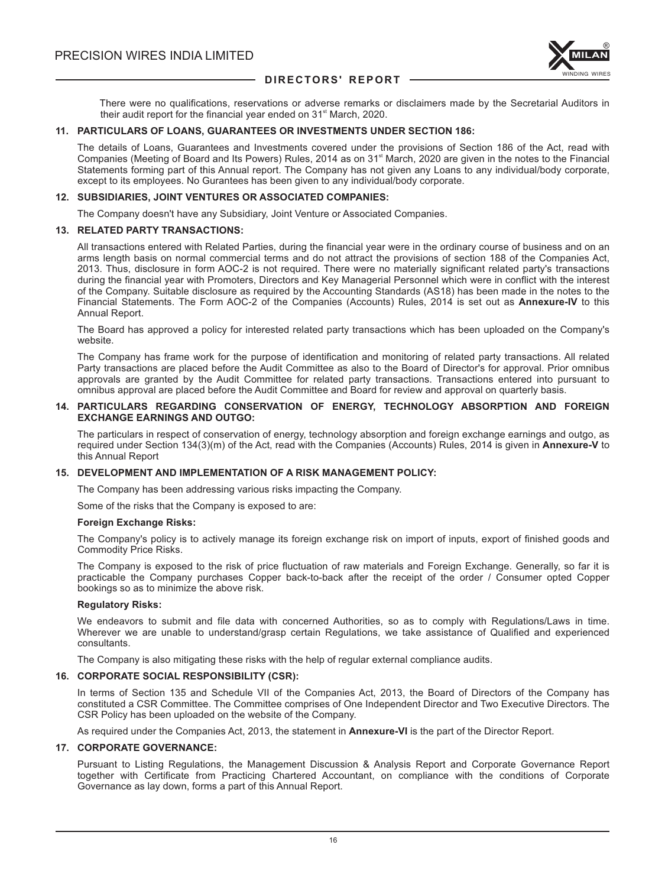

There were no qualifications, reservations or adverse remarks or disclaimers made by the Secretarial Auditors in their audit report for the financial year ended on 31<sup>st</sup> March, 2020.

®

WINDING WIRES

#### **11. PARTICULARS OF LOANS, GUARANTEES OR INVESTMENTS UNDER SECTION 186:**

The details of Loans, Guarantees and Investments covered under the provisions of Section 186 of the Act, read with Companies (Meeting of Board and Its Powers) Rules, 2014 as on  $31<sup>st</sup>$  March, 2020 are given in the notes to the Financial Statements forming part of this Annual report. The Company has not given any Loans to any individual/body corporate, except to its employees. No Gurantees has been given to any individual/body corporate.

#### **12. SUBSIDIARIES, JOINT VENTURES OR ASSOCIATED COMPANIES:**

The Company doesn't have any Subsidiary, Joint Venture or Associated Companies.

#### **13. RELATED PARTY TRANSACTIONS:**

All transactions entered with Related Parties, during the financial year were in the ordinary course of business and on an arms length basis on normal commercial terms and do not attract the provisions of section 188 of the Companies Act, 2013. Thus, disclosure in form AOC-2 is not required. There were no materially significant related party's transactions during the financial year with Promoters, Directors and Key Managerial Personnel which were in conflict with the interest of the Company. Suitable disclosure as required by the Accounting Standards (AS18) has been made in the notes to the Financial Statements. The Form AOC-2 of the Companies (Accounts) Rules, 2014 is set out as Annexure-IV to this Annual Report.

The Board has approved a policy for interested related party transactions which has been uploaded on the Company's website.

The Company has frame work for the purpose of identification and monitoring of related party transactions. All related Party transactions are placed before the Audit Committee as also to the Board of Director's for approval. Prior omnibus approvals are granted by the Audit Committee for related party transactions. Transactions entered into pursuant to omnibus approval are placed before the Audit Committee and Board for review and approval on quarterly basis.

#### **14. PARTICULARS REGARDING CONSERVATION OF ENERGY, TECHNOLOGY ABSORPTION AND FOREIGN EXCHANGE EARNINGS AND OUTGO:**

The particulars in respect of conservation of energy, technology absorption and foreign exchange earnings and outgo, as required under Section 134(3)(m) of the Act, read with the Companies (Accounts) Rules, 2014 is given in **Annexure-V** to this Annual Report

#### **15. DEVELOPMENT AND IMPLEMENTATION OF A RISK MANAGEMENT POLICY:**

The Company has been addressing various risks impacting the Company.

Some of the risks that the Company is exposed to are:

#### **Foreign Exchange Risks:**

The Company's policy is to actively manage its foreign exchange risk on import of inputs, export of finished goods and Commodity Price Risks.

The Company is exposed to the risk of price fluctuation of raw materials and Foreign Exchange. Generally, so far it is practicable the Company purchases Copper back-to-back after the receipt of the order / Consumer opted Copper bookings so as to minimize the above risk.

#### **Regulatory Risks:**

We endeavors to submit and file data with concerned Authorities, so as to comply with Regulations/Laws in time. Wherever we are unable to understand/grasp certain Regulations, we take assistance of Qualified and experienced consultants.

The Company is also mitigating these risks with the help of regular external compliance audits.

#### **16. CORPORATE SOCIAL RESPONSIBILITY (CSR):**

In terms of Section 135 and Schedule VII of the Companies Act, 2013, the Board of Directors of the Company has constituted a CSR Committee. The Committee comprises of One Independent Director and Two Executive Directors. The CSR Policy has been uploaded on the website of the Company.

As required under the Companies Act, 2013, the statement in **Annexure-VI** is the part of the Director Report.

#### **17. CORPORATE GOVERNANCE:**

Pursuant to Listing Regulations, the Management Discussion & Analysis Report and Corporate Governance Report together with Certificate from Practicing Chartered Accountant, on compliance with the conditions of Corporate Governance as lay down, forms a part of this Annual Report.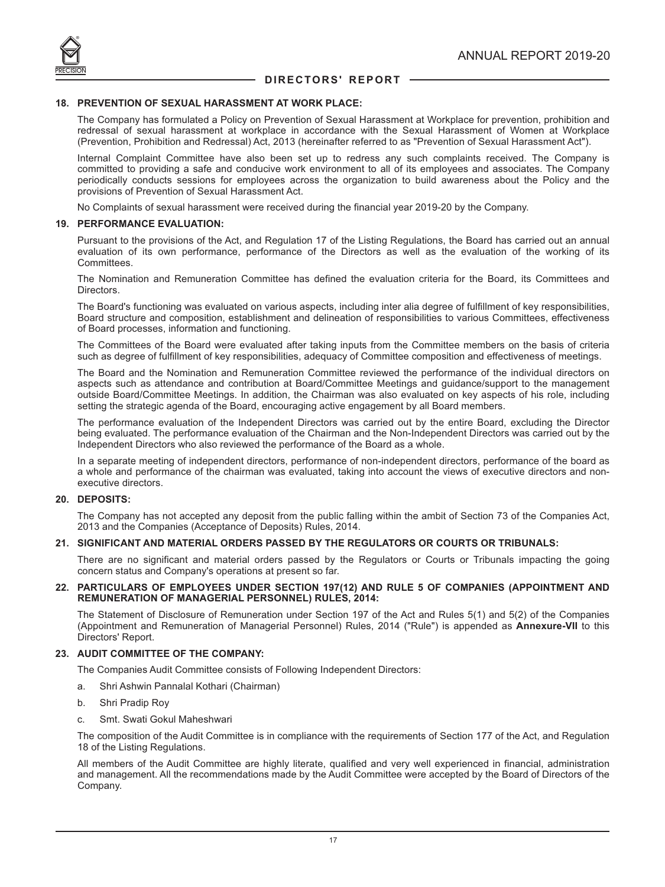

#### **18. PREVENTION OF SEXUAL HARASSMENT AT WORK PLACE:**

The Company has formulated a Policy on Prevention of Sexual Harassment at Workplace for prevention, prohibition and redressal of sexual harassment at workplace in accordance with the Sexual Harassment of Women at Workplace (Prevention, Prohibition and Redressal) Act, 2013 (hereinafter referred to as "Prevention of Sexual Harassment Act").

Internal Complaint Committee have also been set up to redress any such complaints received. The Company is committed to providing a safe and conducive work environment to all of its employees and associates. The Company periodically conducts sessions for employees across the organization to build awareness about the Policy and the provisions of Prevention of Sexual Harassment Act.

No Complaints of sexual harassment were received during the financial year 2019-20 by the Company.

#### **19. PERFORMANCE EVALUATION:**

Pursuant to the provisions of the Act, and Regulation 17 of the Listing Regulations, the Board has carried out an annual evaluation of its own performance, performance of the Directors as well as the evaluation of the working of its Committees.

The Nomination and Remuneration Committee has defined the evaluation criteria for the Board, its Committees and **Directors** 

The Board's functioning was evaluated on various aspects, including inter alia degree of fulfillment of key responsibilities, Board structure and composition, establishment and delineation of responsibilities to various Committees, effectiveness of Board processes, information and functioning.

The Committees of the Board were evaluated after taking inputs from the Committee members on the basis of criteria such as degree of fulfillment of key responsibilities, adequacy of Committee composition and effectiveness of meetings.

The Board and the Nomination and Remuneration Committee reviewed the performance of the individual directors on aspects such as attendance and contribution at Board/Committee Meetings and guidance/support to the management outside Board/Committee Meetings. In addition, the Chairman was also evaluated on key aspects of his role, including setting the strategic agenda of the Board, encouraging active engagement by all Board members.

The performance evaluation of the Independent Directors was carried out by the entire Board, excluding the Director being evaluated. The performance evaluation of the Chairman and the Non-Independent Directors was carried out by the Independent Directors who also reviewed the performance of the Board as a whole.

In a separate meeting of independent directors, performance of non-independent directors, performance of the board as a whole and performance of the chairman was evaluated, taking into account the views of executive directors and nonexecutive directors.

#### **20. DEPOSITS:**

The Company has not accepted any deposit from the public falling within the ambit of Section 73 of the Companies Act, 2013 and the Companies (Acceptance of Deposits) Rules, 2014.

#### **21. SIGNIFICANT AND MATERIAL ORDERS PASSED BY THE REGULATORS OR COURTS OR TRIBUNALS:**

There are no significant and material orders passed by the Regulators or Courts or Tribunals impacting the going concern status and Company's operations at present so far.

#### **22. PARTICULARS OF EMPLOYEES UNDER SECTION 197(12) AND RULE 5 OF COMPANIES (APPOINTMENT AND REMUNERATION OF MANAGERIAL PERSONNEL) RULES, 2014:**

(Appointment and Remuneration of Managerial Personnel) Rules, 2014 ("Rule") is appended as Annexure-VII to this The Statement of Disclosure of Remuneration under Section 197 of the Act and Rules 5(1) and 5(2) of the Companies Directors' Report.

#### **23. AUDIT COMMITTEE OF THE COMPANY:**

The Companies Audit Committee consists of Following Independent Directors:

- a. Shri Ashwin Pannalal Kothari (Chairman)
- b. Shri Pradip Roy
- c. Smt. Swati Gokul Maheshwari

The composition of the Audit Committee is in compliance with the requirements of Section 177 of the Act, and Regulation 18 of the Listing Regulations.

All members of the Audit Committee are highly literate, qualified and very well experienced in financial, administration and management. All the recommendations made by the Audit Committee were accepted by the Board of Directors of the Company.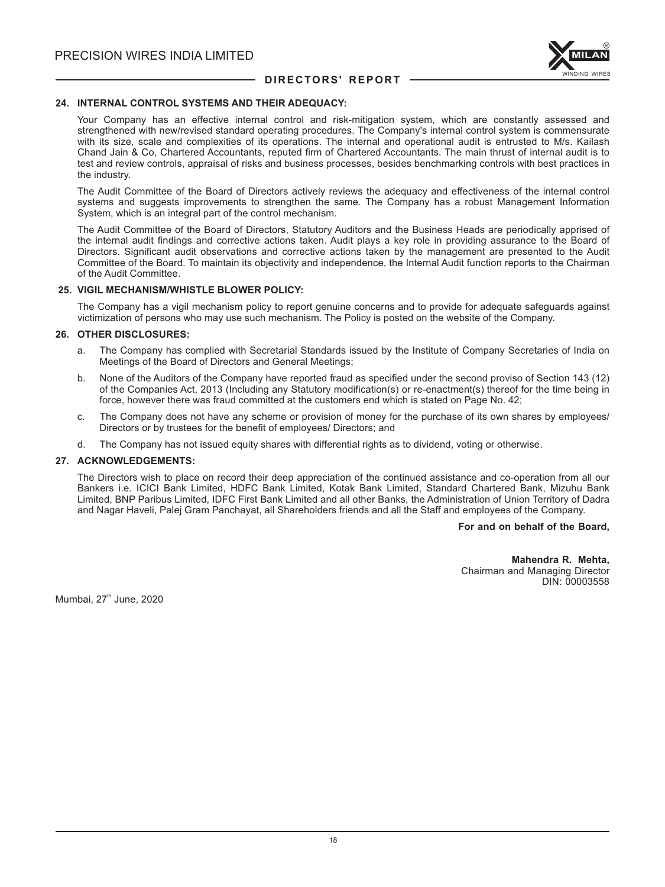

#### **24. INTERNAL CONTROL SYSTEMS AND THEIR ADEQUACY:**

Your Company has an effective internal control and risk-mitigation system, which are constantly assessed and strengthened with new/revised standard operating procedures. The Company's internal control system is commensurate with its size, scale and complexities of its operations. The internal and operational audit is entrusted to M/s. Kailash Chand Jain & Co, Chartered Accountants, reputed firm of Chartered Accountants. The main thrust of internal audit is to test and review controls, appraisal of risks and business processes, besides benchmarking controls with best practices in the industry.

The Audit Committee of the Board of Directors actively reviews the adequacy and effectiveness of the internal control systems and suggests improvements to strengthen the same. The Company has a robust Management Information System, which is an integral part of the control mechanism.

The Audit Committee of the Board of Directors, Statutory Auditors and the Business Heads are periodically apprised of the internal audit findings and corrective actions taken. Audit plays a key role in providing assurance to the Board of Directors. Significant audit observations and corrective actions taken by the management are presented to the Audit Committee of the Board. To maintain its objectivity and independence, the Internal Audit function reports to the Chairman of the Audit Committee.

#### **25. VIGIL MECHANISM/WHISTLE BLOWER POLICY:**

The Company has a vigil mechanism policy to report genuine concerns and to provide for adequate safeguards against victimization of persons who may use such mechanism. The Policy is posted on the website of the Company.

#### **26. OTHER DISCLOSURES:**

- a. The Company has complied with Secretarial Standards issued by the Institute of Company Secretaries of India on Meetings of the Board of Directors and General Meetings;
- b. None of the Auditors of the Company have reported fraud as specified under the second proviso of Section 143 (12) of the Companies Act, 2013 (Including any Statutory modification(s) or re-enactment(s) thereof for the time being in force, however there was fraud committed at the customers end which is stated on Page No. 42;
- c. The Company does not have any scheme or provision of money for the purchase of its own shares by employees/ Directors or by trustees for the benefit of employees/ Directors; and
- d. The Company has not issued equity shares with differential rights as to dividend, voting or otherwise.

#### **27. ACKNOWLEDGEMENTS:**

The Directors wish to place on record their deep appreciation of the continued assistance and co-operation from all our Bankers i.e. ICICI Bank Limited, HDFC Bank Limited, Kotak Bank Limited, Standard Chartered Bank, Mizuhu Bank Limited, BNP Paribus Limited, IDFC First Bank Limited and all other Banks, the Administration of Union Territory of Dadra and Nagar Haveli, Palej Gram Panchayat, all Shareholders friends and all the Staff and employees of the Company.

#### **For and on behalf of the Board,**

**Mahendra R. Mehta,** Chairman and Managing Director DIN: 00003558

Mumbai,  $27<sup>th</sup>$  June,  $2020$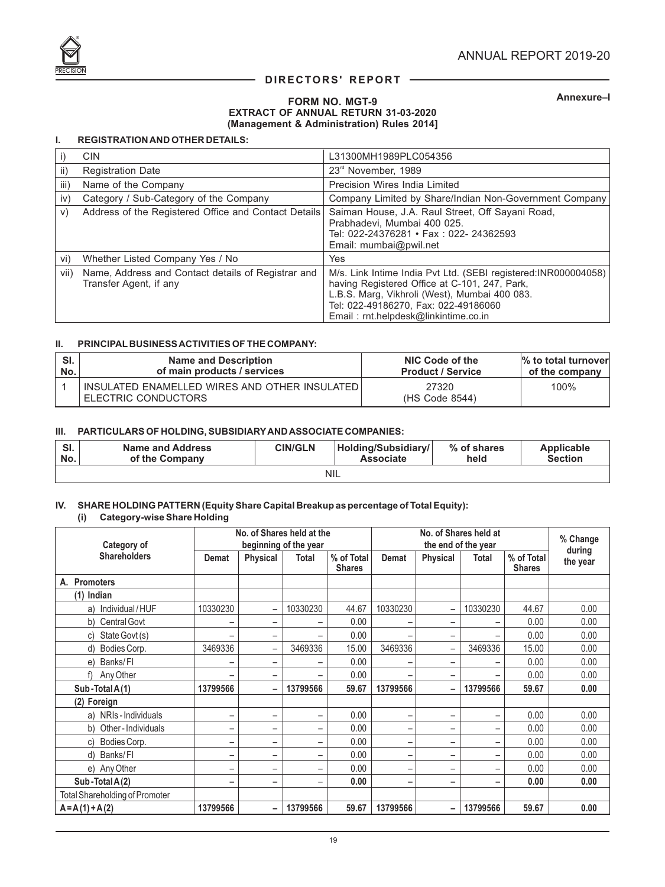**Annexure–I**



#### **DIRECTORS' REPORT**

#### **FORM NO. MGT-9 EXTRACT OF ANNUAL RETURN 31-03-2020 (Management & Administration) Rules 2014]**

#### **I. REGISTRATIONAND OTHER DETAILS:**

| i)   | <b>CIN</b>                                                                   | L31300MH1989PLC054356                                                                                                                                                                                                                             |
|------|------------------------------------------------------------------------------|---------------------------------------------------------------------------------------------------------------------------------------------------------------------------------------------------------------------------------------------------|
| ii)  | <b>Registration Date</b>                                                     | 23 <sup>rd</sup> November, 1989                                                                                                                                                                                                                   |
| iii) | Name of the Company                                                          | Precision Wires India Limited                                                                                                                                                                                                                     |
| iv)  | Category / Sub-Category of the Company                                       | Company Limited by Share/Indian Non-Government Company                                                                                                                                                                                            |
| V)   | Address of the Registered Office and Contact Details                         | Saiman House, J.A. Raul Street, Off Sayani Road,<br>Prabhadevi, Mumbai 400 025.<br>Tel: 022-24376281 • Fax: 022-24362593<br>Email: mumbai@pwil.net                                                                                                |
| vi)  | Whether Listed Company Yes / No                                              | Yes                                                                                                                                                                                                                                               |
| vii) | Name, Address and Contact details of Registrar and<br>Transfer Agent, if any | M/s. Link Intime India Pvt Ltd. (SEBI registered: INR000004058)<br>having Registered Office at C-101, 247, Park,<br>L.B.S. Marg, Vikhroli (West), Mumbai 400 083.<br>Tel: 022-49186270, Fax: 022-49186060<br>Email: rnt.helpdesk@linkintime.co.in |

#### **II. PRINCIPAL BUSINESSACTIVITIES OF THE COMPANY:**

| SI. | <b>Name and Description</b>                                          | NIC Code of the          | <b>1% to total turnover</b> |
|-----|----------------------------------------------------------------------|--------------------------|-----------------------------|
| No. | of main products / services                                          | <b>Product / Service</b> | of the company              |
|     | INSULATED ENAMELLED WIRES AND OTHER INSULATED<br>ELECTRIC CONDUCTORS | 27320<br>(HS Code 8544)  | 100%                        |

#### **III. PARTICULARS OF HOLDING, SUBSIDIARYANDASSOCIATE COMPANIES:**

| SI. | Name and Address | <b>CIN/GLN</b> | Holding/Subsidiary/ | % of shares | Applicable     |
|-----|------------------|----------------|---------------------|-------------|----------------|
| No. | of the Company   |                | Associate           | held        | <b>Section</b> |
|     |                  | <b>NIL</b>     |                     |             |                |

#### **IV. SHARE HOLDING PATTERN (Equity Share Capital Breakup as percentage of Total Equity):**

**(i) Category-wise Share Holding**

|                                       |                          |                          | No. of Shares held at the |                             |                          |                          | No. of Shares held at    |                             | % Change           |  |
|---------------------------------------|--------------------------|--------------------------|---------------------------|-----------------------------|--------------------------|--------------------------|--------------------------|-----------------------------|--------------------|--|
| Category of                           | beginning of the year    |                          |                           |                             | the end of the year      |                          |                          |                             |                    |  |
| <b>Shareholders</b>                   | Demat                    | <b>Physical</b>          | Total                     | % of Total<br><b>Shares</b> | Demat                    | Physical                 | Total                    | % of Total<br><b>Shares</b> | during<br>the year |  |
| <b>Promoters</b><br>А.                |                          |                          |                           |                             |                          |                          |                          |                             |                    |  |
| (1) Indian                            |                          |                          |                           |                             |                          |                          |                          |                             |                    |  |
| Individual/HUF<br>a)                  | 10330230                 | $\overline{\phantom{0}}$ | 10330230                  | 44.67                       | 10330230                 |                          | 10330230                 | 44.67                       | 0.00               |  |
| <b>Central Govt</b><br>b)             |                          |                          |                           | 0.00                        |                          |                          |                          | 0.00                        | 0.00               |  |
| State Govt (s)<br>C)                  |                          | $\overline{\phantom{0}}$ |                           | 0.00                        |                          | $\qquad \qquad$          |                          | 0.00                        | 0.00               |  |
| Bodies Corp.<br>d)                    | 3469336                  | $\overline{\phantom{0}}$ | 3469336                   | 15.00                       | 3469336                  | $\overline{\phantom{0}}$ | 3469336                  | 15.00                       | 0.00               |  |
| Banks/FI<br>e)                        |                          | $\overline{\phantom{0}}$ |                           | 0.00                        |                          | $\overline{\phantom{m}}$ |                          | 0.00                        | 0.00               |  |
| Any Other<br>f)                       |                          | $\overline{\phantom{0}}$ |                           | 0.00                        |                          | $\qquad \qquad$          |                          | 0.00                        | 0.00               |  |
| Sub-Total A(1)                        | 13799566                 | $\overline{a}$           | 13799566                  | 59.67                       | 13799566                 | $\overline{\phantom{0}}$ | 13799566                 | 59.67                       | 0.00               |  |
| Foreign<br>(2)                        |                          |                          |                           |                             |                          |                          |                          |                             |                    |  |
| a) NRIs-Individuals                   | $\overline{\phantom{0}}$ | $\overline{\phantom{0}}$ | $\overline{\phantom{0}}$  | 0.00                        | $\overline{\phantom{0}}$ | $\qquad \qquad$          |                          | 0.00                        | 0.00               |  |
| Other-Individuals<br>b)               |                          | $\overline{\phantom{0}}$ |                           | 0.00                        |                          | $\qquad \qquad$          |                          | 0.00                        | 0.00               |  |
| Bodies Corp.<br>C)                    | $\overline{\phantom{0}}$ | $\overline{\phantom{0}}$ |                           | 0.00                        | $\overline{\phantom{0}}$ | $\qquad \qquad$          | $\overline{\phantom{0}}$ | 0.00                        | 0.00               |  |
| Banks/FI<br>d)                        |                          | $\overline{\phantom{0}}$ |                           | 0.00                        |                          | $\qquad \qquad$          |                          | 0.00                        | 0.00               |  |
| e) Any Other                          | -                        | $\overline{\phantom{0}}$ |                           | 0.00                        | —                        | $\overline{\phantom{m}}$ |                          | 0.00                        | 0.00               |  |
| Sub-Total A(2)                        | -                        | -                        | $\overline{\phantom{0}}$  | 0.00                        | -                        | -                        | $\overline{\phantom{0}}$ | 0.00                        | 0.00               |  |
| <b>Total Shareholding of Promoter</b> |                          |                          |                           |                             |                          |                          |                          |                             |                    |  |
| $A = A(1) + A(2)$                     | 13799566                 | ۰                        | 13799566                  | 59.67                       | 13799566                 | -                        | 13799566                 | 59.67                       | 0.00               |  |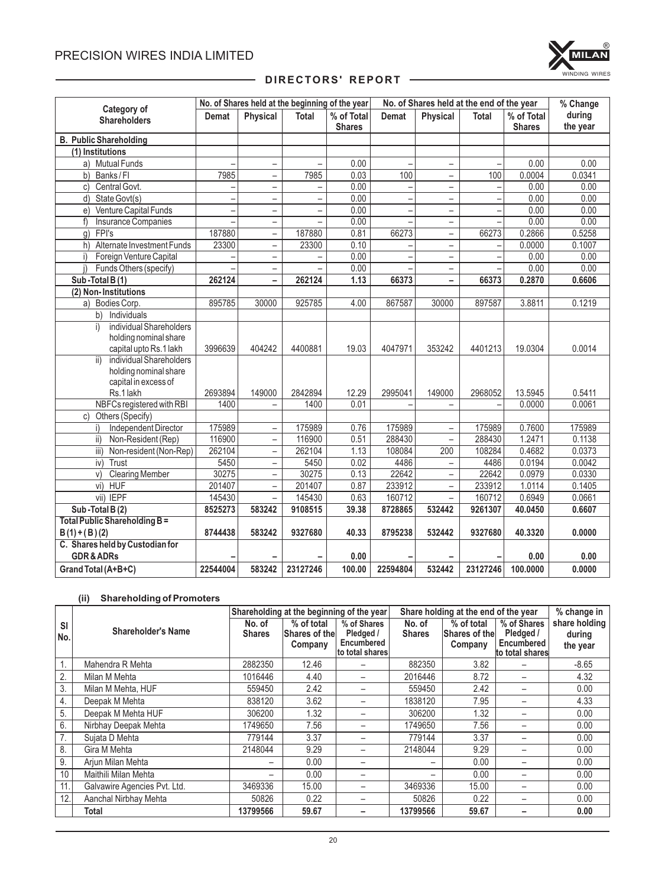# **PRECISION WIRES INDIA LIMITED**



#### **DIRECTORS' REPORT**

| Category of                                                                      |          |                          | No. of Shares held at the beginning of the year |                             |          |                          | No. of Shares held at the end of the year |                             | % Change           |
|----------------------------------------------------------------------------------|----------|--------------------------|-------------------------------------------------|-----------------------------|----------|--------------------------|-------------------------------------------|-----------------------------|--------------------|
| <b>Shareholders</b>                                                              | Demat    | Physical                 | Total                                           | % of Total<br><b>Shares</b> | Demat    | Physical                 | <b>Total</b>                              | % of Total<br><b>Shares</b> | during<br>the year |
| <b>B. Public Shareholding</b>                                                    |          |                          |                                                 |                             |          |                          |                                           |                             |                    |
| (1) Institutions                                                                 |          |                          |                                                 |                             |          |                          |                                           |                             |                    |
| a) Mutual Funds                                                                  |          | $\overline{\phantom{0}}$ |                                                 | 0.00                        |          | $\overline{\phantom{a}}$ |                                           | 0.00                        | 0.00               |
| b) Banks/FI                                                                      | 7985     | $\overline{\phantom{0}}$ | 7985                                            | 0.03                        | 100      | $\overline{\phantom{a}}$ | 100                                       | 0.0004                      | 0.0341             |
| Central Govt.<br>c)                                                              |          | $\qquad \qquad -$        |                                                 | 0.00                        |          | $\overline{\phantom{0}}$ |                                           | 0.00                        | 0.00               |
| State Govt(s)<br>d)                                                              |          | $\overline{\phantom{0}}$ | $\overline{\phantom{0}}$                        | 0.00                        |          | $\overline{\phantom{0}}$ |                                           | 0.00                        | 0.00               |
| Venture Capital Funds<br>e).                                                     |          | $\overline{\phantom{0}}$ |                                                 | 0.00                        |          | $\overline{\phantom{0}}$ |                                           | 0.00                        | 0.00               |
| <b>Insurance Companies</b><br>f)                                                 |          | $\overline{\phantom{0}}$ |                                                 | 0.00                        |          | $\overline{\phantom{a}}$ |                                           | 0.00                        | 0.00               |
| g) FPI's                                                                         | 187880   | $\overline{\phantom{0}}$ | 187880                                          | 0.81                        | 66273    | $\qquad \qquad -$        | 66273                                     | 0.2866                      | 0.5258             |
| Alternate Investment Funds<br>h)                                                 | 23300    | $\qquad \qquad -$        | 23300                                           | 0.10                        |          | $\overline{\phantom{a}}$ |                                           | 0.0000                      | 0.1007             |
| Foreign Venture Capital<br>i)                                                    |          | $\qquad \qquad -$        |                                                 | 0.00                        |          | $\overline{\phantom{m}}$ |                                           | 0.00                        | 0.00               |
| Funds Others (specify)                                                           |          | $\overline{\phantom{0}}$ |                                                 | 0.00                        |          |                          |                                           | 0.00                        | 0.00               |
| Sub-Total B(1)                                                                   | 262124   | $\overline{\phantom{0}}$ | 262124                                          | 1.13                        | 66373    | $\overline{\phantom{0}}$ | 66373                                     | 0.2870                      | 0.6606             |
| (2) Non-Institutions                                                             |          |                          |                                                 |                             |          |                          |                                           |                             |                    |
| a) Bodies Corp.                                                                  | 895785   | 30000                    | 925785                                          | 4.00                        | 867587   | 30000                    | 897587                                    | 3.8811                      | 0.1219             |
| b) Individuals                                                                   |          |                          |                                                 |                             |          |                          |                                           |                             |                    |
| individual Shareholders<br>i)<br>holding nominal share<br>capital upto Rs.1 lakh | 3996639  | 404242                   | 4400881                                         | 19.03                       | 4047971  | 353242                   | 4401213                                   | 19.0304                     | 0.0014             |
| individual Shareholders<br>ii)<br>holding nominal share<br>capital in excess of  |          |                          |                                                 |                             |          |                          |                                           |                             |                    |
| Rs.1 lakh                                                                        | 2693894  | 149000                   | 2842894                                         | 12.29                       | 2995041  | 149000                   | 2968052                                   | 13.5945                     | 0.5411             |
| NBFCs registered with RBI                                                        | 1400     | $\equiv$                 | 1400                                            | 0.01                        |          | $\overline{\phantom{0}}$ |                                           | 0.0000                      | 0.0061             |
| Others (Specify)<br>c)                                                           |          |                          |                                                 |                             |          |                          |                                           |                             |                    |
| <b>Independent Director</b><br>i)                                                | 175989   | $\overline{\phantom{0}}$ | 175989                                          | 0.76                        | 175989   | $\overline{\phantom{a}}$ | 175989                                    | 0.7600                      | 175989             |
| Non-Resident (Rep)<br>ii)                                                        | 116900   | $\overline{\phantom{0}}$ | 116900                                          | 0.51                        | 288430   | $\equiv$                 | 288430                                    | 1.2471                      | 0.1138             |
| Non-resident (Non-Rep)<br>iii)                                                   | 262104   | $\overline{\phantom{0}}$ | 262104                                          | 1.13                        | 108084   | 200                      | 108284                                    | 0.4682                      | 0.0373             |
| iv)<br>Trust                                                                     | 5450     | $\overline{\phantom{0}}$ | 5450                                            | 0.02                        | 4486     | $\overline{\phantom{0}}$ | 4486                                      | 0.0194                      | 0.0042             |
| <b>Clearing Member</b><br>V)                                                     | 30275    | $\overline{a}$           | 30275                                           | 0.13                        | 22642    | $\equiv$                 | 22642                                     | 0.0979                      | 0.0330             |
| <b>HUF</b><br>vi)                                                                | 201407   | $\equiv$                 | 201407                                          | 0.87                        | 233912   | $\equiv$                 | 233912                                    | 1.0114                      | 0.1405             |
| vii) IEPF                                                                        | 145430   | $\overline{\phantom{0}}$ | 145430                                          | 0.63                        | 160712   | $\overline{\phantom{0}}$ | 160712                                    | 0.6949                      | 0.0661             |
| Sub-Total B(2)                                                                   | 8525273  | 583242                   | 9108515                                         | 39.38                       | 8728865  | 532442                   | 9261307                                   | 40.0450                     | 0.6607             |
| Total Public Shareholding B =                                                    |          |                          |                                                 |                             |          |                          |                                           |                             |                    |
| $B(1)+(B)(2)$                                                                    | 8744438  | 583242                   | 9327680                                         | 40.33                       | 8795238  | 532442                   | 9327680                                   | 40.3320                     | 0.0000             |
| C. Shares held by Custodian for                                                  |          |                          |                                                 |                             |          |                          |                                           |                             |                    |
| <b>GDR &amp; ADRs</b>                                                            |          |                          |                                                 | 0.00                        |          |                          |                                           | 0.00                        | 0.00               |
| Grand Total (A+B+C)                                                              | 22544004 | 583242                   | 23127246                                        | 100.00                      | 22594804 | 532442                   | 23127246                                  | 100.0000                    | 0.0000             |

#### **(ii) Shareholding of Promoters**

|                   |                              |                         | Shareholding at the beginning of the year |                                                           | Share holding at the end of the year | % change in                             |                                                                  |                                     |
|-------------------|------------------------------|-------------------------|-------------------------------------------|-----------------------------------------------------------|--------------------------------------|-----------------------------------------|------------------------------------------------------------------|-------------------------------------|
| <b>SI</b><br>lNo. | <b>Shareholder's Name</b>    | No. of<br><b>Shares</b> | % of total<br>Shares of the<br>Company    | % of Shares<br>Pledged /<br>Encumbered<br>to total shares | No. of<br><b>Shares</b>              | % of total<br>Shares of thel<br>Company | % of Shares<br>Pledged /<br><b>Encumbered</b><br>to total shares | share holding<br>during<br>the year |
| 1.                | Mahendra R Mehta             | 2882350                 | 12.46                                     |                                                           | 882350                               | 3.82                                    |                                                                  | $-8.65$                             |
| 2.                | Milan M Mehta                | 1016446                 | 4.40                                      |                                                           | 2016446                              | 8.72                                    |                                                                  | 4.32                                |
| 3.                | Milan M Mehta, HUF           | 559450                  | 2.42                                      |                                                           | 559450                               | 2.42                                    |                                                                  | 0.00                                |
| 4.                | Deepak M Mehta               | 838120                  | 3.62                                      |                                                           | 1838120                              | 7.95                                    |                                                                  | 4.33                                |
| 5.                | Deepak M Mehta HUF           | 306200                  | 1.32                                      |                                                           | 306200                               | 1.32                                    |                                                                  | 0.00                                |
| 6.                | Nirbhay Deepak Mehta         | 1749650                 | 7.56                                      |                                                           | 1749650                              | 7.56                                    |                                                                  | 0.00                                |
| 7.                | Sujata D Mehta               | 779144                  | 3.37                                      |                                                           | 779144                               | 3.37                                    |                                                                  | 0.00                                |
| 8.                | Gira M Mehta                 | 2148044                 | 9.29                                      |                                                           | 2148044                              | 9.29                                    |                                                                  | 0.00                                |
| 9.                | Arjun Milan Mehta            |                         | 0.00                                      |                                                           |                                      | 0.00                                    |                                                                  | 0.00                                |
| 10                | Maithili Milan Mehta         |                         | 0.00                                      |                                                           |                                      | 0.00                                    |                                                                  | 0.00                                |
| 11.               | Galvawire Agencies Pvt. Ltd. | 3469336                 | 15.00                                     |                                                           | 3469336                              | 15.00                                   |                                                                  | 0.00                                |
| 12.               | Aanchal Nirbhay Mehta        | 50826                   | 0.22                                      |                                                           | 50826                                | 0.22                                    |                                                                  | 0.00                                |
|                   | Total                        | 13799566                | 59.67                                     |                                                           | 13799566                             | 59.67                                   |                                                                  | 0.00                                |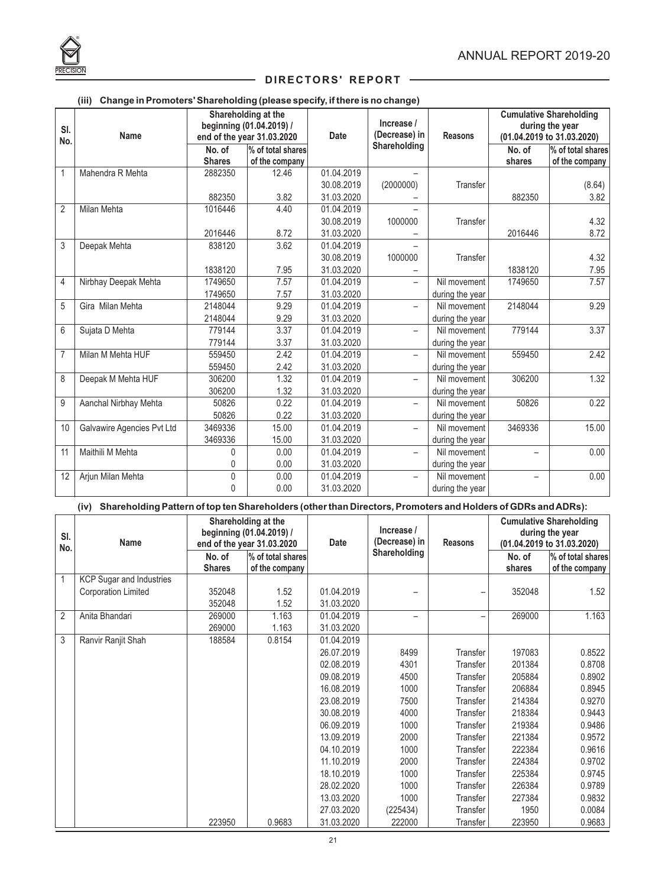

#### **(iii) Change in Promoters' Shareholding (please specify, if there is no change)**

| SI.<br>No.     | <b>Name</b>                |                         | Shareholding at the<br>beginning (01.04.2019) /<br>end of the year 31.03.2020 | <b>Date</b> | Increase /<br>(Decrease) in | <b>Reasons</b>  |                  | <b>Cumulative Shareholding</b><br>during the year<br>(01.04.2019 to 31.03.2020) |
|----------------|----------------------------|-------------------------|-------------------------------------------------------------------------------|-------------|-----------------------------|-----------------|------------------|---------------------------------------------------------------------------------|
|                |                            | No. of<br><b>Shares</b> | % of total shares<br>of the company                                           |             | Shareholding                |                 | No. of<br>shares | % of total shares<br>of the company                                             |
| $\mathbf{1}$   | Mahendra R Mehta           | 2882350                 | 12.46                                                                         | 01.04.2019  |                             |                 |                  |                                                                                 |
|                |                            |                         |                                                                               | 30.08.2019  | (2000000)                   | Transfer        |                  | (8.64)                                                                          |
|                |                            | 882350                  | 3.82                                                                          | 31.03.2020  |                             |                 | 882350           | 3.82                                                                            |
| $\overline{2}$ | Milan Mehta                | 1016446                 | 4.40                                                                          | 01.04.2019  |                             |                 |                  |                                                                                 |
|                |                            |                         |                                                                               | 30.08.2019  | 1000000                     | Transfer        |                  | 4.32                                                                            |
|                |                            | 2016446                 | 8.72                                                                          | 31.03.2020  |                             |                 | 2016446          | 8.72                                                                            |
| 3              | Deepak Mehta               | 838120                  | 3.62                                                                          | 01.04.2019  |                             |                 |                  |                                                                                 |
|                |                            |                         |                                                                               | 30.08.2019  | 1000000                     | Transfer        |                  | 4.32                                                                            |
|                |                            | 1838120                 | 7.95                                                                          | 31.03.2020  |                             |                 | 1838120          | 7.95                                                                            |
| 4              | Nirbhay Deepak Mehta       | 1749650                 | 7.57                                                                          | 01.04.2019  | $\overline{\phantom{0}}$    | Nil movement    | 1749650          | 7.57                                                                            |
|                |                            | 1749650                 | 7.57                                                                          | 31.03.2020  |                             | during the year |                  |                                                                                 |
| 5              | Gira Milan Mehta           | 2148044                 | 9.29                                                                          | 01.04.2019  | $\overline{\phantom{0}}$    | Nil movement    | 2148044          | 9.29                                                                            |
|                |                            | 2148044                 | 9.29                                                                          | 31.03.2020  |                             | during the year |                  |                                                                                 |
| 6              | Sujata D Mehta             | 779144                  | 3.37                                                                          | 01.04.2019  | $\equiv$                    | Nil movement    | 779144           | 3.37                                                                            |
|                |                            | 779144                  | 3.37                                                                          | 31.03.2020  |                             | during the year |                  |                                                                                 |
| $\overline{7}$ | Milan M Mehta HUF          | 559450                  | 2.42                                                                          | 01.04.2019  | $\equiv$                    | Nil movement    | 559450           | 2.42                                                                            |
|                |                            | 559450                  | 2.42                                                                          | 31.03.2020  |                             | during the year |                  |                                                                                 |
| 8              | Deepak M Mehta HUF         | 306200                  | 1.32                                                                          | 01.04.2019  | $\overline{\phantom{0}}$    | Nil movement    | 306200           | 1.32                                                                            |
|                |                            | 306200                  | 1.32                                                                          | 31.03.2020  |                             | during the year |                  |                                                                                 |
| 9              | Aanchal Nirbhay Mehta      | 50826                   | 0.22                                                                          | 01.04.2019  | $\equiv$                    | Nil movement    | 50826            | 0.22                                                                            |
|                |                            | 50826                   | 0.22                                                                          | 31.03.2020  |                             | during the year |                  |                                                                                 |
| 10             | Galvawire Agencies Pvt Ltd | 3469336                 | 15.00                                                                         | 01.04.2019  | $\overline{\phantom{0}}$    | Nil movement    | 3469336          | 15.00                                                                           |
|                |                            | 3469336                 | 15.00                                                                         | 31.03.2020  |                             | during the year |                  |                                                                                 |
| 11             | Maithili M Mehta           | $\mathbf{0}$            | 0.00                                                                          | 01.04.2019  | $\equiv$                    | Nil movement    |                  | 0.00                                                                            |
|                |                            | 0                       | 0.00                                                                          | 31.03.2020  |                             | during the year |                  |                                                                                 |
| 12             | Arjun Milan Mehta          | $\mathbf{0}$            | 0.00                                                                          | 01.04.2019  | $\overline{\phantom{0}}$    | Nil movement    |                  | 0.00                                                                            |
|                |                            | $\mathbf{0}$            | 0.00                                                                          | 31.03.2020  |                             | during the year |                  |                                                                                 |

#### **(iv) Shareholding Pattern of top ten Shareholders (other than Directors, Promoters and Holders of GDRs andADRs):**

| SI.            |                                 | Shareholding at the<br>beginning (01.04.2019) / |                            |            | Increase /    |                |        | <b>Cumulative Shareholding</b><br>during the year |  |  |
|----------------|---------------------------------|-------------------------------------------------|----------------------------|------------|---------------|----------------|--------|---------------------------------------------------|--|--|
| No.            | Name                            |                                                 | end of the year 31.03.2020 | Date       | (Decrease) in | <b>Reasons</b> |        | (01.04.2019 to 31.03.2020)                        |  |  |
|                |                                 | No. of                                          | % of total shares          |            | Shareholding  |                | No. of | % of total shares                                 |  |  |
|                |                                 | <b>Shares</b>                                   | of the company             |            |               |                | shares | of the company                                    |  |  |
| $\mathbf{1}$   | <b>KCP Sugar and Industries</b> |                                                 |                            |            |               |                |        |                                                   |  |  |
|                | <b>Corporation Limited</b>      | 352048                                          | 1.52                       | 01.04.2019 |               |                | 352048 | 1.52                                              |  |  |
|                |                                 | 352048                                          | 1.52                       | 31.03.2020 |               |                |        |                                                   |  |  |
| $\overline{2}$ | Anita Bhandari                  | 269000                                          | 1.163                      | 01.04.2019 | -             | ۳              | 269000 | 1.163                                             |  |  |
|                |                                 | 269000                                          | 1.163                      | 31.03.2020 |               |                |        |                                                   |  |  |
| 3              | Ranvir Ranjit Shah              | 188584                                          | 0.8154                     | 01.04.2019 |               |                |        |                                                   |  |  |
|                |                                 |                                                 |                            | 26.07.2019 | 8499          | Transfer       | 197083 | 0.8522                                            |  |  |
|                |                                 |                                                 |                            | 02.08.2019 | 4301          | Transfer       | 201384 | 0.8708                                            |  |  |
|                |                                 |                                                 |                            | 09.08.2019 | 4500          | Transfer       | 205884 | 0.8902                                            |  |  |
|                |                                 |                                                 |                            | 16.08.2019 | 1000          | Transfer       | 206884 | 0.8945                                            |  |  |
|                |                                 |                                                 |                            | 23.08.2019 | 7500          | Transfer       | 214384 | 0.9270                                            |  |  |
|                |                                 |                                                 |                            | 30.08.2019 | 4000          | Transfer       | 218384 | 0.9443                                            |  |  |
|                |                                 |                                                 |                            | 06.09.2019 | 1000          | Transfer       | 219384 | 0.9486                                            |  |  |
|                |                                 |                                                 |                            | 13.09.2019 | 2000          | Transfer       | 221384 | 0.9572                                            |  |  |
|                |                                 |                                                 |                            | 04.10.2019 | 1000          | Transfer       | 222384 | 0.9616                                            |  |  |
|                |                                 |                                                 |                            | 11.10.2019 | 2000          | Transfer       | 224384 | 0.9702                                            |  |  |
|                |                                 |                                                 |                            | 18.10.2019 | 1000          | Transfer       | 225384 | 0.9745                                            |  |  |
|                |                                 |                                                 |                            | 28.02.2020 | 1000          | Transfer       | 226384 | 0.9789                                            |  |  |
|                |                                 |                                                 |                            | 13.03.2020 | 1000          | Transfer       | 227384 | 0.9832                                            |  |  |
|                |                                 |                                                 |                            | 27.03.2020 | (225434)      | Transfer       | 1950   | 0.0084                                            |  |  |
|                |                                 | 223950                                          | 0.9683                     | 31.03.2020 | 222000        | Transfer       | 223950 | 0.9683                                            |  |  |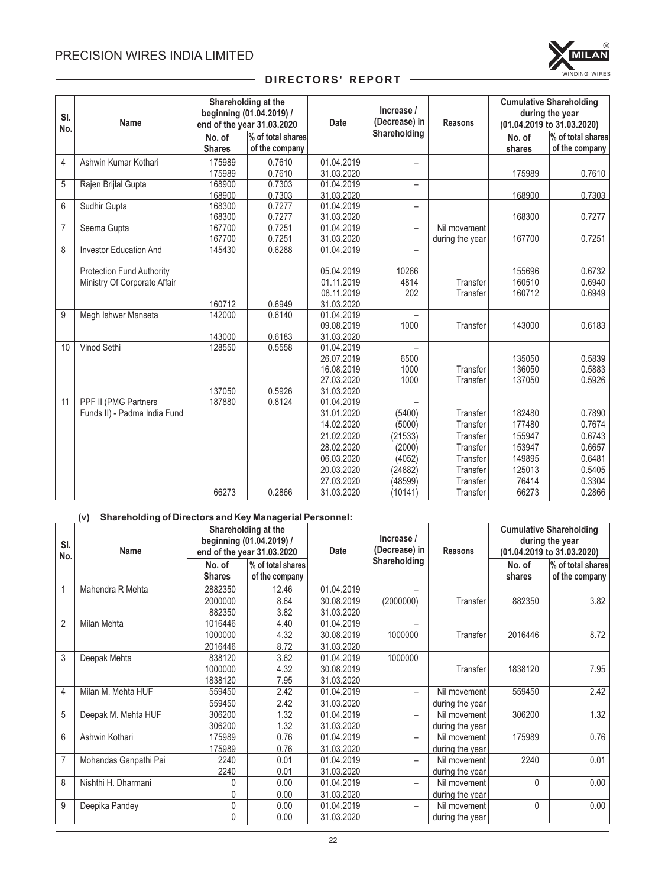

| SI.<br>No.     | Name                                                             |                            | Shareholding at the<br>beginning (01.04.2019) /<br>end of the year 31.03.2020 | <b>Date</b>                                                                                                                | Increase /<br>(Decrease) in                                                      | <b>Reasons</b>                                                                               |                                                                            | <b>Cumulative Shareholding</b><br>during the year<br>(01.04.2019 to 31.03.2020) |
|----------------|------------------------------------------------------------------|----------------------------|-------------------------------------------------------------------------------|----------------------------------------------------------------------------------------------------------------------------|----------------------------------------------------------------------------------|----------------------------------------------------------------------------------------------|----------------------------------------------------------------------------|---------------------------------------------------------------------------------|
|                |                                                                  | No. of<br><b>Shares</b>    | % of total shares<br>of the company                                           |                                                                                                                            | Shareholding                                                                     |                                                                                              | No. of<br>shares                                                           | % of total shares<br>of the company                                             |
| 4              | Ashwin Kumar Kothari                                             | 175989<br>175989           | 0.7610<br>0.7610                                                              | 01.04.2019<br>31.03.2020                                                                                                   | -                                                                                |                                                                                              | 175989                                                                     | 0.7610                                                                          |
| 5              | Rajen Brijlal Gupta                                              | 168900<br>168900           | 0.7303<br>0.7303                                                              | 01.04.2019<br>31.03.2020                                                                                                   | $\overline{\phantom{0}}$                                                         |                                                                                              | 168900                                                                     | 0.7303                                                                          |
| 6              | Sudhir Gupta                                                     | 168300<br>168300           | 0.7277<br>0.7277                                                              | 01.04.2019<br>31.03.2020                                                                                                   | $\overline{\phantom{0}}$                                                         |                                                                                              | 168300                                                                     | 0.7277                                                                          |
| $\overline{7}$ | Seema Gupta                                                      | 167700<br>167700           | 0.7251<br>0.7251                                                              | 01.04.2019<br>31.03.2020                                                                                                   | $\overline{a}$                                                                   | Nil movement<br>during the year                                                              | 167700                                                                     | 0.7251                                                                          |
| 8              | <b>Investor Education And</b>                                    | 145430                     | 0.6288                                                                        | 01.04.2019                                                                                                                 |                                                                                  |                                                                                              |                                                                            |                                                                                 |
|                | <b>Protection Fund Authority</b><br>Ministry Of Corporate Affair |                            |                                                                               | 05.04.2019<br>01.11.2019<br>08.11.2019                                                                                     | 10266<br>4814<br>202                                                             | Transfer<br>Transfer                                                                         | 155696<br>160510<br>160712                                                 | 0.6732<br>0.6940<br>0.6949                                                      |
| 9              | Megh Ishwer Manseta                                              | 160712<br>142000<br>143000 | 0.6949<br>0.6140<br>0.6183                                                    | 31.03.2020<br>01.04.2019<br>09.08.2019<br>31.03.2020                                                                       | 1000                                                                             | Transfer                                                                                     | 143000                                                                     | 0.6183                                                                          |
| 10             | Vinod Sethi                                                      | 128550<br>137050           | 0.5558<br>0.5926                                                              | 01.04.2019<br>26.07.2019<br>16.08.2019<br>27.03.2020<br>31.03.2020                                                         | 6500<br>1000<br>1000                                                             | Transfer<br>Transfer                                                                         | 135050<br>136050<br>137050                                                 | 0.5839<br>0.5883<br>0.5926                                                      |
| 11             | PPF II (PMG Partners<br>Funds II) - Padma India Fund             | 187880<br>66273            | 0.8124<br>0.2866                                                              | 01.04.2019<br>31.01.2020<br>14.02.2020<br>21.02.2020<br>28.02.2020<br>06.03.2020<br>20.03.2020<br>27.03.2020<br>31.03.2020 | (5400)<br>(5000)<br>(21533)<br>(2000)<br>(4052)<br>(24882)<br>(48599)<br>(10141) | Transfer<br>Transfer<br>Transfer<br>Transfer<br>Transfer<br>Transfer<br>Transfer<br>Transfer | 182480<br>177480<br>155947<br>153947<br>149895<br>125013<br>76414<br>66273 | 0.7890<br>0.7674<br>0.6743<br>0.6657<br>0.6481<br>0.5405<br>0.3304<br>0.2866    |

### **(v) Shareholding of Directors and Key Managerial Personnel:**

| SI.            |                       |               | Shareholding at the<br>beginning (01.04.2019) / |            | Increase /               |                 |          | <b>Cumulative Shareholding</b><br>during the year |
|----------------|-----------------------|---------------|-------------------------------------------------|------------|--------------------------|-----------------|----------|---------------------------------------------------|
| No.            | Name                  |               | end of the year 31.03.2020                      | Date       | (Decrease) in            | Reasons         |          | (01.04.2019 to 31.03.2020)                        |
|                |                       | No. of        | % of total shares                               |            | Shareholding             |                 | No. of   | % of total shares                                 |
|                |                       | <b>Shares</b> | of the company                                  |            |                          |                 | shares   | of the company                                    |
| 1              | Mahendra R Mehta      | 2882350       | 12.46                                           | 01.04.2019 |                          |                 |          |                                                   |
|                |                       | 2000000       | 8.64                                            | 30.08.2019 | (2000000)                | Transfer        | 882350   | 3.82                                              |
|                |                       | 882350        | 3.82                                            | 31.03.2020 |                          |                 |          |                                                   |
| $\overline{2}$ | Milan Mehta           | 1016446       | 4.40                                            | 01.04.2019 |                          |                 |          |                                                   |
|                |                       | 1000000       | 4.32                                            | 30.08.2019 | 1000000                  | Transfer        | 2016446  | 8.72                                              |
|                |                       | 2016446       | 8.72                                            | 31.03.2020 |                          |                 |          |                                                   |
| 3              | Deepak Mehta          | 838120        | 3.62                                            | 01.04.2019 | 1000000                  |                 |          |                                                   |
|                |                       | 1000000       | 4.32                                            | 30.08.2019 |                          | Transfer        | 1838120  | 7.95                                              |
|                |                       | 1838120       | 7.95                                            | 31.03.2020 |                          |                 |          |                                                   |
| 4              | Milan M. Mehta HUF    | 559450        | 2.42                                            | 01.04.2019 | $\overline{\phantom{0}}$ | Nil movement    | 559450   | 2.42                                              |
|                |                       | 559450        | 2.42                                            | 31.03.2020 |                          | during the year |          |                                                   |
| 5              | Deepak M. Mehta HUF   | 306200        | 1.32                                            | 01.04.2019 |                          | Nil movement    | 306200   | 1.32                                              |
|                |                       | 306200        | 1.32                                            | 31.03.2020 |                          | during the year |          |                                                   |
| 6              | Ashwin Kothari        | 175989        | 0.76                                            | 01.04.2019 |                          | Nil movement    | 175989   | 0.76                                              |
|                |                       | 175989        | 0.76                                            | 31.03.2020 |                          | during the year |          |                                                   |
| $\overline{7}$ | Mohandas Ganpathi Pai | 2240          | 0.01                                            | 01.04.2019 | $\overline{\phantom{0}}$ | Nil movement    | 2240     | 0.01                                              |
|                |                       | 2240          | 0.01                                            | 31.03.2020 |                          | during the year |          |                                                   |
| 8              | Nishthi H. Dharmani   | 0             | 0.00                                            | 01.04.2019 | $\overline{\phantom{0}}$ | Nil movement    | $\Omega$ | 0.00                                              |
|                |                       | 0             | 0.00                                            | 31.03.2020 |                          | during the year |          |                                                   |
| 9              | Deepika Pandey        | 0             | 0.00                                            | 01.04.2019 |                          | Nil movement    | $\Omega$ | 0.00                                              |
|                |                       | 0             | 0.00                                            | 31.03.2020 |                          | during the year |          |                                                   |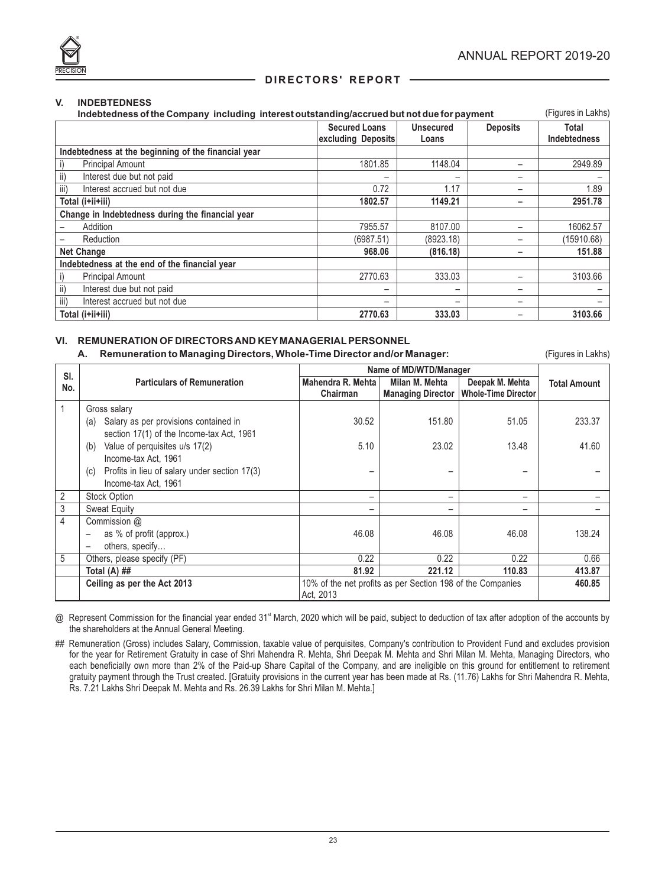

#### **V. INDEBTEDNESS**

| (Figures in Lakhs)<br>Indebtedness of the Company including interest outstanding/accrued but not due for payment |                          |                  |                 |                     |  |  |  |  |
|------------------------------------------------------------------------------------------------------------------|--------------------------|------------------|-----------------|---------------------|--|--|--|--|
|                                                                                                                  | <b>Secured Loans</b>     | <b>Unsecured</b> | <b>Deposits</b> | Total               |  |  |  |  |
|                                                                                                                  | excluding Deposits       | Loans            |                 | <b>Indebtedness</b> |  |  |  |  |
| Indebtedness at the beginning of the financial year                                                              |                          |                  |                 |                     |  |  |  |  |
| <b>Principal Amount</b><br>i)                                                                                    | 1801.85                  | 1148.04          |                 | 2949.89             |  |  |  |  |
| ii)<br>Interest due but not paid                                                                                 | $\overline{\phantom{0}}$ | —                |                 |                     |  |  |  |  |
| iii)<br>Interest accrued but not due                                                                             | 0.72                     | 1.17             |                 | 1.89                |  |  |  |  |
| Total (i+ii+iii)                                                                                                 | 1802.57                  | 1149.21          |                 | 2951.78             |  |  |  |  |
| Change in Indebtedness during the financial year                                                                 |                          |                  |                 |                     |  |  |  |  |
| Addition                                                                                                         | 7955.57                  | 8107.00          |                 | 16062.57            |  |  |  |  |
| Reduction                                                                                                        | (6987.51)                | (8923.18)        |                 | (15910.68)          |  |  |  |  |
| <b>Net Change</b>                                                                                                | 968.06                   | (816.18)         |                 | 151.88              |  |  |  |  |
| Indebtedness at the end of the financial year                                                                    |                          |                  |                 |                     |  |  |  |  |
| i)<br><b>Principal Amount</b>                                                                                    | 2770.63                  | 333.03           |                 | 3103.66             |  |  |  |  |
| $\mathsf{ii}$<br>Interest due but not paid                                                                       |                          | -                |                 |                     |  |  |  |  |
| iii)<br>Interest accrued but not due                                                                             | $\overline{\phantom{0}}$ | —                |                 |                     |  |  |  |  |
| Total (i+ii+iii)                                                                                                 | 2770.63                  | 333.03           |                 | 3103.66             |  |  |  |  |

### **VI. REMUNERATION OF DIRECTORSAND KEY MANAGERIAL PERSONNEL**

**A. Remuneration to Managing Directors, Whole-Time Director and/or Manager:**

(Figures in Lakhs)

| SI. |                                                      |                                                            | Name of MD/WTD/Manager   |                            |                     |
|-----|------------------------------------------------------|------------------------------------------------------------|--------------------------|----------------------------|---------------------|
|     | <b>Particulars of Remuneration</b>                   | Mahendra R. Mehta                                          | Milan M. Mehta           | Deepak M. Mehta            | <b>Total Amount</b> |
| No. |                                                      | Chairman                                                   | <b>Managing Director</b> | <b>Whole-Time Director</b> |                     |
|     | Gross salary                                         |                                                            |                          |                            |                     |
|     | Salary as per provisions contained in<br>(a)         | 30.52                                                      | 151.80                   | 51.05                      | 233.37              |
|     | section 17(1) of the Income-tax Act, 1961            |                                                            |                          |                            |                     |
|     | Value of perquisites u/s 17(2)<br>(b)                | 5.10                                                       | 23.02                    | 13.48                      | 41.60               |
|     | Income-tax Act, 1961                                 |                                                            |                          |                            |                     |
|     | Profits in lieu of salary under section 17(3)<br>(c) |                                                            |                          |                            |                     |
|     | Income-tax Act, 1961                                 |                                                            |                          |                            |                     |
| 2   | Stock Option                                         |                                                            |                          | $\qquad \qquad$            |                     |
| 3   | <b>Sweat Equity</b>                                  |                                                            |                          |                            |                     |
| 4   | Commission @                                         |                                                            |                          |                            |                     |
|     | as % of profit (approx.)                             | 46.08                                                      | 46.08                    | 46.08                      | 138.24              |
|     | others, specify                                      |                                                            |                          |                            |                     |
| 5   | Others, please specify (PF)                          | 0.22                                                       | 0.22                     | 0.22                       | 0.66                |
|     | Total (A) ##                                         | 81.92                                                      | 221.12                   | 110.83                     | 413.87              |
|     | Ceiling as per the Act 2013                          | 10% of the net profits as per Section 198 of the Companies | 460.85                   |                            |                     |
|     |                                                      | Act, 2013                                                  |                          |                            |                     |

@ Represent Commission for the financial year ended 31<sup>st</sup> March, 2020 which will be paid, subject to deduction of tax after adoption of the accounts by the shareholders at the Annual General Meeting.

## Remuneration (Gross) includes Salary, Commission, taxable value of perquisites, Company's contribution to Provident Fund and excludes provision for the year for Retirement Gratuity in case of Shri Mahendra R. Mehta, Shri Deepak M. Mehta and Shri Milan M. Mehta, Managing Directors, who each beneficially own more than 2% of the Paid-up Share Capital of the Company, and are ineligible on this ground for entitlement to retirement gratuity payment through the Trust created. [Gratuity provisions in the current year has been made at Rs. (11.76) Lakhs for Shri Mahendra R. Mehta, Rs. 7.21 Lakhs Shri Deepak M. Mehta and Rs. 26.39 Lakhs for Shri Milan M. Mehta.]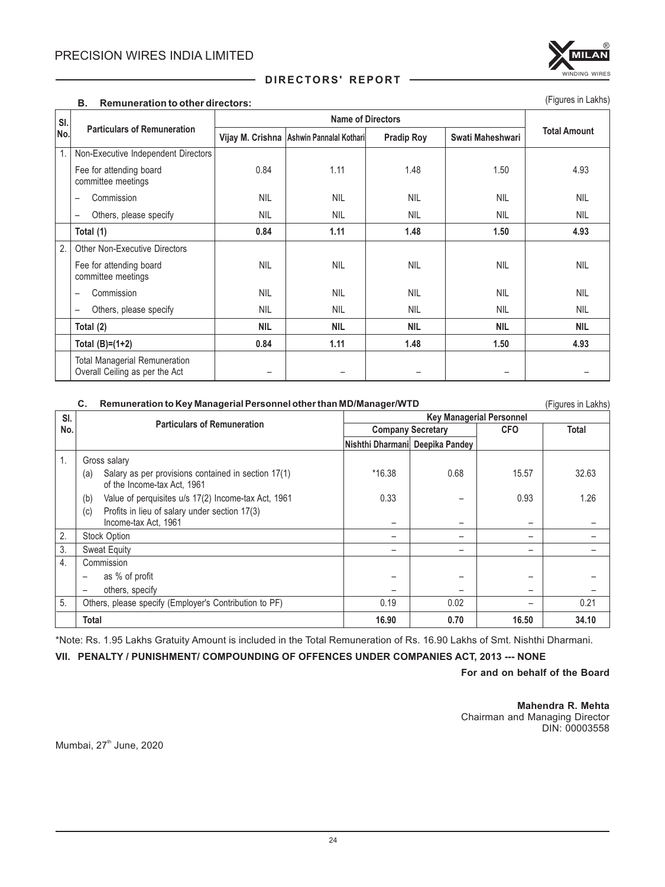

# **NINDING WIRES TO REPORT WINDING WIRES**

(Figures in Lakhs)

| <b>Remuneration to other directors:</b><br>В. |                                                                        |                          |                                            |                   |                  |                     |  |  |  |  |
|-----------------------------------------------|------------------------------------------------------------------------|--------------------------|--------------------------------------------|-------------------|------------------|---------------------|--|--|--|--|
| SI.                                           |                                                                        |                          | <b>Name of Directors</b>                   |                   |                  |                     |  |  |  |  |
| No.                                           | <b>Particulars of Remuneration</b>                                     |                          | Vijay M. Crishna   Ashwin Pannalal Kothari | <b>Pradip Roy</b> | Swati Maheshwari | <b>Total Amount</b> |  |  |  |  |
| 1.                                            | Non-Executive Independent Directors                                    |                          |                                            |                   |                  |                     |  |  |  |  |
|                                               | Fee for attending board<br>committee meetings                          | 0.84                     | 1.11                                       | 1.48              | 1.50             | 4.93                |  |  |  |  |
|                                               | Commission<br>$\overline{\phantom{m}}$                                 | <b>NIL</b>               | <b>NIL</b>                                 | <b>NIL</b>        | <b>NIL</b>       | <b>NIL</b>          |  |  |  |  |
|                                               | Others, please specify<br>$\overline{\phantom{m}}$                     | <b>NIL</b>               | <b>NIL</b>                                 | <b>NIL</b>        | <b>NIL</b>       | <b>NIL</b>          |  |  |  |  |
|                                               | Total (1)                                                              | 0.84                     | 1.11                                       | 1.48              | 1.50             | 4.93                |  |  |  |  |
| 2.                                            | Other Non-Executive Directors                                          |                          |                                            |                   |                  |                     |  |  |  |  |
|                                               | Fee for attending board<br>committee meetings                          | <b>NIL</b>               | <b>NIL</b>                                 | <b>NIL</b>        | <b>NIL</b>       | <b>NIL</b>          |  |  |  |  |
|                                               | Commission                                                             | <b>NIL</b>               | <b>NIL</b>                                 | <b>NIL</b>        | <b>NIL</b>       | <b>NIL</b>          |  |  |  |  |
|                                               | Others, please specify<br>$\overline{\phantom{m}}$                     | <b>NIL</b>               | NIL                                        | <b>NIL</b>        | <b>NIL</b>       | <b>NIL</b>          |  |  |  |  |
|                                               | Total (2)                                                              | <b>NIL</b>               | <b>NIL</b>                                 | <b>NIL</b>        | <b>NIL</b>       | <b>NIL</b>          |  |  |  |  |
|                                               | Total $(B)=(1+2)$                                                      | 0.84                     | 1.11                                       | 1.48              | 1.50             | 4.93                |  |  |  |  |
|                                               | <b>Total Managerial Remuneration</b><br>Overall Ceiling as per the Act | $\overline{\phantom{0}}$ |                                            |                   |                  |                     |  |  |  |  |

|                  | Remuneration to Key Managerial Personnel other than MD/Manager/WTD<br>C.<br>(Figures in Lakhs) |                                 |                          |                 |              |  |  |  |
|------------------|------------------------------------------------------------------------------------------------|---------------------------------|--------------------------|-----------------|--------------|--|--|--|
| SI.              | <b>Key Managerial Personnel</b><br><b>Particulars of Remuneration</b>                          |                                 |                          |                 |              |  |  |  |
| No.              |                                                                                                |                                 | <b>Company Secretary</b> | <b>CFO</b>      | <b>Total</b> |  |  |  |
|                  |                                                                                                | Nishthi Dharmani Deepika Pandey |                          |                 |              |  |  |  |
| 1.               | Gross salary                                                                                   |                                 |                          |                 |              |  |  |  |
|                  | Salary as per provisions contained in section 17(1)<br>(a)<br>of the Income-tax Act, 1961      | $*16.38$                        | 0.68                     | 15.57           | 32.63        |  |  |  |
|                  | Value of perquisites u/s 17(2) Income-tax Act, 1961<br>(b)                                     | 0.33                            |                          | 0.93            | 1.26         |  |  |  |
|                  | Profits in lieu of salary under section 17(3)<br>(c)<br>Income-tax Act, 1961                   | —                               |                          | $\qquad \qquad$ |              |  |  |  |
| 2.               | Stock Option                                                                                   | —                               |                          | $\qquad \qquad$ |              |  |  |  |
| 3.               | <b>Sweat Equity</b>                                                                            |                                 |                          |                 |              |  |  |  |
| $\overline{4}$ . | Commission                                                                                     |                                 |                          |                 |              |  |  |  |
|                  | as % of profit<br>$\overline{\phantom{m}}$                                                     |                                 |                          |                 |              |  |  |  |
|                  | others, specify<br>$\overline{\phantom{0}}$                                                    |                                 |                          |                 |              |  |  |  |
| 5.               | Others, please specify (Employer's Contribution to PF)                                         | 0.19                            | 0.02                     |                 | 0.21         |  |  |  |
|                  | Total                                                                                          | 16.90                           | 0.70                     | 16.50           | 34.10        |  |  |  |

\*Note: Rs. 1.95 Lakhs Gratuity Amount is included in the Total Remuneration of Rs. 16.90 Lakhs of Smt. Nishthi Dharmani.

**VII. PENALTY / PUNISHMENT/ COMPOUNDING OF OFFENCES UNDER COMPANIES ACT, 2013 --- NONE**

**For and on behalf of the Board**

Chairman and Managing Director DIN: 00003558 **Mahendra R. Mehta**

Mumbai, 27<sup>th</sup> June, 2020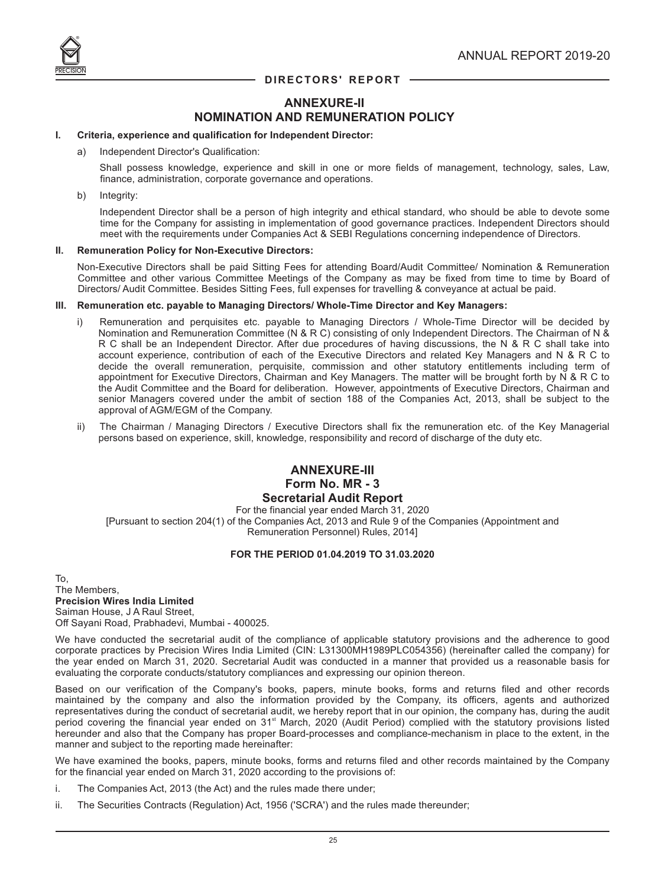

## **ANNEXURE-II NOMINATION AND REMUNERATION POLICY**

#### **I. Criteria, experience and qualification for Independent Director:**

a) Independent Director's Qualification:

Shall possess knowledge, experience and skill in one or more fields of management, technology, sales, Law, finance, administration, corporate governance and operations.

b) Integrity:

Independent Director shall be a person of high integrity and ethical standard, who should be able to devote some time for the Company for assisting in implementation of good governance practices. Independent Directors should meet with the requirements under Companies Act & SEBI Regulations concerning independence of Directors.

#### **II. Remuneration Policy for Non-Executive Directors:**

Non-Executive Directors shall be paid Sitting Fees for attending Board/Audit Committee/ Nomination & Remuneration Committee and other various Committee Meetings of the Company as may be fixed from time to time by Board of Directors/ Audit Committee. Besides Sitting Fees, full expenses for travelling & conveyance at actual be paid.

#### **III. Remuneration etc. payable to Managing Directors/ Whole-Time Director and Key Managers:**

- Remuneration and perquisites etc. payable to Managing Directors / Whole-Time Director will be decided by Nomination and Remuneration Committee (N & R C) consisting of only Independent Directors. The Chairman of N & R C shall be an Independent Director. After due procedures of having discussions, the N & R C shall take into account experience, contribution of each of the Executive Directors and related Key Managers and N & R C to decide the overall remuneration, perquisite, commission and other statutory entitlements including term of appointment for Executive Directors, Chairman and Key Managers. The matter will be brought forth by N & R C to the Audit Committee and the Board for deliberation. However, appointments of Executive Directors, Chairman and senior Managers covered under the ambit of section 188 of the Companies Act, 2013, shall be subject to the approval of AGM/EGM of the Company.
- ii) The Chairman / Managing Directors / Executive Directors shall fix the remuneration etc. of the Key Managerial persons based on experience, skill, knowledge, responsibility and record of discharge of the duty etc.

# **ANNEXURE-III Form No. MR - 3 Secretarial Audit Report**

For the financial year ended March 31, 2020 [Pursuant to section 204(1) of the Companies Act, 2013 and Rule 9 of the Companies (Appointment and Remuneration Personnel) Rules, 2014]

#### **FOR THE PERIOD 01.04.2019 TO 31.03.2020**

To, The Members, Saiman House, J A Raul Street, Off Sayani Road, Prabhadevi, Mumbai - 400025. **Precision Wires India Limited**

We have conducted the secretarial audit of the compliance of applicable statutory provisions and the adherence to good corporate practices by Precision Wires India Limited (CIN: L31300MH1989PLC054356) (hereinafter called the company) for the year ended on March 31, 2020. Secretarial Audit was conducted in a manner that provided us a reasonable basis for evaluating the corporate conducts/statutory compliances and expressing our opinion thereon.

Based on our verification of the Company's books, papers, minute books, forms and returns filed and other records maintained by the company and also the information provided by the Company, its officers, agents and authorized representatives during the conduct of secretarial audit, we hereby report that in our opinion, the company has, during the audit period covering the financial year ended on 31<sup>st</sup> March, 2020 (Audit Period) complied with the statutory provisions listed hereunder and also that the Company has proper Board-processes and compliance-mechanism in place to the extent, in the manner and subject to the reporting made hereinafter:

We have examined the books, papers, minute books, forms and returns filed and other records maintained by the Company for the financial year ended on March 31, 2020 according to the provisions of:

- i. The Companies Act, 2013 (the Act) and the rules made there under;
- ii. The Securities Contracts (Regulation) Act, 1956 ('SCRA') and the rules made thereunder;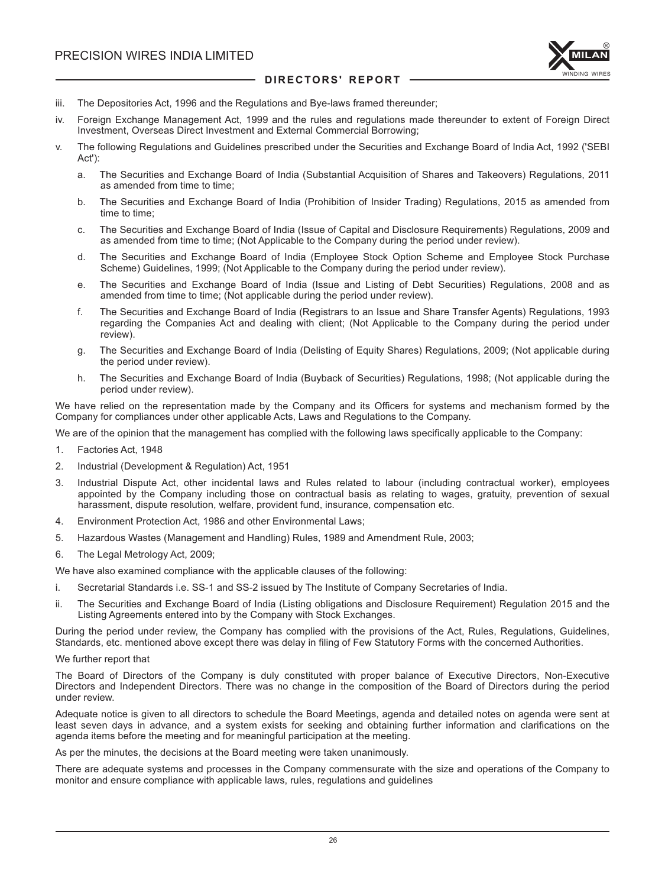### **PRECISION WIRES INDIA LIMITED**

#### **DIRECTORS' REPORT**



- iii. The Depositories Act, 1996 and the Regulations and Bye-laws framed thereunder;
- iv. Foreign Exchange Management Act, 1999 and the rules and regulations made thereunder to extent of Foreign Direct Investment, Overseas Direct Investment and External Commercial Borrowing;
- v. The following Regulations and Guidelines prescribed under the Securities and Exchange Board of India Act, 1992 ('SEBI Act'):
	- a. The Securities and Exchange Board of India (Substantial Acquisition of Shares and Takeovers) Regulations, 2011 as amended from time to time;
	- b. The Securities and Exchange Board of India (Prohibition of Insider Trading) Regulations, 2015 as amended from time to time;
	- c. The Securities and Exchange Board of India (Issue of Capital and Disclosure Requirements) Regulations, 2009 and as amended from time to time; (Not Applicable to the Company during the period under review).
	- d. The Securities and Exchange Board of India (Employee Stock Option Scheme and Employee Stock Purchase Scheme) Guidelines, 1999; (Not Applicable to the Company during the period under review).
	- e. The Securities and Exchange Board of India (Issue and Listing of Debt Securities) Regulations, 2008 and as amended from time to time; (Not applicable during the period under review).
	- f. The Securities and Exchange Board of India (Registrars to an Issue and Share Transfer Agents) Regulations, 1993 regarding the Companies Act and dealing with client; (Not Applicable to the Company during the period under review).
	- g. The Securities and Exchange Board of India (Delisting of Equity Shares) Regulations, 2009; (Not applicable during the period under review).
	- h. The Securities and Exchange Board of India (Buyback of Securities) Regulations, 1998; (Not applicable during the period under review).

We have relied on the representation made by the Company and its Officers for systems and mechanism formed by the Company for compliances under other applicable Acts, Laws and Regulations to the Company.

We are of the opinion that the management has complied with the following laws specifically applicable to the Company:

- 1. Factories Act, 1948
- 2. Industrial (Development & Regulation) Act, 1951
- 3. Industrial Dispute Act, other incidental laws and Rules related to labour (including contractual worker), employees appointed by the Company including those on contractual basis as relating to wages, gratuity, prevention of sexual harassment, dispute resolution, welfare, provident fund, insurance, compensation etc.
- 4. Environment Protection Act, 1986 and other Environmental Laws;
- 5. Hazardous Wastes (Management and Handling) Rules, 1989 and Amendment Rule, 2003;
- 6. The Legal Metrology Act, 2009;

We have also examined compliance with the applicable clauses of the following:

- i. Secretarial Standards i.e. SS-1 and SS-2 issued by The Institute of Company Secretaries of India.
- ii. The Securities and Exchange Board of India (Listing obligations and Disclosure Requirement) Regulation 2015 and the Listing Agreements entered into by the Company with Stock Exchanges.

During the period under review, the Company has complied with the provisions of the Act, Rules, Regulations, Guidelines, Standards, etc. mentioned above except there was delay in filing of Few Statutory Forms with the concerned Authorities.

#### We further report that

The Board of Directors of the Company is duly constituted with proper balance of Executive Directors, Non-Executive Directors and Independent Directors. There was no change in the composition of the Board of Directors during the period under review.

Adequate notice is given to all directors to schedule the Board Meetings, agenda and detailed notes on agenda were sent at least seven days in advance, and a system exists for seeking and obtaining further information and clarifications on the agenda items before the meeting and for meaningful participation at the meeting.

As per the minutes, the decisions at the Board meeting were taken unanimously.

There are adequate systems and processes in the Company commensurate with the size and operations of the Company to monitor and ensure compliance with applicable laws, rules, regulations and guidelines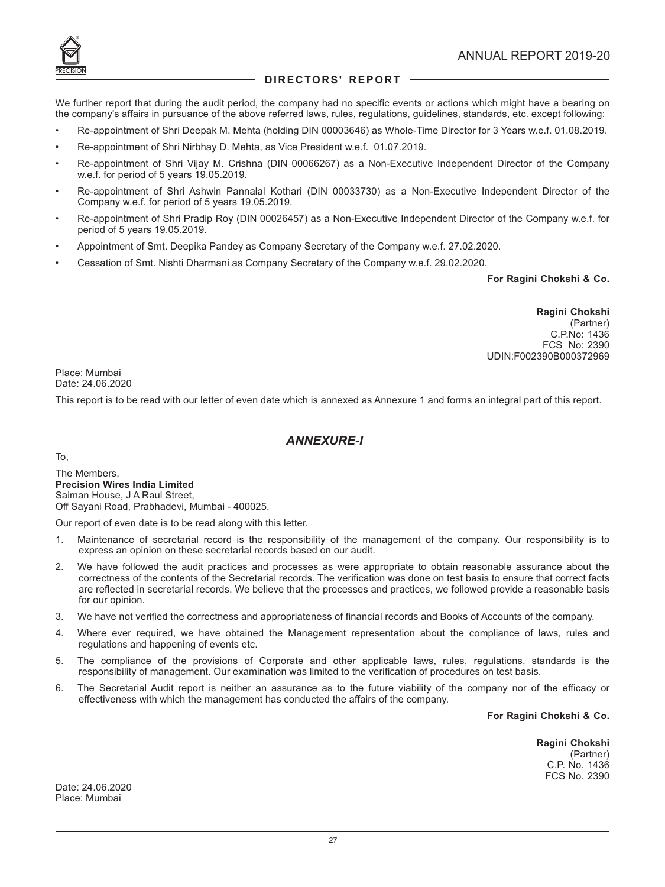

We further report that during the audit period, the company had no specific events or actions which might have a bearing on the company's affairs in pursuance of the above referred laws, rules, regulations, guidelines, standards, etc. except following:

- Re-appointment of Shri Deepak M. Mehta (holding DIN 00003646) as Whole-Time Director for 3 Years w.e.f. 01.08.2019.
- Re-appointment of Shri Nirbhay D. Mehta, as Vice President w.e.f. 01.07.2019.
- Re-appointment of Shri Vijay M. Crishna (DIN 00066267) as a Non-Executive Independent Director of the Company w.e.f. for period of 5 years 19.05.2019.
- Re-appointment of Shri Ashwin Pannalal Kothari (DIN 00033730) as a Non-Executive Independent Director of the Company w.e.f. for period of 5 years 19.05.2019.
- Re-appointment of Shri Pradip Roy (DIN 00026457) as a Non-Executive Independent Director of the Company w.e.f. for period of 5 years 19.05.2019.
- Appointment of Smt. Deepika Pandey as Company Secretary of the Company w.e.f. 27.02.2020.
- Cessation of Smt. Nishti Dharmani as Company Secretary of the Company w.e.f. 29.02.2020.

#### **For Ragini Chokshi & Co.**

(Partner) C.P.No: 1436 FCS No: 2390 UDIN:F002390B000372969 **Ragini Chokshi**

Place: Mumbai Date: 24.06.2020

This report is to be read with our letter of even date which is annexed as Annexure 1 and forms an integral part of this report.

#### To,

# *ANNEXURE-I*

The Members, Saiman House, J A Raul Street, Off Sayani Road, Prabhadevi, Mumbai - 400025. **Precision Wires India Limited**

Our report of even date is to be read along with this letter.

- 1. Maintenance of secretarial record is the responsibility of the management of the company. Our responsibility is to express an opinion on these secretarial records based on our audit.
- 2. We have followed the audit practices and processes as were appropriate to obtain reasonable assurance about the correctness of the contents of the Secretarial records. The verification was done on test basis to ensure that correct facts are reflected in secretarial records. We believe that the processes and practices, we followed provide a reasonable basis for our opinion.
- 3. We have not verified the correctness and appropriateness of financial records and Books of Accounts of the company.
- 4. Where ever required, we have obtained the Management representation about the compliance of laws, rules and regulations and happening of events etc.
- 5. The compliance of the provisions of Corporate and other applicable laws, rules, regulations, standards is the responsibility of management. Our examination was limited to the verification of procedures on test basis.
- 6. The Secretarial Audit report is neither an assurance as to the future viability of the company nor of the efficacy or effectiveness with which the management has conducted the affairs of the company.

**For Ragini Chokshi & Co.**

**Ragini Chokshi** (Partner) C.P. No. 1436 FCS No. 2390

Date: 24.06.2020 Place: Mumbai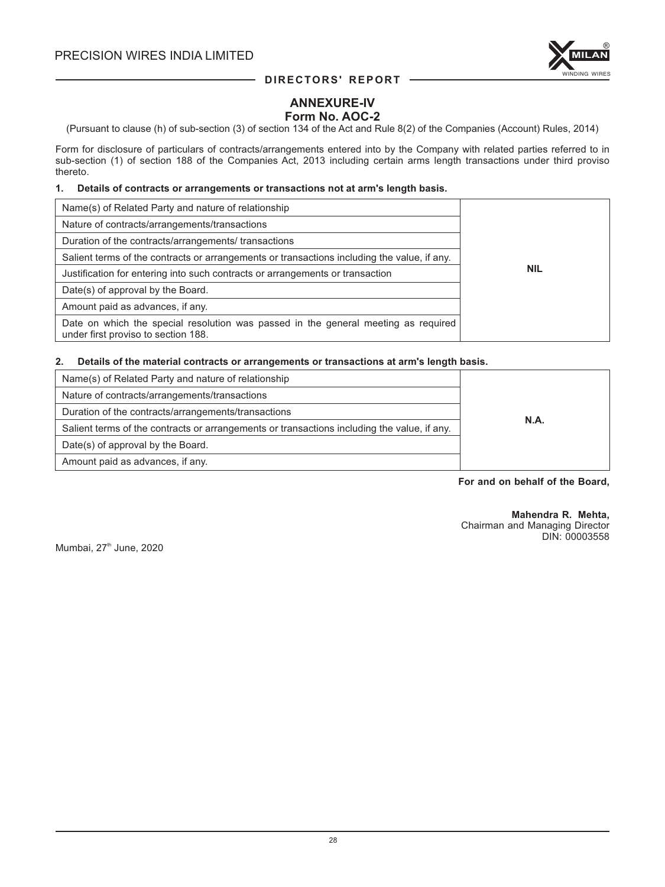

# **ANNEXURE-IV**

# **Form No. AOC-2**

(Pursuant to clause (h) of sub-section (3) of section 134 of the Act and Rule 8(2) of the Companies (Account) Rules, 2014)

Form for disclosure of particulars of contracts/arrangements entered into by the Company with related parties referred to in sub-section (1) of section 188 of the Companies Act, 2013 including certain arms length transactions under third proviso thereto.

#### **1. Details of contracts or arrangements or transactions not at arm's length basis.**

| Name(s) of Related Party and nature of relationship                                                                       |            |
|---------------------------------------------------------------------------------------------------------------------------|------------|
| Nature of contracts/arrangements/transactions                                                                             |            |
| Duration of the contracts/arrangements/transactions                                                                       |            |
| Salient terms of the contracts or arrangements or transactions including the value, if any.                               |            |
| Justification for entering into such contracts or arrangements or transaction                                             | <b>NIL</b> |
| Date(s) of approval by the Board.                                                                                         |            |
| Amount paid as advances, if any.                                                                                          |            |
| Date on which the special resolution was passed in the general meeting as required<br>under first proviso to section 188. |            |

#### **2. Details of the material contracts or arrangements or transactions at arm's length basis.**

| Name(s) of Related Party and nature of relationship                                         |             |
|---------------------------------------------------------------------------------------------|-------------|
| Nature of contracts/arrangements/transactions                                               |             |
| Duration of the contracts/arrangements/transactions                                         | <b>N.A.</b> |
| Salient terms of the contracts or arrangements or transactions including the value, if any. |             |
| Date(s) of approval by the Board.                                                           |             |
| Amount paid as advances, if any.                                                            |             |

**For and on behalf of the Board,**

**Mahendra R. Mehta,** Chairman and Managing Director DIN: 00003558

Mumbai, 27<sup>th</sup> June, 2020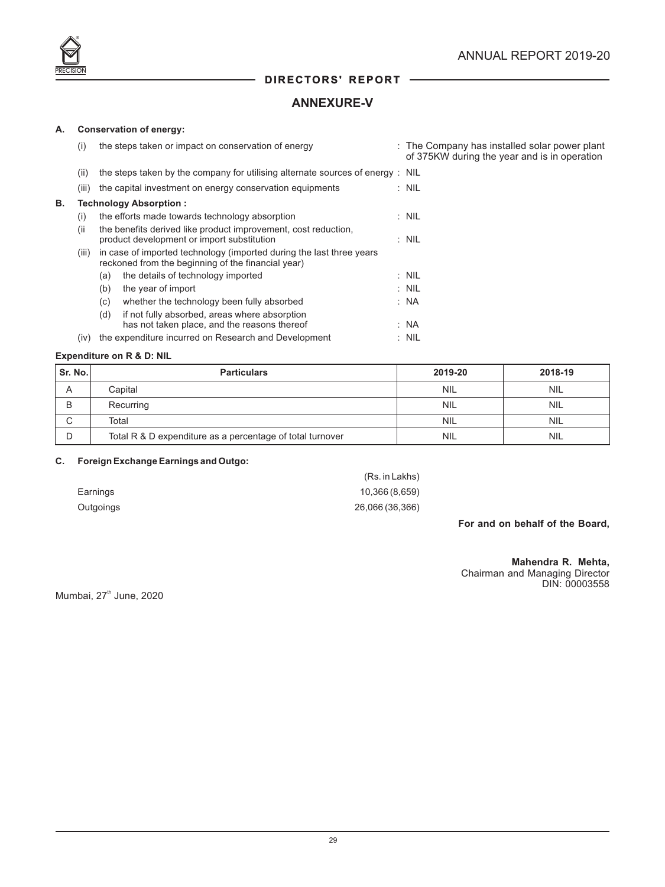

# **ANNEXURE-V**

#### **A. Conservation of energy:**

|    | (i)   | the steps taken or impact on conservation of energy                                                                        | : The Company has installed solar power plant<br>of 375KW during the year and is in operation |  |  |
|----|-------|----------------------------------------------------------------------------------------------------------------------------|-----------------------------------------------------------------------------------------------|--|--|
|    | (ii)  | the steps taken by the company for utilising alternate sources of energy : NIL                                             |                                                                                               |  |  |
|    | (iii) | the capital investment on energy conservation equipments                                                                   | $:$ NIL                                                                                       |  |  |
| В. |       | <b>Technology Absorption:</b>                                                                                              |                                                                                               |  |  |
|    | (i)   | the efforts made towards technology absorption                                                                             | $:$ NIL                                                                                       |  |  |
|    | (ii   | the benefits derived like product improvement, cost reduction,<br>product development or import substitution               | $:$ NIL                                                                                       |  |  |
|    | (iii) | in case of imported technology (imported during the last three years<br>reckoned from the beginning of the financial year) |                                                                                               |  |  |
|    |       | the details of technology imported<br>(a)                                                                                  | $:$ NIL                                                                                       |  |  |
|    |       | (b)<br>the year of import                                                                                                  | $:$ NIL                                                                                       |  |  |
|    |       | (c)<br>whether the technology been fully absorbed                                                                          | : NA                                                                                          |  |  |
|    |       | (d)<br>if not fully absorbed, areas where absorption<br>has not taken place, and the reasons thereof                       | : NA                                                                                          |  |  |
|    | (iv)  | the expenditure incurred on Research and Development                                                                       | $:$ NIL                                                                                       |  |  |

#### **Expenditure on R & D: NIL**

| Sr. No. | <b>Particulars</b>                                        | 2019-20    | 2018-19    |
|---------|-----------------------------------------------------------|------------|------------|
| Α       | Capital                                                   | <b>NIL</b> | <b>NIL</b> |
| B       | Recurring                                                 | <b>NIL</b> | <b>NIL</b> |
| С       | Total                                                     | <b>NIL</b> | <b>NIL</b> |
|         | Total R & D expenditure as a percentage of total turnover | <b>NIL</b> | <b>NIL</b> |

#### **C. Foreign Exchange Earnings and Outgo:**

|           | (Rs. in Lakhs)  |
|-----------|-----------------|
| Earnings  | 10,366 (8,659)  |
| Outgoings | 26,066 (36,366) |

#### **For and on behalf of the Board,**

**Mahendra R. Mehta,**

Chairman and Managing Director DIN: 00003558

Mumbai, 27<sup>th</sup> June, 2020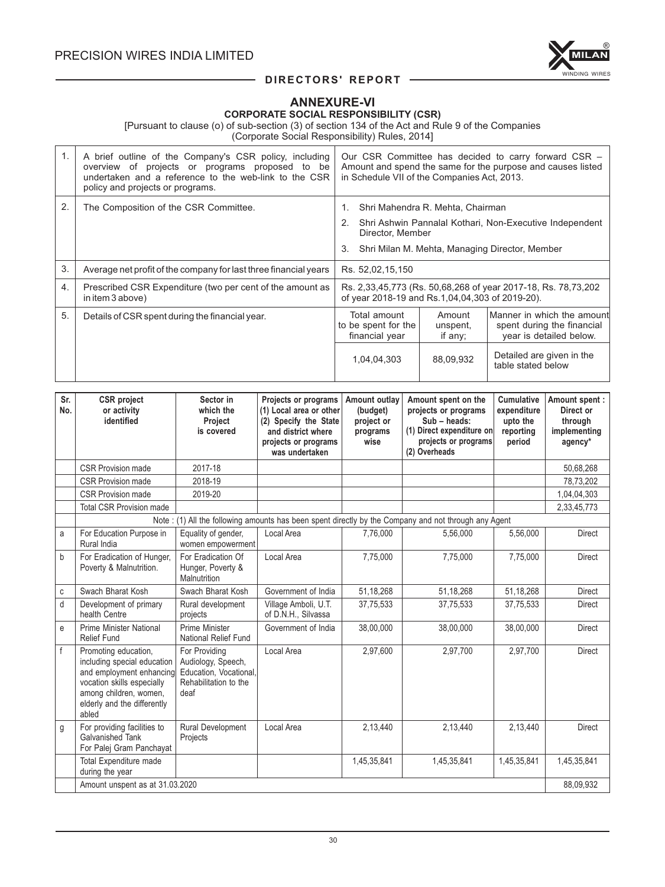

### **ANNEXURE-VI**

# **CORPORATE SOCIAL RESPONSIBILITY (CSR)**

[Pursuant to clause (o) of sub-section (3) of section 134 of the Act and Rule 9 of the Companies

(Corporate Social Responsibility) Rules, 2014]

| 1.         | A brief outline of the Company's CSR policy, including<br>overview of projects or programs proposed to be<br>undertaken and a reference to the web-link to the CSR<br>policy and projects or programs. |                                                                                                | Our CSR Committee has decided to carry forward CSR -<br>Amount and spend the same for the purpose and causes listed<br>in Schedule VII of the Companies Act, 2013. |                                                       |                                                                                                                  |                                  |                                                                                     |  |  |
|------------|--------------------------------------------------------------------------------------------------------------------------------------------------------------------------------------------------------|------------------------------------------------------------------------------------------------|--------------------------------------------------------------------------------------------------------------------------------------------------------------------|-------------------------------------------------------|------------------------------------------------------------------------------------------------------------------|----------------------------------|-------------------------------------------------------------------------------------|--|--|
| 2.         | The Composition of the CSR Committee.                                                                                                                                                                  | $1_{\cdot}$                                                                                    | Shri Mahendra R. Mehta, Chairman                                                                                                                                   |                                                       |                                                                                                                  |                                  |                                                                                     |  |  |
|            |                                                                                                                                                                                                        |                                                                                                |                                                                                                                                                                    | 2.                                                    | Shri Ashwin Pannalal Kothari, Non-Executive Independent                                                          |                                  |                                                                                     |  |  |
|            |                                                                                                                                                                                                        |                                                                                                |                                                                                                                                                                    | Director, Member                                      |                                                                                                                  |                                  |                                                                                     |  |  |
|            |                                                                                                                                                                                                        |                                                                                                |                                                                                                                                                                    | 3.                                                    | Shri Milan M. Mehta, Managing Director, Member                                                                   |                                  |                                                                                     |  |  |
| 3.         | Average net profit of the company for last three financial years                                                                                                                                       |                                                                                                |                                                                                                                                                                    | Rs. 52,02,15,150                                      |                                                                                                                  |                                  |                                                                                     |  |  |
| 4.         | Prescribed CSR Expenditure (two per cent of the amount as<br>in item 3 above)                                                                                                                          |                                                                                                |                                                                                                                                                                    |                                                       | Rs. 2,33,45,773 (Rs. 50,68,268 of year 2017-18, Rs. 78,73,202<br>of year 2018-19 and Rs.1.04.04.303 of 2019-20). |                                  |                                                                                     |  |  |
| 5.         | Details of CSR spent during the financial year.                                                                                                                                                        |                                                                                                |                                                                                                                                                                    | Total amount<br>to be spent for the<br>financial year | Amount<br>unspent,<br>if any;                                                                                    |                                  | Manner in which the amount<br>spent during the financial<br>year is detailed below. |  |  |
|            |                                                                                                                                                                                                        |                                                                                                | 1,04,04,303                                                                                                                                                        | 88,09,932                                             | table stated below                                                                                               | Detailed are given in the        |                                                                                     |  |  |
| Sr.<br>No. | <b>CSR</b> project<br>or activity                                                                                                                                                                      | Sector in<br>which the                                                                         | Projects or programs<br>(1) Local area or other                                                                                                                    | Amount outlay<br>(budget)                             | Amount spent on the<br>projects or programs                                                                      | <b>Cumulative</b><br>expenditure | Amount spent :<br>Direct or                                                         |  |  |
|            | identified                                                                                                                                                                                             | Project<br>is covered                                                                          | (2) Specify the State<br>and district where<br>projects or programs<br>was undertaken                                                                              | project or<br>programs<br>wise                        | Sub - heads:<br>(1) Direct expenditure on<br>projects or programs<br>(2) Overheads                               | upto the<br>reporting<br>period  | through<br>implementing<br>agency*                                                  |  |  |
|            | <b>CSR Provision made</b>                                                                                                                                                                              | 2017-18                                                                                        |                                                                                                                                                                    |                                                       |                                                                                                                  |                                  | 50,68,268                                                                           |  |  |
|            | <b>CSR Provision made</b>                                                                                                                                                                              | 2018-19                                                                                        |                                                                                                                                                                    |                                                       |                                                                                                                  |                                  | 78,73,202                                                                           |  |  |
|            | <b>CSR Provision made</b>                                                                                                                                                                              | 2019-20                                                                                        |                                                                                                                                                                    |                                                       |                                                                                                                  |                                  | 1,04,04,303                                                                         |  |  |
|            | <b>Total CSR Provision made</b>                                                                                                                                                                        |                                                                                                |                                                                                                                                                                    |                                                       |                                                                                                                  |                                  | 2,33,45,773                                                                         |  |  |
|            |                                                                                                                                                                                                        |                                                                                                |                                                                                                                                                                    |                                                       | Note : (1) All the following amounts has been spent directly by the Company and not through any Agent            |                                  |                                                                                     |  |  |
| a          | For Education Purpose in<br>Rural India                                                                                                                                                                | Equality of gender,<br>women empowerment                                                       | Local Area                                                                                                                                                         | 7,76,000                                              | 5,56,000                                                                                                         | 5,56,000                         | <b>Direct</b>                                                                       |  |  |
| b          | For Eradication of Hunger,<br>Poverty & Malnutrition.                                                                                                                                                  | For Eradication Of<br>Hunger, Poverty &<br>Malnutrition                                        | Local Area                                                                                                                                                         | 7,75,000                                              | 7,75,000                                                                                                         | 7,75,000                         | <b>Direct</b>                                                                       |  |  |
| C          | Swach Bharat Kosh                                                                                                                                                                                      | Swach Bharat Kosh                                                                              | Government of India                                                                                                                                                | 51, 18, 268                                           | 51, 18, 268                                                                                                      | 51,18,268                        | Direct                                                                              |  |  |
| d          | Development of primary<br>health Centre                                                                                                                                                                | Rural development<br>projects                                                                  | Village Amboli, U.T.<br>of D.N.H., Silvassa                                                                                                                        | 37,75,533                                             | 37,75,533                                                                                                        | 37,75,533                        | Direct                                                                              |  |  |
| e          | Prime Minister National<br><b>Relief Fund</b>                                                                                                                                                          | Prime Minister<br>National Relief Fund                                                         | Government of India                                                                                                                                                | 38,00,000                                             | 38,00,000                                                                                                        | 38,00,000                        | <b>Direct</b>                                                                       |  |  |
| f          | Promoting education,<br>including special education<br>and employment enhancing<br>vocation skills especially<br>among children, women,<br>elderly and the differently<br>abled                        | For Providing<br>Audiology, Speech,<br>Education, Vocational,<br>Rehabilitation to the<br>deaf | Local Area                                                                                                                                                         | 2,97,600                                              | 2,97,700                                                                                                         | 2,97,700                         |                                                                                     |  |  |
| g          | For providing facilities to<br>Galvanished Tank<br>For Palej Gram Panchayat                                                                                                                            | Rural Development<br>Projects                                                                  | Local Area                                                                                                                                                         | 2,13,440                                              | 2,13,440                                                                                                         | 2,13,440                         | Direct                                                                              |  |  |
|            | <b>Total Expenditure made</b><br>during the year                                                                                                                                                       |                                                                                                |                                                                                                                                                                    | 1,45,35,841                                           | 1,45,35,841                                                                                                      | 1,45,35,841                      | 1,45,35,841                                                                         |  |  |
|            | Amount unspent as at 31.03.2020                                                                                                                                                                        |                                                                                                |                                                                                                                                                                    |                                                       |                                                                                                                  |                                  |                                                                                     |  |  |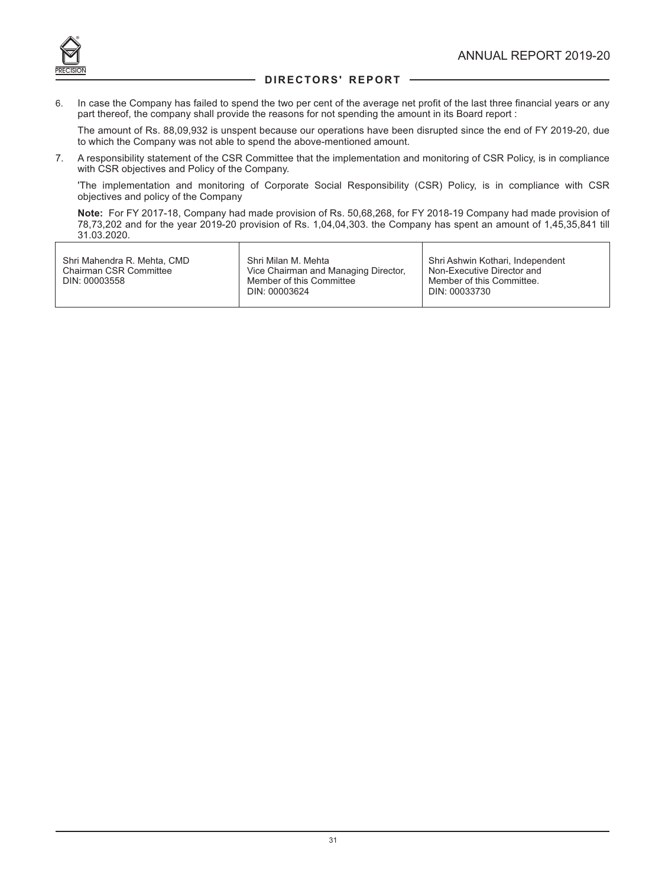

6. In case the Company has failed to spend the two per cent of the average net profit of the last three financial years or any part thereof, the company shall provide the reasons for not spending the amount in its Board report :

The amount of Rs. 88,09,932 is unspent because our operations have been disrupted since the end of FY 2019-20, due to which the Company was not able to spend the above-mentioned amount.

7. A responsibility statement of the CSR Committee that the implementation and monitoring of CSR Policy, is in compliance with CSR objectives and Policy of the Company.

'The implementation and monitoring of Corporate Social Responsibility (CSR) Policy, is in compliance with CSR objectives and policy of the Company

Note: For FY 2017-18, Company had made provision of Rs. 50,68,268, for FY 2018-19 Company had made provision of 78,73,202 and for the year 2019-20 provision of Rs. 1,04,04,303. the Company has spent an amount of 1,45,35,841 till 31.03.2020.

| Shri Mahendra R. Mehta, CMD<br>Chairman CSR Committee<br>DIN: 00003558 | Shri Milan M. Mehta<br>Vice Chairman and Managing Director,<br>Member of this Committee<br>DIN: 00003624 | Shri Ashwin Kothari, Independent<br>Non-Executive Director and<br>Member of this Committee.<br>DIN: 00033730 |
|------------------------------------------------------------------------|----------------------------------------------------------------------------------------------------------|--------------------------------------------------------------------------------------------------------------|
|------------------------------------------------------------------------|----------------------------------------------------------------------------------------------------------|--------------------------------------------------------------------------------------------------------------|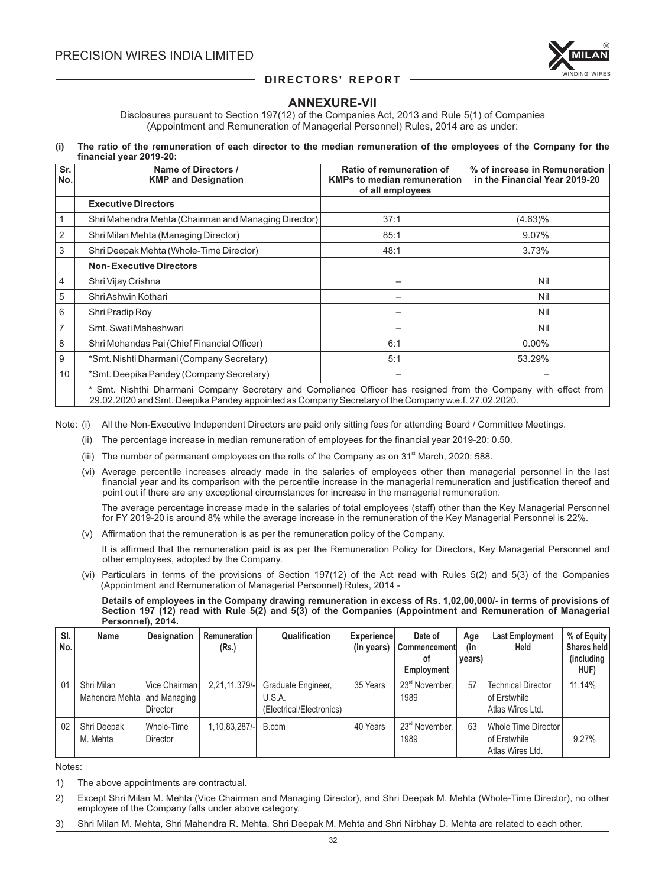

#### **ANNEXURE-VII**

Disclosures pursuant to Section 197(12) of the Companies Act, 2013 and Rule 5(1) of Companies (Appointment and Remuneration of Managerial Personnel) Rules, 2014 are as under:

**(i) The ratio of the remuneration of each director to the median remuneration of the employees of the Company for the financial year 2019-20:**

| Sr.<br>No.     | Name of Directors /<br><b>KMP and Designation</b>                                                                                                                                                                      | Ratio of remuneration of<br><b>KMPs to median remuneration</b><br>of all employees |            |  |  |  |  |  |
|----------------|------------------------------------------------------------------------------------------------------------------------------------------------------------------------------------------------------------------------|------------------------------------------------------------------------------------|------------|--|--|--|--|--|
|                | <b>Executive Directors</b>                                                                                                                                                                                             |                                                                                    |            |  |  |  |  |  |
| $\mathbf{1}$   | Shri Mahendra Mehta (Chairman and Managing Director)                                                                                                                                                                   | 37:1                                                                               | $(4.63)\%$ |  |  |  |  |  |
| $\overline{2}$ | Shri Milan Mehta (Managing Director)                                                                                                                                                                                   | 85:1                                                                               | 9.07%      |  |  |  |  |  |
| 3              | Shri Deepak Mehta (Whole-Time Director)                                                                                                                                                                                | 48:1                                                                               | 3.73%      |  |  |  |  |  |
|                | <b>Non-Executive Directors</b>                                                                                                                                                                                         |                                                                                    |            |  |  |  |  |  |
| 4              | Shri Vijay Crishna                                                                                                                                                                                                     |                                                                                    | Nil        |  |  |  |  |  |
| 5              | Shri Ashwin Kothari                                                                                                                                                                                                    |                                                                                    | Nil        |  |  |  |  |  |
| 6              | Shri Pradip Roy                                                                                                                                                                                                        |                                                                                    | Nil        |  |  |  |  |  |
| 7              | Smt. Swati Maheshwari                                                                                                                                                                                                  |                                                                                    | Nil        |  |  |  |  |  |
| 8              | Shri Mohandas Pai (Chief Financial Officer)                                                                                                                                                                            | 6:1                                                                                | $0.00\%$   |  |  |  |  |  |
| 9              | *Smt. Nishti Dharmani (Company Secretary)                                                                                                                                                                              | 5:1                                                                                | 53.29%     |  |  |  |  |  |
| 10             | *Smt. Deepika Pandey (Company Secretary)                                                                                                                                                                               |                                                                                    |            |  |  |  |  |  |
|                | * Smt. Nishthi Dharmani Company Secretary and Compliance Officer has resigned from the Company with effect from<br>29.02.2020 and Smt. Deepika Pandey appointed as Company Secretary of the Company w.e.f. 27.02.2020. |                                                                                    |            |  |  |  |  |  |

Note: (i) All the Non-Executive Independent Directors are paid only sitting fees for attending Board / Committee Meetings.

- (ii) The percentage increase in median remuneration of employees for the financial year 2019-20: 0.50.
- (iii) The number of permanent employees on the rolls of the Company as on  $31<sup>st</sup>$  March, 2020: 588.
- (vi) Average percentile increases already made in the salaries of employees other than managerial personnel in the last financial year and its comparison with the percentile increase in the managerial remuneration and justification thereof and point out if there are any exceptional circumstances for increase in the managerial remuneration.

The average percentage increase made in the salaries of total employees (staff) other than the Key Managerial Personnel for FY 2019-20 is around 8% while the average increase in the remuneration of the Key Managerial Personnel is 22%.

(v) Affirmation that the remuneration is as per the remuneration policy of the Company.

It is affirmed that the remuneration paid is as per the Remuneration Policy for Directors, Key Managerial Personnel and other employees, adopted by the Company.

(vi) Particulars in terms of the provisions of Section 197(12) of the Act read with Rules 5(2) and 5(3) of the Companies (Appointment and Remuneration of Managerial Personnel) Rules, 2014 -

**Details of employees in the Company drawing remuneration in excess of Rs. 1,02,00,000/- in terms of provisions of Section 197 (12) read with Rule 5(2) and 5(3) of the Companies (Appointment and Remuneration of Managerial Personnel), 2014.**

| SI.<br>No. | Name                                      | <b>Designation</b>               | Remuneration<br>(Rs.) | Qualification                                            | <b>Experience</b><br>(in years) | Date of<br>Commencement<br>٥t<br>Employment | Age<br>(in<br>years) | <b>Last Employment</b><br>Held                                | % of Equity<br>Shares held<br>(including<br>HUF) |
|------------|-------------------------------------------|----------------------------------|-----------------------|----------------------------------------------------------|---------------------------------|---------------------------------------------|----------------------|---------------------------------------------------------------|--------------------------------------------------|
| 01         | Shri Milan<br>Mahendra Mehta and Managing | Vice Chairman<br><b>Director</b> | 2,21,11,379/-         | Graduate Engineer,<br>U.S.A.<br>(Electrical/Electronics) | 35 Years                        | 23 <sup>rd</sup> November,<br>1989          | 57                   | <b>Technical Director</b><br>of Erstwhile<br>Atlas Wires Ltd. | 11.14%                                           |
| 02         | Shri Deepak<br>M. Mehta                   | Whole-Time<br>Director           | 1.10.83.287/-         | B.com                                                    | 40 Years                        | 23 <sup>rd</sup> November.<br>1989          | 63                   | Whole Time Director<br>of Erstwhile<br>Atlas Wires Ltd.       | 9.27%                                            |

Notes:

1) The above appointments are contractual.

- 2) Except Shri Milan M. Mehta (Vice Chairman and Managing Director), and Shri Deepak M. Mehta (Whole-Time Director), no other employee of the Company falls under above category.
- 3) Shri Milan M. Mehta, Shri Mahendra R. Mehta, Shri Deepak M. Mehta and Shri Nirbhay D. Mehta are related to each other.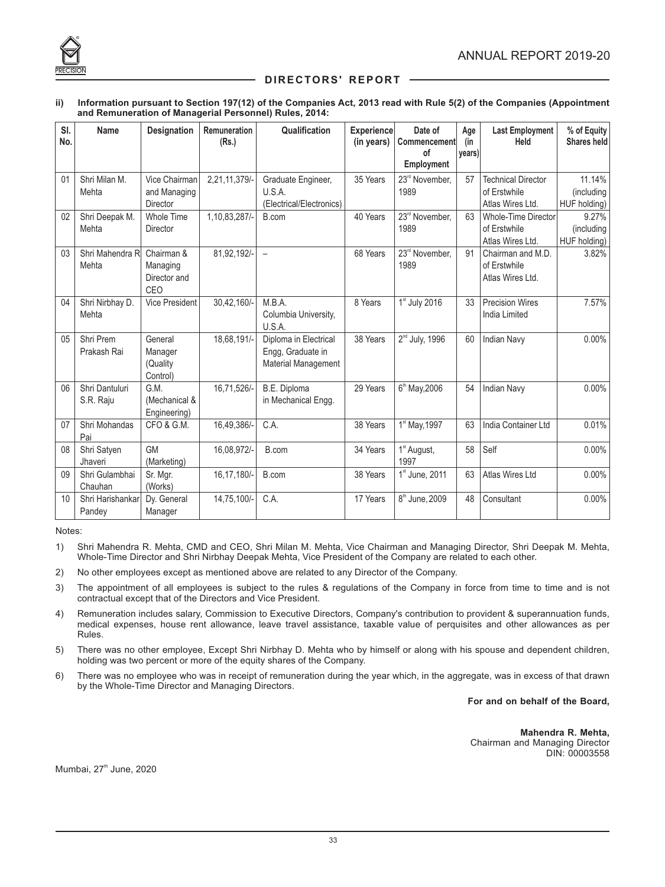

#### **ii) Information pursuant to Section 197(12) of the Companies Act, 2013 read with Rule 5(2) of the Companies (Appointment and Remuneration of Managerial Personnel) Rules, 2014:**

| SI.<br>No.     | Name                        | <b>Designation</b>                            | Remuneration<br>(Rs.) | Qualification                                                            | <b>Experience</b><br>(in years) | Date of<br>Commencement<br>of<br>Employment | Age<br>(in<br>years) | <b>Last Employment</b><br>Held                                | % of Equity<br><b>Shares held</b>    |
|----------------|-----------------------------|-----------------------------------------------|-----------------------|--------------------------------------------------------------------------|---------------------------------|---------------------------------------------|----------------------|---------------------------------------------------------------|--------------------------------------|
| 01             | Shri Milan M.<br>Mehta      | Vice Chairman<br>and Managing<br>Director     | 2,21,11,379/-         | Graduate Engineer,<br>U.S.A.<br>(Electrical/Electronics)                 | 35 Years                        | 23 <sup>rd</sup> November,<br>1989          | 57                   | <b>Technical Director</b><br>of Erstwhile<br>Atlas Wires Ltd. | 11.14%<br>(including<br>HUF holding) |
| 02             | Shri Deepak M.<br>Mehta     | <b>Whole Time</b><br>Director                 | 1,10,83,287/-         | B.com                                                                    | 40 Years                        | 23 <sup>rd</sup> November,<br>1989          | 63                   | Whole-Time Director<br>of Erstwhile<br>Atlas Wires Ltd.       | 9.27%<br>(including<br>HUF holding)  |
| 0 <sub>3</sub> | Shri Mahendra R<br>Mehta    | Chairman &<br>Managing<br>Director and<br>CEO | 81,92,192/-           | $\equiv$                                                                 | 68 Years                        | 23rd November,<br>1989                      | 91                   | Chairman and M.D.<br>of Erstwhile<br>Atlas Wires Ltd.         | 3.82%                                |
| 04             | Shri Nirbhay D.<br>Mehta    | Vice President                                | 30,42,160/-           | M.B.A.<br>Columbia University,<br>U.S.A.                                 | 8 Years                         | 1st July 2016                               | 33                   | <b>Precision Wires</b><br>India Limited                       | 7.57%                                |
| 0 <sub>5</sub> | Shri Prem<br>Prakash Rai    | General<br>Manager<br>(Quality<br>Control)    | 18,68,191/-           | Diploma in Electrical<br>Engg, Graduate in<br><b>Material Management</b> | 38 Years                        | $2^{nd}$ July, 1996                         | 60                   | <b>Indian Navy</b>                                            | 0.00%                                |
| 06             | Shri Dantuluri<br>S.R. Raju | G.M.<br>(Mechanical &<br>Engineering)         | 16,71,526/-           | B.E. Diploma<br>in Mechanical Engg.                                      | 29 Years                        | 6 <sup>th</sup> May, 2006                   | 54                   | <b>Indian Navy</b>                                            | $0.00\%$                             |
| 07             | Shri Mohandas<br>Pai        | CFO & G.M.                                    | 16,49,386/-           | C.A.                                                                     | 38 Years                        | 1 <sup>st</sup> May, 1997                   | 63                   | India Container Ltd                                           | 0.01%                                |
| 08             | Shri Satyen<br>Jhaveri      | <b>GM</b><br>(Marketing)                      | 16,08,972/-           | B.com                                                                    | 34 Years                        | $1st$ August,<br>1997                       | 58                   | Self                                                          | 0.00%                                |
| 09             | Shri Gulambhai<br>Chauhan   | Sr. Mgr.<br>(Works)                           | 16, 17, 180/-         | B.com                                                                    | 38 Years                        | 1st June, 2011                              | 63                   | <b>Atlas Wires Ltd</b>                                        | 0.00%                                |
| 10             | Shri Harishankar<br>Pandey  | Dy. General<br>Manager                        | 14,75,100/-           | C.A.                                                                     | 17 Years                        | 8 <sup>th</sup> June, 2009                  | 48                   | Consultant                                                    | $0.00\%$                             |

Notes:

1) Shri Mahendra R. Mehta, CMD and CEO, Shri Milan M. Mehta, Vice Chairman and Managing Director, Shri Deepak M. Mehta, Whole-Time Director and Shri Nirbhay Deepak Mehta, Vice President of the Company are related to each other.

- 2) No other employees except as mentioned above are related to any Director of the Company.
- 3) The appointment of all employees is subject to the rules & regulations of the Company in force from time to time and is not contractual except that of the Directors and Vice President.
- 4) Remuneration includes salary, Commission to Executive Directors, Company's contribution to provident & superannuation funds, medical expenses, house rent allowance, leave travel assistance, taxable value of perquisites and other allowances as per Rules.
- 5) There was no other employee, Except Shri Nirbhay D. Mehta who by himself or along with his spouse and dependent children, holding was two percent or more of the equity shares of the Company.
- 6) There was no employee who was in receipt of remuneration during the year which, in the aggregate, was in excess of that drawn by the Whole-Time Director and Managing Directors.

**For and on behalf of the Board,**

Chairman and Managing Director DIN: 00003558 **Mahendra R. Mehta,**

Mumbai, 27<sup>th</sup> June, 2020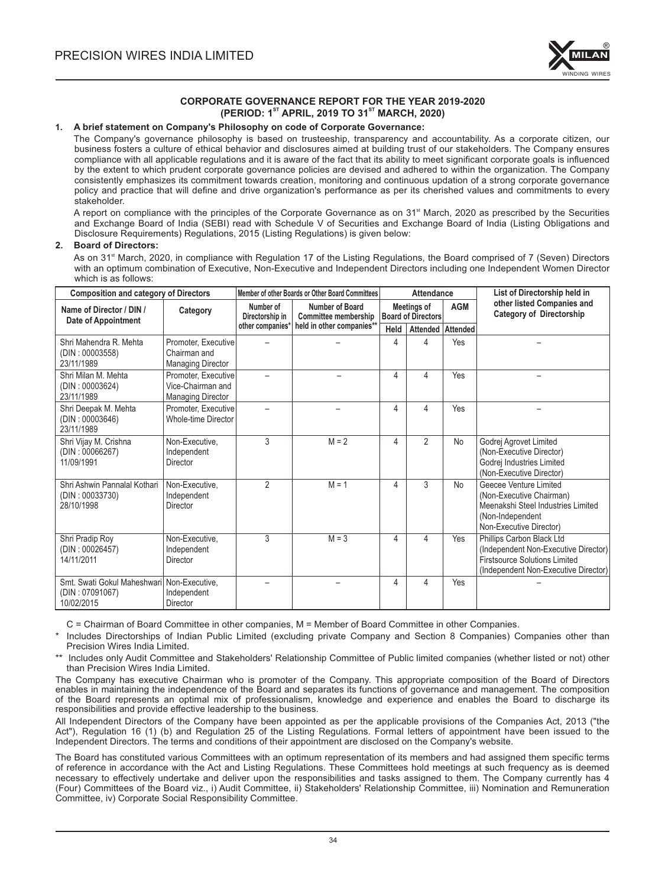

# **CORPORATE GOVERNANCE REPORT FOR THE YEAR 2019-2020 (PERIOD: 1<sup>ST</sup> APRIL, 2019 TO 31<sup>ST</sup> MARCH, 2020)**

## **1. A brief statement on Company's Philosophy on code of Corporate Governance:**

The Company's governance philosophy is based on trusteeship, transparency and accountability. As a corporate citizen, our business fosters a culture of ethical behavior and disclosures aimed at building trust of our stakeholders. The Company ensures compliance with all applicable regulations and it is aware of the fact that its ability to meet significant corporate goals is influenced by the extent to which prudent corporate governance policies are devised and adhered to within the organization. The Company consistently emphasizes its commitment towards creation, monitoring and continuous updation of a strong corporate governance policy and practice that will define and drive organization's performance as per its cherished values and commitments to every stakeholder.

A report on compliance with the principles of the Corporate Governance as on 31<sup>st</sup> March, 2020 as prescribed by the Securities and Exchange Board of India (SEBI) read with Schedule V of Securities and Exchange Board of India (Listing Obligations and Disclosure Requirements) Regulations, 2015 (Listing Regulations) is given below:

## **2. Board of Directors:**

As on 31<sup>st</sup> March, 2020, in compliance with Regulation 17 of the Listing Regulations, the Board comprised of 7 (Seven) Directors with an optimum combination of Executive, Non-Executive and Independent Directors including one Independent Women Director which is as follows:

| <b>Composition and category of Directors</b>                                 |                                                                      | Member of other Boards or Other Board Committees |                                                | Attendance                               |                |                | List of Directorship held in                                                                                                                      |
|------------------------------------------------------------------------------|----------------------------------------------------------------------|--------------------------------------------------|------------------------------------------------|------------------------------------------|----------------|----------------|---------------------------------------------------------------------------------------------------------------------------------------------------|
| Name of Director / DIN /<br>Date of Appointment                              | Category                                                             | Number of<br>Directorship in                     | Number of Board<br><b>Committee membership</b> | Meetings of<br><b>Board of Directors</b> |                | <b>AGM</b>     | other listed Companies and<br><b>Category of Directorship</b>                                                                                     |
|                                                                              |                                                                      | other companies*                                 | held in other companies**                      | Held                                     | Attended       | Attended       |                                                                                                                                                   |
| Shri Mahendra R. Mehta<br>(DIN: 00003558)<br>23/11/1989                      | Promoter. Executive<br>Chairman and<br><b>Managing Director</b>      |                                                  |                                                | 4                                        | 4              | Yes            |                                                                                                                                                   |
| Shri Milan M. Mehta<br>(DIN: 00003624)<br>23/11/1989                         | Promoter, Executive<br>Vice-Chairman and<br><b>Managing Director</b> |                                                  |                                                | 4                                        | 4              | Yes            |                                                                                                                                                   |
| Shri Deepak M. Mehta<br>(DIN: 00003646)<br>23/11/1989                        | Promoter. Executive<br><b>Whole-time Director</b>                    |                                                  |                                                | 4                                        | 4              | Yes            |                                                                                                                                                   |
| Shri Vijay M. Crishna<br>(DIN: 00066267)<br>11/09/1991                       | Non-Executive.<br>Independent<br>Director                            | 3                                                | $M = 2$                                        | 4                                        | $\mathfrak{p}$ | N <sub>o</sub> | Godrej Agrovet Limited<br>(Non-Executive Director)<br>Godrej Industries Limited<br>(Non-Executive Director)                                       |
| Shri Ashwin Pannalal Kothari<br>(DIN: 00033730)<br>28/10/1998                | Non-Executive,<br>Independent<br>Director                            | $\mathfrak{p}$                                   | $M = 1$                                        | 4                                        | 3              | N <sub>o</sub> | Geecee Venture Limited<br>(Non-Executive Chairman)<br>Meenakshi Steel Industries Limited<br>(Non-Independent<br>Non-Executive Director)           |
| Shri Pradip Roy<br>(DIN: 00026457)<br>14/11/2011                             | Non-Executive,<br>Independent<br><b>Director</b>                     | 3                                                | $M = 3$                                        | 4                                        | 4              | Yes            | Phillips Carbon Black Ltd<br>(Independent Non-Executive Director)<br><b>Firstsource Solutions Limited</b><br>(Independent Non-Executive Director) |
| Smt. Swati Gokul Maheshwaril Non-Executive.<br>(DIN: 07091067)<br>10/02/2015 | Independent<br><b>Director</b>                                       |                                                  |                                                | 4                                        | 4              | Yes            |                                                                                                                                                   |

C = Chairman of Board Committee in other companies, M = Member of Board Committee in other Companies.

Includes Directorships of Indian Public Limited (excluding private Company and Section 8 Companies) Companies other than Precision Wires India Limited.

\*\* Includes only Audit Committee and Stakeholders' Relationship Committee of Public limited companies (whether listed or not) other than Precision Wires India Limited.

The Company has executive Chairman who is promoter of the Company. This appropriate composition of the Board of Directors enables in maintaining the independence of the Board and separates its functions of governance and management. The composition of the Board represents an optimal mix of professionalism, knowledge and experience and enables the Board to discharge its responsibilities and provide effective leadership to the business.

All Independent Directors of the Company have been appointed as per the applicable provisions of the Companies Act, 2013 ("the Act"), Regulation 16 (1) (b) and Regulation 25 of the Listing Regulations. Formal letters of appointment have been issued to the Independent Directors. The terms and conditions of their appointment are disclosed on the Company's website.

The Board has constituted various Committees with an optimum representation of its members and had assigned them specific terms of reference in accordance with the Act and Listing Regulations. These Committees hold meetings at such frequency as is deemed necessary to effectively undertake and deliver upon the responsibilities and tasks assigned to them. The Company currently has 4 (Four) Committees of the Board viz., i) Audit Committee, ii) Stakeholders' Relationship Committee, iii) Nomination and Remuneration Committee, iv) Corporate Social Responsibility Committee.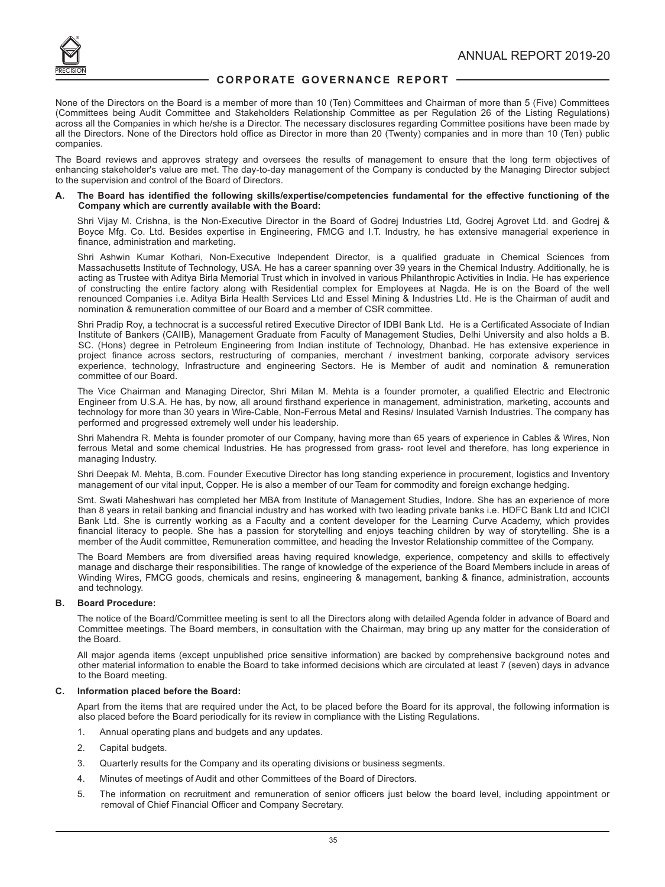None of the Directors on the Board is a member of more than 10 (Ten) Committees and Chairman of more than 5 (Five) Committees (Committees being Audit Committee and Stakeholders Relationship Committee as per Regulation 26 of the Listing Regulations) across all the Companies in which he/she is a Director. The necessary disclosures regarding Committee positions have been made by all the Directors. None of the Directors hold office as Director in more than 20 (Twenty) companies and in more than 10 (Ten) public companies.

The Board reviews and approves strategy and oversees the results of management to ensure that the long term objectives of enhancing stakeholder's value are met. The day-to-day management of the Company is conducted by the Managing Director subject to the supervision and control of the Board of Directors.

#### **A. The Board has identified the following skills/expertise/competencies fundamental for the effective functioning of the Company which are currently available with the Board:**

Shri Vijay M. Crishna, is the Non-Executive Director in the Board of Godrej Industries Ltd, Godrej Agrovet Ltd. and Godrej & Boyce Mfg. Co. Ltd. Besides expertise in Engineering, FMCG and I.T. Industry, he has extensive managerial experience in finance, administration and marketing.

Shri Ashwin Kumar Kothari, Non-Executive Independent Director, is a qualified graduate in Chemical Sciences from Massachusetts Institute of Technology, USA. He has a career spanning over 39 years in the Chemical Industry. Additionally, he is acting as Trustee with Aditya Birla Memorial Trust which in involved in various Philanthropic Activities in India. He has experience of constructing the entire factory along with Residential complex for Employees at Nagda. He is on the Board of the well renounced Companies i.e. Aditya Birla Health Services Ltd and Essel Mining & Industries Ltd. He is the Chairman of audit and nomination & remuneration committee of our Board and a member of CSR committee.

Shri Pradip Roy, a technocrat is a successful retired Executive Director of IDBI Bank Ltd. He is a Certificated Associate of Indian Institute of Bankers (CAIIB), Management Graduate from Faculty of Management Studies, Delhi University and also holds a B. SC. (Hons) degree in Petroleum Engineering from Indian institute of Technology, Dhanbad. He has extensive experience in project finance across sectors, restructuring of companies, merchant / investment banking, corporate advisory services experience, technology, Infrastructure and engineering Sectors. He is Member of audit and nomination & remuneration committee of our Board.

The Vice Chairman and Managing Director, Shri Milan M. Mehta is a founder promoter, a qualified Electric and Electronic Engineer from U.S.A. He has, by now, all around firsthand experience in management, administration, marketing, accounts and technology for more than 30 years in Wire-Cable, Non-Ferrous Metal and Resins/ Insulated Varnish Industries. The company has performed and progressed extremely well under his leadership.

Shri Mahendra R. Mehta is founder promoter of our Company, having more than 65 years of experience in Cables & Wires, Non ferrous Metal and some chemical Industries. He has progressed from grass- root level and therefore, has long experience in managing Industry.

Shri Deepak M. Mehta, B.com. Founder Executive Director has long standing experience in procurement, logistics and Inventory management of our vital input, Copper. He is also a member of our Team for commodity and foreign exchange hedging.

Smt. Swati Maheshwari has completed her MBA from Institute of Management Studies, Indore. She has an experience of more than 8 years in retail banking and financial industry and has worked with two leading private banks i.e. HDFC Bank Ltd and ICICI Bank Ltd. She is currently working as a Faculty and a content developer for the Learning Curve Academy, which provides financial literacy to people. She has a passion for storytelling and enjoys teaching children by way of storytelling. She is a member of the Audit committee, Remuneration committee, and heading the Investor Relationship committee of the Company.

The Board Members are from diversified areas having required knowledge, experience, competency and skills to effectively manage and discharge their responsibilities. The range of knowledge of the experience of the Board Members include in areas of Winding Wires, FMCG goods, chemicals and resins, engineering & management, banking & finance, administration, accounts and technology.

### **B. Board Procedure:**

The notice of the Board/Committee meeting is sent to all the Directors along with detailed Agenda folder in advance of Board and Committee meetings. The Board members, in consultation with the Chairman, may bring up any matter for the consideration of the Board.

All major agenda items (except unpublished price sensitive information) are backed by comprehensive background notes and other material information to enable the Board to take informed decisions which are circulated at least 7 (seven) days in advance to the Board meeting.

### **C. Information placed before the Board:**

Apart from the items that are required under the Act, to be placed before the Board for its approval, the following information is also placed before the Board periodically for its review in compliance with the Listing Regulations.

- 1. Annual operating plans and budgets and any updates.
- 2. Capital budgets.
- 3. Quarterly results for the Company and its operating divisions or business segments.
- 4. Minutes of meetings of Audit and other Committees of the Board of Directors.
- 5. The information on recruitment and remuneration of senior officers just below the board level, including appointment or removal of Chief Financial Officer and Company Secretary.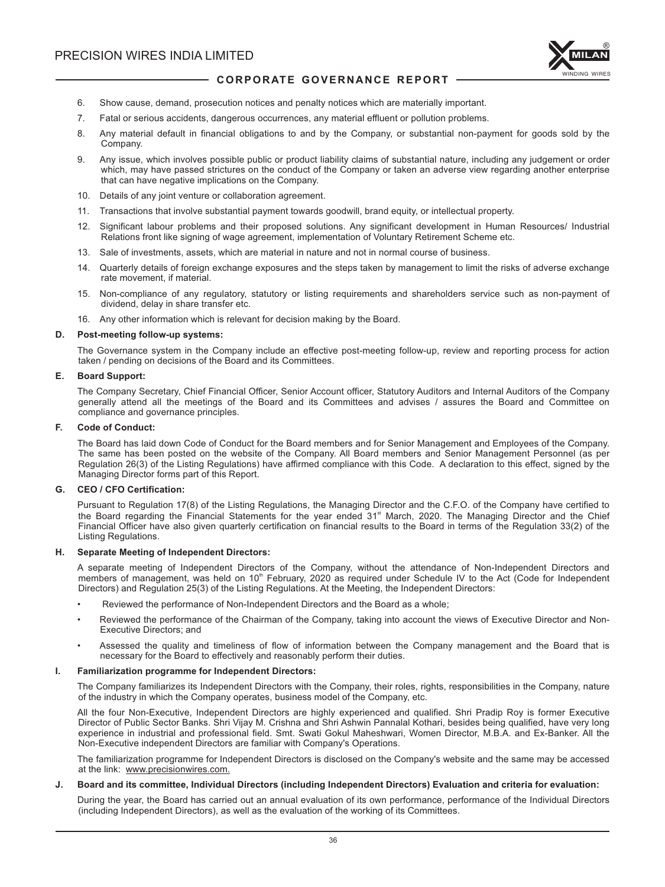# **PRECISION WIRES INDIA LIMITED**

# WINDING WIRES **CORPORATE GOVERNANCE REPORT**

- 6. Show cause, demand, prosecution notices and penalty notices which are materially important.
- 7. Fatal or serious accidents, dangerous occurrences, any material effluent or pollution problems.
- 8. Any material default in financial obligations to and by the Company, or substantial non-payment for goods sold by the Company.
- 9. Any issue, which involves possible public or product liability claims of substantial nature, including any judgement or order which, may have passed strictures on the conduct of the Company or taken an adverse view regarding another enterprise that can have negative implications on the Company.
- 10. Details of any joint venture or collaboration agreement.
- 11. Transactions that involve substantial payment towards goodwill, brand equity, or intellectual property.
- 12. Significant labour problems and their proposed solutions. Any significant development in Human Resources/ Industrial Relations front like signing of wage agreement, implementation of Voluntary Retirement Scheme etc.
- 13. Sale of investments, assets, which are material in nature and not in normal course of business.
- 14. Quarterly details of foreign exchange exposures and the steps taken by management to limit the risks of adverse exchange rate movement, if material.
- 15. Non-compliance of any regulatory, statutory or listing requirements and shareholders service such as non-payment of dividend, delay in share transfer etc.
- 16. Any other information which is relevant for decision making by the Board.

#### **D. Post-meeting follow-up systems:**

The Governance system in the Company include an effective post-meeting follow-up, review and reporting process for action taken / pending on decisions of the Board and its Committees.

## **E. Board Support:**

The Company Secretary, Chief Financial Officer, Senior Account officer, Statutory Auditors and Internal Auditors of the Company generally attend all the meetings of the Board and its Committees and advises / assures the Board and Committee on compliance and governance principles.

#### **F. Code of Conduct:**

The Board has laid down Code of Conduct for the Board members and for Senior Management and Employees of the Company. The same has been posted on the website of the Company. All Board members and Senior Management Personnel (as per Regulation 26(3) of the Listing Regulations) have affirmed compliance with this Code. A declaration to this effect, signed by the Managing Director forms part of this Report.

### **G. CEO / CFO Certification:**

Pursuant to Regulation 17(8) of the Listing Regulations, the Managing Director and the C.F.O. of the Company have certified to the Board regarding the Financial Statements for the year ended 31<sup>st</sup> March, 2020. The Managing Director and the Chief Financial Officer have also given quarterly certification on financial results to the Board in terms of the Regulation 33(2) of the Listing Regulations.

#### **H. Separate Meeting of Independent Directors:**

A separate meeting of Independent Directors of the Company, without the attendance of Non-Independent Directors and members of management, was held on 10<sup>th</sup> February, 2020 as required under Schedule IV to the Act (Code for Independent Directors) and Regulation 25(3) of the Listing Regulations. At the Meeting, the Independent Directors:

- Reviewed the performance of Non-Independent Directors and the Board as a whole;
- Reviewed the performance of the Chairman of the Company, taking into account the views of Executive Director and Non-Executive Directors; and
- Assessed the quality and timeliness of flow of information between the Company management and the Board that is necessary for the Board to effectively and reasonably perform their duties.

#### **I. Familiarization programme for Independent Directors:**

The Company familiarizes its Independent Directors with the Company, their roles, rights, responsibilities in the Company, nature of the industry in which the Company operates, business model of the Company, etc.

All the four Non-Executive, Independent Directors are highly experienced and qualified. Shri Pradip Roy is former Executive Director of Public Sector Banks. Shri Vijay M. Crishna and Shri Ashwin Pannalal Kothari, besides being qualified, have very long experience in industrial and professional field. Smt. Swati Gokul Maheshwari, Women Director, M.B.A. and Ex-Banker. All the Non-Executive independent Directors are familiar with Company's Operations.

The familiarization programme for Independent Directors is disclosed on the Company's website and the same may be accessed at the link: www.precisionwires.com.

### **J. Board and its committee, Individual Directors (including Independent Directors) Evaluation and criteria for evaluation:**

During the year, the Board has carried out an annual evaluation of its own performance, performance of the Individual Directors (including Independent Directors), as well as the evaluation of the working of its Committees.

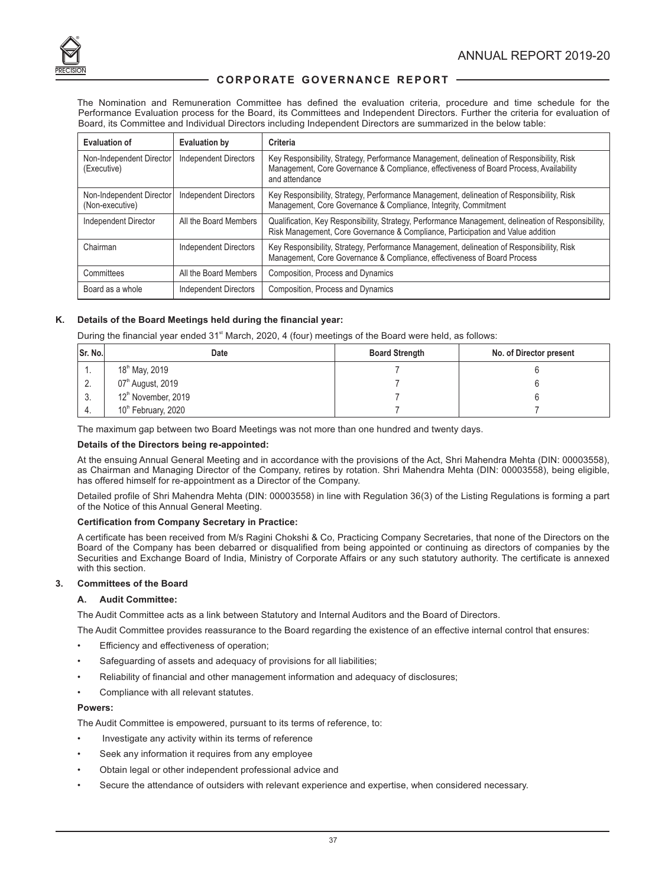

The Nomination and Remuneration Committee has defined the evaluation criteria, procedure and time schedule for the Performance Evaluation process for the Board, its Committees and Independent Directors. Further the criteria for evaluation of Board, its Committee and Individual Directors including Independent Directors are summarized in the below table:

| <b>Evaluation of</b>                        | <b>Evaluation by</b>         | Criteria                                                                                                                                                                                              |
|---------------------------------------------|------------------------------|-------------------------------------------------------------------------------------------------------------------------------------------------------------------------------------------------------|
| Non-Independent Director<br>(Executive)     | <b>Independent Directors</b> | Key Responsibility, Strategy, Performance Management, delineation of Responsibility, Risk<br>Management, Core Governance & Compliance, effectiveness of Board Process, Availability<br>and attendance |
| Non-Independent Director<br>(Non-executive) | <b>Independent Directors</b> | Key Responsibility, Strategy, Performance Management, delineation of Responsibility, Risk<br>Management, Core Governance & Compliance, Integrity, Commitment                                          |
| Independent Director                        | All the Board Members        | Qualification, Key Responsibility, Strategy, Performance Management, delineation of Responsibility,<br>Risk Management, Core Governance & Compliance, Participation and Value addition                |
| Chairman                                    | <b>Independent Directors</b> | Key Responsibility, Strategy, Performance Management, delineation of Responsibility, Risk<br>Management, Core Governance & Compliance, effectiveness of Board Process                                 |
| Committees                                  | All the Board Members        | Composition, Process and Dynamics                                                                                                                                                                     |
| Board as a whole                            | <b>Independent Directors</b> | Composition, Process and Dynamics                                                                                                                                                                     |

## **K. Details of the Board Meetings held during the financial year:**

During the financial year ended 31<sup>st</sup> March, 2020, 4 (four) meetings of the Board were held, as follows:

| Sr. No.   | Date                            | <b>Board Strength</b> | No. of Director present |
|-----------|---------------------------------|-----------------------|-------------------------|
| .,        | 18 <sup>th</sup> May, 2019      |                       |                         |
| <u>L.</u> | 07 <sup>th</sup> August, 2019   |                       |                         |
| J.        | 12 <sup>th</sup> November, 2019 |                       |                         |
| 4.        | 10th February, 2020             |                       |                         |

The maximum gap between two Board Meetings was not more than one hundred and twenty days.

### **Details of the Directors being re-appointed:**

At the ensuing Annual General Meeting and in accordance with the provisions of the Act, Shri Mahendra Mehta (DIN: 00003558), as Chairman and Managing Director of the Company, retires by rotation. Shri Mahendra Mehta (DIN: 00003558), being eligible, has offered himself for re-appointment as a Director of the Company.

Detailed profile of Shri Mahendra Mehta (DIN: 00003558) in line with Regulation 36(3) of the Listing Regulations is forming a part of the Notice of this Annual General Meeting.

# **Certification from Company Secretary in Practice:**

A certificate has been received from M/s Ragini Chokshi & Co, Practicing Company Secretaries, that none of the Directors on the Board of the Company has been debarred or disqualified from being appointed or continuing as directors of companies by the Securities and Exchange Board of India, Ministry of Corporate Affairs or any such statutory authority. The certificate is annexed with this section.

## **3. Committees of the Board**

### **A. Audit Committee:**

The Audit Committee acts as a link between Statutory and Internal Auditors and the Board of Directors.

The Audit Committee provides reassurance to the Board regarding the existence of an effective internal control that ensures:

- Efficiency and effectiveness of operation;
- Safeguarding of assets and adequacy of provisions for all liabilities; •
- Reliability of financial and other management information and adequacy of disclosures; •
- Compliance with all relevant statutes. •

### **Powers:**

The Audit Committee is empowered, pursuant to its terms of reference, to:

- Investigate any activity within its terms of reference
- Seek any information it requires from any employee •
- Obtain legal or other independent professional advice and •
- Secure the attendance of outsiders with relevant experience and expertise, when considered necessary. •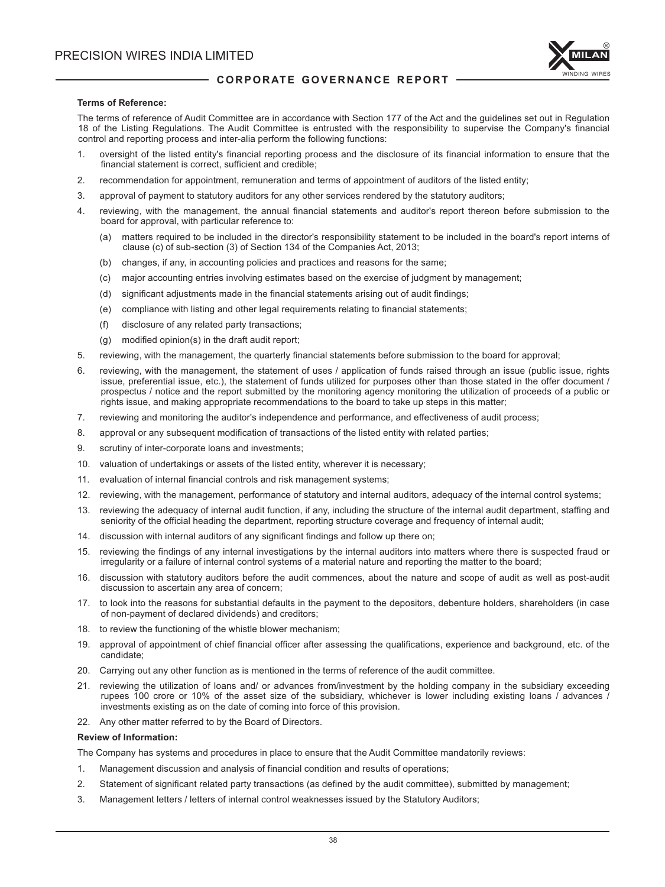

#### **Terms of Reference:**

The terms of reference of Audit Committee are in accordance with Section 177 of the Act and the guidelines set out in Regulation 18 of the Listing Regulations. The Audit Committee is entrusted with the responsibility to supervise the Company's financial control and reporting process and inter-alia perform the following functions:

- 1. oversight of the listed entity's financial reporting process and the disclosure of its financial information to ensure that the financial statement is correct, sufficient and credible;
- 2. recommendation for appointment, remuneration and terms of appointment of auditors of the listed entity;
- 3. approval of payment to statutory auditors for any other services rendered by the statutory auditors;
- 4. reviewing, with the management, the annual financial statements and auditor's report thereon before submission to the board for approval, with particular reference to:
	- (a) matters required to be included in the director's responsibility statement to be included in the board's report interns of clause (c) of sub-section (3) of Section 134 of the Companies Act, 2013;
	- (b) changes, if any, in accounting policies and practices and reasons for the same;
	- (c) major accounting entries involving estimates based on the exercise of judgment by management;
	- (d) significant adjustments made in the financial statements arising out of audit findings;
	- (e) compliance with listing and other legal requirements relating to financial statements;
	- (f) disclosure of any related party transactions;
	- (g) modified opinion(s) in the draft audit report;
- 5. reviewing, with the management, the quarterly financial statements before submission to the board for approval;
- 6. reviewing, with the management, the statement of uses / application of funds raised through an issue (public issue, rights issue, preferential issue, etc.), the statement of funds utilized for purposes other than those stated in the offer document / prospectus / notice and the report submitted by the monitoring agency monitoring the utilization of proceeds of a public or rights issue, and making appropriate recommendations to the board to take up steps in this matter;
- 7. reviewing and monitoring the auditor's independence and performance, and effectiveness of audit process;
- 8. approval or any subsequent modification of transactions of the listed entity with related parties;
- 9. scrutiny of inter-corporate loans and investments;
- 10. valuation of undertakings or assets of the listed entity, wherever it is necessary;
- 11. evaluation of internal financial controls and risk management systems;
- 12. reviewing, with the management, performance of statutory and internal auditors, adequacy of the internal control systems;
- 13. reviewing the adequacy of internal audit function, if any, including the structure of the internal audit department, staffing and seniority of the official heading the department, reporting structure coverage and frequency of internal audit;
- 14. discussion with internal auditors of any significant findings and follow up there on;
- 15. reviewing the findings of any internal investigations by the internal auditors into matters where there is suspected fraud or irregularity or a failure of internal control systems of a material nature and reporting the matter to the board;
- 16. discussion with statutory auditors before the audit commences, about the nature and scope of audit as well as post-audit discussion to ascertain any area of concern;
- 17. to look into the reasons for substantial defaults in the payment to the depositors, debenture holders, shareholders (in case of non-payment of declared dividends) and creditors;
- 18. to review the functioning of the whistle blower mechanism;
- 19. approval of appointment of chief financial officer after assessing the qualifications, experience and background, etc. of the candidate;
- 20. Carrying out any other function as is mentioned in the terms of reference of the audit committee.
- 21. reviewing the utilization of loans and/ or advances from/investment by the holding company in the subsidiary exceeding rupees 100 crore or 10% of the asset size of the subsidiary, whichever is lower including existing loans / advances / investments existing as on the date of coming into force of this provision.
- 22. Any other matter referred to by the Board of Directors.

### **Review of Information:**

The Company has systems and procedures in place to ensure that the Audit Committee mandatorily reviews:

- 1. Management discussion and analysis of financial condition and results of operations;
- 2. Statement of significant related party transactions (as defined by the audit committee), submitted by management;
- 3. Management letters / letters of internal control weaknesses issued by the Statutory Auditors;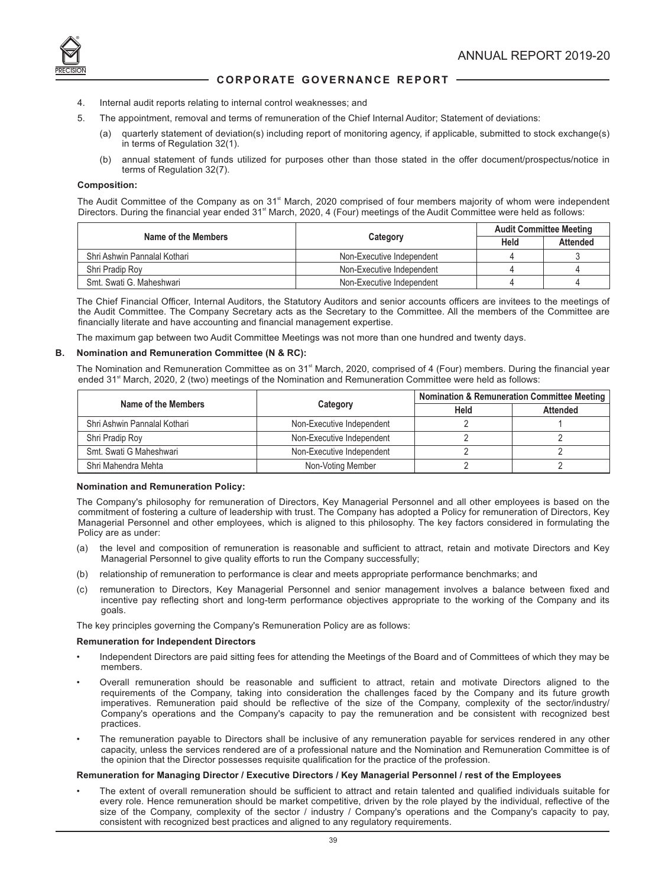

- 4. Internal audit reports relating to internal control weaknesses; and
- 5. The appointment, removal and terms of remuneration of the Chief Internal Auditor; Statement of deviations:
	- (a) quarterly statement of deviation(s) including report of monitoring agency, if applicable, submitted to stock exchange(s) in terms of Regulation 32(1).
	- (b) annual statement of funds utilized for purposes other than those stated in the offer document/prospectus/notice in terms of Regulation 32(7).

#### **Composition:**

The Audit Committee of the Company as on 31<sup>st</sup> March, 2020 comprised of four members majority of whom were independent Directors. During the financial year ended 31<sup>st</sup> March, 2020, 4 (Four) meetings of the Audit Committee were held as follows:

|                              |                           | <b>Audit Committee Meeting</b> |                 |  |
|------------------------------|---------------------------|--------------------------------|-----------------|--|
| Name of the Members          | Category                  | Held                           | <b>Attended</b> |  |
| Shri Ashwin Pannalal Kothari | Non-Executive Independent |                                |                 |  |
| Shri Pradip Rov              | Non-Executive Independent |                                |                 |  |
| Smt. Swati G. Maheshwari     | Non-Executive Independent |                                |                 |  |

The Chief Financial Officer, Internal Auditors, the Statutory Auditors and senior accounts officers are invitees to the meetings of the Audit Committee. The Company Secretary acts as the Secretary to the Committee. All the members of the Committee are financially literate and have accounting and financial management expertise.

The maximum gap between two Audit Committee Meetings was not more than one hundred and twenty days.

#### **B. Nomination and Remuneration Committee (N & RC):**

The Nomination and Remuneration Committee as on 31<sup>st</sup> March, 2020, comprised of 4 (Four) members. During the financial year ended 31<sup>st</sup> March, 2020, 2 (two) meetings of the Nomination and Remuneration Committee were held as follows:

|                              |                           | <b>Nomination &amp; Remuneration Committee Meeting</b> |                 |  |
|------------------------------|---------------------------|--------------------------------------------------------|-----------------|--|
| Name of the Members          | Category                  | Held                                                   | <b>Attended</b> |  |
| Shri Ashwin Pannalal Kothari | Non-Executive Independent |                                                        |                 |  |
| Shri Pradip Roy              | Non-Executive Independent |                                                        |                 |  |
| Smt. Swati G Maheshwari      | Non-Executive Independent |                                                        |                 |  |
| Shri Mahendra Mehta          | Non-Voting Member         |                                                        |                 |  |

### **Nomination and Remuneration Policy:**

The Company's philosophy for remuneration of Directors, Key Managerial Personnel and all other employees is based on the commitment of fostering a culture of leadership with trust. The Company has adopted a Policy for remuneration of Directors, Key Managerial Personnel and other employees, which is aligned to this philosophy. The key factors considered in formulating the Policy are as under:

- (a) the level and composition of remuneration is reasonable and sufficient to attract, retain and motivate Directors and Key Managerial Personnel to give quality efforts to run the Company successfully;
- (b) relationship of remuneration to performance is clear and meets appropriate performance benchmarks; and
- (c) remuneration to Directors, Key Managerial Personnel and senior management involves a balance between fixed and incentive pay reflecting short and long-term performance objectives appropriate to the working of the Company and its goals.

The key principles governing the Company's Remuneration Policy are as follows:

#### **Remuneration for Independent Directors**

- Independent Directors are paid sitting fees for attending the Meetings of the Board and of Committees of which they may be members.
- Overall remuneration should be reasonable and sufficient to attract, retain and motivate Directors aligned to the requirements of the Company, taking into consideration the challenges faced by the Company and its future growth imperatives. Remuneration paid should be reflective of the size of the Company, complexity of the sector/industry/ Company's operations and the Company's capacity to pay the remuneration and be consistent with recognized best practices.
- The remuneration payable to Directors shall be inclusive of any remuneration payable for services rendered in any other capacity, unless the services rendered are of a professional nature and the Nomination and Remuneration Committee is of the opinion that the Director possesses requisite qualification for the practice of the profession.

#### **Remuneration for Managing Director / Executive Directors / Key Managerial Personnel / rest of the Employees**

• The extent of overall remuneration should be sufficient to attract and retain talented and qualified individuals suitable for every role. Hence remuneration should be market competitive, driven by the role played by the individual, reflective of the size of the Company, complexity of the sector / industry / Company's operations and the Company's capacity to pay, consistent with recognized best practices and aligned to any regulatory requirements.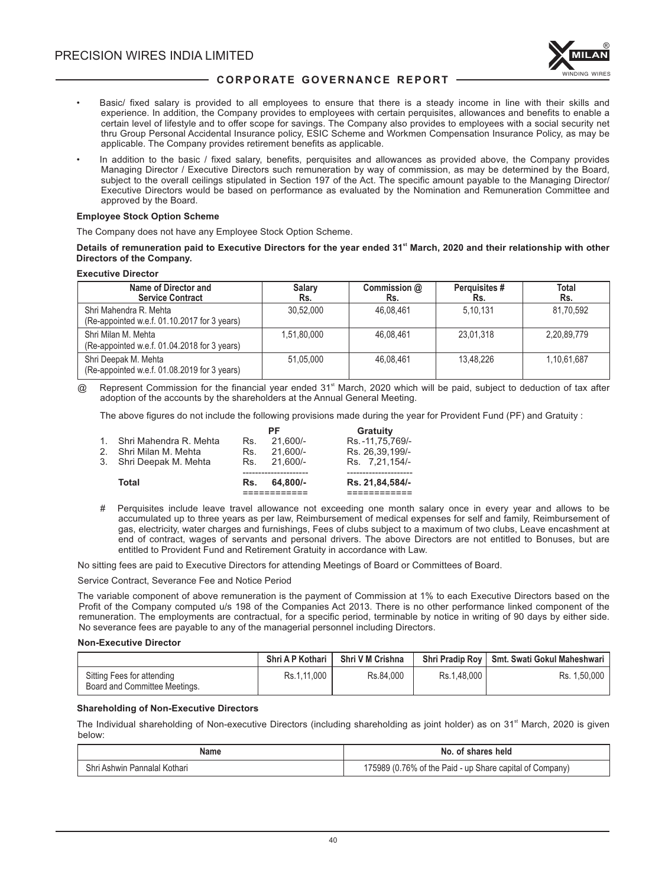

- Basic/ fixed salary is provided to all employees to ensure that there is a steady income in line with their skills and experience. In addition, the Company provides to employees with certain perquisites, allowances and benefits to enable a certain level of lifestyle and to offer scope for savings. The Company also provides to employees with a social security net thru Group Personal Accidental Insurance policy, ESIC Scheme and Workmen Compensation Insurance Policy, as may be applicable. The Company provides retirement benefits as applicable.
- In addition to the basic / fixed salary, benefits, perquisites and allowances as provided above, the Company provides Managing Director / Executive Directors such remuneration by way of commission, as may be determined by the Board, subject to the overall ceilings stipulated in Section 197 of the Act. The specific amount payable to the Managing Director/ Executive Directors would be based on performance as evaluated by the Nomination and Remuneration Committee and approved by the Board.

# **Employee Stock Option Scheme**

The Company does not have any Employee Stock Option Scheme.

Details of remuneration paid to Executive Directors for the year ended 31<sup>st</sup> March, 2020 and their relationship with other **Directors of the Company.**

#### **Executive Director**

| Name of Director and<br><b>Service Contract</b>                        | Salary<br>Rs. | Commission @<br>Rs. | Perguisites#<br>Rs. | <b>Total</b><br>Rs. |
|------------------------------------------------------------------------|---------------|---------------------|---------------------|---------------------|
| Shri Mahendra R. Mehta<br>(Re-appointed w.e.f. 01.10.2017 for 3 years) | 30.52.000     | 46.08.461           | 5.10.131            | 81.70.592           |
| Shri Milan M. Mehta<br>(Re-appointed w.e.f. 01.04.2018 for 3 years)    | 1.51.80.000   | 46.08.461           | 23.01.318           | 2.20.89.779         |
| Shri Deepak M. Mehta<br>(Re-appointed w.e.f. 01.08.2019 for 3 years)   | 51.05.000     | 46.08.461           | 13.48.226           | 1,10,61,687         |

@ Represent Commission for the financial year ended 31<sup>st</sup> March, 2020 which will be paid, subject to deduction of tax after adoption of the accounts by the shareholders at the Annual General Meeting.

The above figures do not include the following provisions made during the year for Provident Fund (PF) and Gratuity :

|                           |     | РF         | Gratuity        |
|---------------------------|-----|------------|-----------------|
| 1. Shri Mahendra R. Mehta | Rs. | $21.600/-$ | Rs.-11.75.769/- |
| 2. Shri Milan M. Mehta    | Rs. | $21.600/-$ | Rs. 26.39.199/- |
| 3. Shri Deepak M. Mehta   | Rs. | $21.600/-$ | Rs. 7.21.154/-  |
|                           |     |            |                 |
| Total                     | Rs. | 64.800/-   | Rs. 21.84.584/- |
|                           |     |            |                 |

# Perquisites include leave travel allowance not exceeding one month salary once in every year and allows to be accumulated up to three years as per law, Reimbursement of medical expenses for self and family, Reimbursement of gas, electricity, water charges and furnishings, Fees of clubs subject to a maximum of two clubs, Leave encashment at end of contract, wages of servants and personal drivers. The above Directors are not entitled to Bonuses, but are entitled to Provident Fund and Retirement Gratuity in accordance with Law.

No sitting fees are paid to Executive Directors for attending Meetings of Board or Committees of Board.

Service Contract, Severance Fee and Notice Period

The variable component of above remuneration is the payment of Commission at 1% to each Executive Directors based on the Profit of the Company computed u/s 198 of the Companies Act 2013. There is no other performance linked component of the remuneration. The employments are contractual, for a specific period, terminable by notice in writing of 90 days by either side. No severance fees are payable to any of the managerial personnel including Directors.

### **Non-Executive Director**

|                                                             | Shri A P Kothari | Shri V M Crishna |             | Shri Pradip Roy   Smt. Swati Gokul Maheshwari |
|-------------------------------------------------------------|------------------|------------------|-------------|-----------------------------------------------|
| Sitting Fees for attending<br>Board and Committee Meetings. | Rs.1.11.000      | Rs.84.000        | Rs.1.48.000 | Rs. 1.50.000                                  |

#### **Shareholding of Non-Executive Directors**

The Individual shareholding of Non-executive Directors (including shareholding as joint holder) as on 31<sup>st</sup> March, 2020 is given below:

| Vame                         | of shares held                                    |  |  |
|------------------------------|---------------------------------------------------|--|--|
| Shri Ashwin Pannalal Kothari | (0.76% of the Paid - up Share capital of Company) |  |  |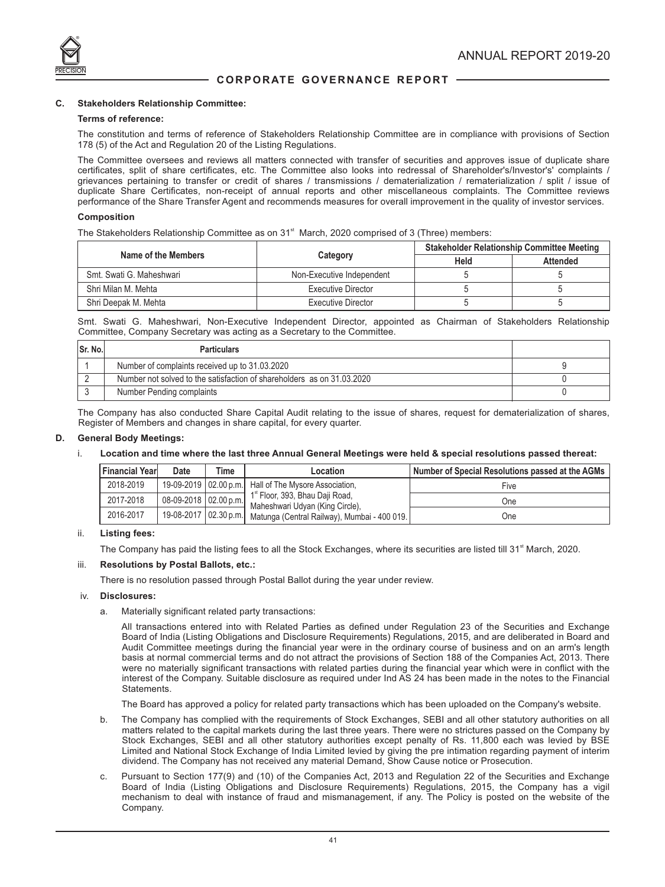

#### **C. Stakeholders Relationship Committee:**

#### **Terms of reference:**

The constitution and terms of reference of Stakeholders Relationship Committee are in compliance with provisions of Section 178 (5) of the Act and Regulation 20 of the Listing Regulations.

The Committee oversees and reviews all matters connected with transfer of securities and approves issue of duplicate share certificates, split of share certificates, etc. The Committee also looks into redressal of Shareholder's/Investor's' complaints / grievances pertaining to transfer or credit of shares / transmissions / dematerialization / rematerialization / split / issue of duplicate Share Certificates, non-receipt of annual reports and other miscellaneous complaints. The Committee reviews performance of the Share Transfer Agent and recommends measures for overall improvement in the quality of investor services.

#### **Composition**

The Stakeholders Relationship Committee as on 31<sup>st</sup> March, 2020 comprised of 3 (Three) members:

|                          |                           | <b>Stakeholder Relationship Committee Meeting</b> |          |  |
|--------------------------|---------------------------|---------------------------------------------------|----------|--|
| Name of the Members      | Category                  | Held                                              | Attended |  |
| Smt. Swati G. Maheshwari | Non-Executive Independent |                                                   |          |  |
| Shri Milan M. Mehta      | Executive Director        |                                                   |          |  |
| Shri Deepak M. Mehta     | Executive Director        |                                                   |          |  |

Smt. Swati G. Maheshwari, Non-Executive Independent Director, appointed as Chairman of Stakeholders Relationship Committee, Company Secretary was acting as a Secretary to the Committee.

| Sr. No. | <b>Particulars</b>                                                     |  |
|---------|------------------------------------------------------------------------|--|
|         | Number of complaints received up to 31,03,2020                         |  |
|         | Number not solved to the satisfaction of shareholders as on 31,03,2020 |  |
|         | Number Pending complaints                                              |  |

The Company has also conducted Share Capital Audit relating to the issue of shares, request for dematerialization of shares, Register of Members and changes in share capital, for every quarter.

#### **D. General Body Meetings:**

i. **Location and time where the last three Annual General Meetings were held & special resolutions passed thereat:**

| <b>Financial Yearl</b> | Date                    | Time | Location                                                                       | Number of Special Resolutions passed at the AGMs |
|------------------------|-------------------------|------|--------------------------------------------------------------------------------|--------------------------------------------------|
| 2018-2019              |                         |      | 19-09-2019   02.00 p.m.   Hall of The Mysore Association,                      | Five                                             |
| 2017-2018              | $08-09-2018$ 02.00 p.m. |      | 1 <sup>st</sup> Floor, 393, Bhau Daji Road,<br>Maheshwari Udvan (King Circle). | One                                              |
| 2016-2017              |                         |      | 19-08-2017   02.30 p.m.   Matunga (Central Railway), Mumbai - 400 019.         | One                                              |

#### ii. **Listing fees:**

The Company has paid the listing fees to all the Stock Exchanges, where its securities are listed till 31<sup>st</sup> March, 2020.

#### iii. **Resolutions by Postal Ballots, etc.:**

There is no resolution passed through Postal Ballot during the year under review.

### iv. **Disclosures:**

a. Materially significant related party transactions:

All transactions entered into with Related Parties as defined under Regulation 23 of the Securities and Exchange Board of India (Listing Obligations and Disclosure Requirements) Regulations, 2015, and are deliberated in Board and Audit Committee meetings during the financial year were in the ordinary course of business and on an arm's length basis at normal commercial terms and do not attract the provisions of Section 188 of the Companies Act, 2013. There were no materially significant transactions with related parties during the financial year which were in conflict with the interest of the Company. Suitable disclosure as required under Ind AS 24 has been made in the notes to the Financial **Statements** 

The Board has approved a policy for related party transactions which has been uploaded on the Company's website.

- b. The Company has complied with the requirements of Stock Exchanges, SEBI and all other statutory authorities on all matters related to the capital markets during the last three years. There were no strictures passed on the Company by Stock Exchanges, SEBI and all other statutory authorities except penalty of Rs. 11,800 each was levied by BSE Limited and National Stock Exchange of India Limited levied by giving the pre intimation regarding payment of interim dividend. The Company has not received any material Demand, Show Cause notice or Prosecution.
- c. Pursuant to Section 177(9) and (10) of the Companies Act, 2013 and Regulation 22 of the Securities and Exchange Board of India (Listing Obligations and Disclosure Requirements) Regulations, 2015, the Company has a vigil mechanism to deal with instance of fraud and mismanagement, if any. The Policy is posted on the website of the Company.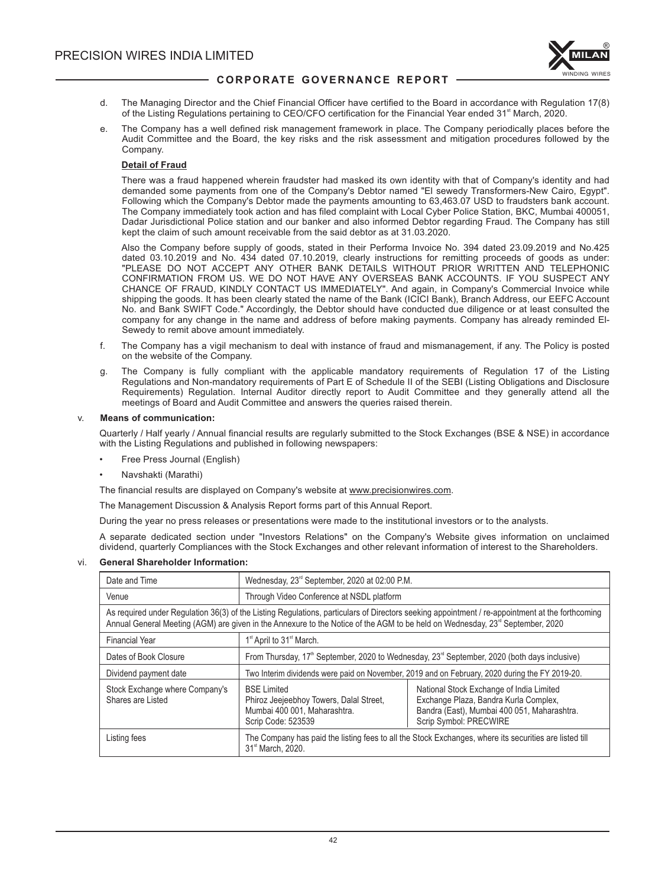- d. The Managing Director and the Chief Financial Officer have certified to the Board in accordance with Regulation 17(8) of the Listing Regulations pertaining to CEO/CFO certification for the Financial Year ended 31<sup>st</sup> March, 2020.
- e. The Company has a well defined risk management framework in place. The Company periodically places before the Audit Committee and the Board, the key risks and the risk assessment and mitigation procedures followed by the Company.

## **Detail of Fraud**

There was a fraud happened wherein fraudster had masked its own identity with that of Company's identity and had demanded some payments from one of the Company's Debtor named "El sewedy Transformers-New Cairo, Egypt". Following which the Company's Debtor made the payments amounting to 63,463.07 USD to fraudsters bank account. The Company immediately took action and has filed complaint with Local Cyber Police Station, BKC, Mumbai 400051, Dadar Jurisdictional Police station and our banker and also informed Debtor regarding Fraud. The Company has still kept the claim of such amount receivable from the said debtor as at 31.03.2020.

Also the Company before supply of goods, stated in their Performa Invoice No. 394 dated 23.09.2019 and No.425 dated 03.10.2019 and No. 434 dated 07.10.2019, clearly instructions for remitting proceeds of goods as under: "PLEASE DO NOT ACCEPT ANY OTHER BANK DETAILS WITHOUT PRIOR WRITTEN AND TELEPHONIC CONFIRMATION FROM US. WE DO NOT HAVE ANY OVERSEAS BANK ACCOUNTS. IF YOU SUSPECT ANY CHANCE OF FRAUD, KINDLY CONTACT US IMMEDIATELY". And again, in Company's Commercial Invoice while shipping the goods. It has been clearly stated the name of the Bank (ICICI Bank), Branch Address, our EEFC Account No. and Bank SWIFT Code." Accordingly, the Debtor should have conducted due diligence or at least consulted the company for any change in the name and address of before making payments. Company has already reminded El-Sewedy to remit above amount immediately.

- f. The Company has a vigil mechanism to deal with instance of fraud and mismanagement, if any. The Policy is posted on the website of the Company.
- g. The Company is fully compliant with the applicable mandatory requirements of Regulation 17 of the Listing Regulations and Non-mandatory requirements of Part E of Schedule II of the SEBI (Listing Obligations and Disclosure Requirements) Regulation. Internal Auditor directly report to Audit Committee and they generally attend all the meetings of Board and Audit Committee and answers the queries raised therein.

#### v. **Means of communication:**

Quarterly / Half yearly / Annual financial results are regularly submitted to the Stock Exchanges (BSE & NSE) in accordance with the Listing Regulations and published in following newspapers:

- Free Press Journal (English)
- Navshakti (Marathi)

The financial results are displayed on Company's website at www.precisionwires.com.

The Management Discussion & Analysis Report forms part of this Annual Report.

During the year no press releases or presentations were made to the institutional investors or to the analysts.

A separate dedicated section under "Investors Relations" on the Company's Website gives information on unclaimed dividend, quarterly Compliances with the Stock Exchanges and other relevant information of interest to the Shareholders.

#### vi. **General Shareholder Information:**

| Date and Time                                                                                                                                                                                                                                                                                | Wednesday, 23 <sup>rd</sup> September, 2020 at 02:00 P.M.                                                                                                                                                                                                                         |  |  |  |
|----------------------------------------------------------------------------------------------------------------------------------------------------------------------------------------------------------------------------------------------------------------------------------------------|-----------------------------------------------------------------------------------------------------------------------------------------------------------------------------------------------------------------------------------------------------------------------------------|--|--|--|
| Venue                                                                                                                                                                                                                                                                                        | Through Video Conference at NSDL platform                                                                                                                                                                                                                                         |  |  |  |
| As required under Requlation 36(3) of the Listing Requlations, particulars of Directors seeking appointment / re-appointment at the forthcoming<br>Annual General Meeting (AGM) are given in the Annexure to the Notice of the AGM to be held on Wednesday, 23 <sup>rd</sup> September, 2020 |                                                                                                                                                                                                                                                                                   |  |  |  |
| <b>Financial Year</b>                                                                                                                                                                                                                                                                        | 1 <sup>st</sup> April to 31 <sup>st</sup> March.                                                                                                                                                                                                                                  |  |  |  |
| Dates of Book Closure                                                                                                                                                                                                                                                                        | From Thursday, 17 <sup>th</sup> September, 2020 to Wednesday, 23 <sup>rd</sup> September, 2020 (both days inclusive)                                                                                                                                                              |  |  |  |
| Dividend payment date                                                                                                                                                                                                                                                                        | Two Interim dividends were paid on November, 2019 and on February, 2020 during the FY 2019-20.                                                                                                                                                                                    |  |  |  |
| Stock Exchange where Company's<br>Shares are Listed                                                                                                                                                                                                                                          | <b>BSE Limited</b><br>National Stock Exchange of India Limited<br>Exchange Plaza, Bandra Kurla Complex,<br>Phiroz Jeejeebhoy Towers, Dalal Street,<br>Bandra (East), Mumbai 400 051, Maharashtra.<br>Mumbai 400 001, Maharashtra.<br>Scrip Symbol: PRECWIRE<br>Scrip Code: 523539 |  |  |  |
| Listing fees                                                                                                                                                                                                                                                                                 | The Company has paid the listing fees to all the Stock Exchanges, where its securities are listed till<br>31 <sup>st</sup> March, 2020.                                                                                                                                           |  |  |  |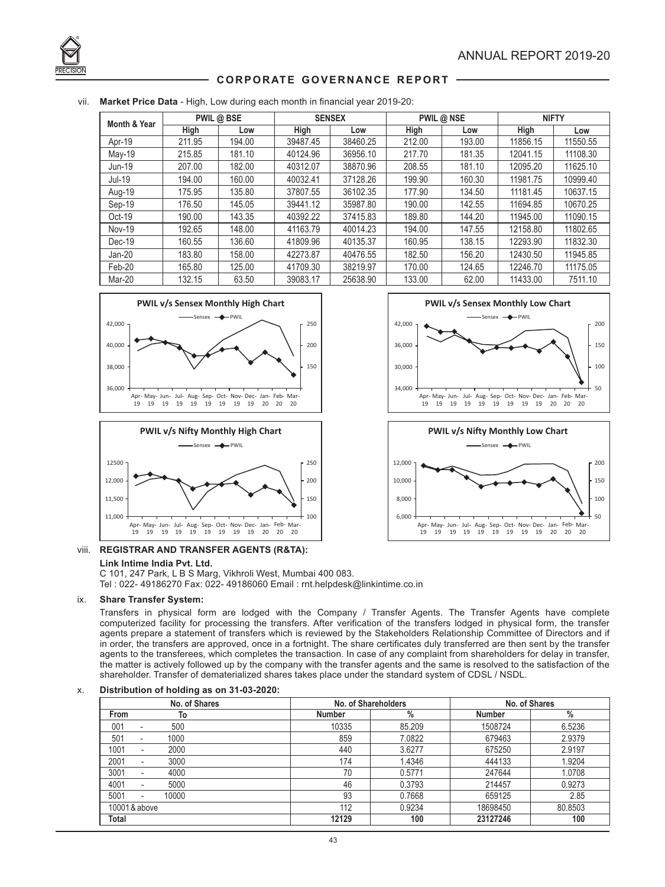

|  | vii. <b>Market Price Data</b> - High, Low during each month in financial year 2019-20: |  |  |  |  |  |
|--|----------------------------------------------------------------------------------------|--|--|--|--|--|
|--|----------------------------------------------------------------------------------------|--|--|--|--|--|

| Month & Year |        | PWIL @ BSE |          | <b>SENSEX</b> |        | PWIL @ NSE |          | <b>NIFTY</b> |
|--------------|--------|------------|----------|---------------|--------|------------|----------|--------------|
|              | High   | Low        | High     | Low           | High   | Low        | High     | Low          |
| Apr-19       | 211.95 | 194.00     | 39487.45 | 38460.25      | 212.00 | 193.00     | 11856.15 | 11550.55     |
| May-19       | 215.85 | 181.10     | 40124.96 | 36956.10      | 217.70 | 181.35     | 12041.15 | 11108.30     |
| Jun-19       | 207.00 | 182.00     | 40312.07 | 38870.96      | 208.55 | 181.10     | 12095.20 | 11625.10     |
| Jul-19       | 194.00 | 160.00     | 40032.41 | 37128.26      | 199.90 | 160.30     | 11981.75 | 10999.40     |
| Aug-19       | 175.95 | 135.80     | 37807.55 | 36102.35      | 177.90 | 134.50     | 11181.45 | 10637.15     |
| Sep-19       | 176.50 | 145.05     | 39441.12 | 35987.80      | 190.00 | 142.55     | 11694.85 | 10670.25     |
| $Oct-19$     | 190.00 | 143.35     | 40392.22 | 37415.83      | 189.80 | 144.20     | 11945.00 | 11090.15     |
| Nov-19       | 192.65 | 148.00     | 41163.79 | 40014.23      | 194.00 | 147.55     | 12158.80 | 11802.65     |
| $Dec-19$     | 160.55 | 136.60     | 41809.96 | 40135.37      | 160.95 | 138.15     | 12293.90 | 11832.30     |
| Jan-20       | 183.80 | 158.00     | 42273.87 | 40476.55      | 182.50 | 156.20     | 12430.50 | 11945.85     |
| Feb-20       | 165.80 | 125.00     | 41709.30 | 38219.97      | 170.00 | 124.65     | 12246.70 | 11175.05     |
| Mar-20       | 132.15 | 63.50      | 39083.17 | 25638.90      | 133.00 | 62.00      | 11433.00 | 7511.10      |









### viii. **REGISTRAR AND TRANSFER AGENTS (R&TA): Link Intime India Pvt. Ltd.**

C 101, 247 Park, L B S Marg, Vikhroli West, Mumbai 400 083.

Tel : 022- 49186270 Fax: 022- 49186060 Email : rnt.helpdesk@linkintime.co.in

### **Share Transfer System:** ix.

Transfers in physical form are lodged with the Company / Transfer Agents. The Transfer Agents have complete computerized facility for processing the transfers. After verification of the transfers lodged in physical form, the transfer agents prepare a statement of transfers which is reviewed by the Stakeholders Relationship Committee of Directors and if in order, the transfers are approved, once in a fortnight. The share certificates duly transferred are then sent by the transfer agents to the transferees, which completes the transaction. In case of any complaint from shareholders for delay in transfer, the matter is actively followed up by the company with the transfer agents and the same is resolved to the satisfaction of the shareholder. Transfer of dematerialized shares takes place under the standard system of CDSL / NSDL.

#### **Distribution of holding as on 31-03-2020:** x.

| No. of Shares                            | No. of Shareholders |               | No. of Shares |               |
|------------------------------------------|---------------------|---------------|---------------|---------------|
| From<br>To                               | <b>Number</b>       | $\frac{0}{0}$ | <b>Number</b> | $\frac{0}{0}$ |
| 500<br>001<br>٠                          | 10335               | 85.209        | 1508724       | 6.5236        |
| 1000<br>501<br>$\overline{\phantom{a}}$  | 859                 | 7.0822        | 679463        | 2.9379        |
| 1001<br>2000                             | 440                 | 3.6277        | 675250        | 2.9197        |
| 2001<br>3000<br>$\overline{\phantom{a}}$ | 174                 | 1.4346        | 444133        | 1.9204        |
| 3001<br>4000<br>$\overline{\phantom{a}}$ | 70                  | 0.5771        | 247644        | 1.0708        |
| 4001<br>5000<br>$\overline{\phantom{a}}$ | 46                  | 0.3793        | 214457        | 0.9273        |
| 5001<br>10000                            | 93                  | 0.7668        | 659125        | 2.85          |
| 10001&above                              | 112                 | 0.9234        | 18698450      | 80.8503       |
| <b>Total</b>                             | 12129               | 100           | 23127246      | 100           |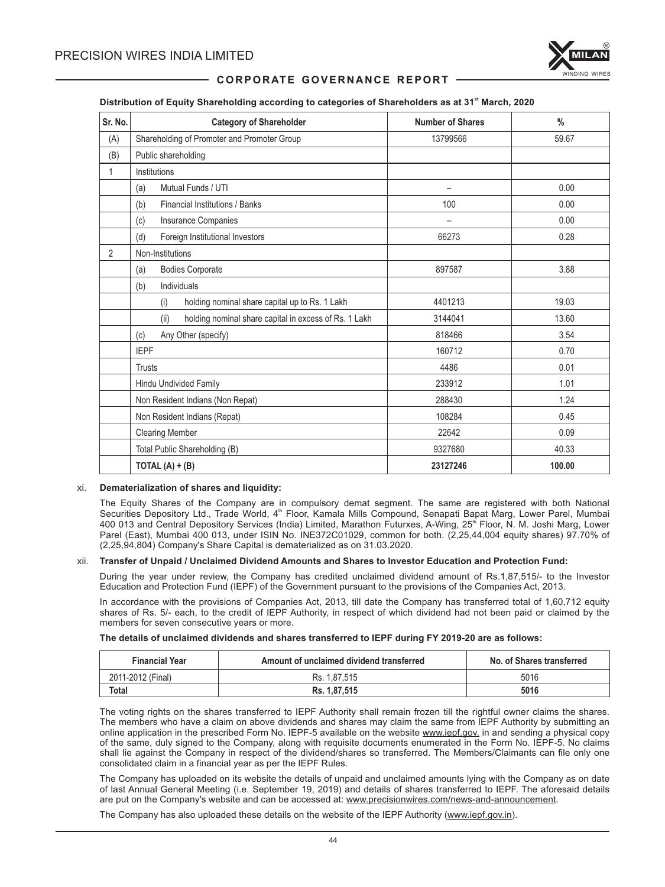

# WINDING WIRES **CORPORATE GOVERNANCE REPORT**

| Distribution of Equity Shareholding according to categories of Shareholders as at 31 <sup>st</sup> March, 2020 |  |  |  |  |
|----------------------------------------------------------------------------------------------------------------|--|--|--|--|
|----------------------------------------------------------------------------------------------------------------|--|--|--|--|

| Sr. No.        | <b>Category of Shareholder</b>                                | <b>Number of Shares</b> | $\frac{0}{0}$ |
|----------------|---------------------------------------------------------------|-------------------------|---------------|
| (A)            | Shareholding of Promoter and Promoter Group                   | 13799566                | 59.67         |
| (B)            | Public shareholding                                           |                         |               |
| 1              | Institutions                                                  |                         |               |
|                | Mutual Funds / UTI<br>(a)                                     |                         | 0.00          |
|                | <b>Financial Institutions / Banks</b><br>(b)                  | 100                     | 0.00          |
|                | Insurance Companies<br>(c)                                    | -                       | 0.00          |
|                | Foreign Institutional Investors<br>(d)                        | 66273                   | 0.28          |
| $\overline{2}$ | Non-Institutions                                              |                         |               |
|                | <b>Bodies Corporate</b><br>(a)                                | 897587                  | 3.88          |
|                | Individuals<br>(b)                                            |                         |               |
|                | holding nominal share capital up to Rs. 1 Lakh<br>(i)         | 4401213                 | 19.03         |
|                | holding nominal share capital in excess of Rs. 1 Lakh<br>(ii) | 3144041                 | 13.60         |
|                | Any Other (specify)<br>(c)                                    | 818466                  | 3.54          |
|                | <b>IEPF</b>                                                   | 160712                  | 0.70          |
|                | <b>Trusts</b>                                                 | 4486                    | 0.01          |
|                | <b>Hindu Undivided Family</b>                                 | 233912                  | 1.01          |
|                | Non Resident Indians (Non Repat)                              | 288430                  | 1.24          |
|                | Non Resident Indians (Repat)                                  | 108284                  | 0.45          |
|                | <b>Clearing Member</b>                                        | 22642                   | 0.09          |
|                | Total Public Shareholding (B)                                 | 9327680                 | 40.33         |
|                | TOTAL $(A) + (B)$                                             | 23127246                | 100.00        |

#### xi. **Dematerialization of shares and liquidity:**

The Equity Shares of the Company are in compulsory demat segment. The same are registered with both National Securities Depository Ltd., Trade World, 4<sup>th</sup> Floor, Kamala Mills Compound, Senapati Bapat Marg, Lower Parel, Mumbai 400 013 and Central Depository Services (India) Limited, Marathon Futurxes, A-Wing, 25<sup>th</sup> Floor, N. M. Joshi Marg, Lower Parel (East), Mumbai 400 013, under ISIN No. INE372C01029, common for both. (2,25,44,004 equity shares) 97.70% of (2,25,94,804) Company's Share Capital is dematerialized as on 31.03.2020.

#### xii. **Transfer of Unpaid / Unclaimed Dividend Amounts and Shares to Investor Education and Protection Fund:**

During the year under review, the Company has credited unclaimed dividend amount of Rs.1,87,515/- to the Investor Education and Protection Fund (IEPF) of the Government pursuant to the provisions of the Companies Act, 2013.

In accordance with the provisions of Companies Act, 2013, till date the Company has transferred total of 1,60,712 equity shares of Rs. 5/- each, to the credit of IEPF Authority, in respect of which dividend had not been paid or claimed by the members for seven consecutive years or more.

#### **The details of unclaimed dividends and shares transferred to IEPF during FY 2019-20 are as follows:**

| <b>Financial Year</b> | Amount of unclaimed dividend transferred | No. of Shares transferred |
|-----------------------|------------------------------------------|---------------------------|
| 2011-2012 (Final)     | Rs. 1.87.515                             | 5016                      |
| Total                 | Rs. 1.87.515                             | 5016                      |

The voting rights on the shares transferred to IEPF Authority shall remain frozen till the rightful owner claims the shares. The members who have a claim on above dividends and shares may claim the same from IEPF Authority by submitting an online application in the prescribed Form No. IEPF-5 available on the website <u>www.iepf.gov.</u> in and sending a physical copy of the same, duly signed to the Company, along with requisite documents enumerated in the Form No. IEPF-5. No claims shall lie against the Company in respect of the dividend/shares so transferred. The Members/Claimants can file only one consolidated claim in a financial year as per the IEPF Rules.

The Company has uploaded on its website the details of unpaid and unclaimed amounts lying with the Company as on date of last Annual General Meeting (i.e. September 19, 2019) and details of shares transferred to IEPF. The aforesaid details are put on the Company's website and can be accessed at: www.precisionwires.com/news-and-announcement.

The Company has also uploaded these details on the website of the IEPF Authority (www.iepf.gov.in).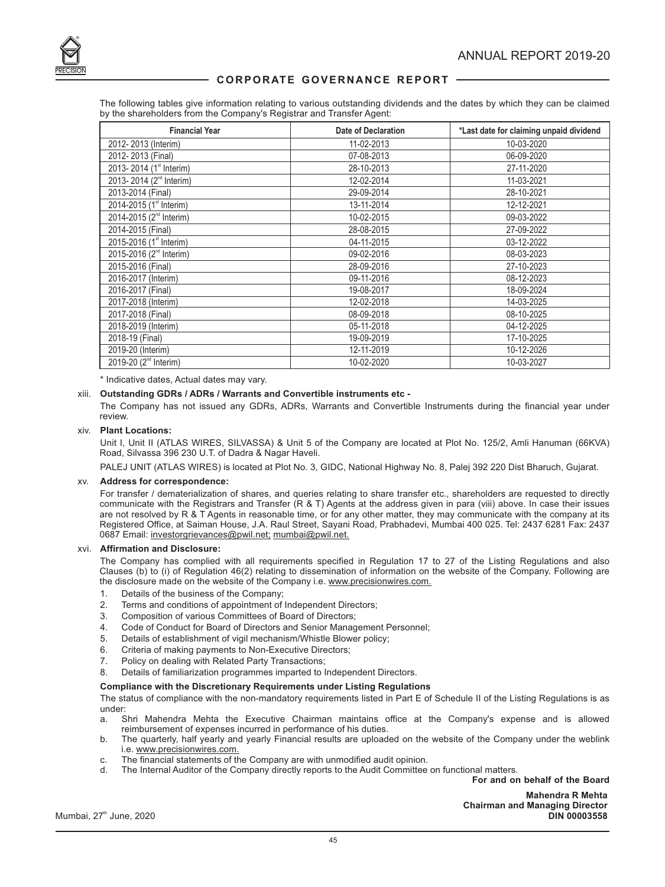The following tables give information relating to various outstanding dividends and the dates by which they can be claimed by the shareholders from the Company's Registrar and Transfer Agent:

| <b>Financial Year</b>               | <b>Date of Declaration</b> | *Last date for claiming unpaid dividend |
|-------------------------------------|----------------------------|-----------------------------------------|
| 2012-2013 (Interim)                 | 11-02-2013                 | 10-03-2020                              |
| 2012-2013 (Final)                   | 07-08-2013                 | 06-09-2020                              |
| 2013-2014 (1 <sup>st</sup> Interim) | 28-10-2013                 | 27-11-2020                              |
| 2013-2014 (2 <sup>nd</sup> Interim) | 12-02-2014                 | 11-03-2021                              |
| 2013-2014 (Final)                   | 29-09-2014                 | 28-10-2021                              |
| 2014-2015 (1 <sup>st</sup> Interim) | 13-11-2014                 | 12-12-2021                              |
| 2014-2015 (2 <sup>nd</sup> Interim) | 10-02-2015                 | 09-03-2022                              |
| 2014-2015 (Final)                   | 28-08-2015                 | 27-09-2022                              |
| 2015-2016 (1 <sup>st</sup> Interim) | 04-11-2015                 | 03-12-2022                              |
| 2015-2016 (2 <sup>nd</sup> Interim) | 09-02-2016                 | 08-03-2023                              |
| 2015-2016 (Final)                   | 28-09-2016                 | 27-10-2023                              |
| 2016-2017 (Interim)                 | 09-11-2016                 | 08-12-2023                              |
| 2016-2017 (Final)                   | 19-08-2017                 | 18-09-2024                              |
| 2017-2018 (Interim)                 | 12-02-2018                 | 14-03-2025                              |
| 2017-2018 (Final)                   | 08-09-2018                 | 08-10-2025                              |
| 2018-2019 (Interim)                 | 05-11-2018                 | 04-12-2025                              |
| 2018-19 (Final)                     | 19-09-2019                 | 17-10-2025                              |
| 2019-20 (Interim)                   | 12-11-2019                 | 10-12-2026                              |
| 2019-20 (2 <sup>nd</sup> Interim)   | 10-02-2020                 | 10-03-2027                              |

\* Indicative dates, Actual dates may vary.

#### xiii. **Outstanding GDRs / ADRs / Warrants and Convertible instruments etc -**

The Company has not issued any GDRs, ADRs, Warrants and Convertible Instruments during the financial year under review.

#### . **Plant Locations:** xiv

Unit I, Unit II (ATLAS WIRES, SILVASSA) & Unit 5 of the Company are located at Plot No. 125/2, Amli Hanuman (66KVA) Road, Silvassa 396 230 U.T. of Dadra & Nagar Haveli.

PALEJ UNIT (ATLAS WIRES) is located at Plot No. 3, GIDC, National Highway No. 8, Palej 392 220 Dist Bharuch, Gujarat.

#### xv. **Address for correspondence:**

For transfer / dematerialization of shares, and queries relating to share transfer etc., shareholders are requested to directly communicate with the Registrars and Transfer (R & T) Agents at the address given in para (viii) above. In case their issues are not resolved by R & T Agents in reasonable time, or for any other matter, they may communicate with the company at its Registered Office, at Saiman House, J.A. Raul Street, Sayani Road, Prabhadevi, Mumbai 400 025. Tel: 2437 6281 Fax: 2437 0687 Email: investorgrievances@pwil.net; mumbai@pwil.net.

#### xvi. **Affirmation and Disclosure:**

The Company has complied with all requirements specified in Regulation 17 to 27 of the Listing Regulations and also Clauses (b) to (i) of Regulation 46(2) relating to dissemination of information on the website of the Company. Following are the disclosure made on the website of the Company i.e. www.precisionwires.com.

- 1. Details of the business of the Company;
- 2. Terms and conditions of appointment of Independent Directors;<br>3. Composition of various Committees of Board of Directors:
- 3. Composition of various Committees of Board of Directors;
- 4. Code of Conduct for Board of Directors and Senior Management Personnel;
- 5. Details of establishment of vigil mechanism/Whistle Blower policy;
- 6. Criteria of making payments to Non-Executive Directors;
- 7. Policy on dealing with Related Party Transactions;
- 8. Details of familiarization programmes imparted to Independent Directors.

# **Compliance with the Discretionary Requirements under Listing Regulations**

The status of compliance with the non-mandatory requirements listed in Part E of Schedule II of the Listing Regulations is as under:

- a. Shri Mahendra Mehta the Executive Chairman maintains office at the Company's expense and is allowed reimbursement of expenses incurred in performance of his duties.
- b. The quarterly, half yearly and yearly Financial results are uploaded on the website of the Company under the weblink i.e. www.precisionwires.com.
- c. The financial statements of the Company are with unmodified audit opinion.
- d. The Internal Auditor of the Company directly reports to the Audit Committee on functional matters.

**For and on behalf of the Board**

**Mahendra R Mehta Chairman and Managing Director** <sup>th</sup> June, 2020 **DIN 00003558** the control of the control of the control of the control of the control of the control of the control of the control of the control of the control of the control of the control of the control

Mumbai, 27<sup>th</sup> June, 2020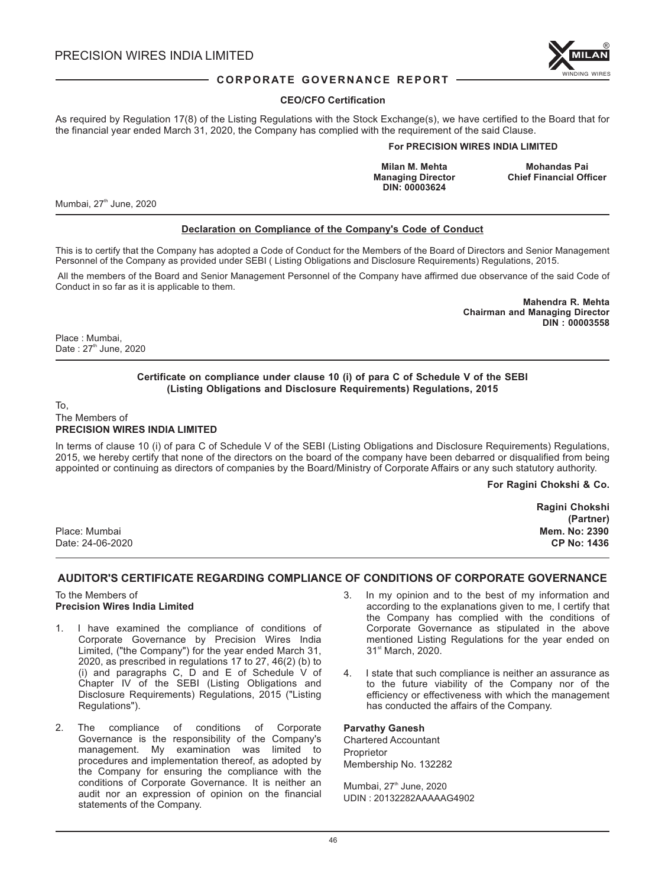

# **CEO/CFO Certification**

As required by Regulation 17(8) of the Listing Regulations with the Stock Exchange(s), we have certified to the Board that for the financial year ended March 31, 2020, the Company has complied with the requirement of the said Clause.

## **For PRECISION WIRES INDIA LIMITED**

**DIN: 00003624**

**Milan M. Mehta Mohandas Pai Chief Financial Officer** 

Mumbai,  $27<sup>th</sup>$  June, 2020

# **Declaration on Compliance of the Company's Code of Conduct**

This is to certify that the Company has adopted a Code of Conduct for the Members of the Board of Directors and Senior Management Personnel of the Company as provided under SEBI ( Listing Obligations and Disclosure Requirements) Regulations, 2015.

All the members of the Board and Senior Management Personnel of the Company have affirmed due observance of the said Code of Conduct in so far as it is applicable to them.

> **Mahendra R. Mehta Chairman and Managing Director DIN : 00003558**

Place : Mumbai, Date: 27<sup>th</sup> June, 2020

## **Certificate on compliance under clause 10 (i) of para C of Schedule V of the SEBI (Listing Obligations and Disclosure Requirements) Regulations, 2015**

# To,

# **PRECISION WIRES INDIA LIMITED** The Members of

In terms of clause 10 (i) of para C of Schedule V of the SEBI (Listing Obligations and Disclosure Requirements) Regulations, 2015, we hereby certify that none of the directors on the board of the company have been debarred or disqualified from being appointed or continuing as directors of companies by the Board/Ministry of Corporate Affairs or any such statutory authority.

**For Ragini Chokshi & Co.**

| Ragini Chokshi     |
|--------------------|
| (Partner)          |
| Mem. No: 2390      |
| <b>CP No: 1436</b> |
|                    |

# **AUDITOR'S CERTIFICATE REGARDING COMPLIANCE OF CONDITIONS OF CORPORATE GOVERNANCE**

## To the Members of **Precision Wires India Limited**

- 1. I have examined the compliance of conditions of Corporate Governance by Precision Wires India Limited, ("the Company") for the year ended March 31, 2020, as prescribed in regulations 17 to 27, 46(2) (b) to (i) and paragraphs C, D and E of Schedule V of Chapter IV of the SEBI (Listing Obligations and Disclosure Requirements) Regulations, 2015 ("Listing Regulations").
- 2. The compliance of conditions of Corporate Governance is the responsibility of the Company's management. My examination was limited to procedures and implementation thereof, as adopted by the Company for ensuring the compliance with the conditions of Corporate Governance. It is neither an audit nor an expression of opinion on the financial statements of the Company.
- 3. In my opinion and to the best of my information and according to the explanations given to me, I certify that the Company has complied with the conditions of Corporate Governance as stipulated in the above mentioned Listing Regulations for the year ended on 31<sup>st</sup> March, 2020.
- 4. I state that such compliance is neither an assurance as to the future viability of the Company nor of the efficiency or effectiveness with which the management has conducted the affairs of the Company.

Chartered Accountant Proprietor Membership No. 132282 **Parvathy Ganesh**

Mumbai, 27<sup>th</sup> June, 2020 UDIN : 20132282AAAAAG4902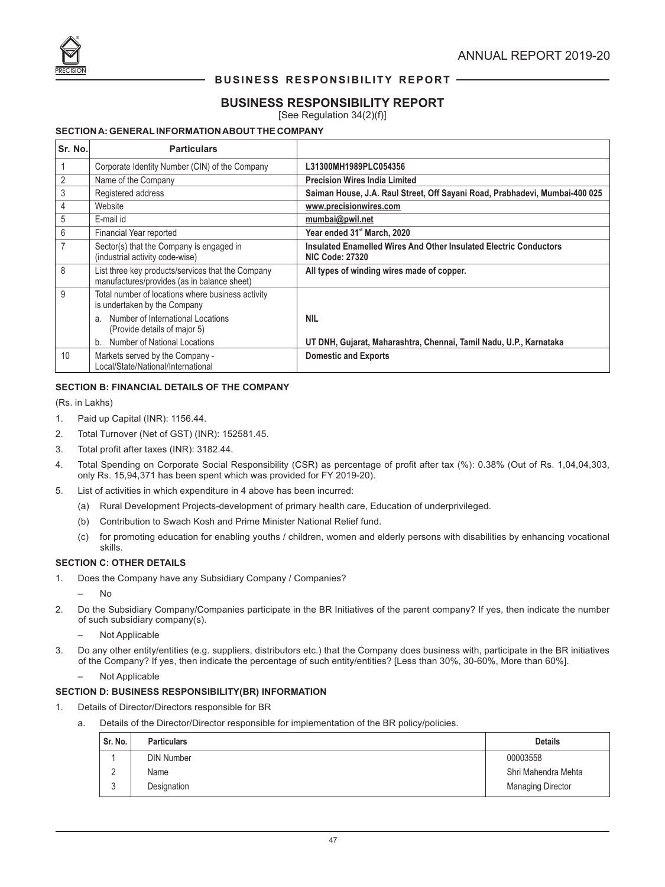

# **BUSINESS RESPONSIBILITY REPORT**

[See Regulation 34(2)(f)]

# **SECTIONA: GENERAL INFORMATIONABOUT THE COMPANY**

| Sr. No.        | <b>Particulars</b>                                                                               |                                                                                             |
|----------------|--------------------------------------------------------------------------------------------------|---------------------------------------------------------------------------------------------|
|                | Corporate Identity Number (CIN) of the Company                                                   | L31300MH1989PLC054356                                                                       |
| $\overline{2}$ | Name of the Company                                                                              | <b>Precision Wires India Limited</b>                                                        |
| 3              | Registered address                                                                               | Saiman House, J.A. Raul Street, Off Sayani Road, Prabhadevi, Mumbai-400 025                 |
| 4              | Website                                                                                          | www.precisionwires.com                                                                      |
| 5              | E-mail id                                                                                        | mumbai@pwil.net                                                                             |
| 6              | Financial Year reported                                                                          | Year ended 31st March, 2020                                                                 |
|                | Sector(s) that the Company is engaged in<br>(industrial activity code-wise)                      | Insulated Enamelled Wires And Other Insulated Electric Conductors<br><b>NIC Code: 27320</b> |
| 8              | List three key products/services that the Company<br>manufactures/provides (as in balance sheet) | All types of winding wires made of copper.                                                  |
| 9              | Total number of locations where business activity<br>is undertaken by the Company                |                                                                                             |
|                | a. Number of International Locations<br>(Provide details of major 5)                             | <b>NIL</b>                                                                                  |
|                | <b>Number of National Locations</b><br>b.                                                        | UT DNH, Gujarat, Maharashtra, Chennai, Tamil Nadu, U.P., Karnataka                          |
| 10             | Markets served by the Company -<br>Local/State/National/International                            | <b>Domestic and Exports</b>                                                                 |

## **SECTION B: FINANCIAL DETAILS OF THE COMPANY**

(Rs. in Lakhs)

- 1. Paid up Capital (INR): 1156.44.
- 2. Total Turnover (Net of GST) (INR): 152581.45.
- 3. Total profit after taxes (INR): 3182.44.
- 4. Total Spending on Corporate Social Responsibility (CSR) as percentage of profit after tax (%): 0.38% (Out of Rs. 1,04,04,303, only Rs. 15,94,371 has been spent which was provided for FY 2019-20).
- 5. List of activities in which expenditure in 4 above has been incurred:
	- (a) Rural Development Projects-development of primary health care, Education of underprivileged.
	- (b) Contribution to Swach Kosh and Prime Minister National Relief fund.
	- (c) for promoting education for enabling youths / children, women and elderly persons with disabilities by enhancing vocational skills.

## **SECTION C: OTHER DETAILS**

- 1. Does the Company have any Subsidiary Company / Companies?
	- No
- 2. Do the Subsidiary Company/Companies participate in the BR Initiatives of the parent company? If yes, then indicate the number of such subsidiary company(s).
	- Not Applicable
- 3. Do any other entity/entities (e.g. suppliers, distributors etc.) that the Company does business with, participate in the BR initiatives of the Company? If yes, then indicate the percentage of such entity/entities? [Less than 30%, 30-60%, More than 60%].
	- Not Applicable

# **SECTION D: BUSINESS RESPONSIBILITY(BR) INFORMATION**

- 1. Details of Director/Directors responsible for BR
	- a. Details of the Director/Director responsible for implementation of the BR policy/policies.

| Sr. No. | <b>Particulars</b> | <b>Details</b>           |
|---------|--------------------|--------------------------|
|         | <b>DIN Number</b>  | 00003558                 |
|         | Name               | Shri Mahendra Mehta      |
|         | Designation        | <b>Managing Director</b> |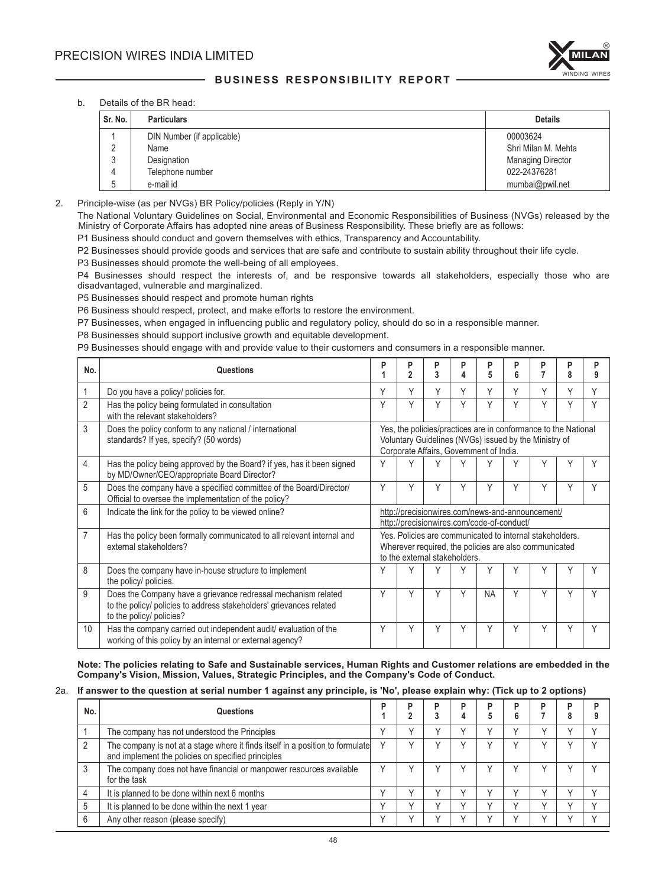

## b. Details of the BR head:

| Sr. No. | <b>Particulars</b>         | <b>Details</b>           |
|---------|----------------------------|--------------------------|
|         | DIN Number (if applicable) | 00003624                 |
| -       | Name                       | Shri Milan M. Mehta      |
| J       | Designation                | <b>Managing Director</b> |
| 4       | Telephone number           | 022-24376281             |
| b       | e-mail id                  | mumbai@pwil.net          |

2. Principle-wise (as per NVGs) BR Policy/policies (Reply in Y/N)

The National Voluntary Guidelines on Social, Environmental and Economic Responsibilities of Business (NVGs) released by the Ministry of Corporate Affairs has adopted nine areas of Business Responsibility. These briefly are as follows:

P1 Business should conduct and govern themselves with ethics, Transparency and Accountability.

P2 Businesses should provide goods and services that are safe and contribute to sustain ability throughout their life cycle.

P3 Businesses should promote the well-being of all employees.

P4 Businesses should respect the interests of, and be responsive towards all stakeholders, especially those who are disadvantaged, vulnerable and marginalized.

P5 Businesses should respect and promote human rights

P6 Business should respect, protect, and make efforts to restore the environment.

P7 Businesses, when engaged in influencing public and regulatory policy, should do so in a responsible manner.

P8 Businesses should support inclusive growth and equitable development.

P9 Businesses should engage with and provide value to their customers and consumers in a responsible manner.

| No.            | Questions                                                                                                                                                        | P                                                                                                                                                  | P<br>2                                                                                                                                                             | P<br>3 | P<br>4 | P<br>5    | P<br>6 | P |   |        |
|----------------|------------------------------------------------------------------------------------------------------------------------------------------------------------------|----------------------------------------------------------------------------------------------------------------------------------------------------|--------------------------------------------------------------------------------------------------------------------------------------------------------------------|--------|--------|-----------|--------|---|---|--------|
|                | Do you have a policy/ policies for.                                                                                                                              | Υ                                                                                                                                                  | Υ                                                                                                                                                                  | ٧      | Υ      | Υ         | γ      | γ | Υ | Υ      |
| $\overline{2}$ | Has the policy being formulated in consultation<br>with the relevant stakeholders?                                                                               | γ                                                                                                                                                  | γ                                                                                                                                                                  | ٧      | Υ      | Υ         | Υ      | γ | Υ | $\vee$ |
| 3              | Does the policy conform to any national / international<br>standards? If yes, specify? (50 words)                                                                |                                                                                                                                                    | Yes, the policies/practices are in conformance to the National<br>Voluntary Guidelines (NVGs) issued by the Ministry of<br>Corporate Affairs, Government of India. |        |        |           |        |   |   |        |
| 4              | Has the policy being approved by the Board? if yes, has it been signed<br>by MD/Owner/CEO/appropriate Board Director?                                            |                                                                                                                                                    |                                                                                                                                                                    |        | γ      |           |        |   |   |        |
| 5              | Does the company have a specified committee of the Board/Director/<br>Official to oversee the implementation of the policy?                                      | Υ                                                                                                                                                  | Υ                                                                                                                                                                  | Υ      | Υ      | Υ         | Υ      | Υ | Υ |        |
| 6              | Indicate the link for the policy to be viewed online?                                                                                                            |                                                                                                                                                    | http://precisionwires.com/news-and-announcement/<br>http://precisionwires.com/code-of-conduct/                                                                     |        |        |           |        |   |   |        |
| $\overline{7}$ | Has the policy been formally communicated to all relevant internal and<br>external stakeholders?                                                                 | Yes. Policies are communicated to internal stakeholders.<br>Wherever required, the policies are also communicated<br>to the external stakeholders. |                                                                                                                                                                    |        |        |           |        |   |   |        |
| 8              | Does the company have in-house structure to implement<br>the policy/ policies.                                                                                   | ν                                                                                                                                                  | v                                                                                                                                                                  |        | ٧      | ٧         | γ      |   |   |        |
| 9              | Does the Company have a grievance redressal mechanism related<br>to the policy/ policies to address stakeholders' grievances related<br>to the policy/ policies? | Υ                                                                                                                                                  | Υ                                                                                                                                                                  | Υ      | Υ      | <b>NA</b> | Υ      | Υ | Υ |        |
| 10             | Has the company carried out independent audit/ evaluation of the<br>working of this policy by an internal or external agency?                                    | γ                                                                                                                                                  |                                                                                                                                                                    | γ      | Υ      | Υ         | Υ      | γ | Υ |        |

**Note: The policies relating to Safe and Sustainable services, Human Rights and Customer relations are embedded in the Company's Vision, Mission, Values, Strategic Principles, and the Company's Code of Conduct.**

### 2a. **If answer to the question at serial number 1 against any principle, is 'No', please explain why: (Tick up to 2 options)**

| No. | Questions                                                                                                                            | o |  | P            | 6 |  |  |
|-----|--------------------------------------------------------------------------------------------------------------------------------------|---|--|--------------|---|--|--|
|     | The company has not understood the Principles                                                                                        |   |  | v            |   |  |  |
| 2   | The company is not at a stage where it finds itself in a position to formulate<br>and implement the policies on specified principles |   |  | v            |   |  |  |
| 3   | The company does not have financial or manpower resources available<br>for the task                                                  |   |  |              |   |  |  |
|     | It is planned to be done within next 6 months                                                                                        |   |  | $\checkmark$ |   |  |  |
| 5   | It is planned to be done within the next 1 year                                                                                      |   |  | v            |   |  |  |
| 6   | Any other reason (please specify)                                                                                                    |   |  | v            |   |  |  |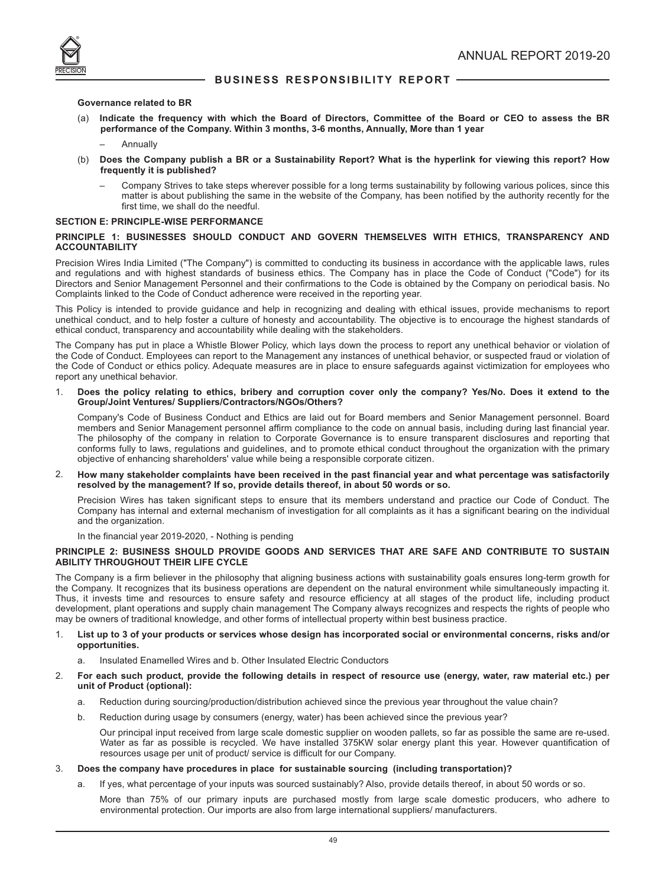

#### **Governance related to BR**

- (a) **Indicate the frequency with which the Board of Directors, Committee of the Board or CEO to assess the BR performance of the Company. Within 3 months, 3-6 months, Annually, More than 1 year**
	- **Annually**
- (b) **Does the Company publish a BR or a Sustainability Report? What is the hyperlink for viewing this report? How frequently it is published?**
	- Company Strives to take steps wherever possible for a long terms sustainability by following various polices, since this matter is about publishing the same in the website of the Company, has been notified by the authority recently for the first time, we shall do the needful.

#### **SECTION E: PRINCIPLE-WISE PERFORMANCE**

#### **PRINCIPLE 1: BUSINESSES SHOULD CONDUCT AND GOVERN THEMSELVES WITH ETHICS, TRANSPARENCY AND ACCOUNTABILITY**

Precision Wires India Limited ("The Company") is committed to conducting its business in accordance with the applicable laws, rules and regulations and with highest standards of business ethics. The Company has in place the Code of Conduct ("Code") for its Directors and Senior Management Personnel and their confirmations to the Code is obtained by the Company on periodical basis. No Complaints linked to the Code of Conduct adherence were received in the reporting year.

This Policy is intended to provide guidance and help in recognizing and dealing with ethical issues, provide mechanisms to report unethical conduct, and to help foster a culture of honesty and accountability. The objective is to encourage the highest standards of ethical conduct, transparency and accountability while dealing with the stakeholders.

The Company has put in place a Whistle Blower Policy, which lays down the process to report any unethical behavior or violation of the Code of Conduct. Employees can report to the Management any instances of unethical behavior, or suspected fraud or violation of the Code of Conduct or ethics policy. Adequate measures are in place to ensure safeguards against victimization for employees who report any unethical behavior.

1. **Does the policy relating to ethics, bribery and corruption cover only the company? Yes/No. Does it extend to the Group/Joint Ventures/ Suppliers/Contractors/NGOs/Others?**

Company's Code of Business Conduct and Ethics are laid out for Board members and Senior Management personnel. Board members and Senior Management personnel affirm compliance to the code on annual basis, including during last financial year. The philosophy of the company in relation to Corporate Governance is to ensure transparent disclosures and reporting that conforms fully to laws, regulations and guidelines, and to promote ethical conduct throughout the organization with the primary objective of enhancing shareholders' value while being a responsible corporate citizen.

2. **How many stakeholder complaints have been received in the past financial year and what percentage was satisfactorily resolved by the management? If so, provide details thereof, in about 50 words or so.**

Precision Wires has taken significant steps to ensure that its members understand and practice our Code of Conduct. The Company has internal and external mechanism of investigation for all complaints as it has a significant bearing on the individual and the organization.

In the financial year 2019-2020, - Nothing is pending

#### **PRINCIPLE 2: BUSINESS SHOULD PROVIDE GOODS AND SERVICES THAT ARE SAFE AND CONTRIBUTE TO SUSTAIN ABILITY THROUGHOUT THEIR LIFE CYCLE**

The Company is a firm believer in the philosophy that aligning business actions with sustainability goals ensures long-term growth for the Company. It recognizes that its business operations are dependent on the natural environment while simultaneously impacting it. Thus, it invests time and resources to ensure safety and resource efficiency at all stages of the product life, including product development, plant operations and supply chain management The Company always recognizes and respects the rights of people who may be owners of traditional knowledge, and other forms of intellectual property within best business practice.

- 1. **List up to 3 of your products or services whose design has incorporated social or environmental concerns, risks and/or opportunities.**
	- a. Insulated Enamelled Wires and b. Other Insulated Electric Conductors
- 2. **For each such product, provide the following details in respect of resource use (energy, water, raw material etc.) per unit of Product (optional):**
	- a. Reduction during sourcing/production/distribution achieved since the previous year throughout the value chain?
	- b. Reduction during usage by consumers (energy, water) has been achieved since the previous year?

Our principal input received from large scale domestic supplier on wooden pallets, so far as possible the same are re-used. Water as far as possible is recycled. We have installed 375KW solar energy plant this year. However quantification of resources usage per unit of product/ service is difficult for our Company.

#### 3. **Does the company have procedures in place for sustainable sourcing (including transportation)?**

a. If yes, what percentage of your inputs was sourced sustainably? Also, provide details thereof, in about 50 words or so.

More than 75% of our primary inputs are purchased mostly from large scale domestic producers, who adhere to environmental protection. Our imports are also from large international suppliers/ manufacturers.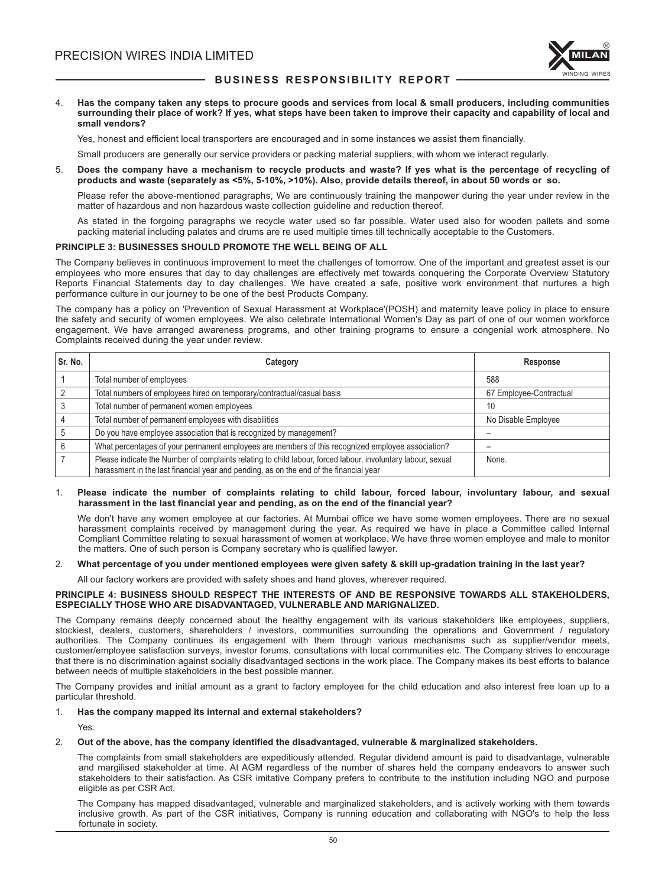

4. **Has the company taken any steps to procure goods and services from local & small producers, including communities surrounding their place of work? If yes, what steps have been taken to improve their capacity and capability of local and small vendors?**

Yes, honest and efficient local transporters are encouraged and in some instances we assist them financially.

Small producers are generally our service providers or packing material suppliers, with whom we interact regularly.

5. **Does the company have a mechanism to recycle products and waste? If yes what is the percentage of recycling of products and waste (separately as <5%, 5-10%, >10%). Also, provide details thereof, in about 50 words or so.**

Please refer the above-mentioned paragraphs, We are continuously training the manpower during the year under review in the matter of hazardous and non hazardous waste collection guideline and reduction thereof.

As stated in the forgoing paragraphs we recycle water used so far possible. Water used also for wooden pallets and some packing material including palates and drums are re used multiple times till technically acceptable to the Customers.

## **PRINCIPLE 3: BUSINESSES SHOULD PROMOTE THE WELL BEING OF ALL**

The Company believes in continuous improvement to meet the challenges of tomorrow. One of the important and greatest asset is our employees who more ensures that day to day challenges are effectively met towards conquering the Corporate Overview Statutory Reports Financial Statements day to day challenges. We have created a safe, positive work environment that nurtures a high performance culture in our journey to be one of the best Products Company.

The company has a policy on 'Prevention of Sexual Harassment at Workplace'(POSH) and maternity leave policy in place to ensure the safety and security of women employees. We also celebrate International Women's Day as part of one of our women workforce engagement. We have arranged awareness programs, and other training programs to ensure a congenial work atmosphere. No Complaints received during the year under review.

| Sr. No. | Category                                                                                                                                                                                               | Response                |
|---------|--------------------------------------------------------------------------------------------------------------------------------------------------------------------------------------------------------|-------------------------|
|         | Total number of employees                                                                                                                                                                              | 588                     |
|         | Total numbers of employees hired on temporary/contractual/casual basis                                                                                                                                 | 67 Employee-Contractual |
|         | Total number of permanent women employees                                                                                                                                                              | 10                      |
|         | Total number of permanent employees with disabilities                                                                                                                                                  | No Disable Employee     |
|         | Do you have employee association that is recognized by management?                                                                                                                                     |                         |
|         | What percentages of your permanent employees are members of this recognized employee association?                                                                                                      |                         |
|         | Please indicate the Number of complaints relating to child labour, forced labour, involuntary labour, sexual<br>harassment in the last financial year and pending, as on the end of the financial year | None.                   |

#### 1. **Please indicate the number of complaints relating to child labour, forced labour, involuntary labour, and sexual harassment in the last financial year and pending, as on the end of the financial year?**

We don't have any women employee at our factories. At Mumbai office we have some women employees. There are no sexual harassment complaints received by management during the year. As required we have in place a Committee called Internal Compliant Committee relating to sexual harassment of women at workplace. We have three women employee and male to monitor the matters. One of such person is Company secretary who is qualified lawyer.

#### 2. **What percentage of you under mentioned employees were given safety & skill up-gradation training in the last year?**

All our factory workers are provided with safety shoes and hand gloves, wherever required.

#### **PRINCIPLE 4: BUSINESS SHOULD RESPECT THE INTERESTS OF AND BE RESPONSIVE TOWARDS ALL STAKEHOLDERS, ESPECIALLY THOSE WHO ARE DISADVANTAGED, VULNERABLE AND MARIGNALIZED.**

The Company remains deeply concerned about the healthy engagement with its various stakeholders like employees, suppliers, stockiest, dealers, customers, shareholders / investors, communities surrounding the operations and Government / regulatory authorities. The Company continues its engagement with them through various mechanisms such as supplier/vendor meets, customer/employee satisfaction surveys, investor forums, consultations with local communities etc. The Company strives to encourage that there is no discrimination against socially disadvantaged sections in the work place. The Company makes its best efforts to balance between needs of multiple stakeholders in the best possible manner.

The Company provides and initial amount as a grant to factory employee for the child education and also interest free loan up to a particular threshold.

#### 1. **Has the company mapped its internal and external stakeholders?**

Yes.

#### 2. **Out of the above, has the company identified the disadvantaged, vulnerable & marginalized stakeholders.**

The complaints from small stakeholders are expeditiously attended. Regular dividend amount is paid to disadvantage, vulnerable and margilised stakeholder at time. At AGM regardless of the number of shares held the company endeavors to answer such stakeholders to their satisfaction. As CSR imitative Company prefers to contribute to the institution including NGO and purpose eligible as per CSR Act.

The Company has mapped disadvantaged, vulnerable and marginalized stakeholders, and is actively working with them towards inclusive growth. As part of the CSR initiatives, Company is running education and collaborating with NGO's to help the less fortunate in society.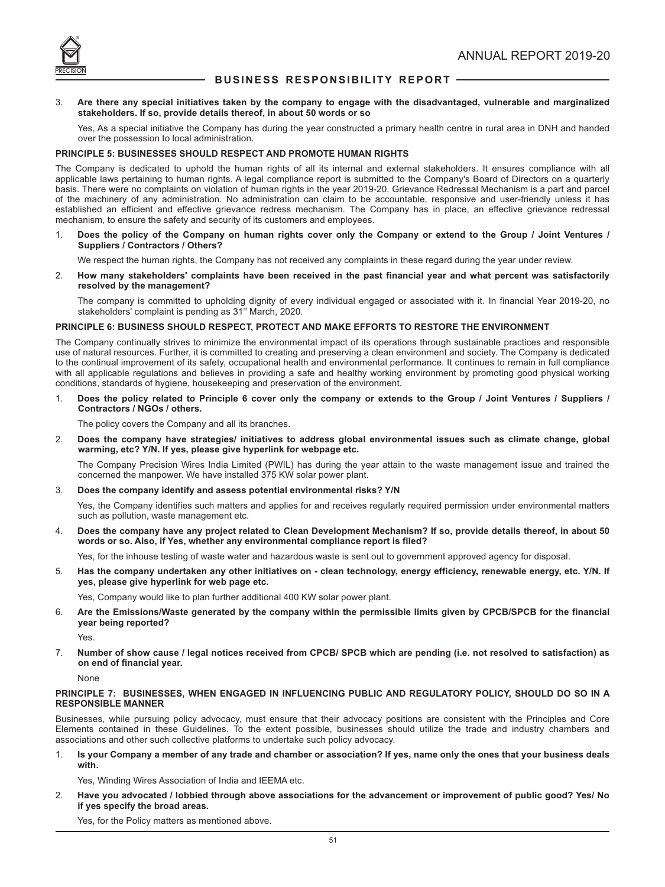

3. **Are there any special initiatives taken by the company to engage with the disadvantaged, vulnerable and marginalized stakeholders. If so, provide details thereof, in about 50 words or so**

Yes, As a special initiative the Company has during the year constructed a primary health centre in rural area in DNH and handed over the possession to local administration.

## **PRINCIPLE 5: BUSINESSES SHOULD RESPECT AND PROMOTE HUMAN RIGHTS**

The Company is dedicated to uphold the human rights of all its internal and external stakeholders. It ensures compliance with all applicable laws pertaining to human rights. A legal compliance report is submitted to the Company's Board of Directors on a quarterly basis. There were no complaints on violation of human rights in the year 2019-20. Grievance Redressal Mechanism is a part and parcel of the machinery of any administration. No administration can claim to be accountable, responsive and user-friendly unless it has established an efficient and effective grievance redress mechanism. The Company has in place, an effective grievance redressal mechanism, to ensure the safety and security of its customers and employees.

1. **Does the policy of the Company on human rights cover only the Company or extend to the Group / Joint Ventures / Suppliers / Contractors / Others?**

We respect the human rights, the Company has not received any complaints in these regard during the year under review.

2. **How many stakeholders' complaints have been received in the past financial year and what percent was satisfactorily resolved by the management?**

The company is committed to upholding dignity of every individual engaged or associated with it. In financial Year 2019-20, no stakeholders' complaint is pending as 31<sup>st</sup> March, 2020.

#### **PRINCIPLE 6: BUSINESS SHOULD RESPECT, PROTECT AND MAKE EFFORTS TO RESTORE THE ENVIRONMENT**

The Company continually strives to minimize the environmental impact of its operations through sustainable practices and responsible use of natural resources. Further, it is committed to creating and preserving a clean environment and society. The Company is dedicated to the continual improvement of its safety, occupational health and environmental performance. It continues to remain in full compliance with all applicable regulations and believes in providing a safe and healthy working environment by promoting good physical working conditions, standards of hygiene, housekeeping and preservation of the environment.

1. **Does the policy related to Principle 6 cover only the company or extends to the Group / Joint Ventures / Suppliers / Contractors / NGOs / others.**

The policy covers the Company and all its branches.

2. **Does the company have strategies/ initiatives to address global environmental issues such as climate change, global warming, etc? Y/N. If yes, please give hyperlink for webpage etc.**

The Company Precision Wires India Limited (PWIL) has during the year attain to the waste management issue and trained the concerned the manpower. We have installed 375 KW solar power plant.

#### 3. **Does the company identify and assess potential environmental risks? Y/N**

Yes, the Company identifies such matters and applies for and receives regularly required permission under environmental matters such as pollution, waste management etc.

4. **Does the company have any project related to Clean Development Mechanism? If so, provide details thereof, in about 50 words or so. Also, if Yes, whether any environmental compliance report is filed?**

Yes, for the inhouse testing of waste water and hazardous waste is sent out to government approved agency for disposal.

5. **Has the company undertaken any other initiatives on - clean technology, energy efficiency, renewable energy, etc. Y/N. If yes, please give hyperlink for web page etc.**

Yes, Company would like to plan further additional 400 KW solar power plant.

6. **Are the Emissions/Waste generated by the company within the permissible limits given by CPCB/SPCB for the financial year being reported?**

Yes.

7. **Number of show cause / legal notices received from CPCB/ SPCB which are pending (i.e. not resolved to satisfaction) as on end of financial year.**

**None** 

#### **PRINCIPLE 7: BUSINESSES, WHEN ENGAGED IN INFLUENCING PUBLIC AND REGULATORY POLICY, SHOULD DO SO IN A RESPONSIBLE MANNER**

Businesses, while pursuing policy advocacy, must ensure that their advocacy positions are consistent with the Principles and Core Elements contained in these Guidelines. To the extent possible, businesses should utilize the trade and industry chambers and associations and other such collective platforms to undertake such policy advocacy.

1. **Is your Company a member of any trade and chamber or association? If yes, name only the ones that your business deals with.**

Yes, Winding Wires Association of India and IEEMA etc.

2. **Have you advocated / lobbied through above associations for the advancement or improvement of public good? Yes/ No if yes specify the broad areas.**

Yes, for the Policy matters as mentioned above.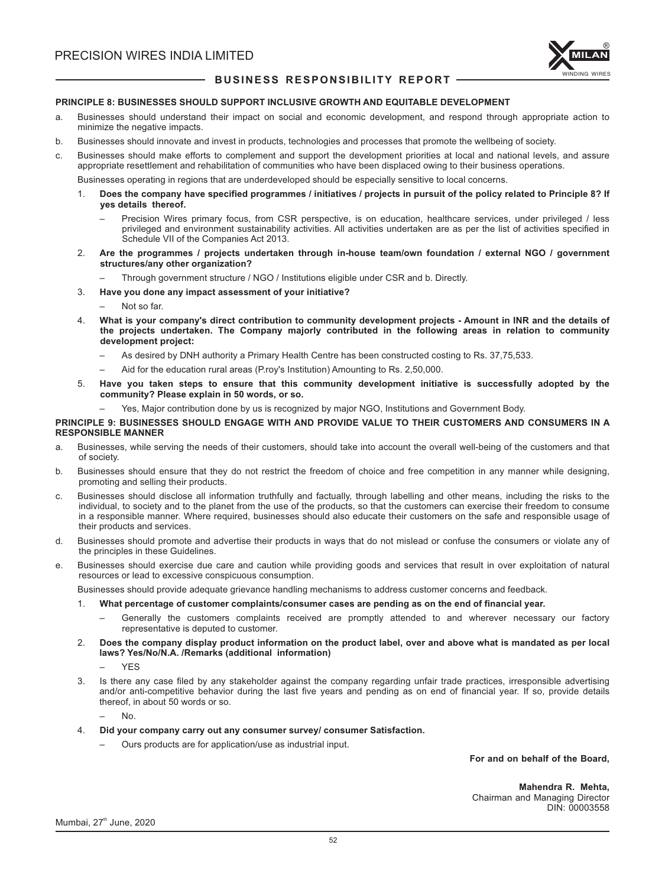

## **PRINCIPLE 8: BUSINESSES SHOULD SUPPORT INCLUSIVE GROWTH AND EQUITABLE DEVELOPMENT**

- a. Businesses should understand their impact on social and economic development, and respond through appropriate action to minimize the negative impacts.
- b. Businesses should innovate and invest in products, technologies and processes that promote the wellbeing of society.
- c. Businesses should make efforts to complement and support the development priorities at local and national levels, and assure appropriate resettlement and rehabilitation of communities who have been displaced owing to their business operations.
	- Businesses operating in regions that are underdeveloped should be especially sensitive to local concerns.
	- **Does the company have specified programmes / initiatives / projects in pursuit of the policy related to Principle 8? If yes details thereof.** 1.
		- Precision Wires primary focus, from CSR perspective, is on education, healthcare services, under privileged / less privileged and environment sustainability activities. All activities undertaken are as per the list of activities specified in Schedule VII of the Companies Act 2013.
	- **Are the programmes / projects undertaken through in-house team/own foundation / external NGO / government structures/any other organization?** 2.
		- Through government structure / NGO / Institutions eligible under CSR and b. Directly.
	- **Have you done any impact assessment of your initiative?** 3.
		- Not so far.
	- **What is your company's direct contribution to community development projects Amount in INR and the details of the projects undertaken. The Company majorly contributed in the following areas in relation to community** 4. **development project:**
		- As desired by DNH authority a Primary Health Centre has been constructed costing to Rs. 37,75,533.
		- Aid for the education rural areas (P.roy's Institution) Amounting to Rs. 2,50,000.
	- **Have you taken steps to ensure that this community development initiative is successfully adopted by the community? Please explain in 50 words, or so.** 5.
		- Yes, Major contribution done by us is recognized by major NGO, Institutions and Government Body.

#### **PRINCIPLE 9: BUSINESSES SHOULD ENGAGE WITH AND PROVIDE VALUE TO THEIR CUSTOMERS AND CONSUMERS IN A RESPONSIBLE MANNER**

- a. Businesses, while serving the needs of their customers, should take into account the overall well-being of the customers and that of society.
- b. Businesses should ensure that they do not restrict the freedom of choice and free competition in any manner while designing, promoting and selling their products.
- c. Businesses should disclose all information truthfully and factually, through labelling and other means, including the risks to the individual, to society and to the planet from the use of the products, so that the customers can exercise their freedom to consume in a responsible manner. Where required, businesses should also educate their customers on the safe and responsible usage of their products and services.
- d. Businesses should promote and advertise their products in ways that do not mislead or confuse the consumers or violate any of the principles in these Guidelines.
- e. Businesses should exercise due care and caution while providing goods and services that result in over exploitation of natural resources or lead to excessive conspicuous consumption.

Businesses should provide adequate grievance handling mechanisms to address customer concerns and feedback.

#### **What percentage of customer complaints/consumer cases are pending as on the end of financial year.** 1.

- Generally the customers complaints received are promptly attended to and wherever necessary our factory representative is deputed to customer.
- **Does the company display product information on the product label, over and above what is mandated as per local laws? Yes/No/N.A. /Remarks (additional information)** 2.

– YES

3. Is there any case filed by any stakeholder against the company regarding unfair trade practices, irresponsible advertising and/or anti-competitive behavior during the last five years and pending as on end of financial year. If so, provide details thereof, in about 50 words or so.

 $N<sub>0</sub>$ 

- **Did your company carry out any consumer survey/ consumer Satisfaction.** 4.
	- Ours products are for application/use as industrial input.

**For and on behalf of the Board,**

**Mahendra R. Mehta,** Chairman and Managing Director DIN: 00003558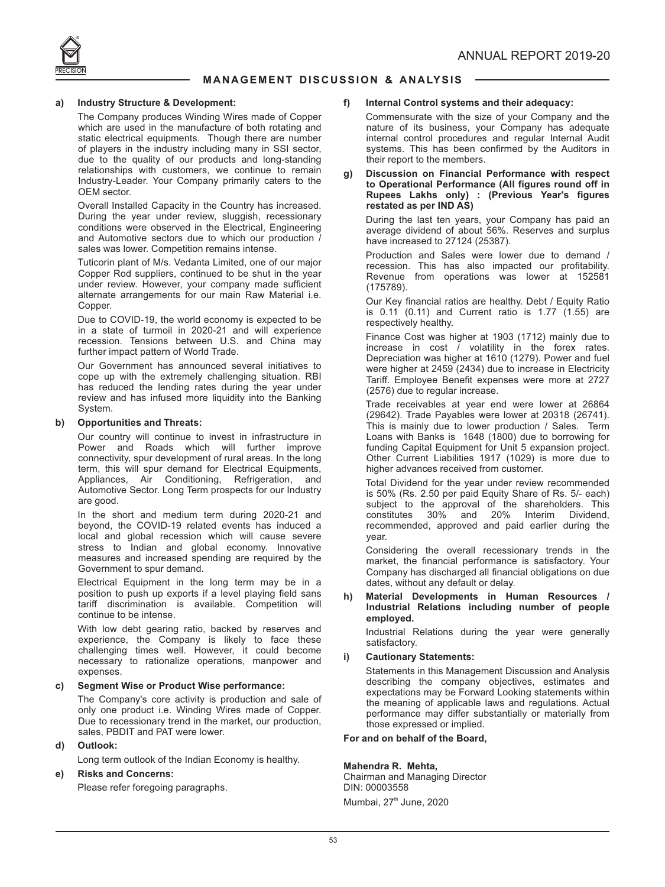

**MANAGEMENT DISCUSSION & ANALYSIS**

#### **a) Industry Structure & Development:**

The Company produces Winding Wires made of Copper which are used in the manufacture of both rotating and static electrical equipments. Though there are number of players in the industry including many in SSI sector, due to the quality of our products and long-standing relationships with customers, we continue to remain Industry-Leader. Your Company primarily caters to the OEM sector.

Overall Installed Capacity in the Country has increased. During the year under review, sluggish, recessionary conditions were observed in the Electrical, Engineering and Automotive sectors due to which our production / sales was lower. Competition remains intense.

Tuticorin plant of M/s. Vedanta Limited, one of our major Copper Rod suppliers, continued to be shut in the year under review. However, your company made sufficient alternate arrangements for our main Raw Material i.e. Copper

Due to COVID-19, the world economy is expected to be in a state of turmoil in 2020-21 and will experience recession. Tensions between U.S. and China may further impact pattern of World Trade.

Our Government has announced several initiatives to cope up with the extremely challenging situation. RBI has reduced the lending rates during the year under review and has infused more liquidity into the Banking System.

### **b) Opportunities and Threats:**

Our country will continue to invest in infrastructure in Power and Roads which will further improve connectivity, spur development of rural areas. In the long term, this will spur demand for Electrical Equipments, Appliances, Air Conditioning, Refrigeration, and Automotive Sector. Long Term prospects for our Industry are good.

In the short and medium term during 2020-21 and beyond, the COVID-19 related events has induced a local and global recession which will cause severe stress to Indian and global economy. Innovative measures and increased spending are required by the Government to spur demand.

Electrical Equipment in the long term may be in a position to push up exports if a level playing field sans tariff discrimination is available. Competition will continue to be intense.

With low debt gearing ratio, backed by reserves and experience, the Company is likely to face these challenging times well. However, it could become necessary to rationalize operations, manpower and expenses.

## **c) Segment Wise or Product Wise performance:**

The Company's core activity is production and sale of only one product i.e. Winding Wires made of Copper. Due to recessionary trend in the market, our production, sales, PBDIT and PAT were lower.

## **d) Outlook:**

Long term outlook of the Indian Economy is healthy.

# **e) Risks and Concerns:**

Please refer foregoing paragraphs.

### **f) Internal Control systems and their adequacy:**

Commensurate with the size of your Company and the nature of its business, your Company has adequate internal control procedures and regular Internal Audit systems. This has been confirmed by the Auditors in their report to the members.

#### **g) Discussion on Financial Performance with respect to Operational Performance (All figures round off in Rupees Lakhs only) : (Previous Year's figures restated as per IND AS)**

During the last ten years, your Company has paid an average dividend of about 56%. Reserves and surplus have increased to 27124 (25387).

Production and Sales were lower due to demand / recession. This has also impacted our profitability. Revenue from operations was lower at 152581 (175789).

Our Key financial ratios are healthy. Debt / Equity Ratio is 0.11 (0.11) and Current ratio is 1.77 (1.55) are respectively healthy.

Finance Cost was higher at 1903 (1712) mainly due to increase in  $cost / volatility$  in the forex rates. Depreciation was higher at 1610 (1279). Power and fuel were higher at 2459 (2434) due to increase in Electricity Tariff. Employee Benefit expenses were more at 2727 (2576) due to regular increase.

Trade receivables at year end were lower at 26864 (29642). Trade Payables were lower at 20318 (26741). This is mainly due to lower production / Sales. Term Loans with Banks is 1648 (1800) due to borrowing for funding Capital Equipment for Unit 5 expansion project. Other Current Liabilities 1917 (1029) is more due to higher advances received from customer.

Total Dividend for the year under review recommended is 50% (Rs. 2.50 per paid Equity Share of Rs. 5/- each) subject to the approval of the shareholders. This<br>constitutes 30% and 20% Interim Dividend. and  $20%$ recommended, approved and paid earlier during the year.

Considering the overall recessionary trends in the market, the financial performance is satisfactory. Your Company has discharged all financial obligations on due dates, without any default or delay.

### **h) Material Developments in Human Resources / Industrial Relations including number of people employed.**

Industrial Relations during the year were generally satisfactory.

### **i) Cautionary Statements:**

Statements in this Management Discussion and Analysis describing the company objectives, estimates and expectations may be Forward Looking statements within the meaning of applicable laws and regulations. Actual performance may differ substantially or materially from those expressed or implied.

## **For and on behalf of the Board,**

### **Mahendra R. Mehta,**

Chairman and Managing Director DIN: 00003558 Mumbai,  $27<sup>th</sup>$  June,  $2020$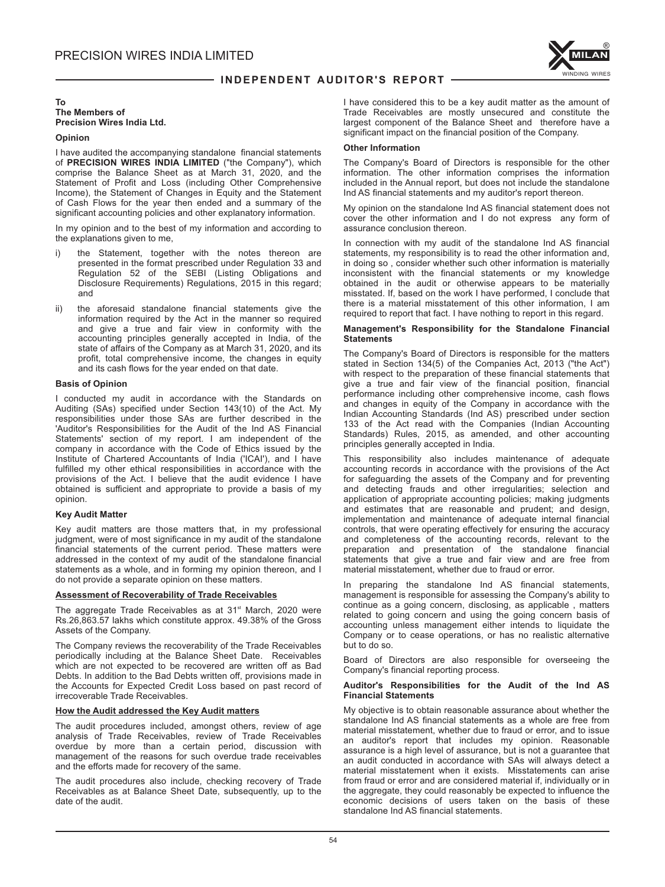**INDEPENDENT AUDITOR'S REPORT**

#### **To The Members of Precision Wires India Ltd.**

#### **Opinion**

I have audited the accompanying standalone financial statements of PRECISION WIRES INDIA LIMITED ("the Company"), which comprise the Balance Sheet as at March 31, 2020, and the Statement of Profit and Loss (including Other Comprehensive Income), the Statement of Changes in Equity and the Statement of Cash Flows for the year then ended and a summary of the significant accounting policies and other explanatory information.

In my opinion and to the best of my information and according to the explanations given to me,

- i) the Statement, together with the notes thereon are presented in the format prescribed under Regulation 33 and Regulation 52 of the SEBI (Listing Obligations and Disclosure Requirements) Regulations, 2015 in this regard; and
- ii) the aforesaid standalone financial statements give the information required by the Act in the manner so required and give a true and fair view in conformity with the accounting principles generally accepted in India, of the state of affairs of the Company as at March 31, 2020, and its profit, total comprehensive income, the changes in equity and its cash flows for the year ended on that date.

#### **Basis of Opinion**

I conducted my audit in accordance with the Standards on Auditing (SAs) specified under Section 143(10) of the Act. My responsibilities under those SAs are further described in the 'Auditor's Responsibilities for the Audit of the Ind AS Financial Statements' section of my report. I am independent of the company in accordance with the Code of Ethics issued by the Institute of Chartered Accountants of India ('ICAI'), and I have fulfilled my other ethical responsibilities in accordance with the provisions of the Act. I believe that the audit evidence I have obtained is sufficient and appropriate to provide a basis of my opinion.

#### **Key Audit Matter**

Key audit matters are those matters that, in my professional judgment, were of most significance in my audit of the standalone financial statements of the current period. These matters were addressed in the context of my audit of the standalone financial statements as a whole, and in forming my opinion thereon, and I do not provide a separate opinion on these matters.

#### **Assessment of Recoverability of Trade Receivables**

The aggregate Trade Receivables as at 31<sup>st</sup> March, 2020 were Rs.26,863.57 lakhs which constitute approx. 49.38% of the Gross Assets of the Company.

The Company reviews the recoverability of the Trade Receivables periodically including at the Balance Sheet Date. Receivables which are not expected to be recovered are written off as Bad Debts. In addition to the Bad Debts written off, provisions made in the Accounts for Expected Credit Loss based on past record of irrecoverable Trade Receivables.

### **How the Audit addressed the Key Audit matters**

The audit procedures included, amongst others, review of age analysis of Trade Receivables, review of Trade Receivables overdue by more than a certain period, discussion with management of the reasons for such overdue trade receivables and the efforts made for recovery of the same.

The audit procedures also include, checking recovery of Trade Receivables as at Balance Sheet Date, subsequently, up to the date of the audit.

I have considered this to be a key audit matter as the amount of Trade Receivables are mostly unsecured and constitute the largest component of the Balance Sheet and therefore have a significant impact on the financial position of the Company.

#### **Other Information**

The Company's Board of Directors is responsible for the other information. The other information comprises the information included in the Annual report, but does not include the standalone Ind AS financial statements and my auditor's report thereon.

My opinion on the standalone Ind AS financial statement does not cover the other information and I do not express any form of assurance conclusion thereon.

In connection with my audit of the standalone Ind AS financial statements, my responsibility is to read the other information and, in doing so , consider whether such other information is materially inconsistent with the financial statements or my knowledge obtained in the audit or otherwise appears to be materially misstated. If, based on the work I have performed, I conclude that there is a material misstatement of this other information, I am required to report that fact. I have nothing to report in this regard.

#### **Management's Responsibility for the Standalone Financial Statements**

The Company's Board of Directors is responsible for the matters stated in Section 134(5) of the Companies Act, 2013 ("the Act") with respect to the preparation of these financial statements that give a true and fair view of the financial position, financial performance including other comprehensive income, cash flows and changes in equity of the Company in accordance with the Indian Accounting Standards (Ind AS) prescribed under section 133 of the Act read with the Companies (Indian Accounting Standards) Rules, 2015, as amended, and other accounting principles generally accepted in India.

This responsibility also includes maintenance of adequate accounting records in accordance with the provisions of the Act for safeguarding the assets of the Company and for preventing and detecting frauds and other irregularities; selection and application of appropriate accounting policies; making judgments and estimates that are reasonable and prudent; and design, implementation and maintenance of adequate internal financial controls, that were operating effectively for ensuring the accuracy and completeness of the accounting records, relevant to the preparation and presentation of the standalone financial statements that give a true and fair view and are free from material misstatement, whether due to fraud or error.

In preparing the standalone Ind AS financial statements, management is responsible for assessing the Company's ability to continue as a going concern, disclosing, as applicable , matters related to going concern and using the going concern basis of accounting unless management either intends to liquidate the Company or to cease operations, or has no realistic alternative but to do so.

Board of Directors are also responsible for overseeing the Company's financial reporting process.

#### **Auditor's Responsibilities for the Audit of the Ind AS Financial Statements**

My objective is to obtain reasonable assurance about whether the standalone Ind AS financial statements as a whole are free from material misstatement, whether due to fraud or error, and to issue an auditor's report that includes my opinion. Reasonable assurance is a high level of assurance, but is not a guarantee that an audit conducted in accordance with SAs will always detect a material misstatement when it exists. Misstatements can arise from fraud or error and are considered material if, individually or in the aggregate, they could reasonably be expected to influence the economic decisions of users taken on the basis of these standalone Ind AS financial statements.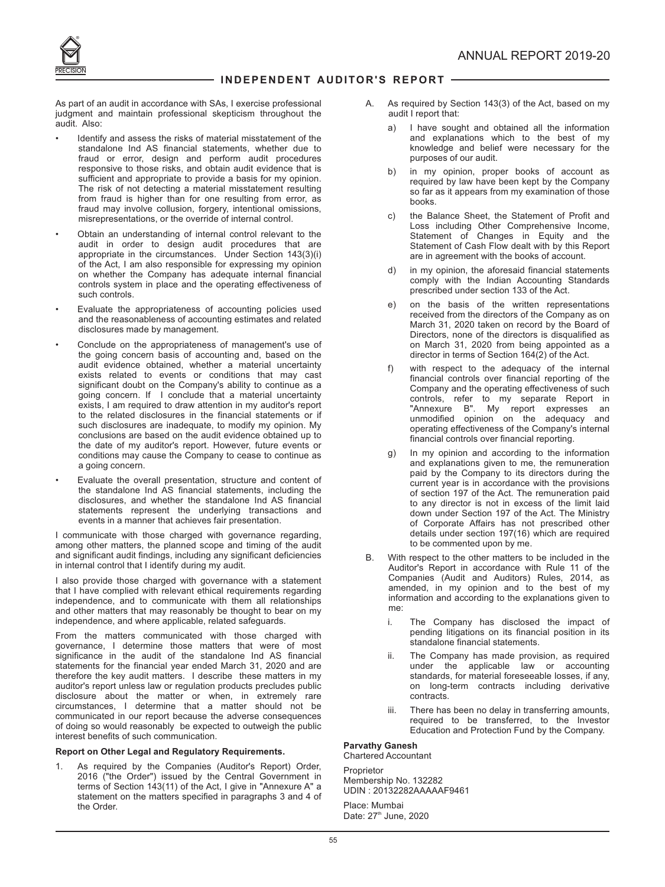

As part of an audit in accordance with SAs, I exercise professional judgment and maintain professional skepticism throughout the audit. Also:

- Identify and assess the risks of material misstatement of the standalone Ind AS financial statements, whether due to fraud or error, design and perform audit procedures responsive to those risks, and obtain audit evidence that is sufficient and appropriate to provide a basis for my opinion. The risk of not detecting a material misstatement resulting from fraud is higher than for one resulting from error, as fraud may involve collusion, forgery, intentional omissions, misrepresentations, or the override of internal control.
- Obtain an understanding of internal control relevant to the audit in order to design audit procedures that are appropriate in the circumstances. Under Section 143(3)(i) of the Act, I am also responsible for expressing my opinion on whether the Company has adequate internal financial controls system in place and the operating effectiveness of such controls.
- Evaluate the appropriateness of accounting policies used and the reasonableness of accounting estimates and related disclosures made by management.
- Conclude on the appropriateness of management's use of the going concern basis of accounting and, based on the audit evidence obtained, whether a material uncertainty exists related to events or conditions that may cast significant doubt on the Company's ability to continue as a going concern. If I conclude that a material uncertainty exists, I am required to draw attention in my auditor's report to the related disclosures in the financial statements or if such disclosures are inadequate, to modify my opinion. My conclusions are based on the audit evidence obtained up to the date of my auditor's report. However, future events or conditions may cause the Company to cease to continue as a going concern.
- Evaluate the overall presentation, structure and content of the standalone Ind AS financial statements, including the disclosures, and whether the standalone Ind AS financial statements represent the underlying transactions and events in a manner that achieves fair presentation.

I communicate with those charged with governance regarding, among other matters, the planned scope and timing of the audit and significant audit findings, including any significant deficiencies in internal control that I identify during my audit.

I also provide those charged with governance with a statement that I have complied with relevant ethical requirements regarding independence, and to communicate with them all relationships and other matters that may reasonably be thought to bear on my independence, and where applicable, related safeguards.

From the matters communicated with those charged with governance, I determine those matters that were of most significance in the audit of the standalone Ind AS financial statements for the financial year ended March 31, 2020 and are therefore the key audit matters. I describe these matters in my auditor's report unless law or regulation products precludes public disclosure about the matter or when, in extremely rare circumstances, I determine that a matter should not be communicated in our report because the adverse consequences of doing so would reasonably be expected to outweigh the public interest benefits of such communication.

## **Report on Other Legal and Regulatory Requirements.**

As required by the Companies (Auditor's Report) Order, 2016 ("the Order") issued by the Central Government in terms of Section 143(11) of the Act, I give in "Annexure A" a statement on the matters specified in paragraphs 3 and 4 of the Order.

- As required by Section 143(3) of the Act, based on my audit I report that:
	- a) I have sought and obtained all the information and explanations which to the best of my knowledge and belief were necessary for the purposes of our audit.
	- in my opinion, proper books of account as required by law have been kept by the Company so far as it appears from my examination of those books.
	- c) the Balance Sheet, the Statement of Profit and Loss including Other Comprehensive Income, Statement of Changes in Equity and the Statement of Cash Flow dealt with by this Report are in agreement with the books of account.
	- d) in my opinion, the aforesaid financial statements comply with the Indian Accounting Standards prescribed under section 133 of the Act.
	- e) on the basis of the written representations received from the directors of the Company as on March 31, 2020 taken on record by the Board of Directors, none of the directors is disqualified as on March 31, 2020 from being appointed as a director in terms of Section 164(2) of the Act.
	- f) with respect to the adequacy of the internal financial controls over financial reporting of the Company and the operating effectiveness of such controls, refer to my separate Report in "Annexure B". My report expresses an unmodified opinion on the adequacy and operating effectiveness of the Company's internal financial controls over financial reporting.
	- g) In my opinion and according to the information and explanations given to me, the remuneration paid by the Company to its directors during the current year is in accordance with the provisions of section 197 of the Act. The remuneration paid to any director is not in excess of the limit laid down under Section 197 of the Act. The Ministry of Corporate Affairs has not prescribed other details under section 197(16) which are required to be commented upon by me.
- B. With respect to the other matters to be included in the Auditor's Report in accordance with Rule 11 of the Companies (Audit and Auditors) Rules, 2014, as amended, in my opinion and to the best of my information and according to the explanations given to me:
	- i. The Company has disclosed the impact of pending litigations on its financial position in its standalone financial statements.
	- ii. The Company has made provision, as required under the applicable law or accounting standards, for material foreseeable losses, if any, on long-term contracts including derivative contracts.
	- iii. There has been no delay in transferring amounts, required to be transferred, to the Investor Education and Protection Fund by the Company.

### **Parvathy Ganesh**

Chartered Accountant

Proprietor Membership No. 132282 UDIN : 20132282AAAAAF9461

Place: Mumbai Date: 27<sup>th</sup> June, 2020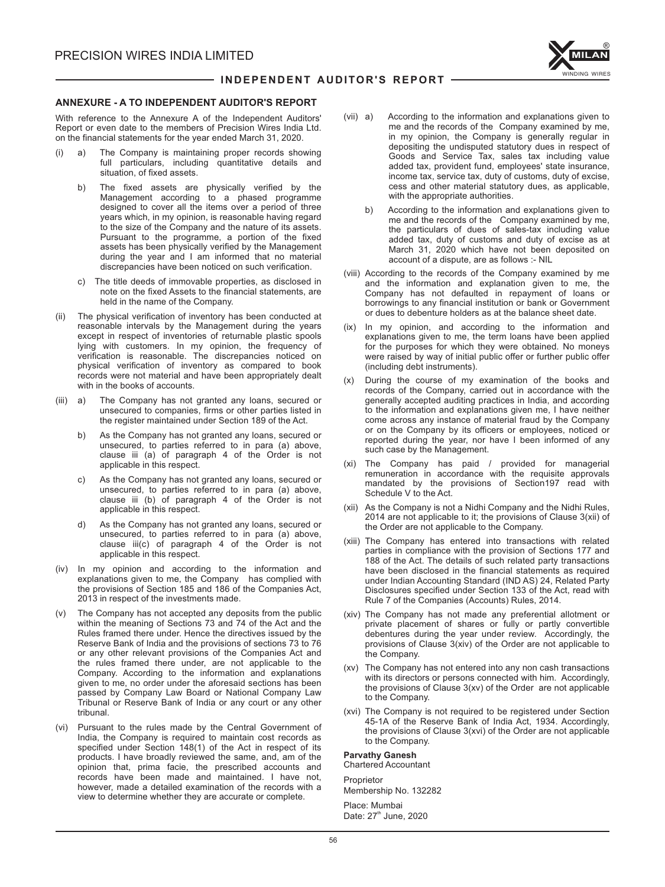

# **INDEPENDENT AUDITOR'S REPORT**

#### **ANNEXURE - A TO INDEPENDENT AUDITOR'S REPORT**

With reference to the Annexure A of the Independent Auditors' Report or even date to the members of Precision Wires India Ltd. on the financial statements for the year ended March 31, 2020.

- The Company is maintaining proper records showing full particulars, including quantitative details and situation, of fixed assets.
	- b) The fixed assets are physically verified by the Management according to a phased programme designed to cover all the items over a period of three years which, in my opinion, is reasonable having regard to the size of the Company and the nature of its assets. Pursuant to the programme, a portion of the fixed assets has been physically verified by the Management during the year and I am informed that no material discrepancies have been noticed on such verification.
	- c) The title deeds of immovable properties, as disclosed in note on the fixed Assets to the financial statements, are held in the name of the Company.
- (ii) The physical verification of inventory has been conducted at reasonable intervals by the Management during the years except in respect of inventories of returnable plastic spools lying with customers. In my opinion, the frequency of verification is reasonable. The discrepancies noticed on physical verification of inventory as compared to book records were not material and have been appropriately dealt with in the books of accounts.
- (iii) a) The Company has not granted any loans, secured or unsecured to companies, firms or other parties listed in the register maintained under Section 189 of the Act.
	- b) As the Company has not granted any loans, secured or unsecured, to parties referred to in para (a) above, clause iii (a) of paragraph 4 of the Order is not applicable in this respect.
	- c) As the Company has not granted any loans, secured or unsecured, to parties referred to in para (a) above, clause iii (b) of paragraph 4 of the Order is not applicable in this respect.
	- d) As the Company has not granted any loans, secured or unsecured, to parties referred to in para (a) above, clause iii(c) of paragraph 4 of the Order is not applicable in this respect.
- (iv) In my opinion and according to the information and explanations given to me, the Company has complied with the provisions of Section 185 and 186 of the Companies Act, 2013 in respect of the investments made.
- (v) The Company has not accepted any deposits from the public within the meaning of Sections 73 and 74 of the Act and the Rules framed there under. Hence the directives issued by the Reserve Bank of India and the provisions of sections 73 to 76 or any other relevant provisions of the Companies Act and the rules framed there under, are not applicable to the Company. According to the information and explanations given to me, no order under the aforesaid sections has been passed by Company Law Board or National Company Law Tribunal or Reserve Bank of India or any court or any other tribunal.
- (vi) Pursuant to the rules made by the Central Government of India, the Company is required to maintain cost records as specified under Section 148(1) of the Act in respect of its products. I have broadly reviewed the same, and, am of the opinion that, prima facie, the prescribed accounts and records have been made and maintained. I have not, however, made a detailed examination of the records with a view to determine whether they are accurate or complete.
- (vii) a) According to the information and explanations given to me and the records of the Company examined by me, in my opinion, the Company is generally regular in depositing the undisputed statutory dues in respect of Goods and Service Tax, sales tax including value added tax, provident fund, employees' state insurance, income tax, service tax, duty of customs, duty of excise, cess and other material statutory dues, as applicable, with the appropriate authorities.
	- b) According to the information and explanations given to me and the records of the Company examined by me, the particulars of dues of sales-tax including value added tax, duty of customs and duty of excise as at March 31, 2020 which have not been deposited on account of a dispute, are as follows :- NIL
- (viii) According to the records of the Company examined by me and the information and explanation given to me, the Company has not defaulted in repayment of loans or borrowings to any financial institution or bank or Government or dues to debenture holders as at the balance sheet date.
- (ix) In my opinion, and according to the information and explanations given to me, the term loans have been applied for the purposes for which they were obtained. No moneys were raised by way of initial public offer or further public offer (including debt instruments).
- (x) During the course of my examination of the books and records of the Company, carried out in accordance with the generally accepted auditing practices in India, and according to the information and explanations given me, I have neither come across any instance of material fraud by the Company or on the Company by its officers or employees, noticed or reported during the year, nor have I been informed of any such case by the Management.
- (xi) The Company has paid / provided for managerial remuneration in accordance with the requisite approvals mandated by the provisions of Section197 read with Schedule V to the Act.
- (xii) As the Company is not a Nidhi Company and the Nidhi Rules, 2014 are not applicable to it; the provisions of Clause 3(xii) of the Order are not applicable to the Company.
- (xiii) The Company has entered into transactions with related parties in compliance with the provision of Sections 177 and 188 of the Act. The details of such related party transactions have been disclosed in the financial statements as required under Indian Accounting Standard (IND AS) 24, Related Party Disclosures specified under Section 133 of the Act, read with Rule 7 of the Companies (Accounts) Rules, 2014.
- (xiv) The Company has not made any preferential allotment or private placement of shares or fully or partly convertible debentures during the year under review. Accordingly, the provisions of Clause 3(xiv) of the Order are not applicable to the Company.
- (xv) The Company has not entered into any non cash transactions with its directors or persons connected with him. Accordingly, the provisions of Clause 3(xv) of the Order are not applicable to the Company.
- (xvi) The Company is not required to be registered under Section 45-1A of the Reserve Bank of India Act, 1934. Accordingly, the provisions of Clause 3(xvi) of the Order are not applicable to the Company.

## **Parvathy Ganesh**

Chartered Accountant

Proprietor

Membership No. 132282

Place: Mumbai Date: 27<sup>th</sup> June, 2020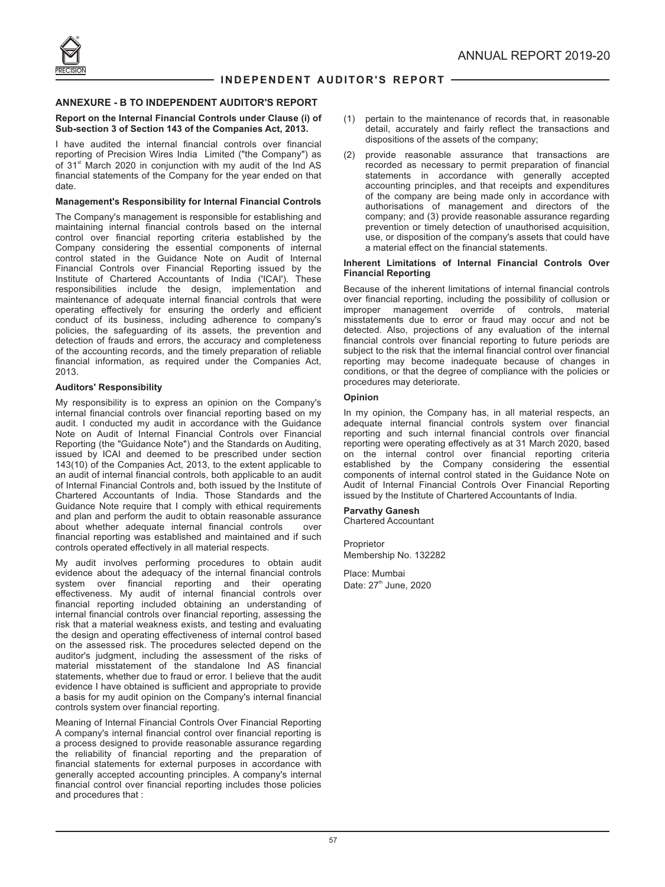

# **ANNEXURE - B TO INDEPENDENT AUDITOR'S REPORT**

### **Report on the Internal Financial Controls under Clause (i) of Sub-section 3 of Section 143 of the Companies Act, 2013.**

I have audited the internal financial controls over financial reporting of Precision Wires India Limited ("the Company") as of 31<sup>st</sup> March 2020 in conjunction with my audit of the Ind AS financial statements of the Company for the year ended on that date.

#### **Management's Responsibility for Internal Financial Controls**

The Company's management is responsible for establishing and maintaining internal financial controls based on the internal control over financial reporting criteria established by the Company considering the essential components of internal control stated in the Guidance Note on Audit of Internal Financial Controls over Financial Reporting issued by the Institute of Chartered Accountants of India ('ICAI'). These responsibilities include the design, implementation and maintenance of adequate internal financial controls that were operating effectively for ensuring the orderly and efficient conduct of its business, including adherence to company's policies, the safeguarding of its assets, the prevention and detection of frauds and errors, the accuracy and completeness of the accounting records, and the timely preparation of reliable financial information, as required under the Companies Act, 2013.

#### **Auditors' Responsibility**

My responsibility is to express an opinion on the Company's internal financial controls over financial reporting based on my audit. I conducted my audit in accordance with the Guidance Note on Audit of Internal Financial Controls over Financial Reporting (the "Guidance Note") and the Standards on Auditing, issued by ICAI and deemed to be prescribed under section 143(10) of the Companies Act, 2013, to the extent applicable to an audit of internal financial controls, both applicable to an audit of Internal Financial Controls and, both issued by the Institute of Chartered Accountants of India. Those Standards and the Guidance Note require that I comply with ethical requirements and plan and perform the audit to obtain reasonable assurance about whether adequate internal financial controls financial reporting was established and maintained and if such controls operated effectively in all material respects.

My audit involves performing procedures to obtain audit evidence about the adequacy of the internal financial controls system over financial reporting and their operating effectiveness. My audit of internal financial controls over financial reporting included obtaining an understanding of internal financial controls over financial reporting, assessing the risk that a material weakness exists, and testing and evaluating the design and operating effectiveness of internal control based on the assessed risk. The procedures selected depend on the auditor's judgment, including the assessment of the risks of material misstatement of the standalone Ind AS financial statements, whether due to fraud or error. I believe that the audit evidence I have obtained is sufficient and appropriate to provide a basis for my audit opinion on the Company's internal financial controls system over financial reporting.

Meaning of Internal Financial Controls Over Financial Reporting A company's internal financial control over financial reporting is a process designed to provide reasonable assurance regarding the reliability of financial reporting and the preparation of financial statements for external purposes in accordance with generally accepted accounting principles. A company's internal financial control over financial reporting includes those policies and procedures that :

- (1) pertain to the maintenance of records that, in reasonable detail, accurately and fairly reflect the transactions and dispositions of the assets of the company;
- (2) provide reasonable assurance that transactions are recorded as necessary to permit preparation of financial statements in accordance with generally accepted accounting principles, and that receipts and expenditures of the company are being made only in accordance with authorisations of management and directors of the company; and (3) provide reasonable assurance regarding prevention or timely detection of unauthorised acquisition, use, or disposition of the company's assets that could have a material effect on the financial statements.

#### **Inherent Limitations of Internal Financial Controls Over Financial Reporting**

Because of the inherent limitations of internal financial controls over financial reporting, including the possibility of collusion or improper management override of controls, material misstatements due to error or fraud may occur and not be detected. Also, projections of any evaluation of the internal financial controls over financial reporting to future periods are subject to the risk that the internal financial control over financial reporting may become inadequate because of changes in conditions, or that the degree of compliance with the policies or procedures may deteriorate.

#### **Opinion**

In my opinion, the Company has, in all material respects, an adequate internal financial controls system over financial reporting and such internal financial controls over financial reporting were operating effectively as at 31 March 2020, based on the internal control over financial reporting criteria established by the Company considering the essential components of internal control stated in the Guidance Note on Audit of Internal Financial Controls Over Financial Reporting issued by the Institute of Chartered Accountants of India.

### **Parvathy Ganesh**

Chartered Accountant

Proprietor Membership No. 132282

Place: Mumbai Date: 27<sup>th</sup> June, 2020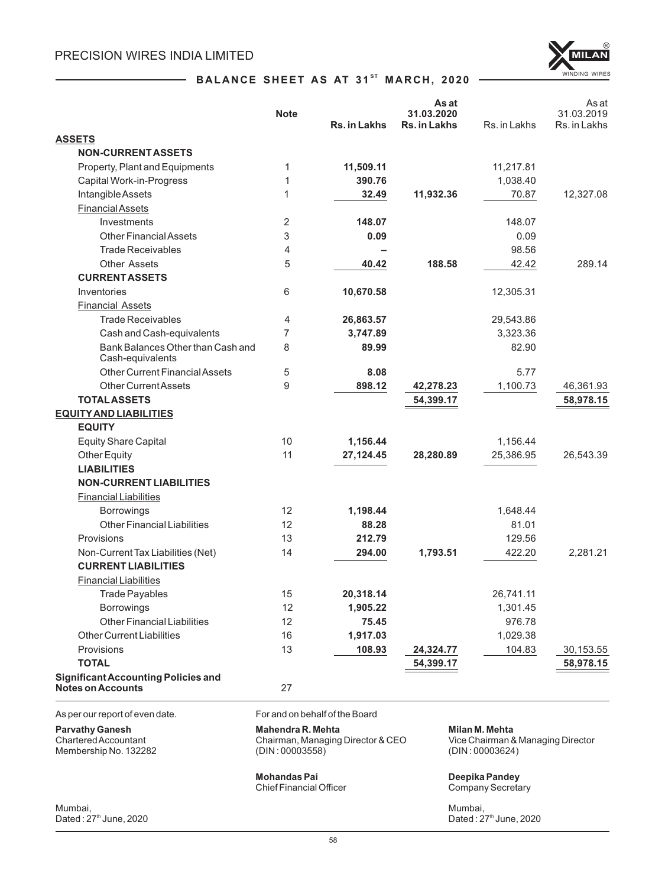# **PRECISION WIRES INDIA LIMITED**



 $-$  BALANCE SHEET AS AT 31<sup>st</sup> MARCH, 2020 -

|                                                                        | <b>Note</b>    | Rs. in Lakhs | As at<br>31.03.2020<br>Rs. in Lakhs | Rs. in Lakhs | As at<br>31.03.2019<br>Rs. in Lakhs |
|------------------------------------------------------------------------|----------------|--------------|-------------------------------------|--------------|-------------------------------------|
| ASSETS                                                                 |                |              |                                     |              |                                     |
| <b>NON-CURRENT ASSETS</b>                                              |                |              |                                     |              |                                     |
| Property, Plant and Equipments                                         | 1              | 11,509.11    |                                     | 11,217.81    |                                     |
| Capital Work-in-Progress                                               | $\mathbf{1}$   | 390.76       |                                     | 1,038.40     |                                     |
| Intangible Assets                                                      | $\mathbf{1}$   | 32.49        | 11,932.36                           | 70.87        | 12,327.08                           |
| <b>Financial Assets</b>                                                |                |              |                                     |              |                                     |
| Investments                                                            | $\overline{2}$ | 148.07       |                                     | 148.07       |                                     |
| <b>Other Financial Assets</b>                                          | 3              | 0.09         |                                     | 0.09         |                                     |
| <b>Trade Receivables</b>                                               | 4              |              |                                     | 98.56        |                                     |
| <b>Other Assets</b>                                                    | 5              | 40.42        | 188.58                              | 42.42        | 289.14                              |
| <b>CURRENT ASSETS</b>                                                  |                |              |                                     |              |                                     |
| Inventories                                                            | 6              | 10,670.58    |                                     | 12,305.31    |                                     |
| <b>Financial Assets</b>                                                |                |              |                                     |              |                                     |
| <b>Trade Receivables</b>                                               | 4              | 26,863.57    |                                     | 29,543.86    |                                     |
| Cash and Cash-equivalents                                              | $\overline{7}$ | 3,747.89     |                                     | 3,323.36     |                                     |
| Bank Balances Other than Cash and<br>Cash-equivalents                  | 8              | 89.99        |                                     | 82.90        |                                     |
| <b>Other Current Financial Assets</b>                                  | 5              | 8.08         |                                     | 5.77         |                                     |
| <b>Other Current Assets</b>                                            | 9              | 898.12       | 42,278.23                           | 1,100.73     | 46,361.93                           |
| <b>TOTAL ASSETS</b>                                                    |                |              | 54,399.17                           |              | 58,978.15                           |
| <b>EQUITY AND LIABILITIES</b>                                          |                |              |                                     |              |                                     |
| <b>EQUITY</b>                                                          |                |              |                                     |              |                                     |
| <b>Equity Share Capital</b>                                            | 10             | 1,156.44     |                                     | 1,156.44     |                                     |
| Other Equity                                                           | 11             | 27,124.45    | 28,280.89                           | 25,386.95    | 26,543.39                           |
| <b>LIABILITIES</b>                                                     |                |              |                                     |              |                                     |
| <b>NON-CURRENT LIABILITIES</b>                                         |                |              |                                     |              |                                     |
| <b>Financial Liabilities</b>                                           |                |              |                                     |              |                                     |
| <b>Borrowings</b>                                                      | 12             | 1,198.44     |                                     | 1,648.44     |                                     |
| <b>Other Financial Liabilities</b>                                     | 12             | 88.28        |                                     | 81.01        |                                     |
| Provisions                                                             | 13             | 212.79       |                                     | 129.56       |                                     |
| Non-Current Tax Liabilities (Net)                                      | 14             | 294.00       | 1,793.51                            | 422.20       | 2,281.21                            |
| <b>CURRENT LIABILITIES</b>                                             |                |              |                                     |              |                                     |
| <b>Financial Liabilities</b>                                           |                |              |                                     |              |                                     |
| <b>Trade Payables</b>                                                  | 15             | 20,318.14    |                                     | 26,741.11    |                                     |
| <b>Borrowings</b>                                                      | 12             | 1,905.22     |                                     | 1,301.45     |                                     |
| <b>Other Financial Liabilities</b>                                     | 12             | 75.45        |                                     | 976.78       |                                     |
| <b>Other Current Liabilities</b>                                       | 16             | 1,917.03     |                                     | 1,029.38     |                                     |
| Provisions                                                             | 13             | 108.93       | 24,324.77                           | 104.83       | 30,153.55                           |
| <b>TOTAL</b>                                                           |                |              | 54,399.17                           |              | 58,978.15                           |
| <b>Significant Accounting Policies and</b><br><b>Notes on Accounts</b> | 27             |              |                                     |              |                                     |

Membership No. 132282 **Parvathy Ganesh Mahendra R. Mehta Milan M. Mehta Chartered Accountant Media Chairman Analysis Chairman Analysis Chairman Analysis Chairman Analysis Chairman Analysis Chairman Analysis Chairman Analysis Chairman Analysis C** 

Dated:  $27^{\text{th}}$  June, 2020

As per our report of even date. For and on behalf of the Board

Chief Financial Officer Company Secretary **Mohandas Pai New York Chander Chander Reports Ave** Deepika Pandey

Chairman, Managing Director & CEO Vice Chairman & Managing Director<br>
(DIN: 00003558) (DIN: 00003624)

Mumbai, Mumbai, Dated : 27<sup>th</sup> June, 2020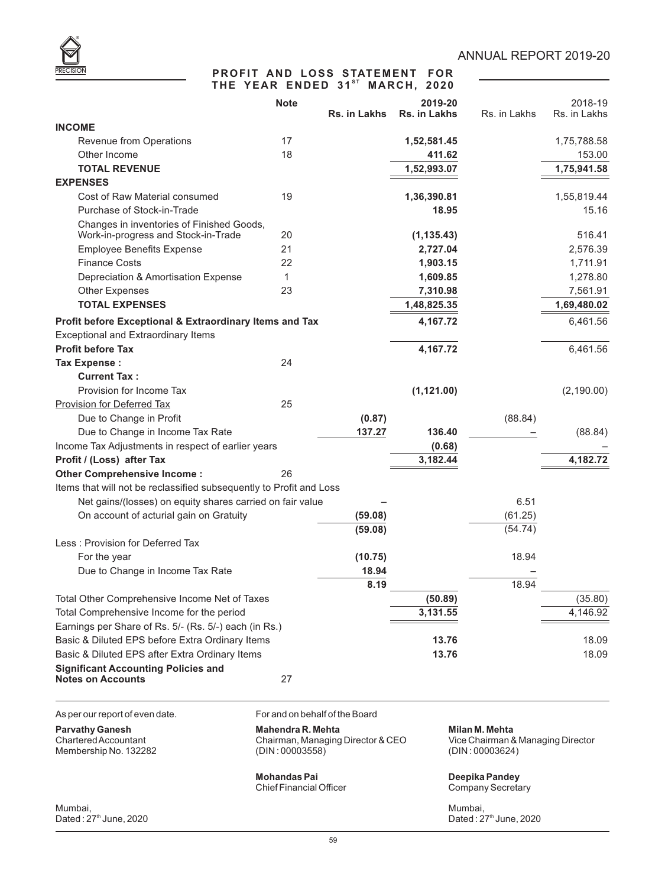

# ANNUAL REPORT 2019-20

**PROFIT AND LOSS STATEMENT FOR** THE YEAR ENDED 31<sup>ST</sup> MARCH, 2020

|                                                                                                           | Note         | Rs. in Lakhs | 2019-20<br>Rs. in Lakhs | Rs. in Lakhs | 2018-19<br>Rs. in Lakhs |
|-----------------------------------------------------------------------------------------------------------|--------------|--------------|-------------------------|--------------|-------------------------|
| <b>INCOME</b>                                                                                             |              |              |                         |              |                         |
| Revenue from Operations                                                                                   | 17           |              | 1,52,581.45             |              | 1,75,788.58             |
| Other Income                                                                                              | 18           |              | 411.62                  |              | 153.00                  |
| <b>TOTAL REVENUE</b>                                                                                      |              |              | 1,52,993.07             |              | 1,75,941.58             |
| <b>EXPENSES</b>                                                                                           |              |              |                         |              |                         |
| Cost of Raw Material consumed                                                                             | 19           |              | 1,36,390.81             |              | 1,55,819.44             |
| Purchase of Stock-in-Trade                                                                                |              |              | 18.95                   |              | 15.16                   |
| Changes in inventories of Finished Goods,                                                                 |              |              |                         |              |                         |
| Work-in-progress and Stock-in-Trade                                                                       | 20           |              | (1, 135.43)             |              | 516.41                  |
| <b>Employee Benefits Expense</b>                                                                          | 21           |              | 2,727.04                |              | 2,576.39                |
| <b>Finance Costs</b>                                                                                      | 22           |              | 1,903.15                |              | 1,711.91                |
| Depreciation & Amortisation Expense                                                                       | $\mathbf{1}$ |              | 1,609.85                |              | 1,278.80                |
| Other Expenses                                                                                            | 23           |              | 7,310.98                |              | 7,561.91                |
| <b>TOTAL EXPENSES</b>                                                                                     |              |              | 1,48,825.35             |              | 1,69,480.02             |
| <b>Profit before Exceptional &amp; Extraordinary Items and Tax</b><br>Exceptional and Extraordinary Items |              |              | 4,167.72                |              | 6,461.56                |
| <b>Profit before Tax</b>                                                                                  |              |              | 4,167.72                |              | 6,461.56                |
| <b>Tax Expense:</b>                                                                                       | 24           |              |                         |              |                         |
| <b>Current Tax:</b>                                                                                       |              |              |                         |              |                         |
| Provision for Income Tax                                                                                  |              |              | (1, 121.00)             |              | (2, 190.00)             |
| Provision for Deferred Tax                                                                                | 25           |              |                         |              |                         |
| Due to Change in Profit                                                                                   |              | (0.87)       |                         | (88.84)      |                         |
| Due to Change in Income Tax Rate                                                                          |              | 137.27       | 136.40                  |              | (88.84)                 |
| Income Tax Adjustments in respect of earlier years                                                        |              |              | (0.68)                  |              |                         |
| Profit / (Loss) after Tax                                                                                 |              |              | 3,182.44                |              | 4,182.72                |
| <b>Other Comprehensive Income:</b>                                                                        | 26           |              |                         |              |                         |
| Items that will not be reclassified subsequently to Profit and Loss                                       |              |              |                         |              |                         |
| Net gains/(losses) on equity shares carried on fair value                                                 |              |              |                         | 6.51         |                         |
| On account of acturial gain on Gratuity                                                                   |              | (59.08)      |                         | (61.25)      |                         |
|                                                                                                           |              | (59.08)      |                         | (54.74)      |                         |
| Less : Provision for Deferred Tax                                                                         |              |              |                         |              |                         |
| For the year                                                                                              |              | (10.75)      |                         | 18.94        |                         |
| Due to Change in Income Tax Rate                                                                          |              | 18.94        |                         |              |                         |
|                                                                                                           |              | 8.19         |                         | 18.94        |                         |
| Total Other Comprehensive Income Net of Taxes                                                             |              |              | (50.89)                 |              | (35.80)                 |
| Total Comprehensive Income for the period                                                                 |              |              | 3,131.55                |              | 4,146.92                |
| Earnings per Share of Rs. 5/- (Rs. 5/-) each (in Rs.)                                                     |              |              |                         |              |                         |
| Basic & Diluted EPS before Extra Ordinary Items                                                           |              |              | 13.76                   |              | 18.09                   |
| Basic & Diluted EPS after Extra Ordinary Items                                                            |              |              | 13.76                   |              | 18.09                   |
| <b>Significant Accounting Policies and</b><br><b>Notes on Accounts</b>                                    | 27           |              |                         |              |                         |
|                                                                                                           |              |              |                         |              |                         |

Membership No. 132282

As per our report of even date. For and on behalf of the Board

**Parvathy Ganesh Mahendra R. Mehta Milan M. Mehta Chartered Accountant Media Chairman Analysis Chairman Analysis Chairman Analysis Chairman Analysis Chairman Analysis Chairman Analysis Chairman Analysis Chairman Analysis C** 

Chief Financial Officer Company Secretary **Mohandas Pai New York Chander Chander Reports Ave** Deepika Pandey

Chairman, Managing Director & CEO Vice Chairman & Managing Director<br>
(DIN: 00003558) (DIN: 00003624)

Dated : 27<sup>th</sup> June, 2020

Mumbai, Mumbai, Dated: 27<sup>th</sup> June, 2020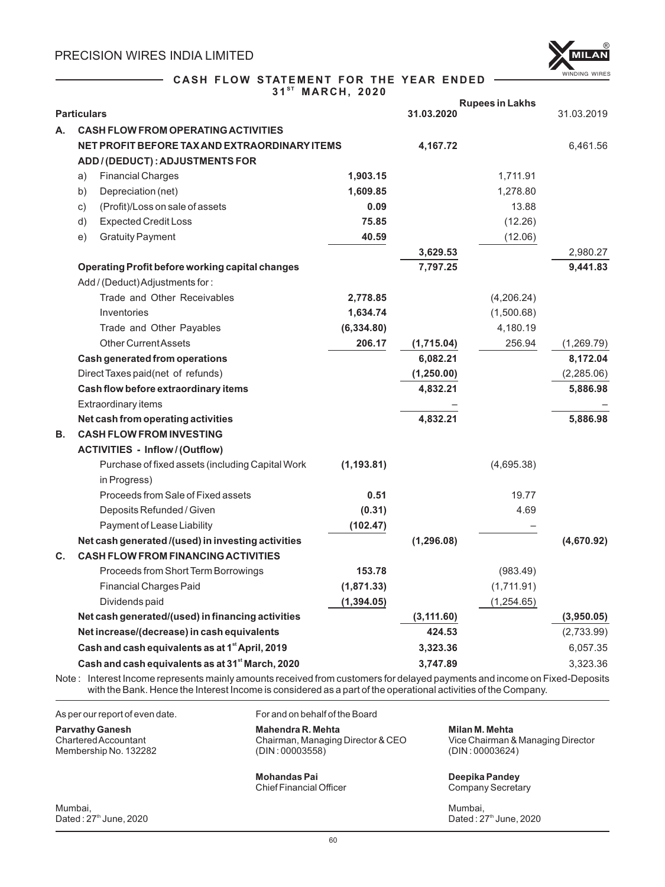# **PRECISION WIRES INDIA LIMITED**



WINDING WIRES **CASH FLOW STATEMENT FOR THE YEAR ENDED**

|  |  |  |  | $31sr$ MARCH, 2020 |
|--|--|--|--|--------------------|
|--|--|--|--|--------------------|

|    |                    |                                                              |             |             | <b>Rupees in Lakhs</b> |             |
|----|--------------------|--------------------------------------------------------------|-------------|-------------|------------------------|-------------|
|    | <b>Particulars</b> |                                                              |             | 31.03.2020  |                        | 31.03.2019  |
| А. |                    | <b>CASH FLOW FROM OPERATING ACTIVITIES</b>                   |             |             |                        |             |
|    |                    | NET PROFIT BEFORE TAX AND EXTRAORDINARY ITEMS                |             | 4,167.72    |                        | 6,461.56    |
|    |                    | ADD / (DEDUCT) : ADJUSTMENTS FOR                             |             |             |                        |             |
|    | a)                 | <b>Financial Charges</b>                                     | 1,903.15    |             | 1,711.91               |             |
|    | b)                 | Depreciation (net)                                           | 1,609.85    |             | 1,278.80               |             |
|    | C)                 | (Profit)/Loss on sale of assets                              | 0.09        |             | 13.88                  |             |
|    | d)                 | <b>Expected Credit Loss</b>                                  | 75.85       |             | (12.26)                |             |
|    | e)                 | <b>Gratuity Payment</b>                                      | 40.59       |             | (12.06)                |             |
|    |                    |                                                              |             | 3,629.53    |                        | 2,980.27    |
|    |                    | Operating Profit before working capital changes              |             | 7,797.25    |                        | 9,441.83    |
|    |                    | Add / (Deduct) Adjustments for:                              |             |             |                        |             |
|    |                    | Trade and Other Receivables                                  | 2,778.85    |             | (4,206.24)             |             |
|    |                    | Inventories                                                  | 1,634.74    |             | (1,500.68)             |             |
|    |                    | Trade and Other Payables                                     | (6, 334.80) |             | 4,180.19               |             |
|    |                    | <b>Other Current Assets</b>                                  | 206.17      | (1,715.04)  | 256.94                 | (1,269.79)  |
|    |                    | Cash generated from operations                               |             | 6,082.21    |                        | 8,172.04    |
|    |                    | Direct Taxes paid(net of refunds)                            |             | (1, 250.00) |                        | (2, 285.06) |
|    |                    | Cash flow before extraordinary items                         |             | 4,832.21    |                        | 5,886.98    |
|    |                    | Extraordinary items                                          |             |             |                        |             |
|    |                    | Net cash from operating activities                           |             | 4,832.21    |                        | 5,886.98    |
| В. |                    | <b>CASH FLOW FROM INVESTING</b>                              |             |             |                        |             |
|    |                    | <b>ACTIVITIES - Inflow/(Outflow)</b>                         |             |             |                        |             |
|    |                    | Purchase of fixed assets (including Capital Work             | (1, 193.81) |             | (4,695.38)             |             |
|    |                    | in Progress)                                                 |             |             |                        |             |
|    |                    | Proceeds from Sale of Fixed assets                           | 0.51        |             | 19.77                  |             |
|    |                    | Deposits Refunded / Given                                    | (0.31)      |             | 4.69                   |             |
|    |                    | Payment of Lease Liability                                   | (102.47)    |             |                        |             |
|    |                    | Net cash generated /(used) in investing activities           |             | (1, 296.08) |                        | (4,670.92)  |
| C. |                    | <b>CASH FLOW FROM FINANCING ACTIVITIES</b>                   |             |             |                        |             |
|    |                    | Proceeds from Short Term Borrowings                          | 153.78      |             | (983.49)               |             |
|    |                    | <b>Financial Charges Paid</b>                                | (1,871.33)  |             | (1,711.91)             |             |
|    |                    | Dividends paid                                               | (1, 394.05) |             | (1, 254.65)            |             |
|    |                    | Net cash generated/(used) in financing activities            |             | (3, 111.60) |                        | (3,950.05)  |
|    |                    | Net increase/(decrease) in cash equivalents                  |             | 424.53      |                        | (2,733.99)  |
|    |                    | Cash and cash equivalents as at 1 <sup>st</sup> April, 2019  |             | 3,323.36    |                        | 6,057.35    |
|    |                    | Cash and cash equivalents as at 31 <sup>st</sup> March, 2020 |             | 3,747.89    |                        | 3,323.36    |
|    |                    |                                                              |             |             |                        |             |

Note : Interest Income represents mainly amounts received from customers for delayed payments and income on Fixed-Deposits with the Bank. Hence the Interest Income is considered as a part of the operational activities of the Company.

Membership No. 132282

Dated:  $27<sup>th</sup>$  June, 2020

As per our report of even date. For and on behalf of the Board

Chartered Accountant Chairman, Managing Director & CEO Vice Chairman & Managing Director<br>
Membership No. 132282 (DIN : 00003558) (DIN : 00003558) (DIN : 00003624) **Parvathy Ganesh Mahendra R. Mehta Milan M. Mehta**

> Chief Financial Officer Company Secretary **Mohandas Pai Deepika Pandey**

Mumbai, Mumbai, Dated : 27<sup>th</sup> June, 2020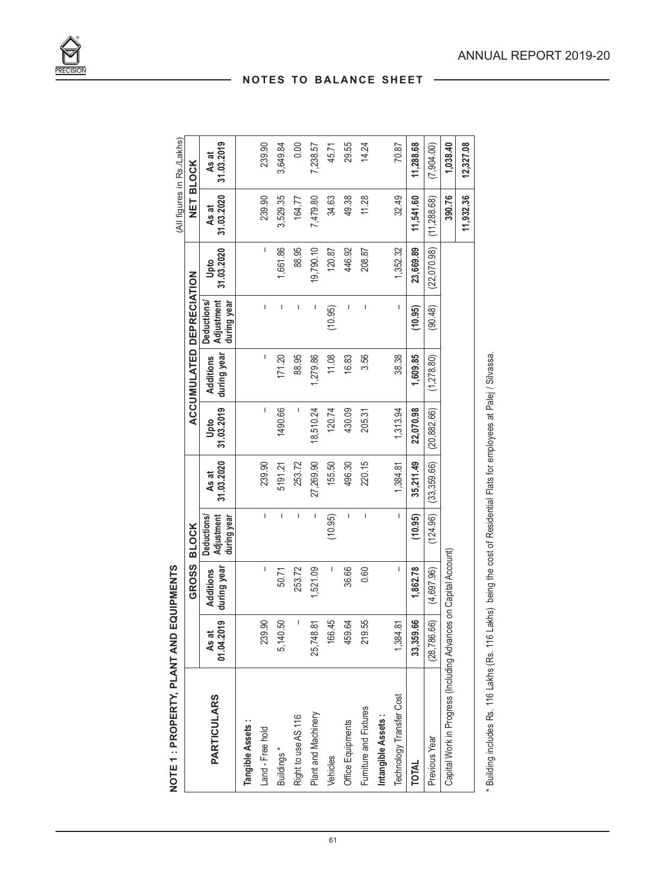# NOTES TO BALANCE SHEET -

| NOTE 1 : PROPERTY,                                               | PLANT AND EQUIPMENTS |                          |                                                |                     |                    |                                 |                                          |                    |                     | (All figures in Rs./Lakhs) |
|------------------------------------------------------------------|----------------------|--------------------------|------------------------------------------------|---------------------|--------------------|---------------------------------|------------------------------------------|--------------------|---------------------|----------------------------|
|                                                                  |                      | GROSS                    | <b>BLOCK</b>                                   |                     |                    | <b>ACCUMULATED DEPRECIATION</b> |                                          |                    | <br>보               | <b>BLOCK</b>               |
| <b>PARTICULARS</b>                                               | 01.04.2019<br>As at  | during year<br>Additions | Adjustment<br>during year<br><b>Deductions</b> | 31.03.2020<br>As at | 31.03.2019<br>Upto | during year<br>Additions        | Adjustment<br>during year<br>Deductions/ | 31.03.2020<br>Upto | 31.03.2020<br>As at | 31.03.2019<br>As at        |
| Tangible Assets:                                                 |                      |                          |                                                |                     |                    |                                 |                                          |                    |                     |                            |
| Land - Free hold                                                 | 239.90               | $\mathsf{I}$             | I                                              | 239.90              | I                  | I                               | I                                        | ı                  | 239.90              | 239.90                     |
| Buildings*                                                       | 5,140.50             | 50.71                    | I                                              | 5191.21             | 1490.66            | 171.20                          | I                                        | 1,661.86           | 3,529.35            | 3,649.84                   |
| Right to use AS 116                                              | I                    | 253.72                   | Ï                                              | 253.72              | I                  | 88.95                           | I                                        | 88.95              | 164.77              | 0.00                       |
| Plant and Machinery                                              | 25,748.81            | 1,521.09                 | I                                              | 27,269.90           | 18,510.24          | 1,279.86                        | ı                                        | 19,790.10          | 7,479.80            | 7,238.57                   |
| Vehicles                                                         | 166.45               | I                        | (10.95)                                        | 155.50              | 120.74             | 11.08                           | (10.95)                                  | 120.87             | 34.63               | 45.71                      |
| Office Equipments                                                | 459.64               | 36.66                    | I                                              | 496.30              | 430.09             | 16.83                           | ı                                        | 446.92             | 49.38               | 29.55                      |
| Furniture and Fixtures                                           | 219.55               | 0.60                     | $\overline{1}$                                 | 220.15              | 205.31             | 3.56                            | I                                        | 208.87             | 11.28               | 14.24                      |
| Intangible Assets:                                               |                      |                          |                                                |                     |                    |                                 |                                          |                    |                     |                            |
| Technology Transfer Cost                                         | 1,384.81             | I                        | I                                              | 1,384.81            | 1,313.94           | 38.38                           | I                                        | 1,352.32           | 32.49               | 70.87                      |
| <b>TOTAL</b>                                                     | 33,359.66            | 1,862.78                 | (10.95)                                        | 35,211.49           | 22,070.98          | 1,609.85                        | (10.95)                                  | 23,669.89          | 11,541.60           | 11,288.68                  |
| Previous Year                                                    | (28, 786.66)         | (4,697.96)               | (124.96)                                       | (33, 359.66)        | (20, 882.66)       | (1,278.80)                      | (90.48)                                  | (22,070.98)        | (11, 288.68)        | (7,904.00)                 |
| Capital Work in Progress (Including Advances on Capital Account) |                      |                          |                                                |                     |                    |                                 |                                          |                    | 390.76              | 1,038.40                   |
|                                                                  |                      |                          |                                                |                     |                    |                                 |                                          |                    | 11,932.36           | 12,327.08                  |

\* Building includes Rs. 116 Lakhs (Rs. 116 Lakhs) being the cost of Residential Flats for employees at Palej / Silvassa. \* Building includes Rs. 116 Lakhs (Rs. 116 Lakhs) being the cost of Residential Flats for employees at Palej / Silvassa.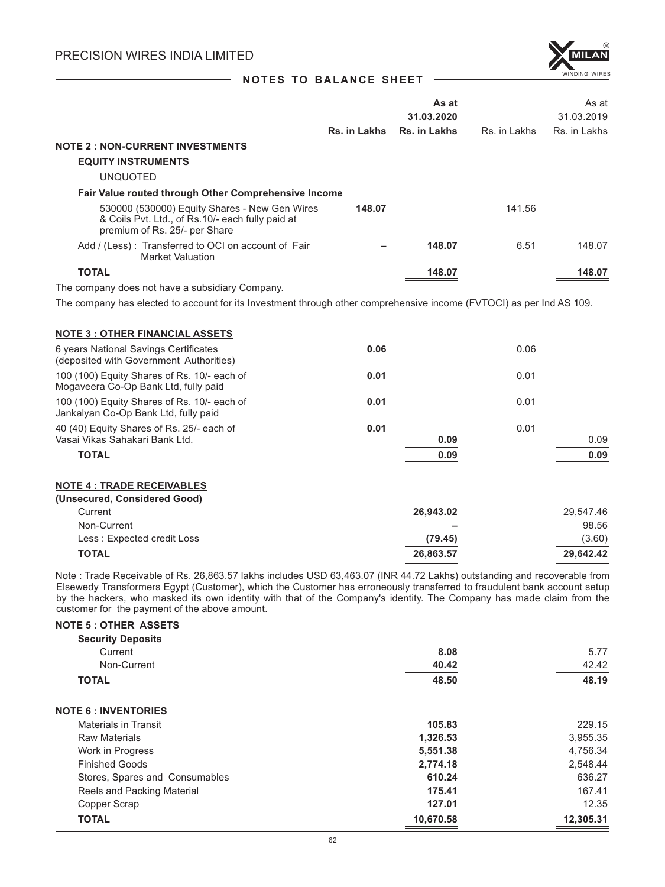

# **NOTES TO BALANCE SHEET**

|                                                                                                                                    |              | As at<br>31.03.2020 |              | As at<br>31.03.2019 |
|------------------------------------------------------------------------------------------------------------------------------------|--------------|---------------------|--------------|---------------------|
|                                                                                                                                    | Rs. in Lakhs | Rs. in Lakhs        | Rs. in Lakhs | Rs. in Lakhs        |
| <b>NOTE 2 : NON-CURRENT INVESTMENTS</b>                                                                                            |              |                     |              |                     |
| <b>EQUITY INSTRUMENTS</b>                                                                                                          |              |                     |              |                     |
| <b>UNQUOTED</b>                                                                                                                    |              |                     |              |                     |
| Fair Value routed through Other Comprehensive Income                                                                               |              |                     |              |                     |
| 530000 (530000) Equity Shares - New Gen Wires<br>& Coils Pvt. Ltd., of Rs.10/- each fully paid at<br>premium of Rs. 25/- per Share | 148.07       |                     | 141.56       |                     |
| Add / (Less): Transferred to OCI on account of Fair<br><b>Market Valuation</b>                                                     |              | 148.07              | 6.51         | 148.07              |
| <b>TOTAL</b>                                                                                                                       |              | 148.07              |              | 148.07              |

The company does not have a subsidiary Company.

The company has elected to account for its Investment through other comprehensive income (FVTOCI) as per Ind AS 109.

| <b>NOTE 3: OTHER FINANCIAL ASSETS</b>                                               |              |      |           |
|-------------------------------------------------------------------------------------|--------------|------|-----------|
| 6 years National Savings Certificates<br>(deposited with Government Authorities)    | 0.06         | 0.06 |           |
| 100 (100) Equity Shares of Rs. 10/- each of<br>Mogaveera Co-Op Bank Ltd, fully paid | 0.01         | 0.01 |           |
| 100 (100) Equity Shares of Rs. 10/- each of<br>Jankalyan Co-Op Bank Ltd, fully paid | 0.01         | 0.01 |           |
| 40 (40) Equity Shares of Rs. 25/- each of<br>Vasai Vikas Sahakari Bank Ltd.         | 0.01<br>0.09 | 0.01 | 0.09      |
| <b>TOTAL</b>                                                                        | 0.09         |      | 0.09      |
| <b>NOTE 4 : TRADE RECEIVABLES</b>                                                   |              |      |           |
| (Unsecured, Considered Good)                                                        |              |      |           |
| Current                                                                             | 26,943.02    |      | 29.547.46 |
| Non-Current                                                                         |              |      | 98.56     |
| Less: Expected credit Loss                                                          | (79.45)      |      | (3.60)    |
| <b>TOTAL</b>                                                                        | 26,863.57    |      | 29,642.42 |

Note : Trade Receivable of Rs. 26,863.57 lakhs includes USD 63,463.07 (INR 44.72 Lakhs) outstanding and recoverable from Elsewedy Transformers Egypt (Customer), which the Customer has erroneously transferred to fraudulent bank account setup by the hackers, who masked its own identity with that of the Company's identity. The Company has made claim from the customer for the payment of the above amount.

# **NOTE 5 : OTHER ASSETS**

| <b>Security Deposits</b>       |           |           |
|--------------------------------|-----------|-----------|
| Current                        | 8.08      | 5.77      |
| Non-Current                    | 40.42     | 42.42     |
| <b>TOTAL</b>                   | 48.50     | 48.19     |
| <b>NOTE 6 : INVENTORIES</b>    |           |           |
| <b>Materials in Transit</b>    | 105.83    | 229.15    |
| <b>Raw Materials</b>           | 1,326.53  | 3,955.35  |
| Work in Progress               | 5,551.38  | 4,756.34  |
| <b>Finished Goods</b>          | 2,774.18  | 2,548.44  |
| Stores, Spares and Consumables | 610.24    | 636.27    |
| Reels and Packing Material     | 175.41    | 167.41    |
| Copper Scrap                   | 127.01    | 12.35     |
| <b>TOTAL</b>                   | 10.670.58 | 12.305.31 |
|                                |           |           |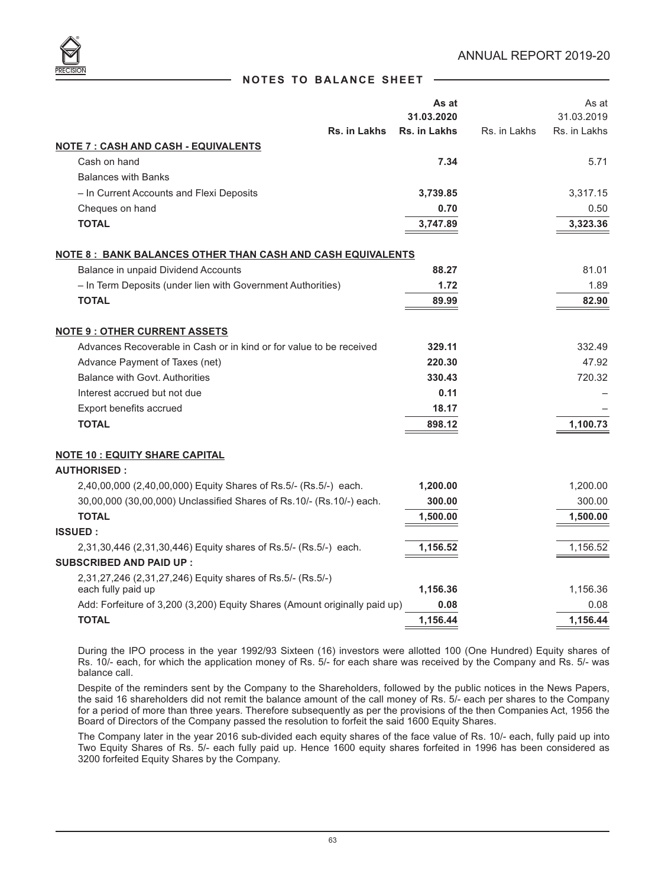

# **NOTES TO BALANCE SHEET**

|                                                                                  | As at                      |              | As at                      |
|----------------------------------------------------------------------------------|----------------------------|--------------|----------------------------|
| Rs. in Lakhs                                                                     | 31.03.2020<br>Rs. in Lakhs | Rs. in Lakhs | 31.03.2019<br>Rs. in Lakhs |
| <b>NOTE 7 : CASH AND CASH - EQUIVALENTS</b>                                      |                            |              |                            |
| Cash on hand                                                                     | 7.34                       |              | 5.71                       |
| <b>Balances with Banks</b>                                                       |                            |              |                            |
| - In Current Accounts and Flexi Deposits                                         | 3,739.85                   |              | 3,317.15                   |
| Cheques on hand                                                                  | 0.70                       |              | 0.50                       |
| <b>TOTAL</b>                                                                     | 3,747.89                   |              | 3,323.36                   |
|                                                                                  |                            |              |                            |
| NOTE 8: BANK BALANCES OTHER THAN CASH AND CASH EQUIVALENTS                       |                            |              |                            |
| Balance in unpaid Dividend Accounts                                              | 88.27                      |              | 81.01                      |
| - In Term Deposits (under lien with Government Authorities)                      | 1.72                       |              | 1.89                       |
| <b>TOTAL</b>                                                                     | 89.99                      |              | 82.90                      |
|                                                                                  |                            |              |                            |
| <b>NOTE 9 : OTHER CURRENT ASSETS</b>                                             |                            |              |                            |
| Advances Recoverable in Cash or in kind or for value to be received              | 329.11                     |              | 332.49                     |
| Advance Payment of Taxes (net)                                                   | 220.30                     |              | 47.92                      |
| Balance with Govt. Authorities                                                   | 330.43                     |              | 720.32                     |
| Interest accrued but not due                                                     | 0.11                       |              |                            |
| Export benefits accrued                                                          | 18.17                      |              |                            |
| <b>TOTAL</b>                                                                     | 898.12                     |              | 1,100.73                   |
|                                                                                  |                            |              |                            |
| <b>NOTE 10 : EQUITY SHARE CAPITAL</b>                                            |                            |              |                            |
| <b>AUTHORISED:</b>                                                               |                            |              |                            |
| 2,40,00,000 (2,40,00,000) Equity Shares of Rs.5/- (Rs.5/-) each.                 | 1,200.00                   |              | 1,200.00                   |
| 30,00,000 (30,00,000) Unclassified Shares of Rs.10/- (Rs.10/-) each.             | 300.00                     |              | 300.00                     |
| <b>TOTAL</b>                                                                     | 1,500.00                   |              | 1,500.00                   |
| <b>ISSUED:</b>                                                                   |                            |              |                            |
| 2,31,30,446 (2,31,30,446) Equity shares of Rs.5/- (Rs.5/-) each.                 | 1,156.52                   |              | 1,156.52                   |
| <b>SUBSCRIBED AND PAID UP:</b>                                                   |                            |              |                            |
| 2,31,27,246 (2,31,27,246) Equity shares of Rs.5/- (Rs.5/-)<br>each fully paid up | 1,156.36                   |              | 1,156.36                   |
| Add: Forfeiture of 3,200 (3,200) Equity Shares (Amount originally paid up)       | 0.08                       |              | 0.08                       |
| <b>TOTAL</b>                                                                     | 1,156.44                   |              | 1,156.44                   |
|                                                                                  |                            |              |                            |

During the IPO process in the year 1992/93 Sixteen (16) investors were allotted 100 (One Hundred) Equity shares of Rs. 10/- each, for which the application money of Rs. 5/- for each share was received by the Company and Rs. 5/- was balance call.

Despite of the reminders sent by the Company to the Shareholders, followed by the public notices in the News Papers, the said 16 shareholders did not remit the balance amount of the call money of Rs. 5/- each per shares to the Company for a period of more than three years. Therefore subsequently as per the provisions of the then Companies Act, 1956 the Board of Directors of the Company passed the resolution to forfeit the said 1600 Equity Shares.

The Company later in the year 2016 sub-divided each equity shares of the face value of Rs. 10/- each, fully paid up into Two Equity Shares of Rs. 5/- each fully paid up. Hence 1600 equity shares forfeited in 1996 has been considered as 3200 forfeited Equity Shares by the Company.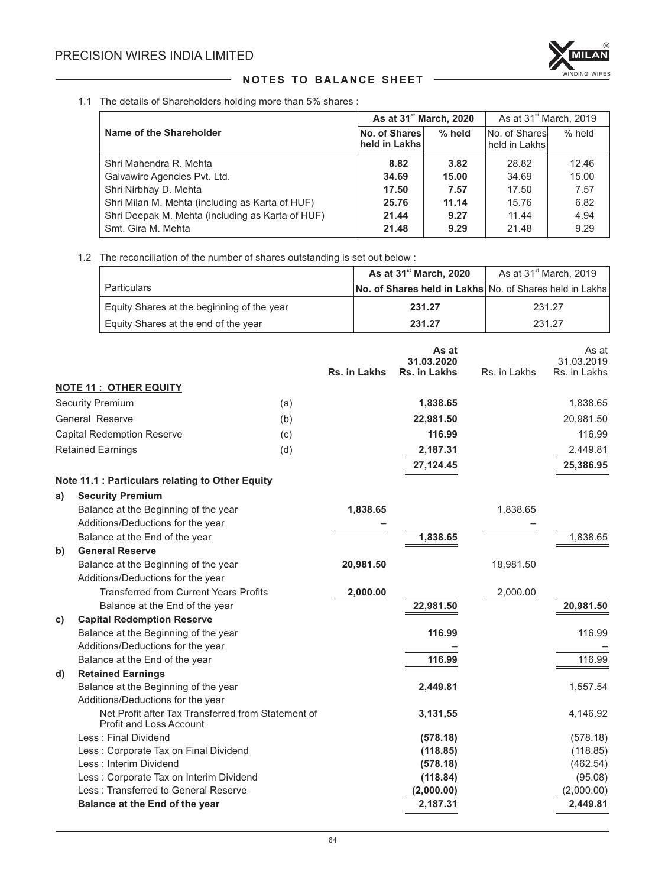

# NOTES TO BALANCE SHEET -

# 1.1 The details of Shareholders holding more than 5% shares :

|                                                  |                                          | As at 31 <sup>st</sup> March, 2020 |                                | As at 31 <sup>st</sup> March, 2019 |  |
|--------------------------------------------------|------------------------------------------|------------------------------------|--------------------------------|------------------------------------|--|
| Name of the Shareholder                          | No. of Shares<br>% held<br>held in Lakhs |                                    | No. of Shares<br>held in Lakhs | % held                             |  |
| Shri Mahendra R. Mehta                           | 8.82                                     | 3.82                               | 28.82                          | 12.46                              |  |
| Galvawire Agencies Pvt. Ltd.                     | 34.69                                    | 15.00                              | 34.69                          | 15.00                              |  |
| Shri Nirbhay D. Mehta                            | 17.50                                    | 7.57                               | 17.50                          | 7.57                               |  |
| Shri Milan M. Mehta (including as Karta of HUF)  | 25.76                                    | 11.14                              | 15.76                          | 6.82                               |  |
| Shri Deepak M. Mehta (including as Karta of HUF) | 21.44                                    | 9.27                               | 11.44                          | 4.94                               |  |
| Smt. Gira M. Mehta                               | 21.48                                    | 9.29                               | 21.48                          | 9.29                               |  |

1.2 The reconciliation of the number of shares outstanding is set out below :

|     |                                                                                                                           |              | As at 31st March, 2020                                  |              | As at 31 <sup>st</sup> March, 2019  |
|-----|---------------------------------------------------------------------------------------------------------------------------|--------------|---------------------------------------------------------|--------------|-------------------------------------|
|     | Particulars                                                                                                               |              | No. of Shares held in Lakhs No. of Shares held in Lakhs |              |                                     |
|     | Equity Shares at the beginning of the year                                                                                |              | 231.27                                                  |              | 231.27                              |
|     | Equity Shares at the end of the year                                                                                      |              | 231.27                                                  |              | 231.27                              |
|     | <b>NOTE 11 : OTHER EQUITY</b>                                                                                             | Rs. in Lakhs | As at<br>31.03.2020<br>Rs. in Lakhs                     | Rs. in Lakhs | As at<br>31.03.2019<br>Rs. in Lakhs |
|     | <b>Security Premium</b><br>(a)                                                                                            |              | 1,838.65                                                |              | 1,838.65                            |
|     | General Reserve<br>(b)                                                                                                    |              | 22,981.50                                               |              | 20,981.50                           |
|     |                                                                                                                           |              | 116.99                                                  |              | 116.99                              |
|     | <b>Capital Redemption Reserve</b><br>(c)                                                                                  |              |                                                         |              |                                     |
|     | <b>Retained Earnings</b><br>(d)                                                                                           |              | 2,187.31                                                |              | 2,449.81                            |
|     |                                                                                                                           |              | 27,124.45                                               |              | 25,386.95                           |
|     | Note 11.1 : Particulars relating to Other Equity                                                                          |              |                                                         |              |                                     |
| a)  | <b>Security Premium</b>                                                                                                   |              |                                                         |              |                                     |
|     | Balance at the Beginning of the year                                                                                      | 1,838.65     |                                                         | 1,838.65     |                                     |
|     | Additions/Deductions for the year                                                                                         |              | 1,838.65                                                |              | 1,838.65                            |
| b)  | Balance at the End of the year<br><b>General Reserve</b>                                                                  |              |                                                         |              |                                     |
|     | Balance at the Beginning of the year                                                                                      | 20,981.50    |                                                         | 18,981.50    |                                     |
|     | Additions/Deductions for the year                                                                                         |              |                                                         |              |                                     |
|     | <b>Transferred from Current Years Profits</b>                                                                             | 2,000.00     |                                                         | 2,000.00     |                                     |
|     | Balance at the End of the year                                                                                            |              | 22,981.50                                               |              | 20,981.50                           |
| C). | <b>Capital Redemption Reserve</b>                                                                                         |              |                                                         |              |                                     |
|     | Balance at the Beginning of the year                                                                                      |              | 116.99                                                  |              | 116.99                              |
|     | Additions/Deductions for the year                                                                                         |              |                                                         |              |                                     |
|     | Balance at the End of the year                                                                                            |              | 116.99                                                  |              | 116.99                              |
| d)  | <b>Retained Earnings</b>                                                                                                  |              |                                                         |              |                                     |
|     | Balance at the Beginning of the year                                                                                      |              | 2,449.81                                                |              | 1,557.54                            |
|     | Additions/Deductions for the year<br>Net Profit after Tax Transferred from Statement of<br><b>Profit and Loss Account</b> |              | 3,131,55                                                |              | 4,146.92                            |
|     | Less: Final Dividend                                                                                                      |              | (578.18)                                                |              | (578.18)                            |
|     | Less: Corporate Tax on Final Dividend                                                                                     |              | (118.85)                                                |              | (118.85)                            |
|     | Less: Interim Dividend                                                                                                    |              | (578.18)                                                |              | (462.54)                            |
|     | Less : Corporate Tax on Interim Dividend                                                                                  |              | (118.84)                                                |              | (95.08)                             |
|     | Less: Transferred to General Reserve                                                                                      |              | (2,000.00)                                              |              | (2,000.00)                          |
|     | Balance at the End of the year                                                                                            |              | 2,187.31                                                |              | 2,449.81                            |
|     |                                                                                                                           |              |                                                         |              |                                     |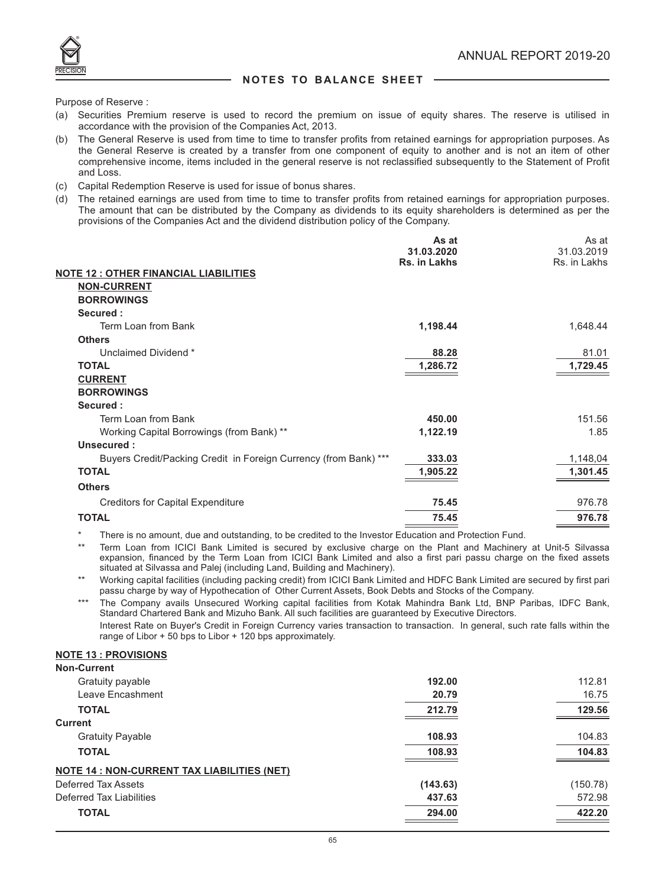

**NOTES TO BALANCE SHEET**

Purpose of Reserve :

- (a) Securities Premium reserve is used to record the premium on issue of equity shares. The reserve is utilised in accordance with the provision of the Companies Act, 2013.
- (b) The General Reserve is used from time to time to transfer profits from retained earnings for appropriation purposes. As the General Reserve is created by a transfer from one component of equity to another and is not an item of other comprehensive income, items included in the general reserve is not reclassified subsequently to the Statement of Profit and Loss.
- (c) Capital Redemption Reserve is used for issue of bonus shares.
- (d) The retained earnings are used from time to time to transfer profits from retained earnings for appropriation purposes. The amount that can be distributed by the Company as dividends to its equity shareholders is determined as per the provisions of the Companies Act and the dividend distribution policy of the Company.

|                                                                  | As at<br>31.03.2020<br>Rs. in Lakhs | As at<br>31.03.2019<br>Rs. in Lakhs |
|------------------------------------------------------------------|-------------------------------------|-------------------------------------|
| <b>NOTE 12 : OTHER FINANCIAL LIABILITIES</b>                     |                                     |                                     |
| <b>NON-CURRENT</b>                                               |                                     |                                     |
| <b>BORROWINGS</b>                                                |                                     |                                     |
| Secured:                                                         |                                     |                                     |
| Term Loan from Bank                                              | 1,198.44                            | 1,648.44                            |
| <b>Others</b>                                                    |                                     |                                     |
| Unclaimed Dividend *                                             | 88.28                               | 81.01                               |
| <b>TOTAL</b>                                                     | 1,286.72                            | 1,729.45                            |
| <b>CURRENT</b>                                                   |                                     |                                     |
| <b>BORROWINGS</b>                                                |                                     |                                     |
| Secured:                                                         |                                     |                                     |
| Term Loan from Bank                                              | 450.00                              | 151.56                              |
| Working Capital Borrowings (from Bank) **                        | 1,122.19                            | 1.85                                |
| Unsecured:                                                       |                                     |                                     |
| Buyers Credit/Packing Credit in Foreign Currency (from Bank) *** | 333.03                              | 1,148,04                            |
| <b>TOTAL</b>                                                     | 1,905.22                            | 1,301.45                            |
| <b>Others</b>                                                    |                                     |                                     |
| <b>Creditors for Capital Expenditure</b>                         | 75.45                               | 976.78                              |
| <b>TOTAL</b>                                                     | 75.45                               | 976.78                              |

There is no amount, due and outstanding, to be credited to the Investor Education and Protection Fund.

\*\* Term Loan from ICICI Bank Limited is secured by exclusive charge on the Plant and Machinery at Unit-5 Silvassa expansion, financed by the Term Loan from ICICI Bank Limited and also a first pari passu charge on the fixed assets situated at Silvassa and Palej (including Land, Building and Machinery).

\*\* Working capital facilities (including packing credit) from ICICI Bank Limited and HDFC Bank Limited are secured by first pari passu charge by way of Hypothecation of Other Current Assets, Book Debts and Stocks of the Company.

\*\*\* The Company avails Unsecured Working capital facilities from Kotak Mahindra Bank Ltd, BNP Paribas, IDFC Bank, Standard Chartered Bank and Mizuho Bank. All such facilities are guaranteed by Executive Directors. Interest Rate on Buyer's Credit in Foreign Currency varies transaction to transaction. In general, such rate falls within the range of Libor + 50 bps to Libor + 120 bps approximately.

# **NOTE 13 : PROVISIONS**

| <b>Non-Current</b>                                 |          |          |
|----------------------------------------------------|----------|----------|
| Gratuity payable                                   | 192.00   | 112.81   |
| Leave Encashment                                   | 20.79    | 16.75    |
| <b>TOTAL</b>                                       | 212.79   | 129.56   |
| Current                                            |          |          |
| <b>Gratuity Payable</b>                            | 108.93   | 104.83   |
| <b>TOTAL</b>                                       | 108.93   | 104.83   |
| <b>NOTE 14 : NON-CURRENT TAX LIABILITIES (NET)</b> |          |          |
| Deferred Tax Assets                                | (143.63) | (150.78) |
| Deferred Tax Liabilities                           | 437.63   | 572.98   |
| <b>TOTAL</b>                                       | 294.00   | 422.20   |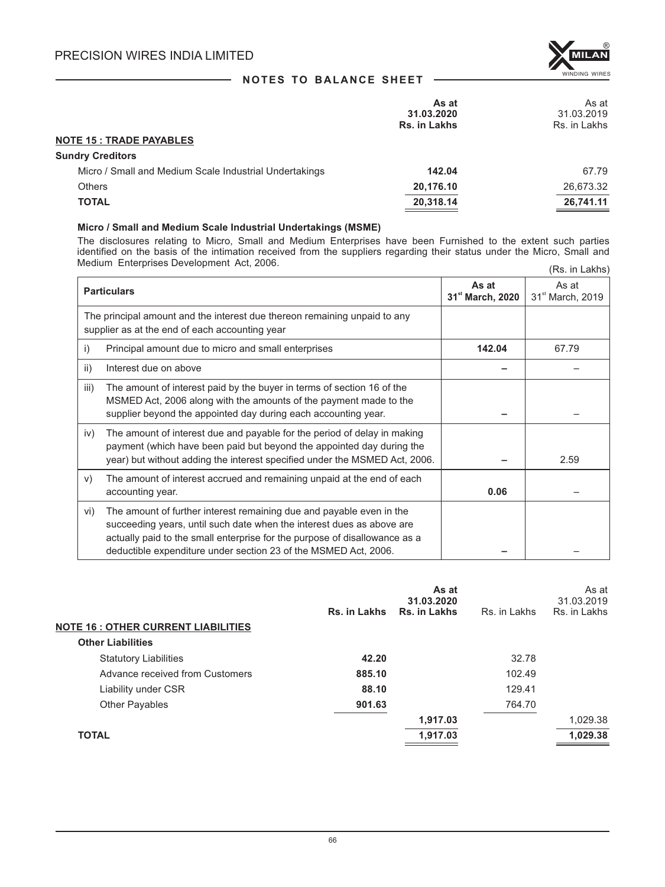

# **NOTES TO BALANCE SHEET**

| As at<br>31.03.2020 | As at<br>31.03.2019 |
|---------------------|---------------------|
| <b>Rs. in Lakhs</b> | Rs. in Lakhs        |
|                     |                     |
|                     |                     |
| 142.04              | 67.79               |
| 20,176.10           | 26.673.32           |
| 20,318.14           | 26,741.11           |
|                     |                     |

# **Micro / Small and Medium Scale Industrial Undertakings (MSME)**

The disclosures relating to Micro, Small and Medium Enterprises have been Furnished to the extent such parties identified on the basis of the intimation received from the suppliers regarding their status under the Micro, Small and Medium Enterprises Development Act, 2006. (Rs. in Lakhs)

|      |                                                                                                                                                                                                                                                                                                |                                       | $(1\,3.11$ Lanis)                     |
|------|------------------------------------------------------------------------------------------------------------------------------------------------------------------------------------------------------------------------------------------------------------------------------------------------|---------------------------------------|---------------------------------------|
|      | <b>Particulars</b>                                                                                                                                                                                                                                                                             | As at<br>31 <sup>st</sup> March, 2020 | As at<br>31 <sup>st</sup> March, 2019 |
|      | The principal amount and the interest due thereon remaining unpaid to any<br>supplier as at the end of each accounting year                                                                                                                                                                    |                                       |                                       |
| i)   | Principal amount due to micro and small enterprises                                                                                                                                                                                                                                            | 142.04                                | 67.79                                 |
| ii)  | Interest due on above                                                                                                                                                                                                                                                                          |                                       |                                       |
| iii) | The amount of interest paid by the buyer in terms of section 16 of the<br>MSMED Act, 2006 along with the amounts of the payment made to the<br>supplier beyond the appointed day during each accounting year.                                                                                  |                                       |                                       |
| iv)  | The amount of interest due and payable for the period of delay in making<br>payment (which have been paid but beyond the appointed day during the<br>year) but without adding the interest specified under the MSMED Act, 2006.                                                                |                                       | 2.59                                  |
| V)   | The amount of interest accrued and remaining unpaid at the end of each<br>accounting year.                                                                                                                                                                                                     | 0.06                                  |                                       |
| vi)  | The amount of further interest remaining due and payable even in the<br>succeeding years, until such date when the interest dues as above are<br>actually paid to the small enterprise for the purpose of disallowance as a<br>deductible expenditure under section 23 of the MSMED Act, 2006. |                                       |                                       |

|                                            | Rs. in Lakhs | As at<br>31.03.2020<br>Rs. in Lakhs | Rs. in Lakhs | As at<br>31.03.2019<br>Rs. in Lakhs |
|--------------------------------------------|--------------|-------------------------------------|--------------|-------------------------------------|
| <b>NOTE 16 : OTHER CURRENT LIABILITIES</b> |              |                                     |              |                                     |
| <b>Other Liabilities</b>                   |              |                                     |              |                                     |
| <b>Statutory Liabilities</b>               | 42.20        |                                     | 32.78        |                                     |
| Advance received from Customers            | 885.10       |                                     | 102.49       |                                     |
| Liability under CSR                        | 88.10        |                                     | 129.41       |                                     |
| <b>Other Payables</b>                      | 901.63       |                                     | 764.70       |                                     |
|                                            |              | 1.917.03                            |              | 1,029.38                            |
| <b>TOTAL</b>                               |              | 1,917.03                            |              | 1,029.38                            |
|                                            |              |                                     |              |                                     |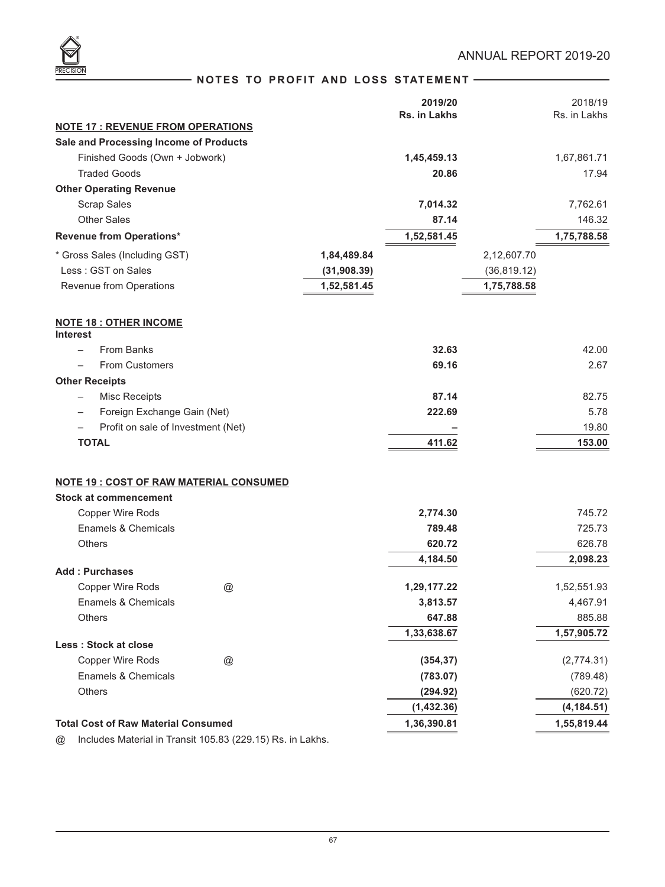

**NOTES TO PROFIT AND LOSS STATEMENT**

|                                                  |             | 2019/20<br>Rs. in Lakhs |              | 2018/19<br>Rs. in Lakhs |
|--------------------------------------------------|-------------|-------------------------|--------------|-------------------------|
| <b>NOTE 17 : REVENUE FROM OPERATIONS</b>         |             |                         |              |                         |
| Sale and Processing Income of Products           |             |                         |              |                         |
| Finished Goods (Own + Jobwork)                   |             | 1,45,459.13             |              | 1,67,861.71             |
| <b>Traded Goods</b>                              |             | 20.86                   |              | 17.94                   |
| <b>Other Operating Revenue</b>                   |             |                         |              |                         |
| <b>Scrap Sales</b>                               |             | 7,014.32                |              | 7,762.61                |
| <b>Other Sales</b>                               |             | 87.14                   |              | 146.32                  |
| <b>Revenue from Operations*</b>                  |             | 1,52,581.45             |              | 1,75,788.58             |
| * Gross Sales (Including GST)                    | 1,84,489.84 |                         | 2,12,607.70  |                         |
| Less: GST on Sales                               | (31,908.39) |                         | (36, 819.12) |                         |
| Revenue from Operations                          | 1,52,581.45 |                         | 1,75,788.58  |                         |
|                                                  |             |                         |              |                         |
| <b>NOTE 18 : OTHER INCOME</b>                    |             |                         |              |                         |
| <b>Interest</b>                                  |             |                         |              |                         |
| From Banks                                       |             | 32.63                   |              | 42.00                   |
| <b>From Customers</b>                            |             | 69.16                   |              | 2.67                    |
| <b>Other Receipts</b>                            |             |                         |              |                         |
| Misc Receipts<br>$\overline{\phantom{0}}$        |             | 87.14                   |              | 82.75                   |
| Foreign Exchange Gain (Net)<br>$\qquad \qquad -$ |             | 222.69                  |              | 5.78                    |
| Profit on sale of Investment (Net)               |             |                         |              | 19.80                   |
| <b>TOTAL</b>                                     |             | 411.62                  |              | 153.00                  |
|                                                  |             |                         |              |                         |
| <b>NOTE 19 : COST OF RAW MATERIAL CONSUMED</b>   |             |                         |              |                         |
| <b>Stock at commencement</b>                     |             |                         |              |                         |
| <b>Copper Wire Rods</b>                          |             | 2,774.30                |              | 745.72                  |
| <b>Enamels &amp; Chemicals</b>                   |             | 789.48                  |              | 725.73                  |
| <b>Others</b>                                    |             | 620.72                  |              | 626.78                  |
|                                                  |             | 4,184.50                |              | 2,098.23                |
| <b>Add: Purchases</b>                            |             |                         |              |                         |
| <b>Copper Wire Rods</b><br>@                     |             | 1,29,177.22             |              | 1,52,551.93             |
| Enamels & Chemicals                              |             | 3,813.57                |              | 4,467.91                |
| <b>Others</b>                                    |             | 647.88                  |              | 885.88                  |
| Less: Stock at close                             |             | 1,33,638.67             |              | 1,57,905.72             |
| <b>Copper Wire Rods</b>                          |             |                         |              |                         |
| @<br><b>Enamels &amp; Chemicals</b>              |             | (354, 37)               |              | (2,774.31)              |
| <b>Others</b>                                    |             | (783.07)<br>(294.92)    |              | (789.48)<br>(620.72)    |
|                                                  |             | (1,432.36)              |              | (4, 184.51)             |
| <b>Total Cost of Raw Material Consumed</b>       |             |                         |              |                         |
|                                                  |             | 1,36,390.81             |              | 1,55,819.44             |

@ Includes Material in Transit 105.83 (229.15) Rs. in Lakhs.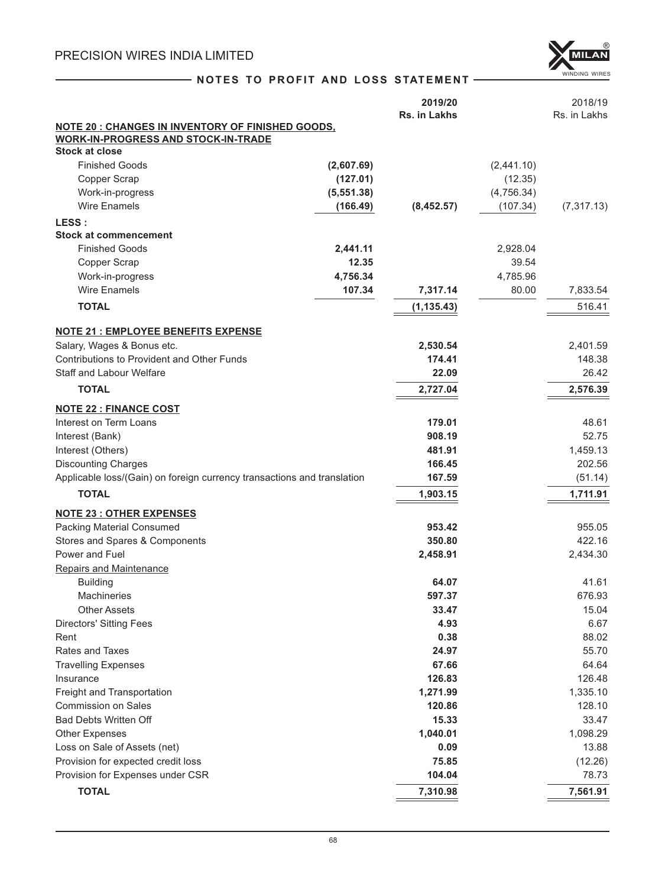# **PRECISION WIRES INDIA LIMITED**

 $\overline{\phantom{a}}$ 



**NOTES TO PROFIT AND LOSS STATEMENT** 

|                                                                                                        |            | 2019/20      |            | 2018/19      |
|--------------------------------------------------------------------------------------------------------|------------|--------------|------------|--------------|
|                                                                                                        |            | Rs. in Lakhs |            | Rs. in Lakhs |
| <b>NOTE 20 : CHANGES IN INVENTORY OF FINISHED GOODS,</b><br><b>WORK-IN-PROGRESS AND STOCK-IN-TRADE</b> |            |              |            |              |
| <b>Stock at close</b>                                                                                  |            |              |            |              |
| <b>Finished Goods</b>                                                                                  | (2,607.69) |              | (2,441.10) |              |
| Copper Scrap                                                                                           | (127.01)   |              | (12.35)    |              |
| Work-in-progress                                                                                       | (5,551.38) |              | (4,756.34) |              |
| <b>Wire Enamels</b>                                                                                    | (166.49)   | (8,452.57)   | (107.34)   | (7, 317.13)  |
| LESS:                                                                                                  |            |              |            |              |
| <b>Stock at commencement</b>                                                                           |            |              |            |              |
| <b>Finished Goods</b>                                                                                  | 2,441.11   |              | 2,928.04   |              |
| Copper Scrap                                                                                           | 12.35      |              | 39.54      |              |
| Work-in-progress                                                                                       | 4,756.34   |              | 4,785.96   |              |
| <b>Wire Enamels</b>                                                                                    | 107.34     | 7,317.14     | 80.00      | 7,833.54     |
| <b>TOTAL</b>                                                                                           |            | (1, 135.43)  |            | 516.41       |
|                                                                                                        |            |              |            |              |
| <b>NOTE 21 : EMPLOYEE BENEFITS EXPENSE</b>                                                             |            |              |            |              |
| Salary, Wages & Bonus etc.                                                                             |            | 2,530.54     |            | 2,401.59     |
| <b>Contributions to Provident and Other Funds</b>                                                      |            | 174.41       |            | 148.38       |
| <b>Staff and Labour Welfare</b>                                                                        |            | 22.09        |            | 26.42        |
| <b>TOTAL</b>                                                                                           |            | 2,727.04     |            | 2,576.39     |
| <b>NOTE 22 : FINANCE COST</b>                                                                          |            |              |            |              |
| Interest on Term Loans                                                                                 |            | 179.01       |            | 48.61        |
| Interest (Bank)                                                                                        |            | 908.19       |            | 52.75        |
| Interest (Others)                                                                                      |            | 481.91       |            | 1,459.13     |
| <b>Discounting Charges</b>                                                                             |            | 166.45       |            | 202.56       |
| Applicable loss/(Gain) on foreign currency transactions and translation                                |            | 167.59       |            | (51.14)      |
| <b>TOTAL</b>                                                                                           |            | 1,903.15     |            | 1,711.91     |
| <b>NOTE 23 : OTHER EXPENSES</b>                                                                        |            |              |            |              |
| <b>Packing Material Consumed</b>                                                                       |            | 953.42       |            | 955.05       |
| Stores and Spares & Components                                                                         |            | 350.80       |            | 422.16       |
| Power and Fuel                                                                                         |            | 2,458.91     |            | 2,434.30     |
| Repairs and Maintenance                                                                                |            |              |            |              |
| <b>Building</b>                                                                                        |            | 64.07        |            | 41.61        |
| <b>Machineries</b>                                                                                     |            | 597.37       |            | 676.93       |
| <b>Other Assets</b>                                                                                    |            | 33.47        |            | 15.04        |
| <b>Directors' Sitting Fees</b>                                                                         |            | 4.93         |            | 6.67         |
| Rent                                                                                                   |            | 0.38         |            | 88.02        |
| Rates and Taxes                                                                                        |            | 24.97        |            | 55.70        |
| <b>Travelling Expenses</b>                                                                             |            | 67.66        |            | 64.64        |
| Insurance                                                                                              |            | 126.83       |            | 126.48       |
| Freight and Transportation                                                                             |            | 1,271.99     |            | 1,335.10     |
| <b>Commission on Sales</b>                                                                             |            | 120.86       |            | 128.10       |
| <b>Bad Debts Written Off</b>                                                                           |            | 15.33        |            | 33.47        |
| <b>Other Expenses</b>                                                                                  |            | 1,040.01     |            | 1,098.29     |
| Loss on Sale of Assets (net)                                                                           |            | 0.09         |            | 13.88        |
| Provision for expected credit loss                                                                     |            | 75.85        |            | (12.26)      |
| Provision for Expenses under CSR                                                                       |            | 104.04       |            | 78.73        |
| <b>TOTAL</b>                                                                                           |            | 7,310.98     |            | 7,561.91     |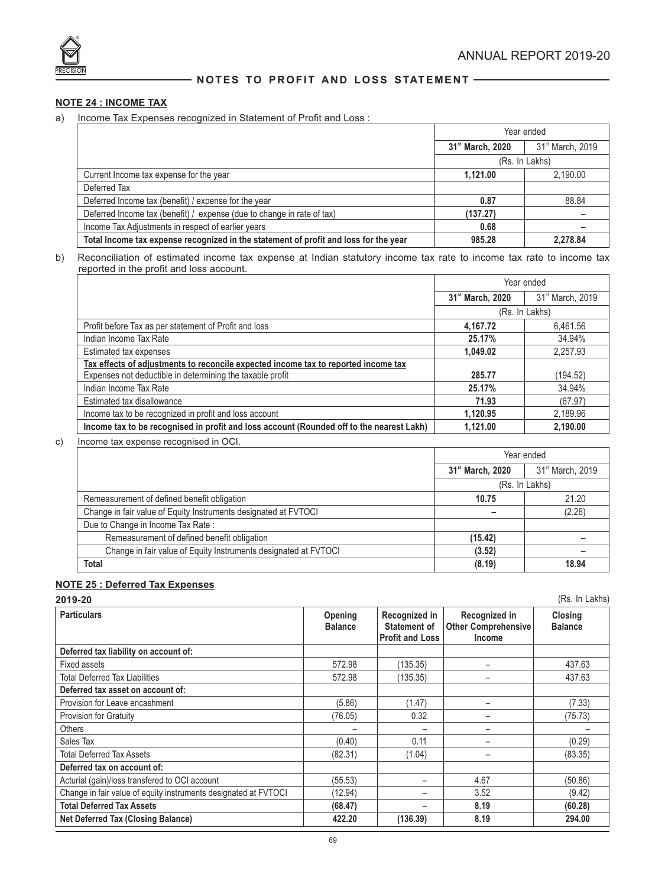

(Rs. In Lakhs)

# **NOTES TO PROFIT AND LOSS STATEMENT**

# **NOTE 24 : INCOME TAX**

a) Income Tax Expenses recognized in Statement of Profit and Loss :

|                                                                                      | Year ended                                                                     |          |  |
|--------------------------------------------------------------------------------------|--------------------------------------------------------------------------------|----------|--|
|                                                                                      | 31 <sup>st</sup> March, 2020<br>31 <sup>st</sup> March, 2019<br>(Rs. In Lakhs) |          |  |
|                                                                                      |                                                                                |          |  |
| Current Income tax expense for the year                                              | 1.121.00                                                                       | 2.190.00 |  |
| Deferred Tax                                                                         |                                                                                |          |  |
| Deferred Income tax (benefit) / expense for the year                                 | 0.87                                                                           | 88.84    |  |
| Deferred Income tax (benefit) / expense (due to change in rate of tax)               | (137.27)                                                                       |          |  |
| Income Tax Adjustments in respect of earlier years                                   | 0.68                                                                           |          |  |
| Total Income tax expense recognized in the statement of profit and loss for the year | 985.28                                                                         | 2.278.84 |  |

b) Reconciliation of estimated income tax expense at Indian statutory income tax rate to income tax rate to income tax reported in the profit and loss account.

|                                                                                          | Year ended                   |                              |
|------------------------------------------------------------------------------------------|------------------------------|------------------------------|
|                                                                                          | 31 <sup>st</sup> March, 2020 | 31 <sup>st</sup> March, 2019 |
|                                                                                          |                              | (Rs. In Lakhs)               |
| Profit before Tax as per statement of Profit and loss                                    | 4.167.72                     | 6.461.56                     |
| Indian Income Tax Rate                                                                   | 25.17%                       | 34.94%                       |
| Estimated tax expenses                                                                   | 1.049.02                     | 2.257.93                     |
| Tax effects of adjustments to reconcile expected income tax to reported income tax       |                              |                              |
| Expenses not deductible in determining the taxable profit                                | 285.77                       | (194.52)                     |
| Indian Income Tax Rate                                                                   | 25.17%                       | 34.94%                       |
| Estimated tax disallowance                                                               | 71.93                        | (67.97)                      |
| Income tax to be recognized in profit and loss account                                   | 1,120.95                     | 2,189.96                     |
| Income tax to be recognised in profit and loss account (Rounded off to the nearest Lakh) | 1,121.00                     | 2,190.00                     |

c) Income tax expense recognised in OCI.

|                                                                 | Year ended                   |                              |  |
|-----------------------------------------------------------------|------------------------------|------------------------------|--|
|                                                                 | 31 <sup>st</sup> March, 2020 | 31 <sup>st</sup> March, 2019 |  |
|                                                                 | (Rs. In Lakhs)               |                              |  |
| Remeasurement of defined benefit obligation                     | 10.75                        | 21.20                        |  |
| Change in fair value of Equity Instruments designated at FVTOCI |                              | (2.26)                       |  |
| Due to Change in Income Tax Rate:                               |                              |                              |  |
| Remeasurement of defined benefit obligation                     | (15.42)                      |                              |  |
| Change in fair value of Equity Instruments designated at FVTOCI | (3.52)                       |                              |  |
| <b>Total</b>                                                    | (8.19)                       | 18.94                        |  |

# **NOTE 25 : Deferred Tax Expenses**

**2019-20**

| <b>Particulars</b>                                              | Opening<br><b>Balance</b> | Recognized in<br>Statement of<br><b>Profit and Loss</b> | Recognized in<br><b>Other Comprehensive</b><br>Income | <b>Closing</b><br><b>Balance</b> |
|-----------------------------------------------------------------|---------------------------|---------------------------------------------------------|-------------------------------------------------------|----------------------------------|
| Deferred tax liability on account of:                           |                           |                                                         |                                                       |                                  |
| Fixed assets                                                    | 572.98                    | (135.35)                                                |                                                       | 437.63                           |
| <b>Total Deferred Tax Liabilities</b>                           | 572.98                    | (135.35)                                                |                                                       | 437.63                           |
| Deferred tax asset on account of:                               |                           |                                                         |                                                       |                                  |
| Provision for Leave encashment                                  | (5.86)                    | (1.47)                                                  |                                                       | (7.33)                           |
| <b>Provision for Gratuity</b>                                   | (76.05)                   | 0.32                                                    | $\overline{\phantom{0}}$                              | (75.73)                          |
| <b>Others</b>                                                   |                           |                                                         | $\overline{\phantom{0}}$                              |                                  |
| Sales Tax                                                       | (0.40)                    | 0.11                                                    |                                                       | (0.29)                           |
| Total Deferred Tax Assets                                       | (82.31)                   | (1.04)                                                  |                                                       | (83.35)                          |
| Deferred tax on account of:                                     |                           |                                                         |                                                       |                                  |
| Acturial (gain)/loss transfered to OCI account                  | (55.53)                   |                                                         | 4.67                                                  | (50.86)                          |
| Change in fair value of equity instruments designated at FVTOCI | (12.94)                   |                                                         | 3.52                                                  | (9.42)                           |
| <b>Total Deferred Tax Assets</b>                                | (68.47)                   |                                                         | 8.19                                                  | (60.28)                          |
| <b>Net Deferred Tax (Closing Balance)</b>                       | 422.20                    | (136.39)                                                | 8.19                                                  | 294.00                           |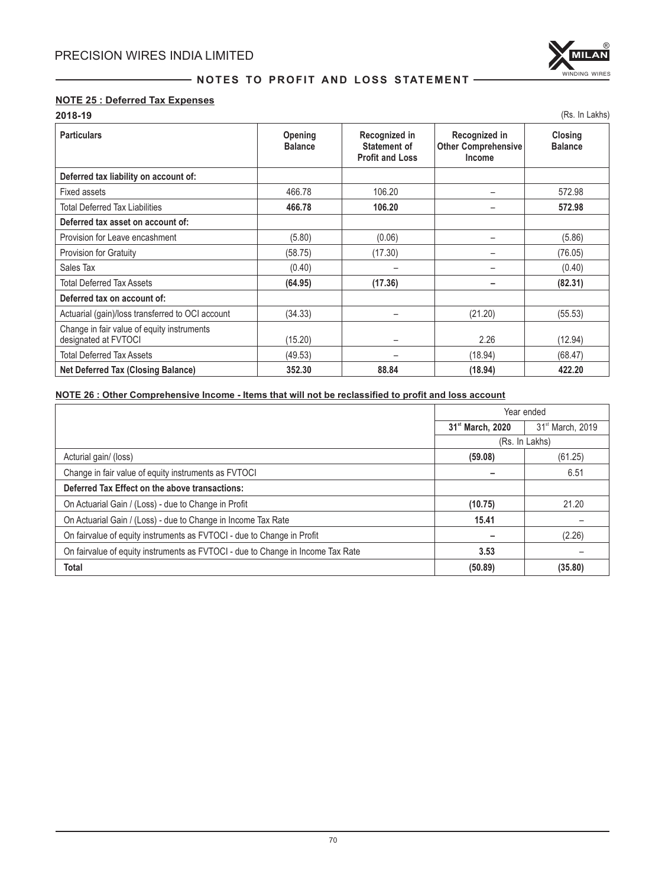

(Rs. In Lakhs)

## **NOTES TO PROFIT AND LOSS STATEMENT**

## **NOTE 25 : Deferred Tax Expenses**

## **2018-19**

| <b>Particulars</b>                                                 | Opening<br><b>Balance</b> | Recognized in<br>Statement of<br><b>Profit and Loss</b> | Recognized in<br><b>Other Comprehensive</b><br>Income | Closing<br><b>Balance</b> |
|--------------------------------------------------------------------|---------------------------|---------------------------------------------------------|-------------------------------------------------------|---------------------------|
| Deferred tax liability on account of:                              |                           |                                                         |                                                       |                           |
| <b>Fixed assets</b>                                                | 466.78                    | 106.20                                                  | $\overline{\phantom{0}}$                              | 572.98                    |
| <b>Total Deferred Tax Liabilities</b>                              | 466.78                    | 106.20                                                  |                                                       | 572.98                    |
| Deferred tax asset on account of:                                  |                           |                                                         |                                                       |                           |
| Provision for Leave encashment                                     | (5.80)                    | (0.06)                                                  |                                                       | (5.86)                    |
| <b>Provision for Gratuity</b>                                      | (58.75)                   | (17.30)                                                 |                                                       | (76.05)                   |
| Sales Tax                                                          | (0.40)                    |                                                         |                                                       | (0.40)                    |
| <b>Total Deferred Tax Assets</b>                                   | (64.95)                   | (17.36)                                                 |                                                       | (82.31)                   |
| Deferred tax on account of:                                        |                           |                                                         |                                                       |                           |
| Actuarial (gain)/loss transferred to OCI account                   | (34.33)                   |                                                         | (21.20)                                               | (55.53)                   |
| Change in fair value of equity instruments<br>designated at FVTOCI | (15.20)                   |                                                         | 2.26                                                  | (12.94)                   |
| <b>Total Deferred Tax Assets</b>                                   | (49.53)                   |                                                         | (18.94)                                               | (68.47)                   |
| <b>Net Deferred Tax (Closing Balance)</b>                          | 352.30                    | 88.84                                                   | (18.94)                                               | 422.20                    |

## **NOTE 26 : Other Comprehensive Income - Items that will not be reclassified to profit and loss account**

|                                                                                 | Year ended                   |                  |
|---------------------------------------------------------------------------------|------------------------------|------------------|
|                                                                                 | 31 <sup>st</sup> March, 2020 | 31st March, 2019 |
|                                                                                 |                              | (Rs. In Lakhs)   |
| Acturial gain/ (loss)                                                           | (59.08)                      | (61.25)          |
| Change in fair value of equity instruments as FVTOCI                            |                              | 6.51             |
| Deferred Tax Effect on the above transactions:                                  |                              |                  |
| On Actuarial Gain / (Loss) - due to Change in Profit                            | (10.75)                      | 21.20            |
| On Actuarial Gain / (Loss) - due to Change in Income Tax Rate                   | 15.41                        |                  |
| On fairvalue of equity instruments as FVTOCI - due to Change in Profit          |                              | (2.26)           |
| On fairvalue of equity instruments as FVTOCI - due to Change in Income Tax Rate | 3.53                         |                  |
| Total<br>(50.89)                                                                |                              | (35.80)          |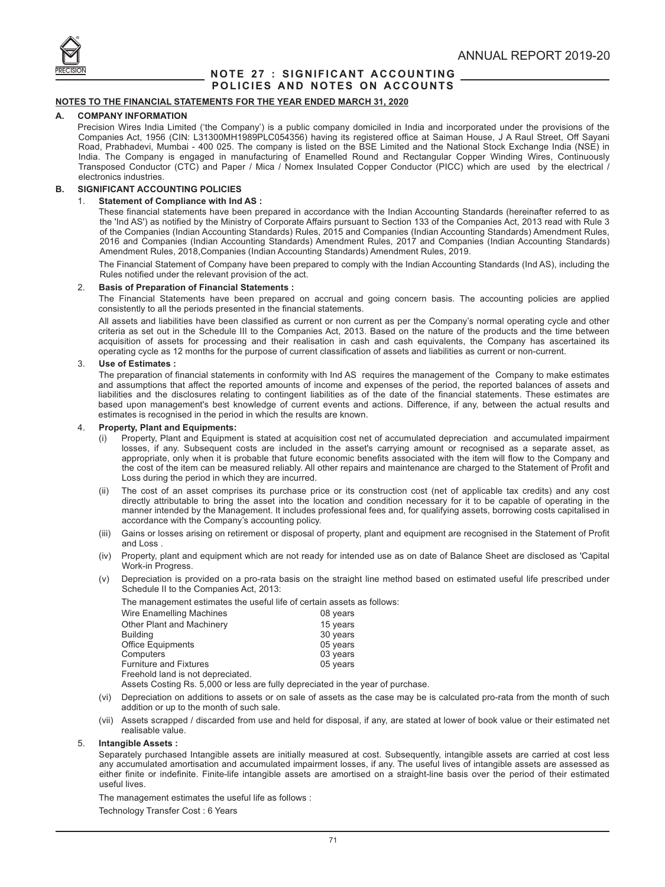

## **NOTES TO THE FINANCIAL STATEMENTS FOR THE YEAR ENDED MARCH 31, 2020**

## **COMPANY INFORMATION**

Precision Wires India Limited ('the Company') is a public company domiciled in India and incorporated under the provisions of the Companies Act, 1956 (CIN: L31300MH1989PLC054356) having its registered office at Saiman House, J A Raul Street, Off Sayani Road, Prabhadevi, Mumbai - 400 025. The company is listed on the BSE Limited and the National Stock Exchange India (NSE) in India. The Company is engaged in manufacturing of Enamelled Round and Rectangular Copper Winding Wires, Continuously Transposed Conductor (CTC) and Paper / Mica / Nomex Insulated Copper Conductor (PICC) which are used by the electrical / electronics industries.

### **B. SIGNIFICANT ACCOUNTING POLICIES**

#### **Statement of Compliance with Ind AS :** 1.

These financial statements have been prepared in accordance with the Indian Accounting Standards (hereinafter referred to as the 'Ind AS') as notified by the Ministry of Corporate Affairs pursuant to Section 133 of the Companies Act, 2013 read with Rule 3 of the Companies (Indian Accounting Standards) Rules, 2015 and Companies (Indian Accounting Standards) Amendment Rules, 2016 and Companies (Indian Accounting Standards) Amendment Rules, 2017 and Companies (Indian Accounting Standards) Amendment Rules, 2018,Companies (Indian Accounting Standards) Amendment Rules, 2019.

The Financial Statement of Company have been prepared to comply with the Indian Accounting Standards (Ind AS), including the Rules notified under the relevant provision of the act.

#### **Basis of Preparation of Financial Statements :** 2.

The Financial Statements have been prepared on accrual and going concern basis. The accounting policies are applied consistently to all the periods presented in the financial statements.

All assets and liabilities have been classified as current or non current as per the Company's normal operating cycle and other criteria as set out in the Schedule III to the Companies Act, 2013. Based on the nature of the products and the time between acquisition of assets for processing and their realisation in cash and cash equivalents, the Company has ascertained its operating cycle as 12 months for the purpose of current classification of assets and liabilities as current or non-current.

#### **Use of Estimates :** 3.

The preparation of financial statements in conformity with Ind AS requires the management of the Company to make estimates and assumptions that affect the reported amounts of income and expenses of the period, the reported balances of assets and liabilities and the disclosures relating to contingent liabilities as of the date of the financial statements. These estimates are based upon management's best knowledge of current events and actions. Difference, if any, between the actual results and estimates is recognised in the period in which the results are known.

#### **Property, Plant and Equipments:** 4.

- (i) Property, Plant and Equipment is stated at acquisition cost net of accumulated depreciation and accumulated impairment losses, if any. Subsequent costs are included in the asset's carrying amount or recognised as a separate asset, as appropriate, only when it is probable that future economic benefits associated with the item will flow to the Company and the cost of the item can be measured reliably. All other repairs and maintenance are charged to the Statement of Profit and Loss during the period in which they are incurred.
- (ii) The cost of an asset comprises its purchase price or its construction cost (net of applicable tax credits) and any cost directly attributable to bring the asset into the location and condition necessary for it to be capable of operating in the manner intended by the Management. It includes professional fees and, for qualifying assets, borrowing costs capitalised in accordance with the Company's accounting policy.
- (iii) Gains or losses arising on retirement or disposal of property, plant and equipment are recognised in the Statement of Profit and Loss .
- (iv) Property, plant and equipment which are not ready for intended use as on date of Balance Sheet are disclosed as 'Capital Work-in Progress.
- (v) Depreciation is provided on a pro-rata basis on the straight line method based on estimated useful life prescribed under Schedule II to the Companies Act, 2013:

The management estimates the useful life of certain assets as follows:

| Wire Enamelling Machines                              | 08 years |
|-------------------------------------------------------|----------|
| Other Plant and Machinery                             | 15 years |
| <b>Building</b>                                       | 30 years |
| <b>Office Equipments</b>                              | 05 years |
| Computers                                             | 03 years |
| <b>Furniture and Fixtures</b>                         | 05 years |
| For a late but have all the country above a trade all |          |

- Freehold land is not depreciated.
- Assets Costing Rs. 5,000 or less are fully depreciated in the year of purchase.
- (vi) Depreciation on additions to assets or on sale of assets as the case may be is calculated pro-rata from the month of such addition or up to the month of such sale.
- (vii) Assets scrapped / discarded from use and held for disposal, if any, are stated at lower of book value or their estimated net realisable value.

#### **Intangible Assets :** 5.

Separately purchased Intangible assets are initially measured at cost. Subsequently, intangible assets are carried at cost less any accumulated amortisation and accumulated impairment losses, if any. The useful lives of intangible assets are assessed as either finite or indefinite. Finite-life intangible assets are amortised on a straight-line basis over the period of their estimated useful lives.

The management estimates the useful life as follows :

Technology Transfer Cost : 6 Years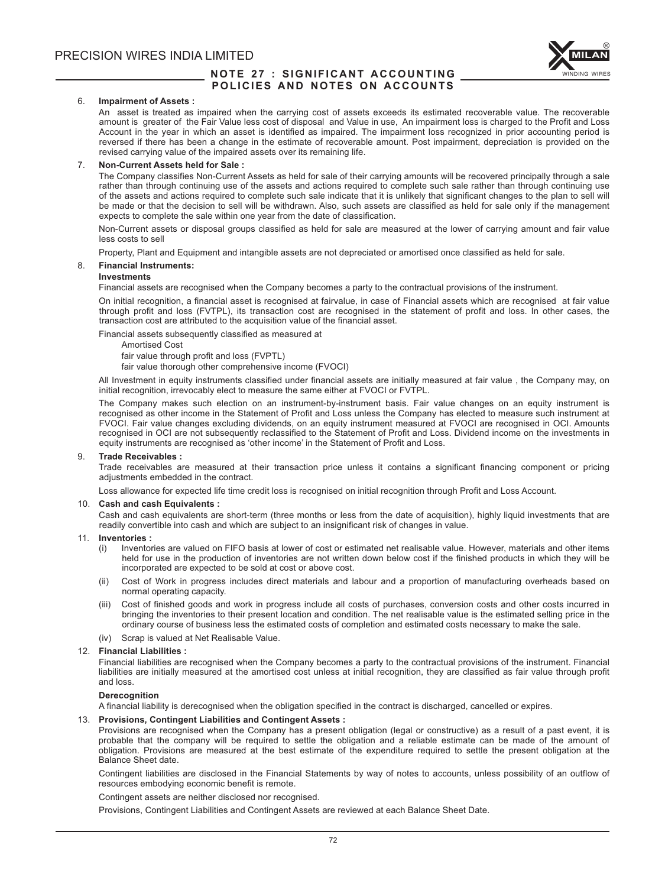

#### 6. **Impairment of Assets :**

An asset is treated as impaired when the carrying cost of assets exceeds its estimated recoverable value. The recoverable amount is greater of the Fair Value less cost of disposal and Value in use, An impairment loss is charged to the Profit and Loss Account in the year in which an asset is identified as impaired. The impairment loss recognized in prior accounting period is reversed if there has been a change in the estimate of recoverable amount. Post impairment, depreciation is provided on the revised carrying value of the impaired assets over its remaining life.

#### 7. **Non-Current Assets held for Sale :**

The Company classifies Non-Current Assets as held for sale of their carrying amounts will be recovered principally through a sale rather than through continuing use of the assets and actions required to complete such sale rather than through continuing use of the assets and actions required to complete such sale indicate that it is unlikely that significant changes to the plan to sell will be made or that the decision to sell will be withdrawn. Also, such assets are classified as held for sale only if the management expects to complete the sale within one year from the date of classification.

Non-Current assets or disposal groups classified as held for sale are measured at the lower of carrying amount and fair value less costs to sell

Property, Plant and Equipment and intangible assets are not depreciated or amortised once classified as held for sale.

#### 8. **Financial Instruments:**

#### **Investments**

Financial assets are recognised when the Company becomes a party to the contractual provisions of the instrument.

On initial recognition, a financial asset is recognised at fairvalue, in case of Financial assets which are recognised at fair value through profit and loss (FVTPL), its transaction cost are recognised in the statement of profit and loss. In other cases, the transaction cost are attributed to the acquisition value of the financial asset.

### Financial assets subsequently classified as measured at

Amortised Cost

fair value through profit and loss (FVPTL)

fair value thorough other comprehensive income (FVOCI)

All Investment in equity instruments classified under financial assets are initially measured at fair value , the Company may, on initial recognition, irrevocably elect to measure the same either at FVOCI or FVTPL.

The Company makes such election on an instrument-by-instrument basis. Fair value changes on an equity instrument is recognised as other income in the Statement of Profit and Loss unless the Company has elected to measure such instrument at FVOCI. Fair value changes excluding dividends, on an equity instrument measured at FVOCI are recognised in OCI. Amounts recognised in OCI are not subsequently reclassified to the Statement of Profit and Loss. Dividend income on the investments in equity instruments are recognised as 'other income' in the Statement of Profit and Loss.

#### 9. **Trade Receivables :**

Trade receivables are measured at their transaction price unless it contains a significant financing component or pricing adiustments embedded in the contract.

Loss allowance for expected life time credit loss is recognised on initial recognition through Profit and Loss Account.

#### 10. **Cash and cash Equivalents :**

Cash and cash equivalents are short-term (three months or less from the date of acquisition), highly liquid investments that are readily convertible into cash and which are subject to an insignificant risk of changes in value.

#### 11. **Inventories :**

- (i) Inventories are valued on FIFO basis at lower of cost or estimated net realisable value. However, materials and other items held for use in the production of inventories are not written down below cost if the finished products in which they will be incorporated are expected to be sold at cost or above cost.
- (ii) Cost of Work in progress includes direct materials and labour and a proportion of manufacturing overheads based on normal operating capacity.
- (iii) Cost of finished goods and work in progress include all costs of purchases, conversion costs and other costs incurred in bringing the inventories to their present location and condition. The net realisable value is the estimated selling price in the ordinary course of business less the estimated costs of completion and estimated costs necessary to make the sale.
- (iv) Scrap is valued at Net Realisable Value.

#### 12. **Financial Liabilities :**

Financial liabilities are recognised when the Company becomes a party to the contractual provisions of the instrument. Financial liabilities are initially measured at the amortised cost unless at initial recognition, they are classified as fair value through profit and loss.

#### **Derecognition**

A financial liability is derecognised when the obligation specified in the contract is discharged, cancelled or expires.

#### 13. **Provisions, Contingent Liabilities and Contingent Assets :**

Provisions are recognised when the Company has a present obligation (legal or constructive) as a result of a past event, it is probable that the company will be required to settle the obligation and a reliable estimate can be made of the amount of obligation. Provisions are measured at the best estimate of the expenditure required to settle the present obligation at the Balance Sheet date.

Contingent liabilities are disclosed in the Financial Statements by way of notes to accounts, unless possibility of an outflow of resources embodying economic benefit is remote.

Contingent assets are neither disclosed nor recognised.

Provisions, Contingent Liabilities and Contingent Assets are reviewed at each Balance Sheet Date.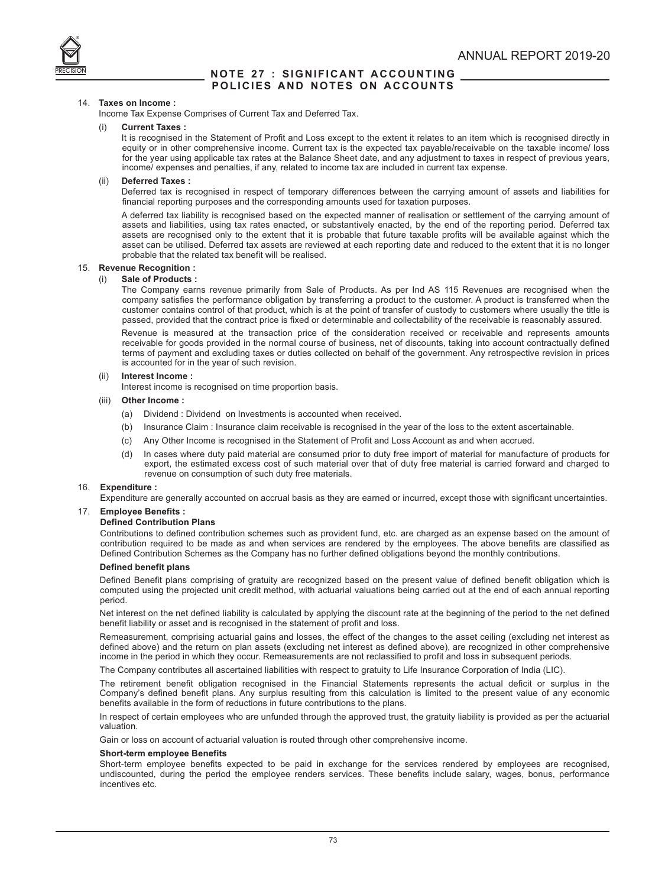#### 14. **Taxes on Income :**

Income Tax Expense Comprises of Current Tax and Deferred Tax.

#### (i) **Current Taxes :**

It is recognised in the Statement of Profit and Loss except to the extent it relates to an item which is recognised directly in equity or in other comprehensive income. Current tax is the expected tax payable/receivable on the taxable income/ loss for the year using applicable tax rates at the Balance Sheet date, and any adjustment to taxes in respect of previous years, income/ expenses and penalties, if any, related to income tax are included in current tax expense.

#### (ii) **Deferred Taxes :**

Deferred tax is recognised in respect of temporary differences between the carrying amount of assets and liabilities for financial reporting purposes and the corresponding amounts used for taxation purposes.

A deferred tax liability is recognised based on the expected manner of realisation or settlement of the carrying amount of assets and liabilities, using tax rates enacted, or substantively enacted, by the end of the reporting period. Deferred tax assets are recognised only to the extent that it is probable that future taxable profits will be available against which the asset can be utilised. Deferred tax assets are reviewed at each reporting date and reduced to the extent that it is no longer probable that the related tax benefit will be realised.

#### 15. **Revenue Recognition :**

#### $(i)$ **Sale of Products :**

The Company earns revenue primarily from Sale of Products. As per Ind AS 115 Revenues are recognised when the company satisfies the performance obligation by transferring a product to the customer. A product is transferred when the customer contains control of that product, which is at the point of transfer of custody to customers where usually the title is passed, provided that the contract price is fixed or determinable and collectability of the receivable is reasonably assured.

Revenue is measured at the transaction price of the consideration received or receivable and represents amounts receivable for goods provided in the normal course of business, net of discounts, taking into account contractually defined terms of payment and excluding taxes or duties collected on behalf of the government. Any retrospective revision in prices is accounted for in the year of such revision.

#### (ii) **Interest Income :**

Interest income is recognised on time proportion basis.

#### (iii) **Other Income :**

- (a) Dividend : Dividend on Investments is accounted when received.
- (b) Insurance Claim : Insurance claim receivable is recognised in the year of the loss to the extent ascertainable.
- (c) Any Other Income is recognised in the Statement of Profit and Loss Account as and when accrued.
- (d) In cases where duty paid material are consumed prior to duty free import of material for manufacture of products for export, the estimated excess cost of such material over that of duty free material is carried forward and charged to revenue on consumption of such duty free materials.

#### 16. **Expenditure :**

Expenditure are generally accounted on accrual basis as they are earned or incurred, except those with significant uncertainties.

#### 17. **Employee Benefits :**

#### **Defined Contribution Plans**

Contributions to defined contribution schemes such as provident fund, etc. are charged as an expense based on the amount of contribution required to be made as and when services are rendered by the employees. The above benefits are classified as Defined Contribution Schemes as the Company has no further defined obligations beyond the monthly contributions.

#### **Defined benefit plans**

Defined Benefit plans comprising of gratuity are recognized based on the present value of defined benefit obligation which is computed using the projected unit credit method, with actuarial valuations being carried out at the end of each annual reporting period.

Net interest on the net defined liability is calculated by applying the discount rate at the beginning of the period to the net defined benefit liability or asset and is recognised in the statement of profit and loss.

Remeasurement, comprising actuarial gains and losses, the effect of the changes to the asset ceiling (excluding net interest as defined above) and the return on plan assets (excluding net interest as defined above), are recognized in other comprehensive income in the period in which they occur. Remeasurements are not reclassified to profit and loss in subsequent periods.

The Company contributes all ascertained liabilities with respect to gratuity to Life Insurance Corporation of India (LIC).

The retirement benefit obligation recognised in the Financial Statements represents the actual deficit or surplus in the Company's defined benefit plans. Any surplus resulting from this calculation is limited to the present value of any economic benefits available in the form of reductions in future contributions to the plans.

In respect of certain employees who are unfunded through the approved trust, the gratuity liability is provided as per the actuarial valuation.

Gain or loss on account of actuarial valuation is routed through other comprehensive income.

#### **Short-term employee Benefits**

Short-term employee benefits expected to be paid in exchange for the services rendered by employees are recognised, undiscounted, during the period the employee renders services. These benefits include salary, wages, bonus, performance incentives etc.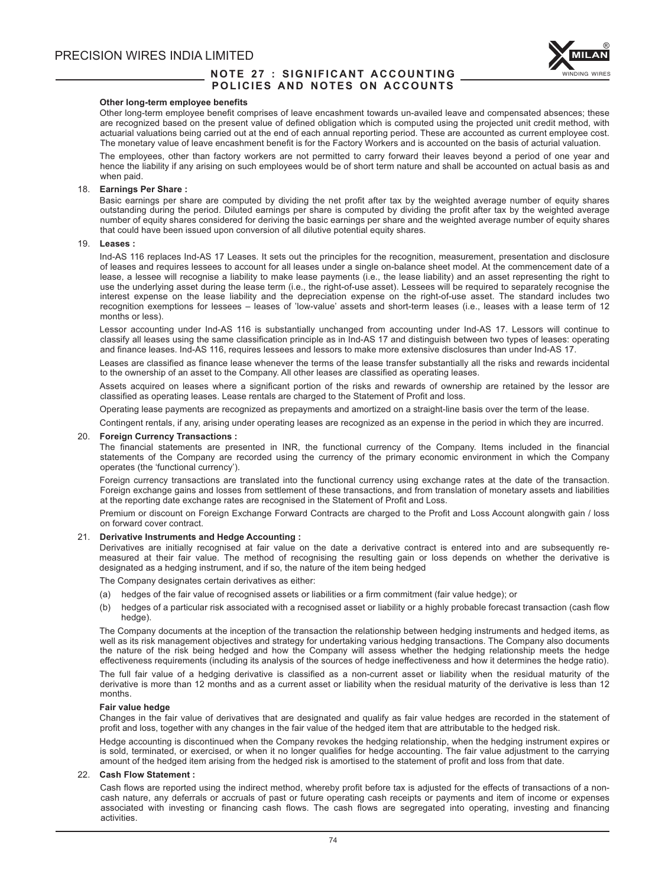

#### **Other long-term employee benefits**

Other long-term employee benefit comprises of leave encashment towards un-availed leave and compensated absences; these are recognized based on the present value of defined obligation which is computed using the projected unit credit method, with actuarial valuations being carried out at the end of each annual reporting period. These are accounted as current employee cost. The monetary value of leave encashment benefit is for the Factory Workers and is accounted on the basis of acturial valuation.

The employees, other than factory workers are not permitted to carry forward their leaves beyond a period of one year and hence the liability if any arising on such employees would be of short term nature and shall be accounted on actual basis as and when paid.

#### 18. **Earnings Per Share :**

Basic earnings per share are computed by dividing the net profit after tax by the weighted average number of equity shares outstanding during the period. Diluted earnings per share is computed by dividing the profit after tax by the weighted average number of equity shares considered for deriving the basic earnings per share and the weighted average number of equity shares that could have been issued upon conversion of all dilutive potential equity shares.

#### 19. **Leases :**

Ind-AS 116 replaces Ind-AS 17 Leases. It sets out the principles for the recognition, measurement, presentation and disclosure of leases and requires lessees to account for all leases under a single on-balance sheet model. At the commencement date of a lease, a lessee will recognise a liability to make lease payments (i.e., the lease liability) and an asset representing the right to use the underlying asset during the lease term (i.e., the right-of-use asset). Lessees will be required to separately recognise the interest expense on the lease liability and the depreciation expense on the right-of-use asset. The standard includes two recognition exemptions for lessees – leases of 'low-value' assets and short-term leases (i.e., leases with a lease term of 12 months or less).

Lessor accounting under Ind-AS 116 is substantially unchanged from accounting under Ind-AS 17. Lessors will continue to classify all leases using the same classification principle as in Ind-AS 17 and distinguish between two types of leases: operating and finance leases. Ind-AS 116, requires lessees and lessors to make more extensive disclosures than under Ind-AS 17.

Leases are classified as finance lease whenever the terms of the lease transfer substantially all the risks and rewards incidental to the ownership of an asset to the Company. All other leases are classified as operating leases.

Assets acquired on leases where a significant portion of the risks and rewards of ownership are retained by the lessor are classified as operating leases. Lease rentals are charged to the Statement of Profit and loss.

Operating lease payments are recognized as prepayments and amortized on a straight-line basis over the term of the lease.

Contingent rentals, if any, arising under operating leases are recognized as an expense in the period in which they are incurred. 20. **Foreign Currency Transactions :**

The financial statements are presented in INR, the functional currency of the Company. Items included in the financial statements of the Company are recorded using the currency of the primary economic environment in which the Company

# operates (the 'functional currency').

Foreign currency transactions are translated into the functional currency using exchange rates at the date of the transaction. Foreign exchange gains and losses from settlement of these transactions, and from translation of monetary assets and liabilities at the reporting date exchange rates are recognised in the Statement of Profit and Loss.

Premium or discount on Foreign Exchange Forward Contracts are charged to the Profit and Loss Account alongwith gain / loss on forward cover contract.

#### 21. **Derivative Instruments and Hedge Accounting :**

Derivatives are initially recognised at fair value on the date a derivative contract is entered into and are subsequently remeasured at their fair value. The method of recognising the resulting gain or loss depends on whether the derivative is designated as a hedging instrument, and if so, the nature of the item being hedged

The Company designates certain derivatives as either:

- (a) hedges of the fair value of recognised assets or liabilities or a firm commitment (fair value hedge); or
- (b) hedges of a particular risk associated with a recognised asset or liability or a highly probable forecast transaction (cash flow hedge).

The Company documents at the inception of the transaction the relationship between hedging instruments and hedged items, as well as its risk management objectives and strategy for undertaking various hedging transactions. The Company also documents the nature of the risk being hedged and how the Company will assess whether the hedging relationship meets the hedge effectiveness requirements (including its analysis of the sources of hedge ineffectiveness and how it determines the hedge ratio).

The full fair value of a hedging derivative is classified as a non-current asset or liability when the residual maturity of the derivative is more than 12 months and as a current asset or liability when the residual maturity of the derivative is less than 12 months.

#### **Fair value hedge**

Changes in the fair value of derivatives that are designated and qualify as fair value hedges are recorded in the statement of profit and loss, together with any changes in the fair value of the hedged item that are attributable to the hedged risk.

Hedge accounting is discontinued when the Company revokes the hedging relationship, when the hedging instrument expires or is sold, terminated, or exercised, or when it no longer qualifies for hedge accounting. The fair value adjustment to the carrying amount of the hedged item arising from the hedged risk is amortised to the statement of profit and loss from that date.

#### 22. **Cash Flow Statement :**

Cash flows are reported using the indirect method, whereby profit before tax is adjusted for the effects of transactions of a noncash nature, any deferrals or accruals of past or future operating cash receipts or payments and item of income or expenses associated with investing or financing cash flows. The cash flows are segregated into operating, investing and financing activities.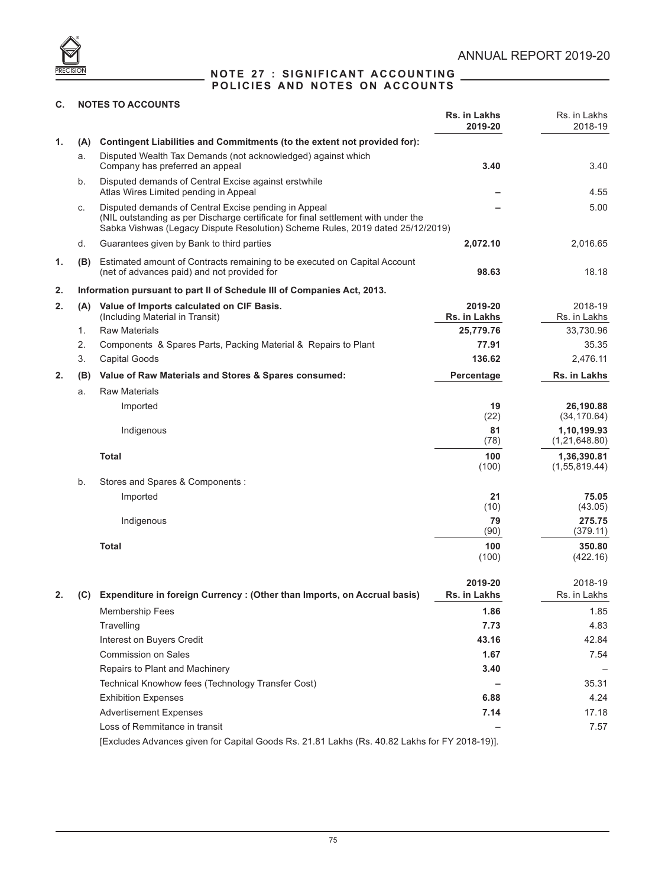

## **C. NOTES TO ACCOUNTS**

|    |     |                                                                                                                                                                                                                             | Rs. in Lakhs<br>2019-20 | Rs. in Lakhs<br>2018-19        |
|----|-----|-----------------------------------------------------------------------------------------------------------------------------------------------------------------------------------------------------------------------------|-------------------------|--------------------------------|
| 1. | (A) | Contingent Liabilities and Commitments (to the extent not provided for):                                                                                                                                                    |                         |                                |
|    | a.  | Disputed Wealth Tax Demands (not acknowledged) against which<br>Company has preferred an appeal                                                                                                                             | 3.40                    | 3.40                           |
|    | b.  | Disputed demands of Central Excise against erstwhile<br>Atlas Wires Limited pending in Appeal                                                                                                                               |                         | 4.55                           |
|    | c.  | Disputed demands of Central Excise pending in Appeal<br>(NIL outstanding as per Discharge certificate for final settlement with under the<br>Sabka Vishwas (Legacy Dispute Resolution) Scheme Rules, 2019 dated 25/12/2019) |                         | 5.00                           |
|    | d.  | Guarantees given by Bank to third parties                                                                                                                                                                                   | 2,072.10                | 2,016.65                       |
| 1. | (B) | Estimated amount of Contracts remaining to be executed on Capital Account<br>(net of advances paid) and not provided for                                                                                                    | 98.63                   | 18.18                          |
| 2. |     | Information pursuant to part II of Schedule III of Companies Act, 2013.                                                                                                                                                     |                         |                                |
| 2. | (A) | Value of Imports calculated on CIF Basis.<br>(Including Material in Transit)                                                                                                                                                | 2019-20<br>Rs. in Lakhs | 2018-19<br>Rs. in Lakhs        |
|    | 1.  | <b>Raw Materials</b>                                                                                                                                                                                                        | 25,779.76               | 33,730.96                      |
|    | 2.  | Components & Spares Parts, Packing Material & Repairs to Plant                                                                                                                                                              | 77.91                   | 35.35                          |
|    | 3.  | <b>Capital Goods</b>                                                                                                                                                                                                        | 136.62                  | 2,476.11                       |
| 2. | (B) | Value of Raw Materials and Stores & Spares consumed:                                                                                                                                                                        | Percentage              | Rs. in Lakhs                   |
|    | a.  | <b>Raw Materials</b>                                                                                                                                                                                                        |                         |                                |
|    |     | Imported                                                                                                                                                                                                                    | 19<br>(22)              | 26,190.88<br>(34, 170.64)      |
|    |     | Indigenous                                                                                                                                                                                                                  | 81<br>(78)              | 1,10,199.93<br>(1, 21, 648.80) |
|    |     | <b>Total</b>                                                                                                                                                                                                                | 100<br>(100)            | 1,36,390.81<br>(1,55,819.44)   |
|    | b.  | Stores and Spares & Components :                                                                                                                                                                                            |                         |                                |
|    |     | Imported                                                                                                                                                                                                                    | 21<br>(10)              | 75.05<br>(43.05)               |
|    |     | Indigenous                                                                                                                                                                                                                  | 79<br>(90)              | 275.75<br>(379.11)             |
|    |     | Total                                                                                                                                                                                                                       | 100<br>(100)            | 350.80<br>(422.16)             |
| 2. |     | (C) Expenditure in foreign Currency : (Other than Imports, on Accrual basis)                                                                                                                                                | 2019-20<br>Rs. in Lakhs | 2018-19<br>Rs. in Lakhs        |
|    |     |                                                                                                                                                                                                                             |                         |                                |
|    |     | <b>Membership Fees</b><br>Travelling                                                                                                                                                                                        | 1.86<br>7.73            | 1.85<br>4.83                   |
|    |     |                                                                                                                                                                                                                             | 43.16                   | 42.84                          |
|    |     | Interest on Buyers Credit<br><b>Commission on Sales</b>                                                                                                                                                                     | 1.67                    | 7.54                           |
|    |     | Repairs to Plant and Machinery                                                                                                                                                                                              | 3.40                    |                                |
|    |     | Technical Knowhow fees (Technology Transfer Cost)                                                                                                                                                                           |                         | 35.31                          |
|    |     | <b>Exhibition Expenses</b>                                                                                                                                                                                                  | 6.88                    | 4.24                           |
|    |     | <b>Advertisement Expenses</b>                                                                                                                                                                                               | 7.14                    | 17.18                          |
|    |     | Loss of Remmitance in transit                                                                                                                                                                                               |                         | 7.57                           |
|    |     | [Excludes Advances given for Capital Goods Rs. 21.81 Lakhs (Rs. 40.82 Lakhs for FY 2018-19)].                                                                                                                               |                         |                                |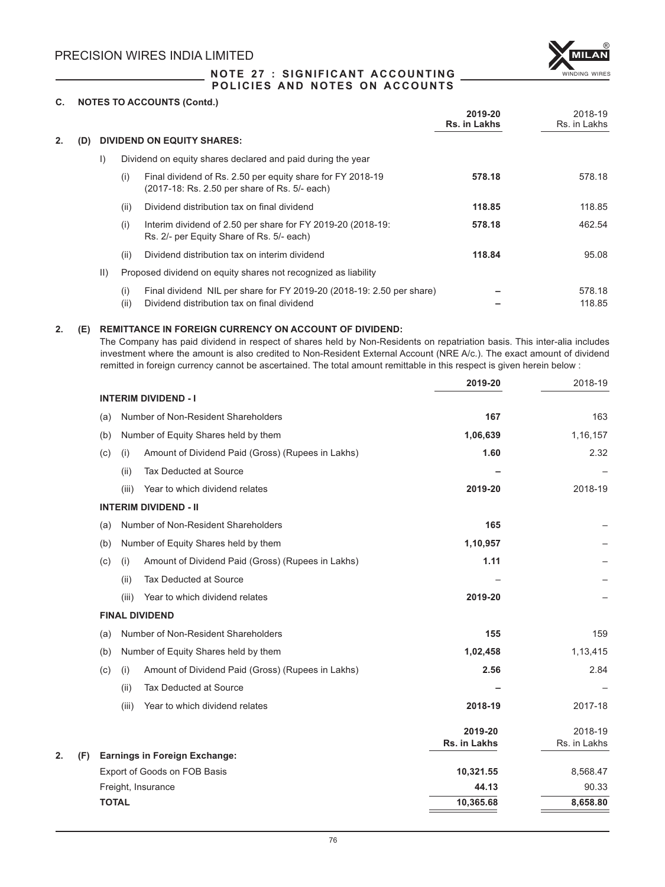## **PRECISION WIRES INDIA LIMITED**



### **NOTE 27 : SIGNIFICANT ACCOUNTING POLICIES AND NOTES ON ACCOUNTS**

## **C. NOTES TO ACCOUNTS (Contd.)**

|    |     |               |             |                                                                                                                      | 2019-20<br>Rs. in Lakhs | 2018-19<br>Rs. in Lakhs |
|----|-----|---------------|-------------|----------------------------------------------------------------------------------------------------------------------|-------------------------|-------------------------|
| 2. | (D) |               |             | <b>DIVIDEND ON EQUITY SHARES:</b>                                                                                    |                         |                         |
|    |     | $\vert$       |             | Dividend on equity shares declared and paid during the year                                                          |                         |                         |
|    |     |               | (i)         | Final dividend of Rs. 2.50 per equity share for FY 2018-19<br>(2017-18: Rs. 2.50 per share of Rs. 5/- each)          | 578.18                  | 578.18                  |
|    |     |               | (ii)        | Dividend distribution tax on final dividend                                                                          | 118.85                  | 118.85                  |
|    |     |               | (i)         | Interim dividend of 2.50 per share for FY 2019-20 (2018-19:<br>Rs. 2/- per Equity Share of Rs. 5/- each)             | 578.18                  | 462.54                  |
|    |     |               | (ii)        | Dividend distribution tax on interim dividend                                                                        | 118.84                  | 95.08                   |
|    |     | $\vert \vert$ |             | Proposed dividend on equity shares not recognized as liability                                                       |                         |                         |
|    |     |               | (i)<br>(ii) | Final dividend NIL per share for FY 2019-20 (2018-19: 2.50 per share)<br>Dividend distribution tax on final dividend |                         | 578.18<br>118.85        |

## **2. (E) REMITTANCE IN FOREIGN CURRENCY ON ACCOUNT OF DIVIDEND:**

The Company has paid dividend in respect of shares held by Non-Residents on repatriation basis. This inter-alia includes investment where the amount is also credited to Non-Resident External Account (NRE A/c.). The exact amount of dividend remitted in foreign currency cannot be ascertained. The total amount remittable in this respect is given herein below :

|    |     |                              |       |                                                   | 2019-20      | 2018-19      |
|----|-----|------------------------------|-------|---------------------------------------------------|--------------|--------------|
|    |     |                              |       | <b>INTERIM DIVIDEND - I</b>                       |              |              |
|    |     | (a)                          |       | Number of Non-Resident Shareholders               | 167          | 163          |
|    |     | (b)                          |       | Number of Equity Shares held by them              | 1,06,639     | 1,16,157     |
|    |     | (c)                          | (i)   | Amount of Dividend Paid (Gross) (Rupees in Lakhs) | 1.60         | 2.32         |
|    |     |                              | (ii)  | <b>Tax Deducted at Source</b>                     |              |              |
|    |     |                              | (iii) | Year to which dividend relates                    | 2019-20      | 2018-19      |
|    |     |                              |       | <b>INTERIM DIVIDEND - II</b>                      |              |              |
|    |     | (a)                          |       | Number of Non-Resident Shareholders               | 165          |              |
|    |     | (b)                          |       | Number of Equity Shares held by them              | 1,10,957     |              |
|    |     | (c)                          | (i)   | Amount of Dividend Paid (Gross) (Rupees in Lakhs) | 1.11         |              |
|    |     |                              | (ii)  | <b>Tax Deducted at Source</b>                     |              |              |
|    |     |                              | (iii) | Year to which dividend relates                    | 2019-20      |              |
|    |     |                              |       | <b>FINAL DIVIDEND</b>                             |              |              |
|    |     | (a)                          |       | Number of Non-Resident Shareholders               | 155          | 159          |
|    |     | (b)                          |       | Number of Equity Shares held by them              | 1,02,458     | 1,13,415     |
|    |     | (c)                          | (i)   | Amount of Dividend Paid (Gross) (Rupees in Lakhs) | 2.56         | 2.84         |
|    |     |                              | (ii)  | <b>Tax Deducted at Source</b>                     |              |              |
|    |     |                              | (iii) | Year to which dividend relates                    | 2018-19      | 2017-18      |
|    |     |                              |       |                                                   | 2019-20      | 2018-19      |
| 2. | (F) |                              |       | <b>Earnings in Foreign Exchange:</b>              | Rs. in Lakhs | Rs. in Lakhs |
|    |     | Export of Goods on FOB Basis |       |                                                   | 10,321.55    | 8,568.47     |
|    |     |                              |       | Freight, Insurance                                | 44.13        | 90.33        |
|    |     | <b>TOTAL</b>                 |       |                                                   | 10,365.68    | 8,658.80     |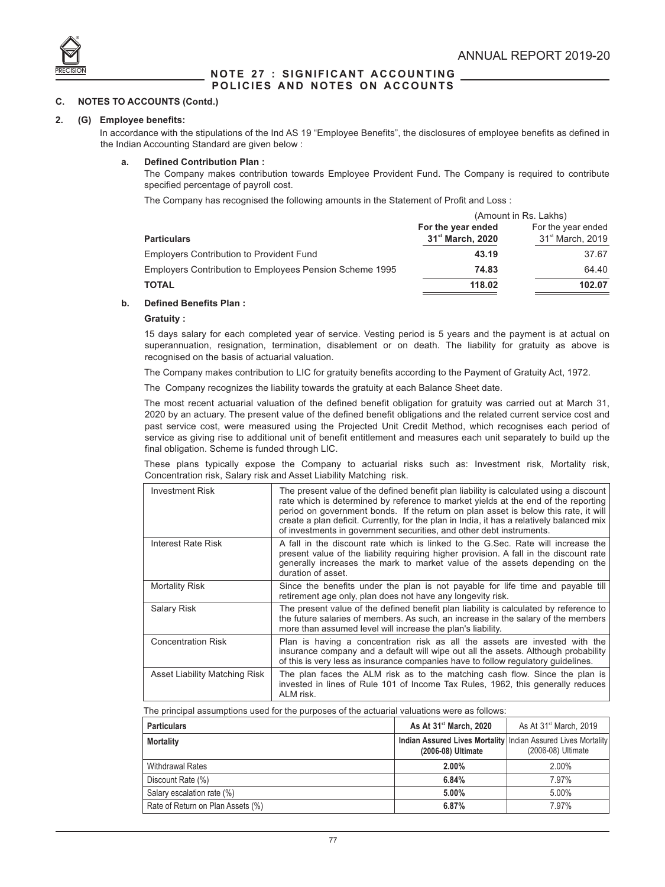

## **C. NOTES TO ACCOUNTS (Contd.)**

### **2. (G) Employee benefits:**

In accordance with the stipulations of the Ind AS 19 "Employee Benefits", the disclosures of employee benefits as defined in the Indian Accounting Standard are given below :

### **a. Defined Contribution Plan :**

The Company makes contribution towards Employee Provident Fund. The Company is required to contribute specified percentage of payroll cost.

The Company has recognised the following amounts in the Statement of Profit and Loss :

|                                                         | (Amount in Rs. Lakhs)                              |                                                    |  |
|---------------------------------------------------------|----------------------------------------------------|----------------------------------------------------|--|
| <b>Particulars</b>                                      | For the year ended<br>31 <sup>st</sup> March, 2020 | For the year ended<br>31 <sup>st</sup> March, 2019 |  |
| <b>Employers Contribution to Provident Fund</b>         | 43.19                                              | 37.67                                              |  |
| Employers Contribution to Employees Pension Scheme 1995 | 74.83                                              | 64.40                                              |  |
| <b>TOTAL</b>                                            | 118.02                                             | 102.07                                             |  |

## **b. Defined Benefits Plan :**

## **Gratuity :**

15 days salary for each completed year of service. Vesting period is 5 years and the payment is at actual on superannuation, resignation, termination, disablement or on death. The liability for gratuity as above is recognised on the basis of actuarial valuation.

The Company makes contribution to LIC for gratuity benefits according to the Payment of Gratuity Act, 1972.

The Company recognizes the liability towards the gratuity at each Balance Sheet date.

The most recent actuarial valuation of the defined benefit obligation for gratuity was carried out at March 31, 2020 by an actuary. The present value of the defined benefit obligations and the related current service cost and past service cost, were measured using the Projected Unit Credit Method, which recognises each period of service as giving rise to additional unit of benefit entitlement and measures each unit separately to build up the final obligation. Scheme is funded through LIC.

These plans typically expose the Company to actuarial risks such as: Investment risk, Mortality risk, Concentration risk, Salary risk and Asset Liability Matching risk.

| <b>Investment Risk</b>        | The present value of the defined benefit plan liability is calculated using a discount<br>rate which is determined by reference to market yields at the end of the reporting<br>period on government bonds. If the return on plan asset is below this rate, it will<br>create a plan deficit. Currently, for the plan in India, it has a relatively balanced mix<br>of investments in government securities, and other debt instruments. |
|-------------------------------|------------------------------------------------------------------------------------------------------------------------------------------------------------------------------------------------------------------------------------------------------------------------------------------------------------------------------------------------------------------------------------------------------------------------------------------|
| Interest Rate Risk            | A fall in the discount rate which is linked to the G.Sec. Rate will increase the<br>present value of the liability requiring higher provision. A fall in the discount rate<br>generally increases the mark to market value of the assets depending on the<br>duration of asset.                                                                                                                                                          |
| <b>Mortality Risk</b>         | Since the benefits under the plan is not payable for life time and payable till<br>retirement age only, plan does not have any longevity risk.                                                                                                                                                                                                                                                                                           |
| Salary Risk                   | The present value of the defined benefit plan liability is calculated by reference to<br>the future salaries of members. As such, an increase in the salary of the members<br>more than assumed level will increase the plan's liability.                                                                                                                                                                                                |
| <b>Concentration Risk</b>     | Plan is having a concentration risk as all the assets are invested with the<br>insurance company and a default will wipe out all the assets. Although probability<br>of this is very less as insurance companies have to follow regulatory quidelines.                                                                                                                                                                                   |
| Asset Liability Matching Risk | The plan faces the ALM risk as to the matching cash flow. Since the plan is<br>invested in lines of Rule 101 of Income Tax Rules, 1962, this generally reduces<br>ALM risk.                                                                                                                                                                                                                                                              |

The principal assumptions used for the purposes of the actuarial valuations were as follows:

| <b>Particulars</b>                | As At 31 <sup>st</sup> March, 2020                                                    | As At 31 <sup>st</sup> March, 2019 |
|-----------------------------------|---------------------------------------------------------------------------------------|------------------------------------|
| <b>Mortality</b>                  | Indian Assured Lives Mortality   Indian Assured Lives Mortality<br>(2006-08) Ultimate | (2006-08) Ultimate                 |
| <b>Withdrawal Rates</b>           | $2.00\%$                                                                              | 2.00%                              |
| Discount Rate (%)                 | 6.84%                                                                                 | 7.97%                              |
| Salary escalation rate (%)        | 5.00%                                                                                 | 5.00%                              |
| Rate of Return on Plan Assets (%) | 6.87%                                                                                 | 7.97%                              |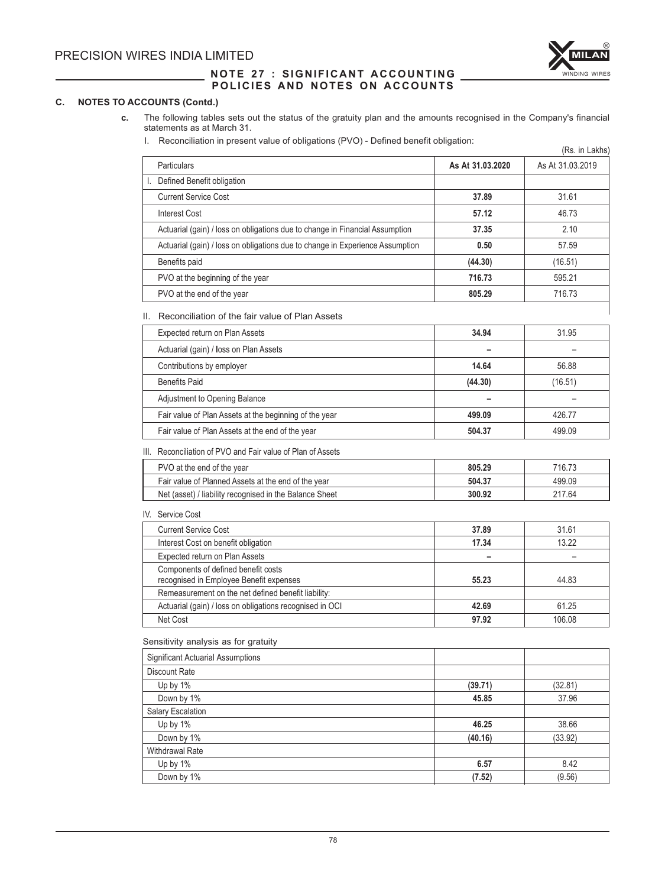

## **NOTE 27 : SIGNIFICANT ACCOUNTING** WINDING WIRES **POLICIES AND NOTES ON ACCOUNTS**

## **C. NOTES TO ACCOUNTS (Contd.)**

The following tables sets out the status of the gratuity plan and the amounts recognised in the Company's financial statements as at March 31. **c.**

|  |  | I. Reconciliation in present value of obligations (PVO) - Defined benefit obligation: |
|--|--|---------------------------------------------------------------------------------------|
|  |  |                                                                                       |

| $1$ to configuration in product value of opingularity $(1 + \sigma)$                                            |                  | (Rs. in Lakhs)   |
|-----------------------------------------------------------------------------------------------------------------|------------------|------------------|
| Particulars                                                                                                     | As At 31.03.2020 | As At 31.03.2019 |
| I. Defined Benefit obligation                                                                                   |                  |                  |
| <b>Current Service Cost</b>                                                                                     | 37.89            | 31.61            |
| <b>Interest Cost</b>                                                                                            | 57.12            | 46.73            |
| Actuarial (gain) / loss on obligations due to change in Financial Assumption                                    | 37.35            | 2.10             |
| Actuarial (gain) / loss on obligations due to change in Experience Assumption                                   | 0.50             | 57.59            |
| Benefits paid                                                                                                   | (44.30)          | (16.51)          |
| PVO at the beginning of the year                                                                                | 716.73           | 595.21           |
| PVO at the end of the year                                                                                      | 805.29           | 716.73           |
| II. Reconciliation of the fair value of Plan Assets                                                             |                  |                  |
| Expected return on Plan Assets                                                                                  | 34.94            | 31.95            |
| Actuarial (gain) / Joss on Plan Assets                                                                          |                  |                  |
| Contributions by employer                                                                                       | 14.64            | 56.88            |
| <b>Benefits Paid</b>                                                                                            | (44.30)          | (16.51)          |
| Adjustment to Opening Balance                                                                                   |                  |                  |
| Fair value of Plan Assets at the beginning of the year                                                          | 499.09           | 426.77           |
| Fair value of Plan Assets at the end of the year                                                                | 504.37           | 499.09           |
| III. Reconciliation of PVO and Fair value of Plan of Assets                                                     |                  |                  |
| PVO at the end of the year                                                                                      | 805.29           | 716.73           |
| Fair value of Planned Assets at the end of the year                                                             | 504.37           | 499.09           |
| Net (asset) / liability recognised in the Balance Sheet                                                         | 300.92           | 217.64           |
| IV. Service Cost                                                                                                |                  |                  |
| <b>Current Service Cost</b>                                                                                     | 37.89            | 31.61            |
| Interest Cost on benefit obligation                                                                             | 17.34            | 13.22            |
| Expected return on Plan Assets                                                                                  |                  |                  |
| Components of defined benefit costs                                                                             |                  |                  |
| recognised in Employee Benefit expenses                                                                         | 55.23            | 44.83            |
| Remeasurement on the net defined benefit liability:<br>Actuarial (gain) / loss on obligations recognised in OCI | 42.69            | 61.25            |
| Net Cost                                                                                                        | 97.92            | 106.08           |
|                                                                                                                 |                  |                  |
| Sensitivity analysis as for gratuity                                                                            |                  |                  |
| <b>Significant Actuarial Assumptions</b>                                                                        |                  |                  |
| <b>Discount Rate</b>                                                                                            |                  |                  |
| Up by 1%                                                                                                        | (39.71)          | (32.81)          |
| Down by 1%                                                                                                      | 45.85            | 37.96            |

| UP DY 170                | 199.II) | 102.01) |
|--------------------------|---------|---------|
| Down by 1%               | 45.85   | 37.96   |
| <b>Salary Escalation</b> |         |         |
| Up by 1%                 | 46.25   | 38.66   |
| Down by 1%               | (40.16) | (33.92) |
| <b>Withdrawal Rate</b>   |         |         |
| Up by 1%                 | 6.57    | 8.42    |
| Down by 1%               | (7.52)  | (9.56)  |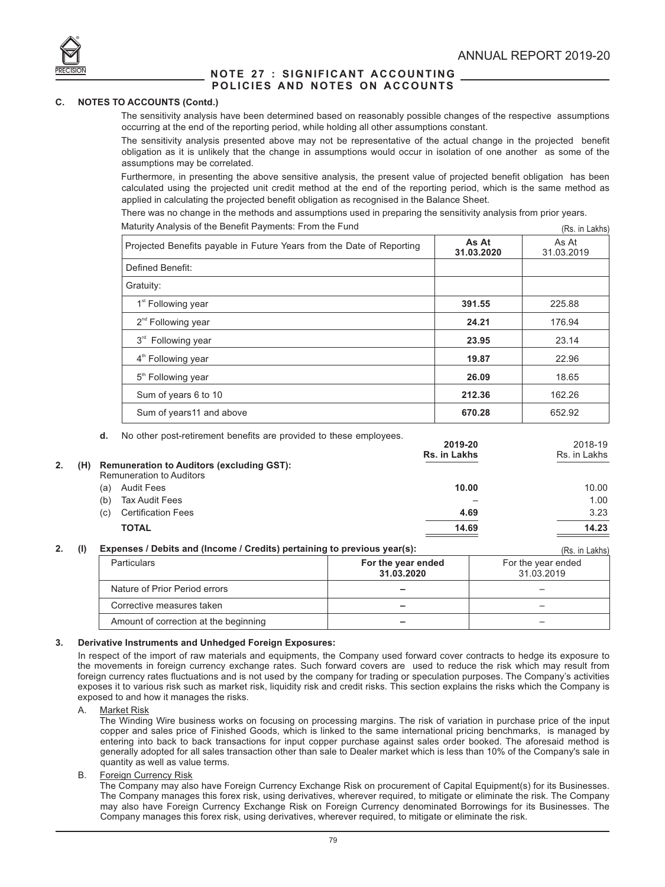

## **C. NOTES TO ACCOUNTS (Contd.)**

The sensitivity analysis have been determined based on reasonably possible changes of the respective assumptions occurring at the end of the reporting period, while holding all other assumptions constant.

The sensitivity analysis presented above may not be representative of the actual change in the projected benefit obligation as it is unlikely that the change in assumptions would occur in isolation of one another as some of the assumptions may be correlated.

Furthermore, in presenting the above sensitive analysis, the present value of projected benefit obligation has been calculated using the projected unit credit method at the end of the reporting period, which is the same method as applied in calculating the projected benefit obligation as recognised in the Balance Sheet.

There was no change in the methods and assumptions used in preparing the sensitivity analysis from prior years.

| Maturity Analysis of the Benefit Payments: From the Fund              |                     | (Rs. in Lakhs)      |
|-----------------------------------------------------------------------|---------------------|---------------------|
| Projected Benefits payable in Future Years from the Date of Reporting | As At<br>31.03.2020 | As At<br>31.03.2019 |
| Defined Benefit:                                                      |                     |                     |
| Gratuity:                                                             |                     |                     |
| 1 <sup>st</sup> Following year                                        | 391.55              | 225.88              |
| 2 <sup>nd</sup> Following year                                        | 24.21               | 176.94              |
| 3 <sup>rd</sup> Following year                                        | 23.95               | 23.14               |
| 4 <sup>th</sup> Following year                                        | 19.87               | 22.96               |
| 5 <sup>th</sup> Following year                                        | 26.09               | 18.65               |
| Sum of years 6 to 10                                                  | 212.36              | 162.26              |
| Sum of years 11 and above                                             | 670.28              | 652.92              |

**2019-20**

(Rs. in Lakhs)

**d.** No other post-retirement benefits are provided to these employees.

|     | <b>u.</b> The other post-retirement benefits are provided to these employees. | 2019-20<br>Rs. in Lakhs | 2018-19<br>Rs. in Lakhs |
|-----|-------------------------------------------------------------------------------|-------------------------|-------------------------|
| (H) | <b>Remuneration to Auditors (excluding GST):</b>                              |                         |                         |
|     | <b>Remuneration to Auditors</b>                                               |                         |                         |
|     | <b>Audit Fees</b><br>(a)                                                      | 10.00                   | 10.00                   |
|     | <b>Tax Audit Fees</b><br>(b)                                                  |                         | 1.00                    |
|     | <b>Certification Fees</b><br>(c)                                              | 4.69                    | 3.23                    |
|     | <b>TOTAL</b>                                                                  | 14.69                   | 14.23                   |
|     |                                                                               |                         |                         |

#### **2. (I) Expenses / Debits and (Income / Credits) pertaining to previous year(s):**

| <b>Particulars</b>                    | For the year ended<br>31.03.2020 | $1133.11$ Lanis<br>For the year ended<br>31.03.2019 |
|---------------------------------------|----------------------------------|-----------------------------------------------------|
| Nature of Prior Period errors         |                                  |                                                     |
| Corrective measures taken             | -                                |                                                     |
| Amount of correction at the beginning | -                                |                                                     |

### **3. Derivative Instruments and Unhedged Foreign Exposures:**

In respect of the import of raw materials and equipments, the Company used forward cover contracts to hedge its exposure to the movements in foreign currency exchange rates. Such forward covers are used to reduce the risk which may result from foreign currency rates fluctuations and is not used by the company for trading or speculation purposes. The Company's activities exposes it to various risk such as market risk, liquidity risk and credit risks. This section explains the risks which the Company is exposed to and how it manages the risks.

A. <u>Market Risk</u>

The Winding Wire business works on focusing on processing margins. The risk of variation in purchase price of the input copper and sales price of Finished Goods, which is linked to the same international pricing benchmarks, is managed by entering into back to back transactions for input copper purchase against sales order booked. The aforesaid method is generally adopted for all sales transaction other than sale to Dealer market which is less than 10% of the Company's sale in quantity as well as value terms.

B. Foreign Currency Risk

The Company may also have Foreign Currency Exchange Risk on procurement of Capital Equipment(s) for its Businesses. The Company manages this forex risk, using derivatives, wherever required, to mitigate or eliminate the risk. The Company may also have Foreign Currency Exchange Risk on Foreign Currency denominated Borrowings for its Businesses. The Company manages this forex risk, using derivatives, wherever required, to mitigate or eliminate the risk.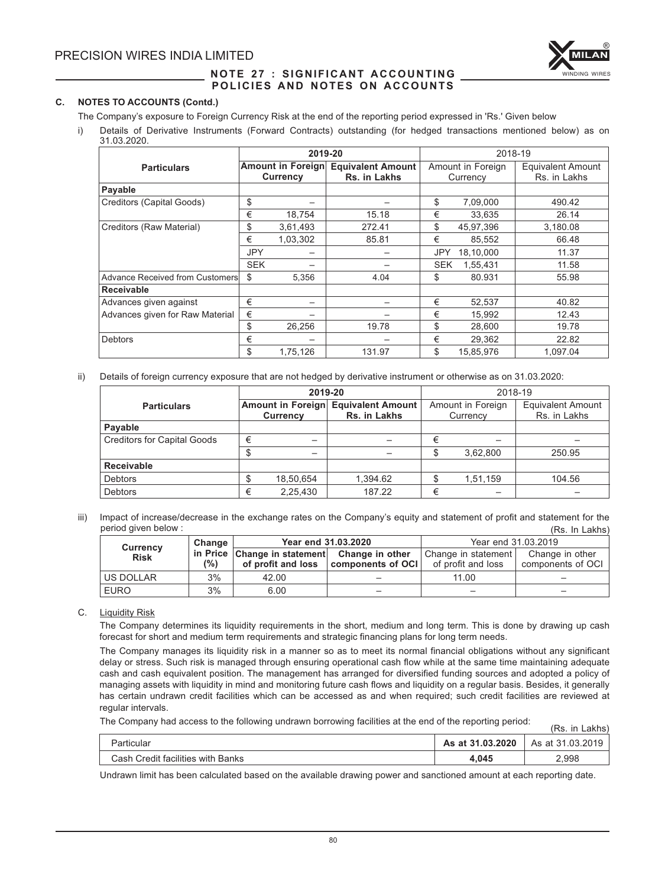

## **C. NOTES TO ACCOUNTS (Contd.)**

The Company's exposure to Foreign Currency Risk at the end of the reporting period expressed in 'Rs.' Given below

i) Details of Derivative Instruments (Forward Contracts) outstanding (for hedged transactions mentioned below) as on 31.03.2020.

|                                 | 2019-20           |          |                          |                   | 2018-19   |                          |
|---------------------------------|-------------------|----------|--------------------------|-------------------|-----------|--------------------------|
| <b>Particulars</b>              | Amount in Foreign |          | <b>Equivalent Amount</b> | Amount in Foreign |           | <b>Equivalent Amount</b> |
|                                 |                   | Currency | Rs. in Lakhs             |                   | Currency  | Rs. in Lakhs             |
| Payable                         |                   |          |                          |                   |           |                          |
| Creditors (Capital Goods)       | \$                |          |                          | \$                | 7,09,000  | 490.42                   |
|                                 | €                 | 18.754   | 15.18                    | €                 | 33.635    | 26.14                    |
| Creditors (Raw Material)        | \$                | 3,61,493 | 272.41                   | \$                | 45,97,396 | 3,180.08                 |
|                                 | €                 | 1,03,302 | 85.81                    | €                 | 85,552    | 66.48                    |
|                                 | <b>JPY</b>        |          |                          | JPY               | 18,10,000 | 11.37                    |
|                                 | <b>SEK</b>        |          |                          | <b>SEK</b>        | 1.55.431  | 11.58                    |
| Advance Received from Customers | \$                | 5,356    | 4.04                     | \$                | 80.931    | 55.98                    |
| <b>Receivable</b>               |                   |          |                          |                   |           |                          |
| Advances given against          | €                 |          |                          | €                 | 52.537    | 40.82                    |
| Advances given for Raw Material | €                 |          |                          | €                 | 15,992    | 12.43                    |
|                                 | \$                | 26,256   | 19.78                    | \$                | 28,600    | 19.78                    |
| <b>Debtors</b>                  | €                 |          |                          | €                 | 29,362    | 22.82                    |
|                                 | \$                | 1,75,126 | 131.97                   | \$                | 15,85,976 | 1.097.04                 |

ii) Details of foreign currency exposure that are not hedged by derivative instrument or otherwise as on 31.03.2020:

| <b>Particulars</b>                 |   | 2019-20   |                                     |                   | 2018-19  |                          |  |
|------------------------------------|---|-----------|-------------------------------------|-------------------|----------|--------------------------|--|
|                                    |   |           | Amount in Foreign Equivalent Amount | Amount in Foreign |          | <b>Equivalent Amount</b> |  |
|                                    |   | Currency  | Rs. in Lakhs                        | Currency          |          | Rs. in Lakhs             |  |
| Payable                            |   |           |                                     |                   |          |                          |  |
| <b>Creditors for Capital Goods</b> | € | -         |                                     |                   | -        |                          |  |
|                                    |   | -         |                                     |                   | 3,62,800 | 250.95                   |  |
| <b>Receivable</b>                  |   |           |                                     |                   |          |                          |  |
| <b>Debtors</b>                     | ጦ | 18.50.654 | 1.394.62                            |                   | 1.51.159 | 104.56                   |  |
| <b>Debtors</b>                     | € | 2,25,430  | 187.22                              |                   |          |                          |  |

iii) Impact of increase/decrease in the exchange rates on the Company's equity and statement of profit and statement for the period given below : (Rs. In Lakhs)

| Currency    | <b>Change</b> | Year end 31.03.2020                                                |                   | Year end 31.03.2019                       |                                      |
|-------------|---------------|--------------------------------------------------------------------|-------------------|-------------------------------------------|--------------------------------------|
| <b>Risk</b> | (%)           | in Price Change in statement Change in other<br>of profit and loss | components of OCI | Change in statement<br>of profit and loss | Change in other<br>components of OCI |
| US DOLLAR   | 3%            | 42.00                                                              |                   | 11.00                                     |                                      |
| <b>EURO</b> | 3%            | 6.00                                                               |                   |                                           |                                      |

## C. Liquidity Risk

The Company determines its liquidity requirements in the short, medium and long term. This is done by drawing up cash forecast for short and medium term requirements and strategic financing plans for long term needs.

The Company manages its liquidity risk in a manner so as to meet its normal financial obligations without any significant delay or stress. Such risk is managed through ensuring operational cash flow while at the same time maintaining adequate cash and cash equivalent position. The management has arranged for diversified funding sources and adopted a policy of managing assets with liquidity in mind and monitoring future cash flows and liquidity on a regular basis. Besides, it generally has certain undrawn credit facilities which can be accessed as and when required; such credit facilities are reviewed at regular intervals.

The Company had access to the following undrawn borrowing facilities at the end of the reporting period:

| The Company had access to the following undrawn borrowing facilities at the end of the reporting period. |                                          | (Rs. in Lakhs) |
|----------------------------------------------------------------------------------------------------------|------------------------------------------|----------------|
| Particular                                                                                               | <b>As at 31.03.2020</b> As at 31.03.2019 |                |
| Cash Credit facilities with Banks                                                                        | 4.045                                    | 2.998          |

Undrawn limit has been calculated based on the available drawing power and sanctioned amount at each reporting date.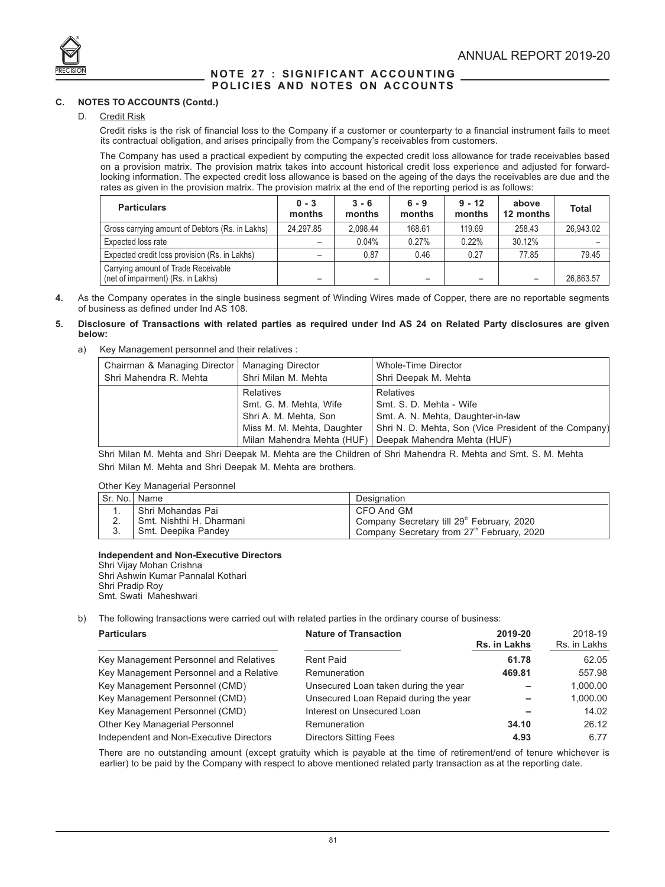

## **C. NOTES TO ACCOUNTS (Contd.)**

#### D. Credit Risk

Credit risks is the risk of financial loss to the Company if a customer or counterparty to a financial instrument fails to meet its contractual obligation, and arises principally from the Company's receivables from customers.

The Company has used a practical expedient by computing the expected credit loss allowance for trade receivables based on a provision matrix. The provision matrix takes into account historical credit loss experience and adjusted for forwardlooking information. The expected credit loss allowance is based on the ageing of the days the receivables are due and the rates as given in the provision matrix. The provision matrix at the end of the reporting period is as follows:

| <b>Particulars</b>                                                        | $0 - 3$<br>months | $3 - 6$<br>months | $6 - 9$<br>months | $9 - 12$<br>months | above<br>12 months | Total     |
|---------------------------------------------------------------------------|-------------------|-------------------|-------------------|--------------------|--------------------|-----------|
| Gross carrying amount of Debtors (Rs. in Lakhs)                           | 24.297.85         | 2.098.44          | 168.61            | 119.69             | 258.43             | 26.943.02 |
| Expected loss rate                                                        | -                 | 0.04%             | 0.27%             | 0.22%              | 30.12%             |           |
| Expected credit loss provision (Rs. in Lakhs)                             | -                 | 0.87              | 0.46              | 0.27               | 77.85              | 79.45     |
| Carrying amount of Trade Receivable<br>(net of impairment) (Rs. in Lakhs) | -                 | -                 | -                 | -                  |                    | 26.863.57 |

**4.** As the Company operates in the single business segment of Winding Wires made of Copper, there are no reportable segments of business as defined under Ind AS 108.

### **5. Disclosure of Transactions with related parties as required under Ind AS 24 on Related Party disclosures are given below:**

a) Key Management personnel and their relatives :

| Chairman & Managing Director   Managing Director |                            | Whole-Time Director                                   |
|--------------------------------------------------|----------------------------|-------------------------------------------------------|
| Shri Mahendra R. Mehta                           | Shri Milan M. Mehta        | Shri Deepak M. Mehta                                  |
|                                                  | Relatives                  | <b>Relatives</b>                                      |
|                                                  | Smt. G. M. Mehta, Wife     | Smt. S. D. Mehta - Wife                               |
|                                                  | Shri A. M. Mehta, Son      | Smt. A. N. Mehta, Daughter-in-law                     |
|                                                  | Miss M. M. Mehta, Daughter | Shri N. D. Mehta, Son (Vice President of the Company) |
|                                                  | Milan Mahendra Mehta (HUF) | Deepak Mahendra Mehta (HUF)                           |

Shri Milan M. Mehta and Shri Deepak M. Mehta are the Children of Shri Mahendra R. Mehta and Smt. S. M. Mehta Shri Milan M. Mehta and Shri Deepak M. Mehta are brothers.

### Other Key Managerial Personnel

| Sr. No. Name |                          | Designation                                            |
|--------------|--------------------------|--------------------------------------------------------|
|              | Shri Mohandas Pai        | CFO And GM                                             |
|              | Smt. Nishthi H. Dharmani | Company Secretary till 29 <sup>th</sup> February, 2020 |
|              | Smt. Deepika Pandev      | Company Secretary from 27 <sup>th</sup> February, 2020 |

### **Independent and Non-Executive Directors**

Shri Vijay Mohan Crishna Shri Ashwin Kumar Pannalal Kothari Shri Pradip Roy Smt. Swati Maheshwari

b) The following transactions were carried out with related parties in the ordinary course of business:

| <b>Particulars</b>                      | <b>Nature of Transaction</b>          | 2019-20<br>Rs. in Lakhs | 2018-19<br>Rs. in Lakhs |
|-----------------------------------------|---------------------------------------|-------------------------|-------------------------|
| Key Management Personnel and Relatives  | <b>Rent Paid</b>                      | 61.78                   | 62.05                   |
| Key Management Personnel and a Relative | Remuneration                          | 469.81                  | 557.98                  |
| Key Management Personnel (CMD)          | Unsecured Loan taken during the year  |                         | 1.000.00                |
| Key Management Personnel (CMD)          | Unsecured Loan Repaid during the year |                         | 1.000.00                |
| Key Management Personnel (CMD)          | Interest on Unsecured Loan            |                         | 14.02                   |
| Other Key Managerial Personnel          | Remuneration                          | 34.10                   | 26.12                   |
| Independent and Non-Executive Directors | <b>Directors Sitting Fees</b>         | 4.93                    | 6.77                    |

There are no outstanding amount (except gratuity which is payable at the time of retirement/end of tenure whichever is earlier) to be paid by the Company with respect to above mentioned related party transaction as at the reporting date.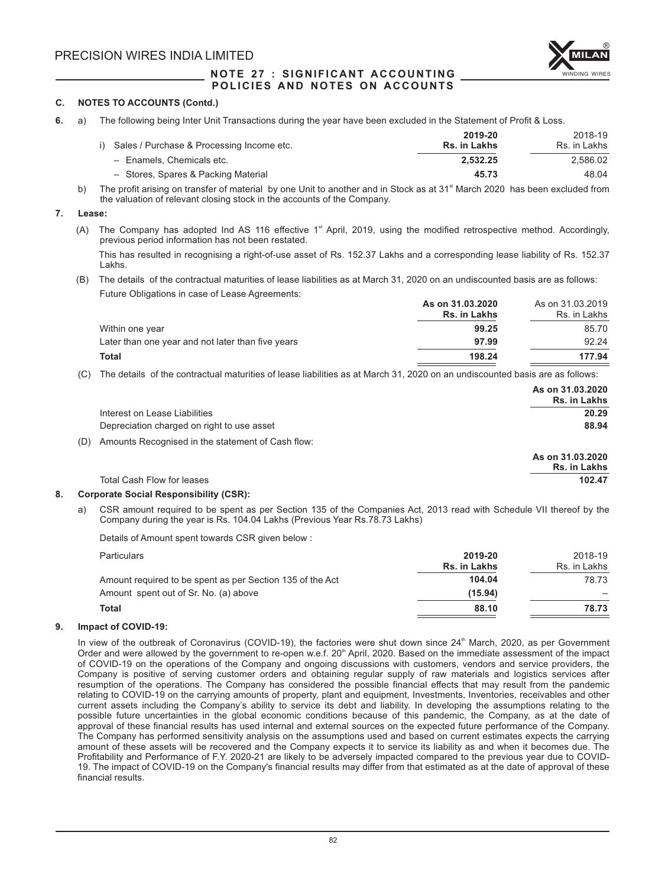## **PRECISION WIRES INDIA LIMITED**



### **NOTE 27 : SIGNIFICANT ACCOUNTING POLICIES AND NOTES ON ACCOUNTS**

## **C. NOTES TO ACCOUNTS (Contd.)**

**6.** a) The following being Inter Unit Transactions during the year have been excluded in the Statement of Profit & Loss.

| i) Sales / Purchase & Processing Income etc. | 2019-20<br><b>Rs. in Lakhs</b> | 2018-19<br>Rs. in Lakhs |
|----------------------------------------------|--------------------------------|-------------------------|
| - Enamels. Chemicals etc.                    | 2.532.25                       | 2.586.02                |
| - Stores, Spares & Packing Material          | 45.73                          | 48.04                   |

b) The profit arising on transfer of material by one Unit to another and in Stock as at 31<sup>\*</sup> March 2020 has been excluded from the valuation of relevant closing stock in the accounts of the Company.

### **7. Lease:**

(A) The Company has adopted Ind AS 116 effective 1<sup>st</sup> April, 2019, using the modified retrospective method. Accordingly, previous period information has not been restated.

This has resulted in recognising a right-of-use asset of Rs. 152.37 Lakhs and a corresponding lease liability of Rs. 152.37 Lakhs.

(B) The details of the contractual maturities of lease liabilities as at March 31, 2020 on an undiscounted basis are as follows: Future Obligations in case of Lease Agreements:

|                                                   | As on 31.03.2020    | As on 31.03.2019 |
|---------------------------------------------------|---------------------|------------------|
|                                                   | <b>Rs. in Lakhs</b> | Rs. in Lakhs     |
| Within one year                                   | 99.25               | 85.70            |
| Later than one year and not later than five years | 97.99               | 92.24            |
| Total                                             | 198.24              | 177.94           |
|                                                   |                     |                  |

(C) The details of the contractual maturities of lease liabilities as at March 31, 2020 on an undiscounted basis are as follows:

|                                                       | As on 31.03.2020<br><b>Rs. in Lakhs</b> |
|-------------------------------------------------------|-----------------------------------------|
| Interest on Lease Liabilities                         | 20.29                                   |
| Depreciation charged on right to use asset            | 88.94                                   |
| (D) Amounts Recognised in the statement of Cash flow: |                                         |

|                            | As on 31.03.2020    |
|----------------------------|---------------------|
|                            | <b>Rs. in Lakhs</b> |
| Total Cash Flow for leases | 102.47              |
|                            |                     |

### **8. Corporate Social Responsibility (CSR):**

a) CSR amount required to be spent as per Section 135 of the Companies Act, 2013 read with Schedule VII thereof by the Company during the year is Rs. 104.04 Lakhs (Previous Year Rs.78.73 Lakhs)

Details of Amount spent towards CSR given below :

| Particulars                                               | 2019-20<br>Rs. in Lakhs | 2018-19<br>Rs. in Lakhs |
|-----------------------------------------------------------|-------------------------|-------------------------|
| Amount required to be spent as per Section 135 of the Act | 104.04                  | 78.73                   |
| Amount spent out of Sr. No. (a) above                     | (15.94)                 |                         |
| Total                                                     | 88.10                   | 78.73                   |

## **9. Impact of COVID-19:**

In view of the outbreak of Coronavirus (COVID-19), the factories were shut down since 24<sup>th</sup> March, 2020, as per Government Order and were allowed by the government to re-open w.e.f. 20<sup>th</sup> April, 2020. Based on the immediate assessment of the impact of COVID-19 on the operations of the Company and ongoing discussions with customers, vendors and service providers, the Company is positive of serving customer orders and obtaining regular supply of raw materials and logistics services after resumption of the operations. The Company has considered the possible financial effects that may result from the pandemic relating to COVID-19 on the carrying amounts of property, plant and equipment, Investments, Inventories, receivables and other current assets including the Company's ability to service its debt and liability. In developing the assumptions relating to the possible future uncertainties in the global economic conditions because of this pandemic, the Company, as at the date of approval of these financial results has used internal and external sources on the expected future performance of the Company. The Company has performed sensitivity analysis on the assumptions used and based on current estimates expects the carrying amount of these assets will be recovered and the Company expects it to service its liability as and when it becomes due. The Profitability and Performance of F.Y. 2020-21 are likely to be adversely impacted compared to the previous year due to COVID-19. The impact of COVID-19 on the Company's financial results may differ from that estimated as at the date of approval of these financial results.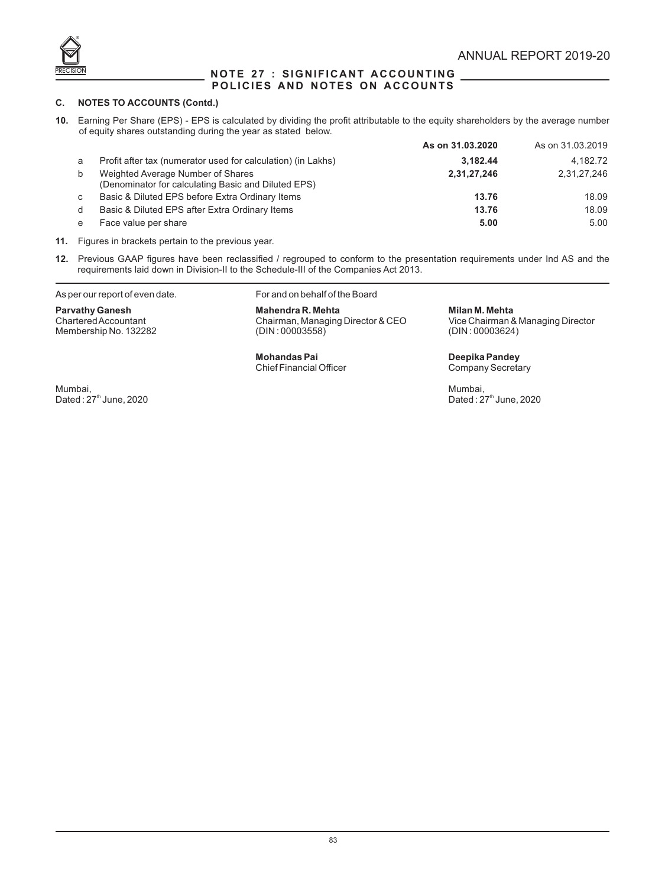

## **C. NOTES TO ACCOUNTS (Contd.)**

**10.** Earning Per Share (EPS) - EPS is calculated by dividing the profit attributable to the equity shareholders by the average number of equity shares outstanding during the year as stated below.

|              |                                                                                          | As on 31.03.2020 | As on 31.03.2019 |
|--------------|------------------------------------------------------------------------------------------|------------------|------------------|
| a            | Profit after tax (numerator used for calculation) (in Lakhs)                             | 3.182.44         | 4.182.72         |
| b            | Weighted Average Number of Shares<br>(Denominator for calculating Basic and Diluted EPS) | 2,31,27,246      | 2,31,27,246      |
| $\mathbf{C}$ | Basic & Diluted EPS before Extra Ordinary Items                                          | 13.76            | 18.09            |
| d            | Basic & Diluted EPS after Extra Ordinary Items                                           | 13.76            | 18.09            |
| e            | Face value per share                                                                     | 5.00             | 5.00             |

**11.** Figures in brackets pertain to the previous year.

**12.** Previous GAAP figures have been reclassified / regrouped to conform to the presentation requirements under Ind AS and the requirements laid down in Division-II to the Schedule-III of the Companies Act 2013.

As per our report of even date. For and on behalf of the Board

Membership No. 132282

**Parvathy Ganesh Mahendra R. Mehta Milan M. Mehta**

Chief Financial Officer Company Secretary **Mohandas Pai New York Chander Changes Ave Ave Deepika Pandey** 

Chartered Accountant Chairman, Managing Director & CEO Vice Chairman & Managing Director<br>
Membership No. 132282 (DIN : 00003558) (DIN : 00003558) (DIN : 00003624)

Dated : 27<sup>th</sup> June, 2020

Mumbai, Mumbai, Dated:  $27<sup>th</sup>$  June, 2020